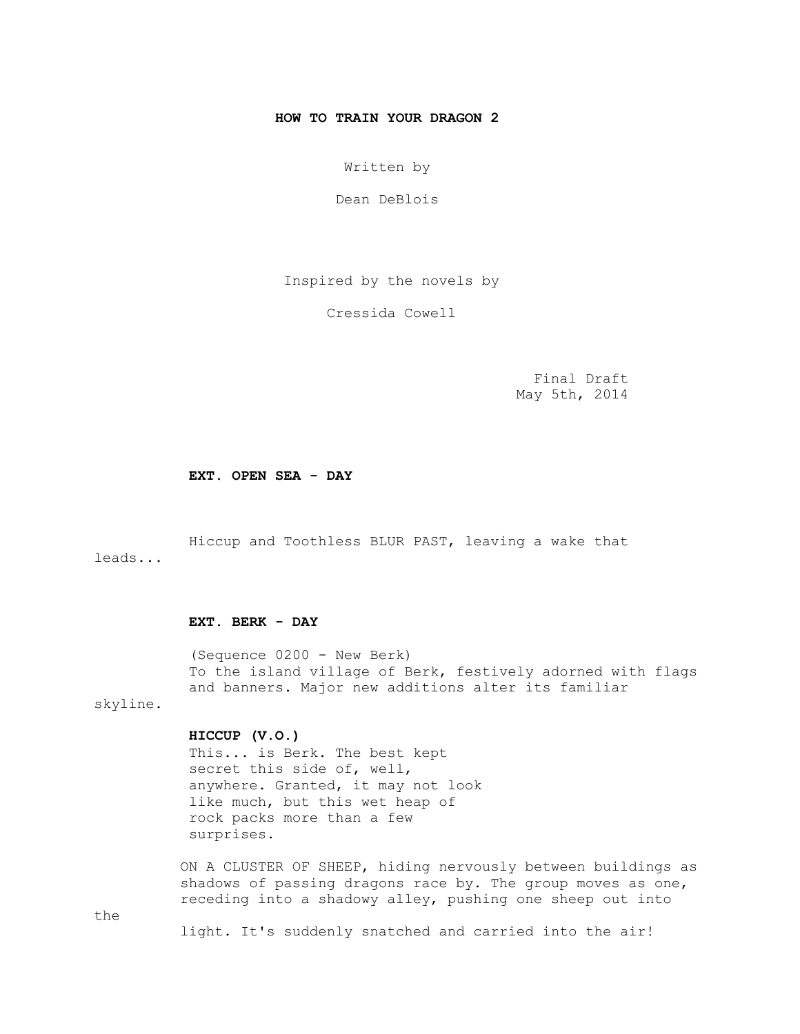# **HOW TO TRAIN YOUR DRAGON 2**

Written by

Dean DeBlois

Inspired by the novels by

Cressida Cowell

 Final Draft May 5th, 2014

# **EXT. OPEN SEA - DAY**

 Hiccup and Toothless BLUR PAST, leaving a wake that leads...

### **EXT. BERK - DAY**

 (Sequence 0200 - New Berk) To the island village of Berk, festively adorned with flags and banners. Major new additions alter its familiar

skyline.

# **HICCUP (V.O.)**

 This... is Berk. The best kept secret this side of, well, anywhere. Granted, it may not look like much, but this wet heap of rock packs more than a few surprises.

 ON A CLUSTER OF SHEEP, hiding nervously between buildings as shadows of passing dragons race by. The group moves as one, receding into a shadowy alley, pushing one sheep out into

the

light. It's suddenly snatched and carried into the air!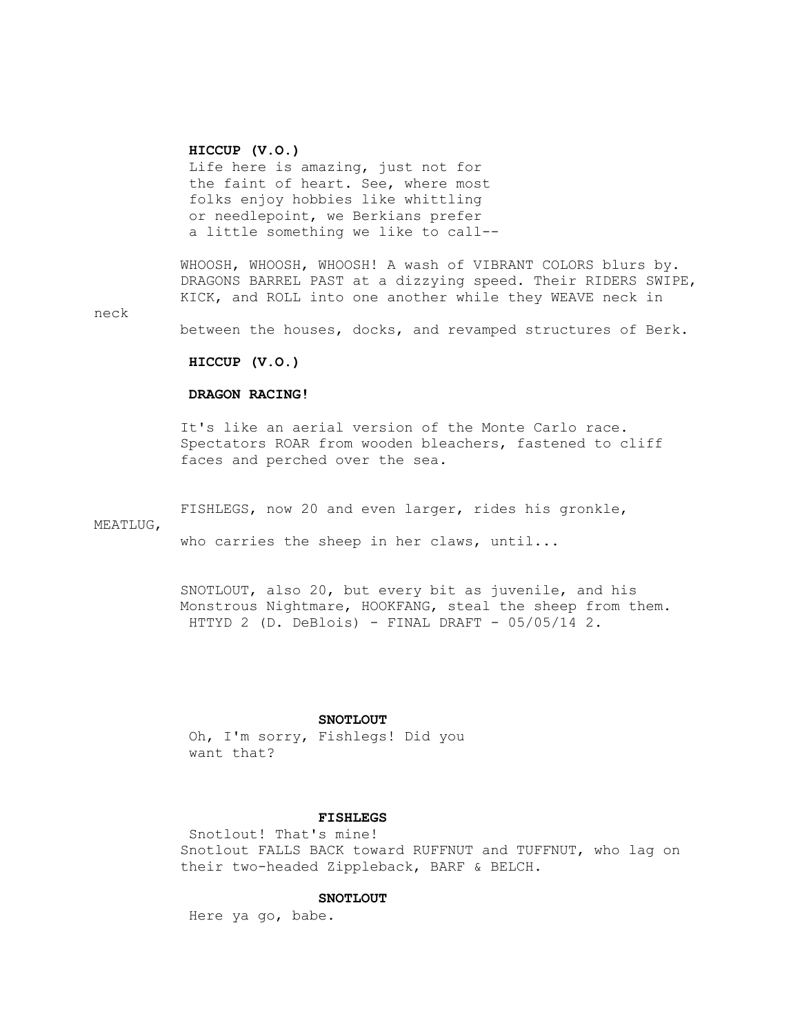# **HICCUP (V.O.)**

 Life here is amazing, just not for the faint of heart. See, where most folks enjoy hobbies like whittling or needlepoint, we Berkians prefer a little something we like to call--

 WHOOSH, WHOOSH, WHOOSH! A wash of VIBRANT COLORS blurs by. DRAGONS BARREL PAST at a dizzying speed. Their RIDERS SWIPE, KICK, and ROLL into one another while they WEAVE neck in

neck

between the houses, docks, and revamped structures of Berk.

#### **HICCUP (V.O.)**

# **DRAGON RACING!**

 It's like an aerial version of the Monte Carlo race. Spectators ROAR from wooden bleachers, fastened to cliff faces and perched over the sea.

 FISHLEGS, now 20 and even larger, rides his gronkle, MEATLUG,

who carries the sheep in her claws, until...

 SNOTLOUT, also 20, but every bit as juvenile, and his Monstrous Nightmare, HOOKFANG, steal the sheep from them. HTTYD 2 (D. DeBlois) - FINAL DRAFT -  $05/05/14$  2.

#### **SNOTLOUT**

 Oh, I'm sorry, Fishlegs! Did you want that?

# **FISHLEGS**

 Snotlout! That's mine! Snotlout FALLS BACK toward RUFFNUT and TUFFNUT, who lag on their two-headed Zippleback, BARF & BELCH.

# **SNOTLOUT**

Here ya go, babe.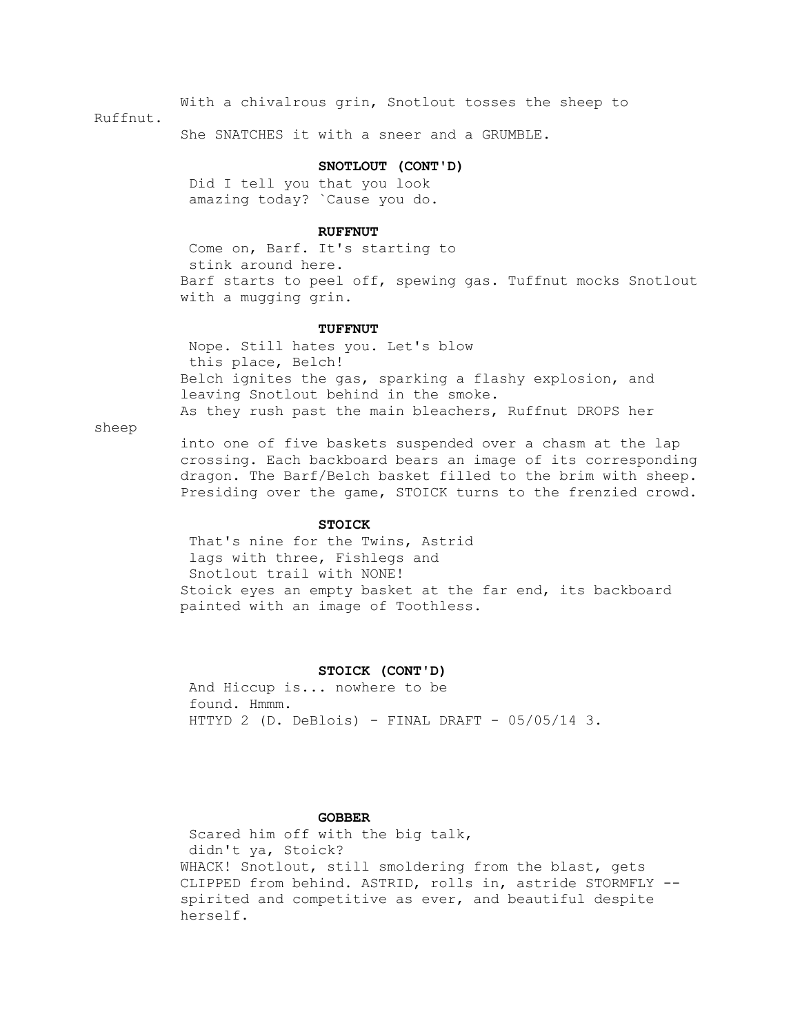With a chivalrous grin, Snotlout tosses the sheep to Ruffnut.

She SNATCHES it with a sneer and a GRUMBLE.

### **SNOTLOUT (CONT'D)**

 Did I tell you that you look amazing today? `Cause you do.

### **RUFFNUT**

 Come on, Barf. It's starting to stink around here. Barf starts to peel off, spewing gas. Tuffnut mocks Snotlout with a mugging grin.

### **TUFFNUT**

 Nope. Still hates you. Let's blow this place, Belch! Belch ignites the gas, sparking a flashy explosion, and leaving Snotlout behind in the smoke. As they rush past the main bleachers, Ruffnut DROPS her

sheep

 into one of five baskets suspended over a chasm at the lap crossing. Each backboard bears an image of its corresponding dragon. The Barf/Belch basket filled to the brim with sheep. Presiding over the game, STOICK turns to the frenzied crowd.

# **STOICK**

 That's nine for the Twins, Astrid lags with three, Fishlegs and Snotlout trail with NONE! Stoick eyes an empty basket at the far end, its backboard painted with an image of Toothless.

#### **STOICK (CONT'D)**

 And Hiccup is... nowhere to be found. Hmmm. HTTYD 2 (D. DeBlois) - FINAL DRAFT -  $05/05/14$  3.

# **GOBBER**

 Scared him off with the big talk, didn't ya, Stoick? WHACK! Snotlout, still smoldering from the blast, gets CLIPPED from behind. ASTRID, rolls in, astride STORMFLY - spirited and competitive as ever, and beautiful despite herself.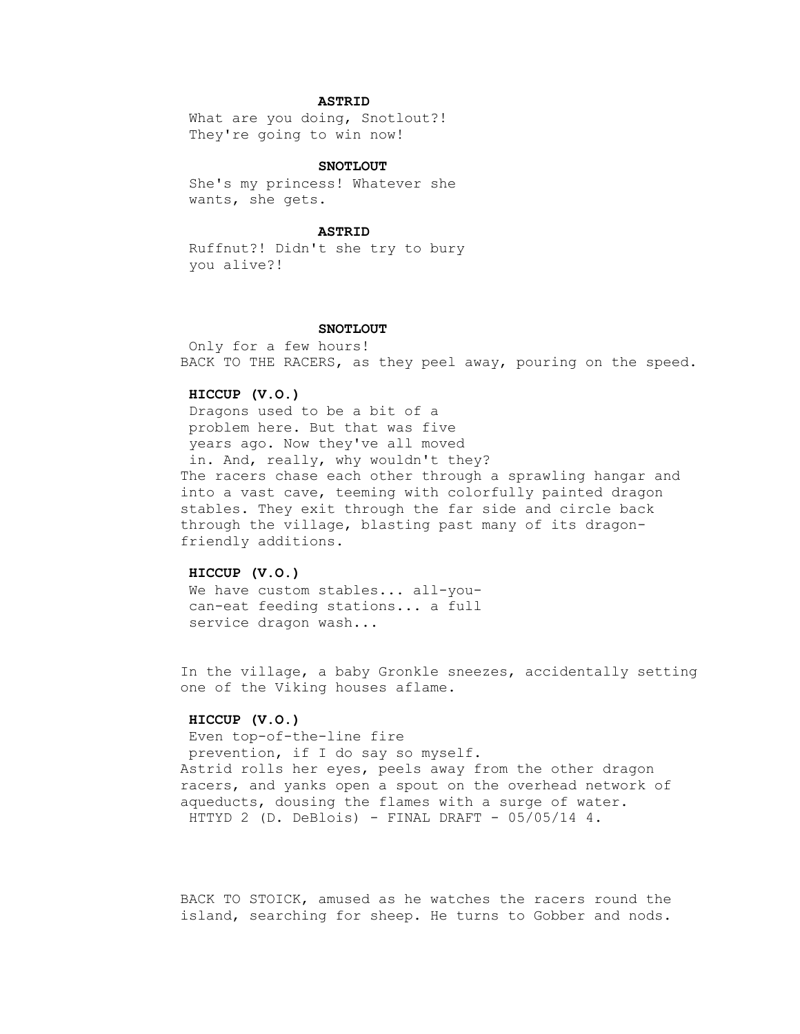## **ASTRID**

What are you doing, Snotlout?! They're going to win now!

## **SNOTLOUT**

 She's my princess! Whatever she wants, she gets.

# **ASTRID**

 Ruffnut?! Didn't she try to bury you alive?!

### **SNOTLOUT**

 Only for a few hours! BACK TO THE RACERS, as they peel away, pouring on the speed.

# **HICCUP (V.O.)**

 Dragons used to be a bit of a problem here. But that was five years ago. Now they've all moved in. And, really, why wouldn't they? The racers chase each other through a sprawling hangar and into a vast cave, teeming with colorfully painted dragon stables. They exit through the far side and circle back through the village, blasting past many of its dragon friendly additions.

# **HICCUP (V.O.)**

We have custom stables... all-you can-eat feeding stations... a full service dragon wash...

 In the village, a baby Gronkle sneezes, accidentally setting one of the Viking houses aflame.

# **HICCUP (V.O.)**

 Even top-of-the-line fire prevention, if I do say so myself. Astrid rolls her eyes, peels away from the other dragon racers, and yanks open a spout on the overhead network of aqueducts, dousing the flames with a surge of water. HTTYD 2 (D. DeBlois) - FINAL DRAFT -  $05/05/14$  4.

 BACK TO STOICK, amused as he watches the racers round the island, searching for sheep. He turns to Gobber and nods.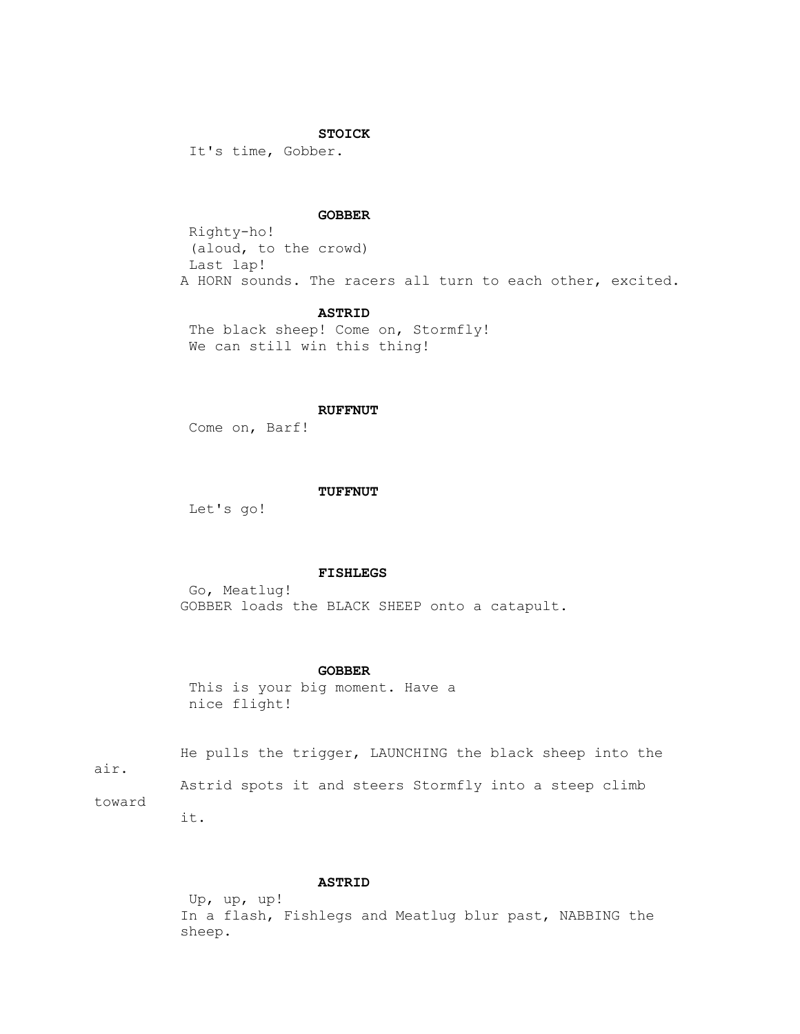#### **STOICK**

It's time, Gobber.

# **GOBBER**

 Righty-ho! (aloud, to the crowd) Last lap! A HORN sounds. The racers all turn to each other, excited.

# **ASTRID**

The black sheep! Come on, Stormfly! We can still win this thing!

# **RUFFNUT**

Come on, Barf!

### **TUFFNUT**

Let's go!

#### **FISHLEGS**

 Go, Meatlug! GOBBER loads the BLACK SHEEP onto a catapult.

#### **GOBBER**

 This is your big moment. Have a nice flight!

 He pulls the trigger, LAUNCHING the black sheep into the air. Astrid spots it and steers Stormfly into a steep climb toward it.

### **ASTRID**

 Up, up, up! In a flash, Fishlegs and Meatlug blur past, NABBING the sheep.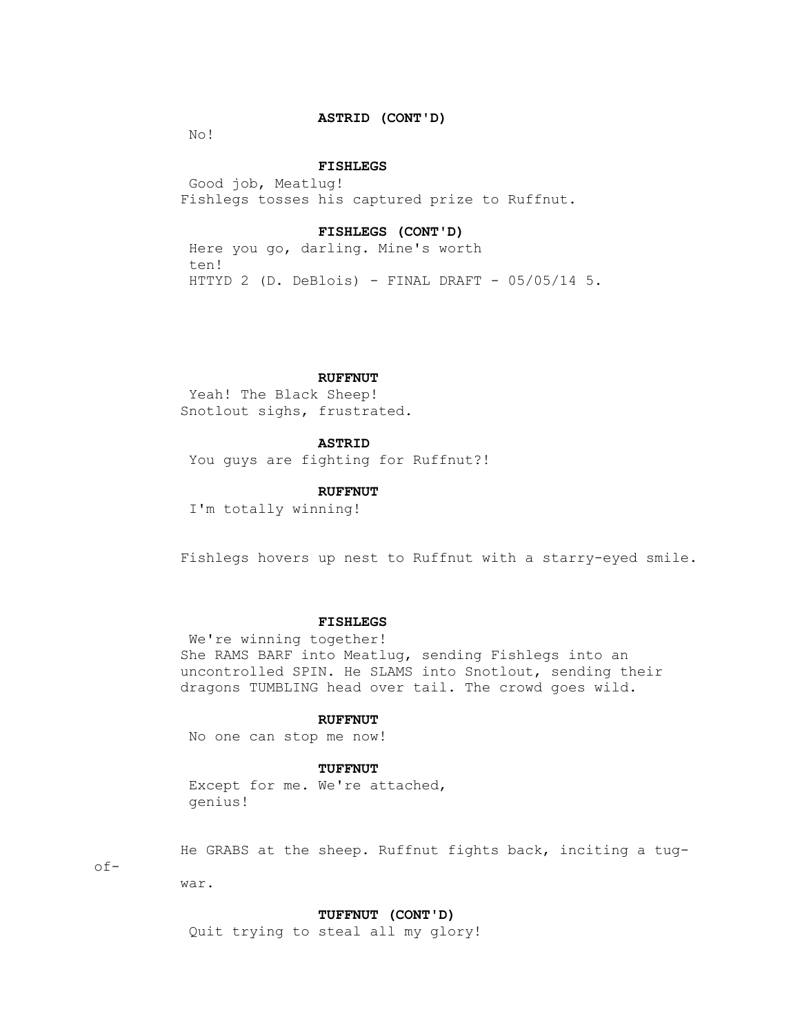### **ASTRID (CONT'D)**

No!

# **FISHLEGS**

 Good job, Meatlug! Fishlegs tosses his captured prize to Ruffnut.

#### **FISHLEGS (CONT'D)**

 Here you go, darling. Mine's worth ten! HTTYD 2 (D. DeBlois) - FINAL DRAFT - 05/05/14 5.

### **RUFFNUT**

 Yeah! The Black Sheep! Snotlout sighs, frustrated.

# **ASTRID**

You guys are fighting for Ruffnut?!

#### **RUFFNUT**

I'm totally winning!

Fishlegs hovers up nest to Ruffnut with a starry-eyed smile.

# **FISHLEGS**

We're winning together! She RAMS BARF into Meatlug, sending Fishlegs into an uncontrolled SPIN. He SLAMS into Snotlout, sending their dragons TUMBLING head over tail. The crowd goes wild.

### **RUFFNUT**

No one can stop me now!

### **TUFFNUT**

 Except for me. We're attached, genius!

of-

He GRABS at the sheep. Ruffnut fights back, inciting a tug-

war.

### **TUFFNUT (CONT'D)**

Quit trying to steal all my glory!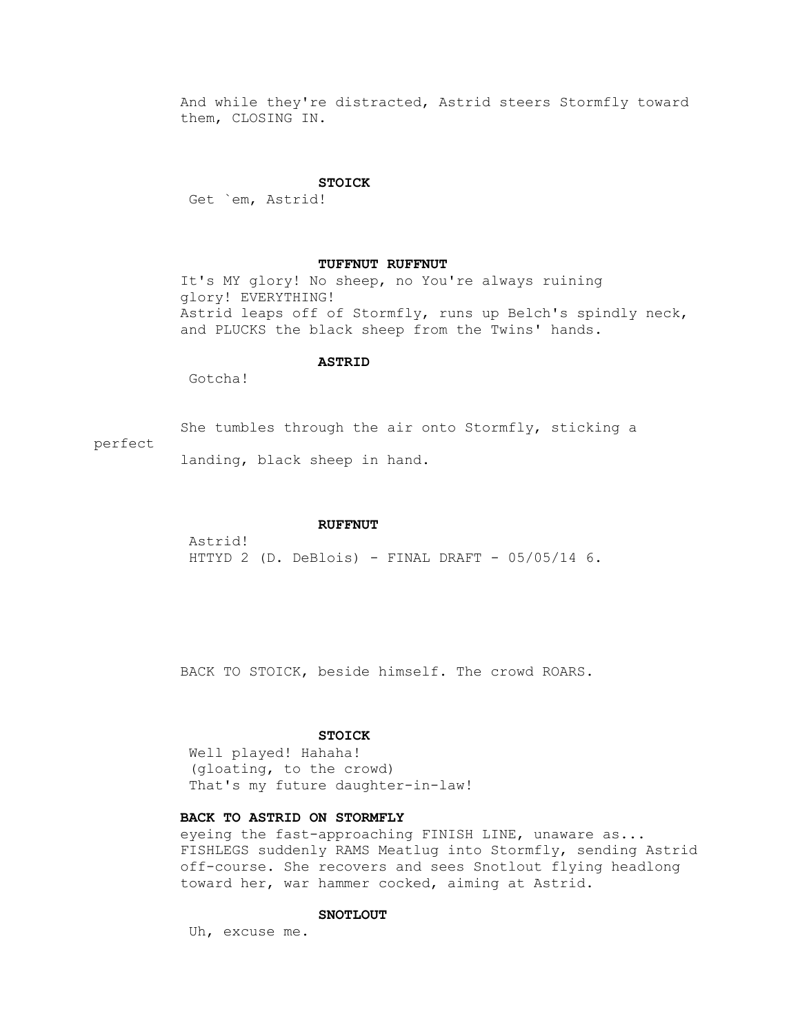And while they're distracted, Astrid steers Stormfly toward them, CLOSING IN.

#### **STOICK**

Get `em, Astrid!

#### **TUFFNUT RUFFNUT**

 It's MY glory! No sheep, no You're always ruining glory! EVERYTHING! Astrid leaps off of Stormfly, runs up Belch's spindly neck, and PLUCKS the black sheep from the Twins' hands.

#### **ASTRID**

Gotcha!

She tumbles through the air onto Stormfly, sticking a

perfect

landing, black sheep in hand.

### **RUFFNUT**

 Astrid! HTTYD 2 (D. DeBlois) - FINAL DRAFT -  $05/05/14$  6.

BACK TO STOICK, beside himself. The crowd ROARS.

# **STOICK**

 Well played! Hahaha! (gloating, to the crowd) That's my future daughter-in-law!

# **BACK TO ASTRID ON STORMFLY**

eyeing the fast-approaching FINISH LINE, unaware as... FISHLEGS suddenly RAMS Meatlug into Stormfly, sending Astrid off-course. She recovers and sees Snotlout flying headlong toward her, war hammer cocked, aiming at Astrid.

### **SNOTLOUT**

Uh, excuse me.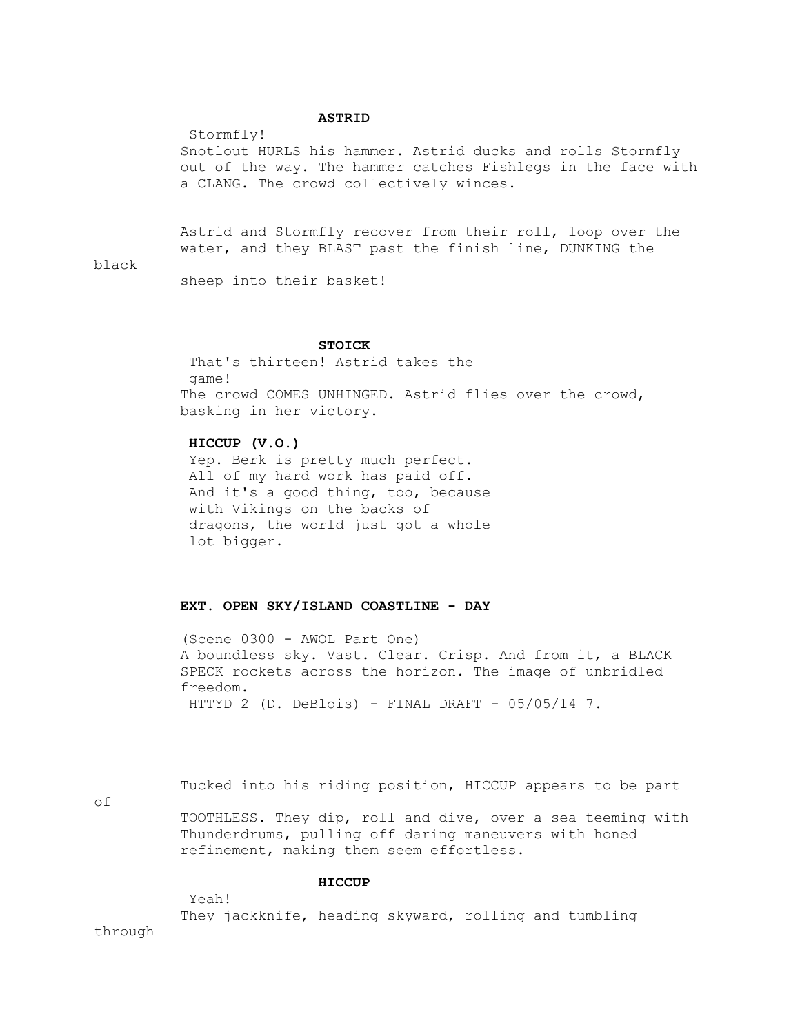#### **ASTRID**

 Stormfly! Snotlout HURLS his hammer. Astrid ducks and rolls Stormfly out of the way. The hammer catches Fishlegs in the face with a CLANG. The crowd collectively winces.

 Astrid and Stormfly recover from their roll, loop over the water, and they BLAST past the finish line, DUNKING the

black

sheep into their basket!

#### **STOICK**

 That's thirteen! Astrid takes the game! The crowd COMES UNHINGED. Astrid flies over the crowd, basking in her victory.

# **HICCUP (V.O.)**

 Yep. Berk is pretty much perfect. All of my hard work has paid off. And it's a good thing, too, because with Vikings on the backs of dragons, the world just got a whole lot bigger.

#### **EXT. OPEN SKY/ISLAND COASTLINE - DAY**

 (Scene 0300 - AWOL Part One) A boundless sky. Vast. Clear. Crisp. And from it, a BLACK SPECK rockets across the horizon. The image of unbridled freedom. HTTYD 2 (D. DeBlois) - FINAL DRAFT -  $05/05/14$  7.

Tucked into his riding position, HICCUP appears to be part

of

 TOOTHLESS. They dip, roll and dive, over a sea teeming with Thunderdrums, pulling off daring maneuvers with honed refinement, making them seem effortless.

# **HICCUP**

They jackknife, heading skyward, rolling and tumbling

through

Yeah!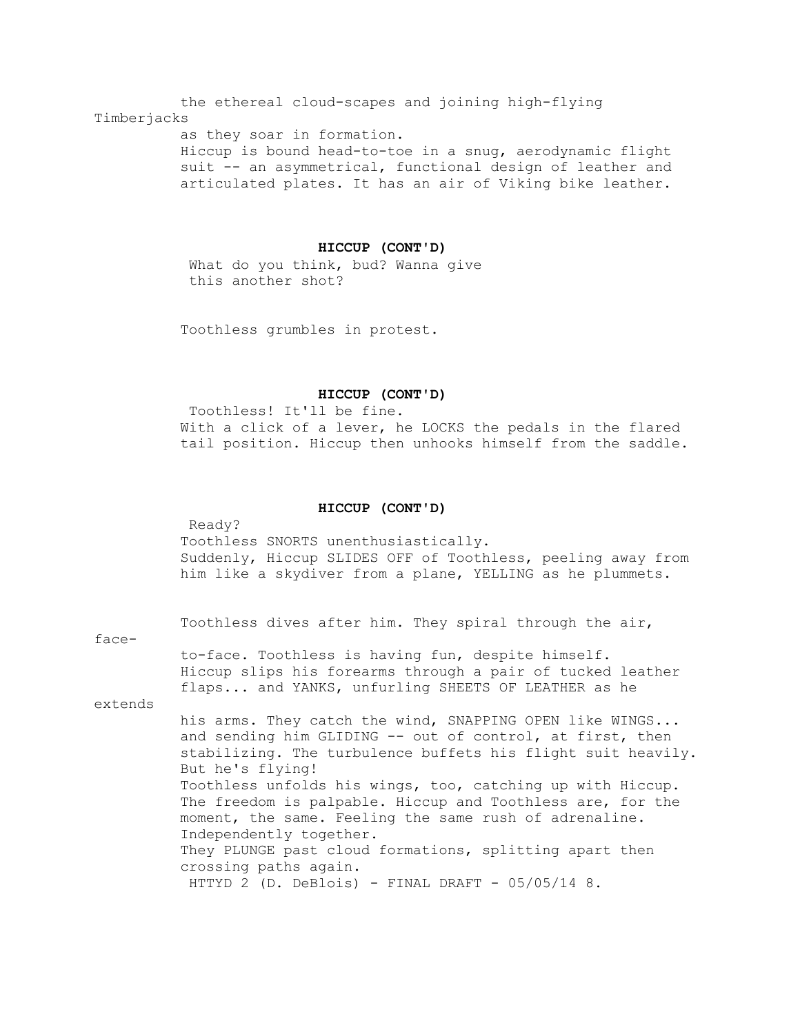the ethereal cloud-scapes and joining high-flying Timberjacks

as they soar in formation.

 Hiccup is bound head-to-toe in a snug, aerodynamic flight suit -- an asymmetrical, functional design of leather and articulated plates. It has an air of Viking bike leather.

#### **HICCUP (CONT'D)**

 What do you think, bud? Wanna give this another shot?

Toothless grumbles in protest.

### **HICCUP (CONT'D)**

 Toothless! It'll be fine. With a click of a lever, he LOCKS the pedals in the flared tail position. Hiccup then unhooks himself from the saddle.

#### **HICCUP (CONT'D)**

Ready?

 Toothless SNORTS unenthusiastically. Suddenly, Hiccup SLIDES OFF of Toothless, peeling away from him like a skydiver from a plane, YELLING as he plummets.

Toothless dives after him. They spiral through the air,

# face-

 to-face. Toothless is having fun, despite himself. Hiccup slips his forearms through a pair of tucked leather flaps... and YANKS, unfurling SHEETS OF LEATHER as he

extends

his arms. They catch the wind, SNAPPING OPEN like WINGS... and sending him GLIDING -- out of control, at first, then stabilizing. The turbulence buffets his flight suit heavily. But he's flying! Toothless unfolds his wings, too, catching up with Hiccup. The freedom is palpable. Hiccup and Toothless are, for the moment, the same. Feeling the same rush of adrenaline. Independently together. They PLUNGE past cloud formations, splitting apart then crossing paths again. HTTYD 2 (D. DeBlois) - FINAL DRAFT -  $05/05/14$  8.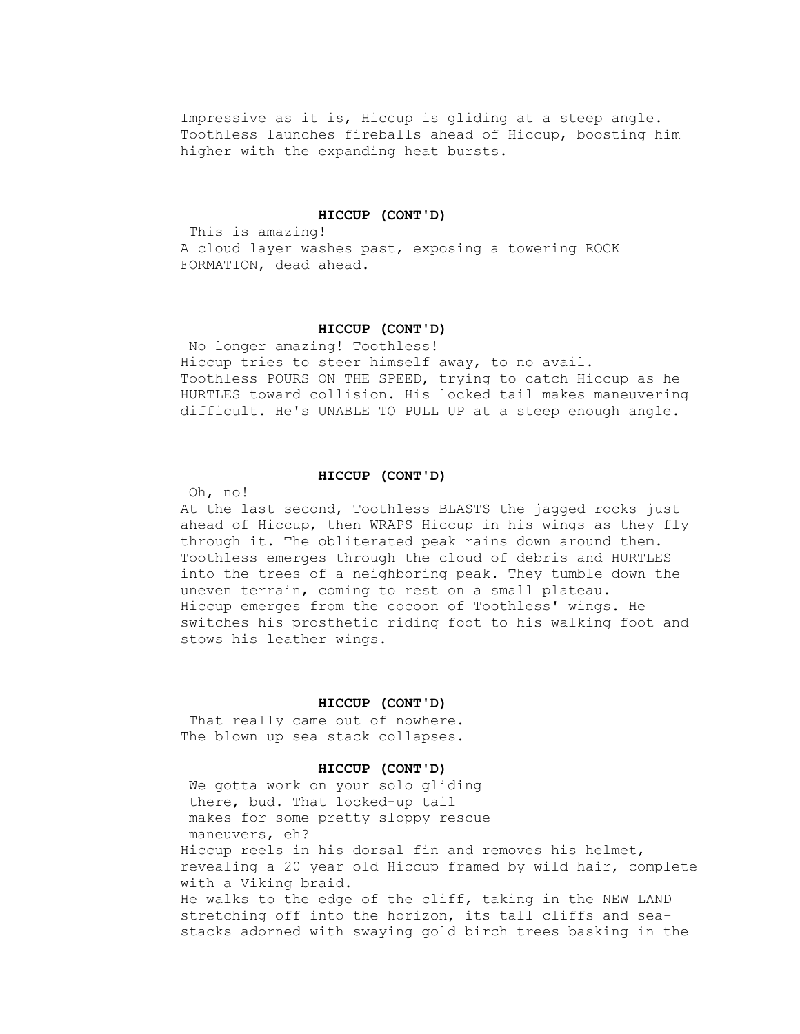Impressive as it is, Hiccup is gliding at a steep angle. Toothless launches fireballs ahead of Hiccup, boosting him higher with the expanding heat bursts.

# **HICCUP (CONT'D)**

 This is amazing! A cloud layer washes past, exposing a towering ROCK FORMATION, dead ahead.

### **HICCUP (CONT'D)**

 No longer amazing! Toothless! Hiccup tries to steer himself away, to no avail. Toothless POURS ON THE SPEED, trying to catch Hiccup as he HURTLES toward collision. His locked tail makes maneuvering difficult. He's UNABLE TO PULL UP at a steep enough angle.

#### **HICCUP (CONT'D)**

Oh, no!

 At the last second, Toothless BLASTS the jagged rocks just ahead of Hiccup, then WRAPS Hiccup in his wings as they fly through it. The obliterated peak rains down around them. Toothless emerges through the cloud of debris and HURTLES into the trees of a neighboring peak. They tumble down the uneven terrain, coming to rest on a small plateau. Hiccup emerges from the cocoon of Toothless' wings. He switches his prosthetic riding foot to his walking foot and stows his leather wings.

# **HICCUP (CONT'D)**

 That really came out of nowhere. The blown up sea stack collapses.

# **HICCUP (CONT'D)**

 We gotta work on your solo gliding there, bud. That locked-up tail makes for some pretty sloppy rescue maneuvers, eh? Hiccup reels in his dorsal fin and removes his helmet, revealing a 20 year old Hiccup framed by wild hair, complete with a Viking braid. He walks to the edge of the cliff, taking in the NEW LAND stretching off into the horizon, its tall cliffs and sea stacks adorned with swaying gold birch trees basking in the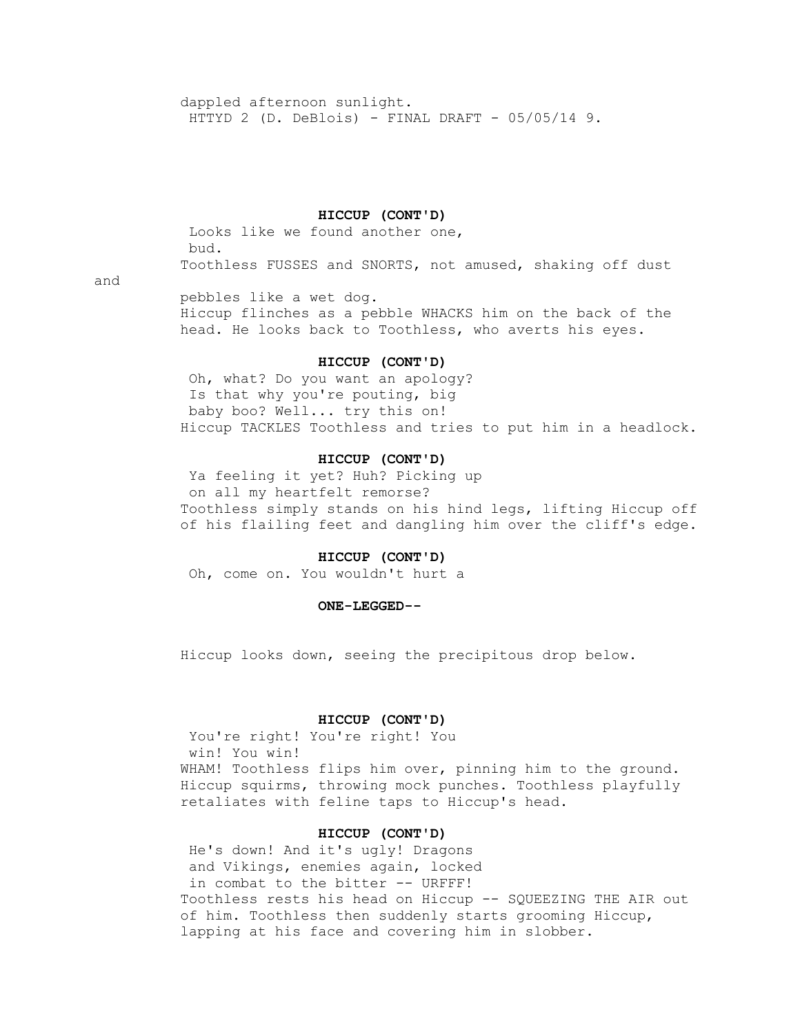dappled afternoon sunlight. HTTYD 2 (D. DeBlois) - FINAL DRAFT -  $05/05/14$  9.

## **HICCUP (CONT'D)**

 Looks like we found another one, bud. Toothless FUSSES and SNORTS, not amused, shaking off dust

and

 pebbles like a wet dog. Hiccup flinches as a pebble WHACKS him on the back of the head. He looks back to Toothless, who averts his eyes.

#### **HICCUP (CONT'D)**

 Oh, what? Do you want an apology? Is that why you're pouting, big baby boo? Well... try this on! Hiccup TACKLES Toothless and tries to put him in a headlock.

### **HICCUP (CONT'D)**

 Ya feeling it yet? Huh? Picking up on all my heartfelt remorse? Toothless simply stands on his hind legs, lifting Hiccup off of his flailing feet and dangling him over the cliff's edge.

### **HICCUP (CONT'D)**

Oh, come on. You wouldn't hurt a

#### **ONE-LEGGED--**

Hiccup looks down, seeing the precipitous drop below.

# **HICCUP (CONT'D)**

 You're right! You're right! You win! You win! WHAM! Toothless flips him over, pinning him to the ground. Hiccup squirms, throwing mock punches. Toothless playfully retaliates with feline taps to Hiccup's head.

#### **HICCUP (CONT'D)**

 He's down! And it's ugly! Dragons and Vikings, enemies again, locked in combat to the bitter -- URFFF! Toothless rests his head on Hiccup -- SQUEEZING THE AIR out of him. Toothless then suddenly starts grooming Hiccup, lapping at his face and covering him in slobber.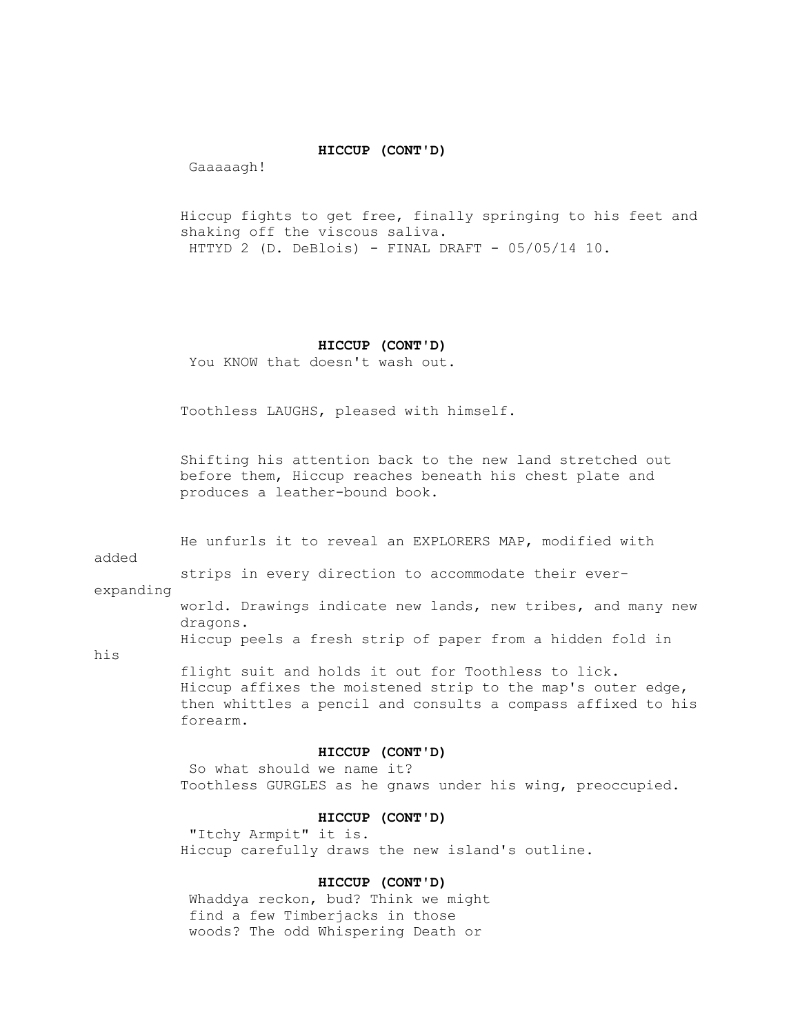## **HICCUP (CONT'D)**

Gaaaaagh!

 Hiccup fights to get free, finally springing to his feet and shaking off the viscous saliva. HTTYD 2 (D. DeBlois) - FINAL DRAFT - 05/05/14 10.

### **HICCUP (CONT'D)**

You KNOW that doesn't wash out.

Toothless LAUGHS, pleased with himself.

 Shifting his attention back to the new land stretched out before them, Hiccup reaches beneath his chest plate and produces a leather-bound book.

|  |  |  |  |  |  |  |  | He unfurls it to reveal an EXPLORERS MAP, modified with |  |
|--|--|--|--|--|--|--|--|---------------------------------------------------------|--|
|--|--|--|--|--|--|--|--|---------------------------------------------------------|--|

added

strips in every direction to accommodate their ever-

expanding

 world. Drawings indicate new lands, new tribes, and many new dragons. Hiccup peels a fresh strip of paper from a hidden fold in

his

 flight suit and holds it out for Toothless to lick. Hiccup affixes the moistened strip to the map's outer edge, then whittles a pencil and consults a compass affixed to his forearm.

# **HICCUP (CONT'D)**

 So what should we name it? Toothless GURGLES as he gnaws under his wing, preoccupied.

# **HICCUP (CONT'D)**

 "Itchy Armpit" it is. Hiccup carefully draws the new island's outline.

# **HICCUP (CONT'D)**

 Whaddya reckon, bud? Think we might find a few Timberjacks in those woods? The odd Whispering Death or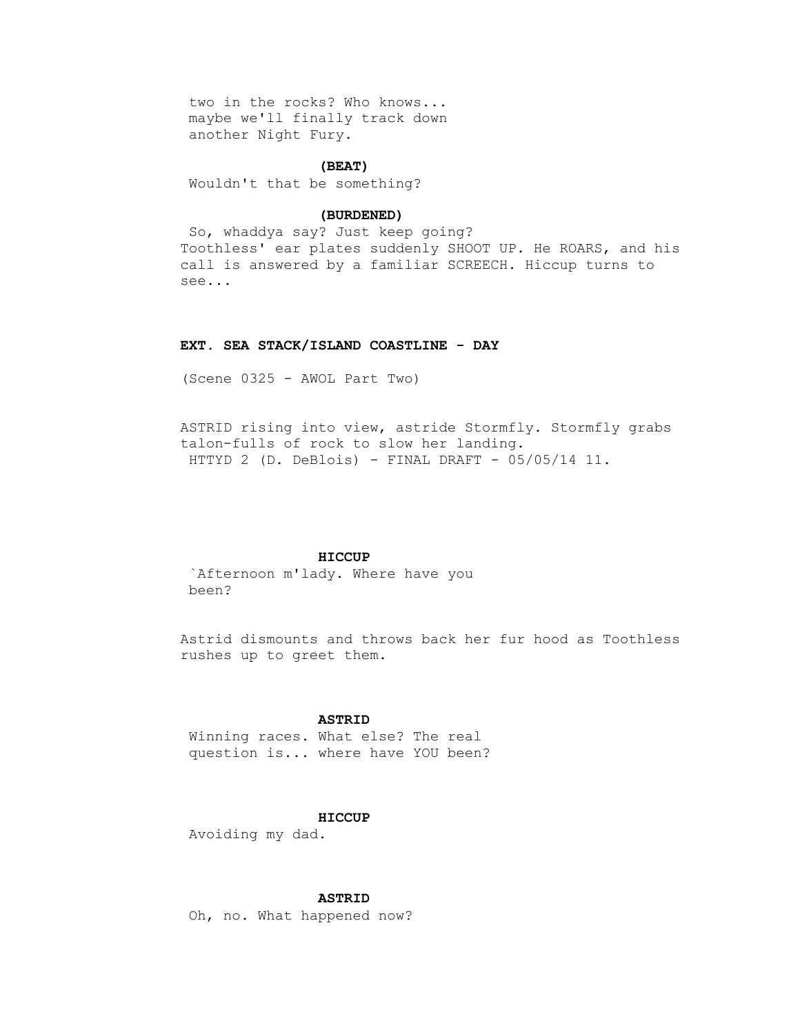two in the rocks? Who knows... maybe we'll finally track down another Night Fury.

# **(BEAT)**

Wouldn't that be something?

### **(BURDENED)**

 So, whaddya say? Just keep going? Toothless' ear plates suddenly SHOOT UP. He ROARS, and his call is answered by a familiar SCREECH. Hiccup turns to see...

# **EXT. SEA STACK/ISLAND COASTLINE - DAY**

(Scene 0325 - AWOL Part Two)

 ASTRID rising into view, astride Stormfly. Stormfly grabs talon-fulls of rock to slow her landing. HTTYD 2 (D. DeBlois) - FINAL DRAFT - 05/05/14 11.

#### **HICCUP**

 `Afternoon m'lady. Where have you been?

 Astrid dismounts and throws back her fur hood as Toothless rushes up to greet them.

### **ASTRID**

 Winning races. What else? The real question is... where have YOU been?

# **HICCUP**

Avoiding my dad.

# **ASTRID**

Oh, no. What happened now?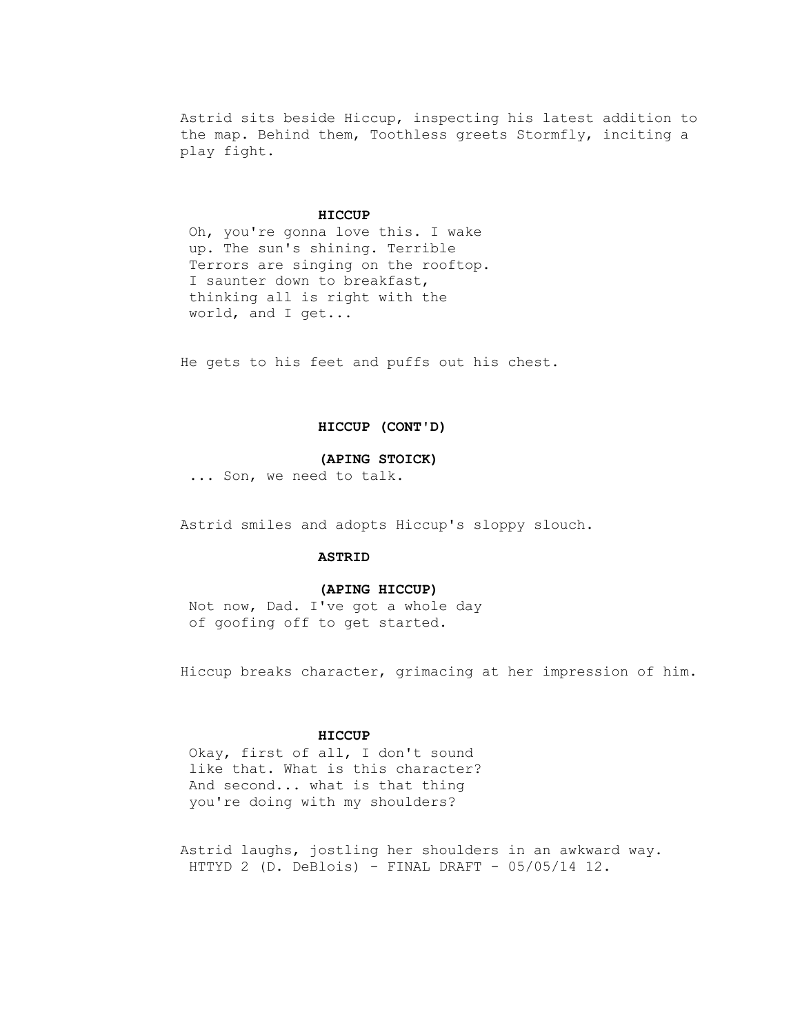Astrid sits beside Hiccup, inspecting his latest addition to the map. Behind them, Toothless greets Stormfly, inciting a play fight.

#### **HICCUP**

 Oh, you're gonna love this. I wake up. The sun's shining. Terrible Terrors are singing on the rooftop. I saunter down to breakfast, thinking all is right with the world, and I get...

He gets to his feet and puffs out his chest.

# **HICCUP (CONT'D)**

### **(APING STOICK)**

... Son, we need to talk.

Astrid smiles and adopts Hiccup's sloppy slouch.

### **ASTRID**

### **(APING HICCUP)**

 Not now, Dad. I've got a whole day of goofing off to get started.

Hiccup breaks character, grimacing at her impression of him.

### **HICCUP**

 Okay, first of all, I don't sound like that. What is this character? And second... what is that thing you're doing with my shoulders?

 Astrid laughs, jostling her shoulders in an awkward way. HTTYD 2 (D. DeBlois) - FINAL DRAFT - 05/05/14 12.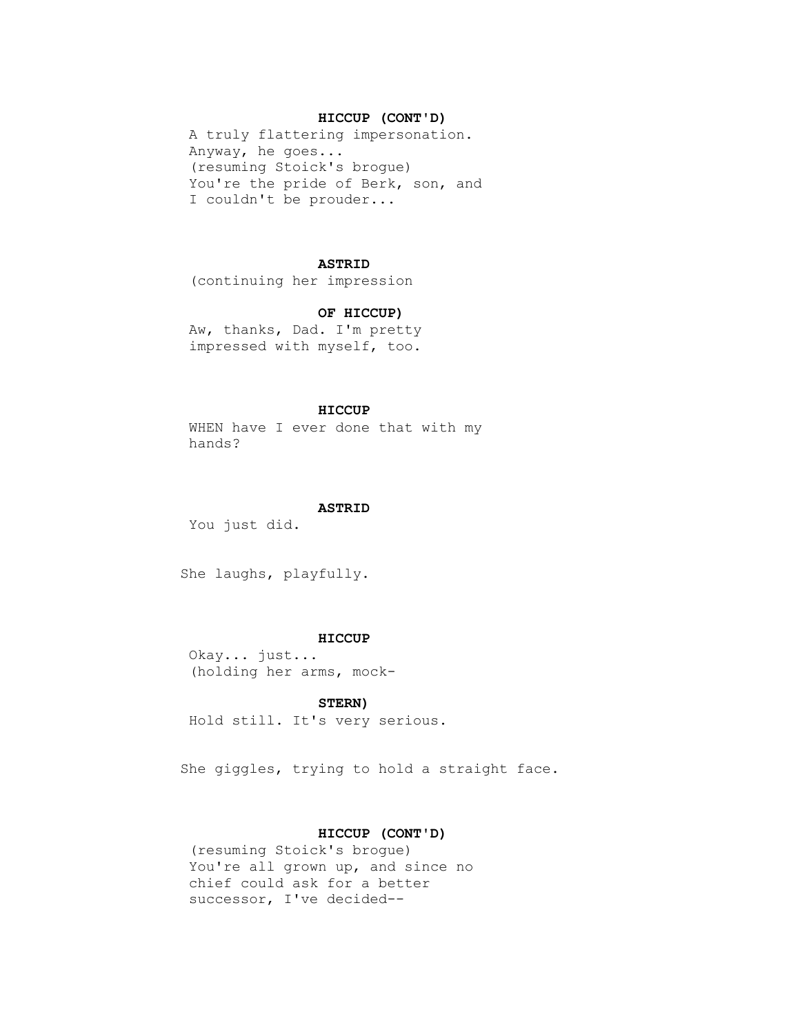# **HICCUP (CONT'D)**

 A truly flattering impersonation. Anyway, he goes... (resuming Stoick's brogue) You're the pride of Berk, son, and I couldn't be prouder...

#### **ASTRID**

(continuing her impression

# **OF HICCUP)**

 Aw, thanks, Dad. I'm pretty impressed with myself, too.

#### **HICCUP**

 WHEN have I ever done that with my hands?

#### **ASTRID**

You just did.

She laughs, playfully.

#### **HICCUP**

 Okay... just... (holding her arms, mock-

 **STERN)**

Hold still. It's very serious.

She giggles, trying to hold a straight face.

# **HICCUP (CONT'D)**

 (resuming Stoick's brogue) You're all grown up, and since no chief could ask for a better successor, I've decided--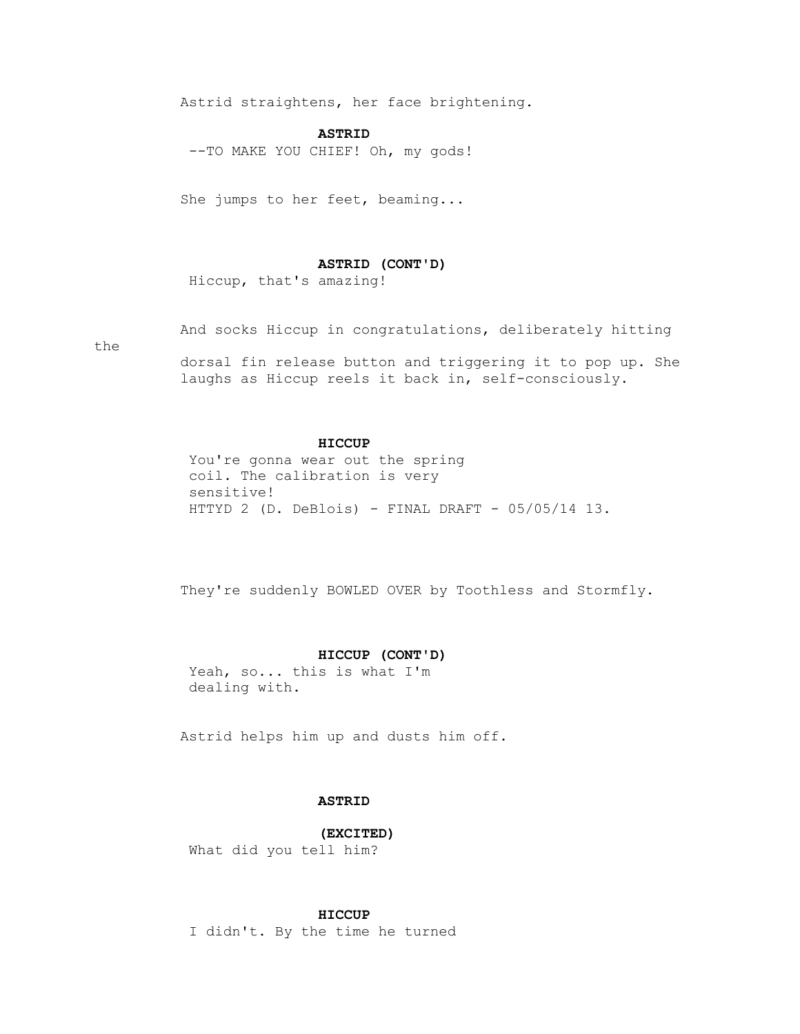Astrid straightens, her face brightening.

 **ASTRID**

--TO MAKE YOU CHIEF! Oh, my gods!

She jumps to her feet, beaming...

### **ASTRID (CONT'D)**

Hiccup, that's amazing!

And socks Hiccup in congratulations, deliberately hitting

the

 dorsal fin release button and triggering it to pop up. She laughs as Hiccup reels it back in, self-consciously.

# **HICCUP**

 You're gonna wear out the spring coil. The calibration is very sensitive! HTTYD 2 (D. DeBlois) - FINAL DRAFT - 05/05/14 13.

They're suddenly BOWLED OVER by Toothless and Stormfly.

# **HICCUP (CONT'D)**

 Yeah, so... this is what I'm dealing with.

Astrid helps him up and dusts him off.

### **ASTRID**

 **(EXCITED)** What did you tell him?

# **HICCUP**

I didn't. By the time he turned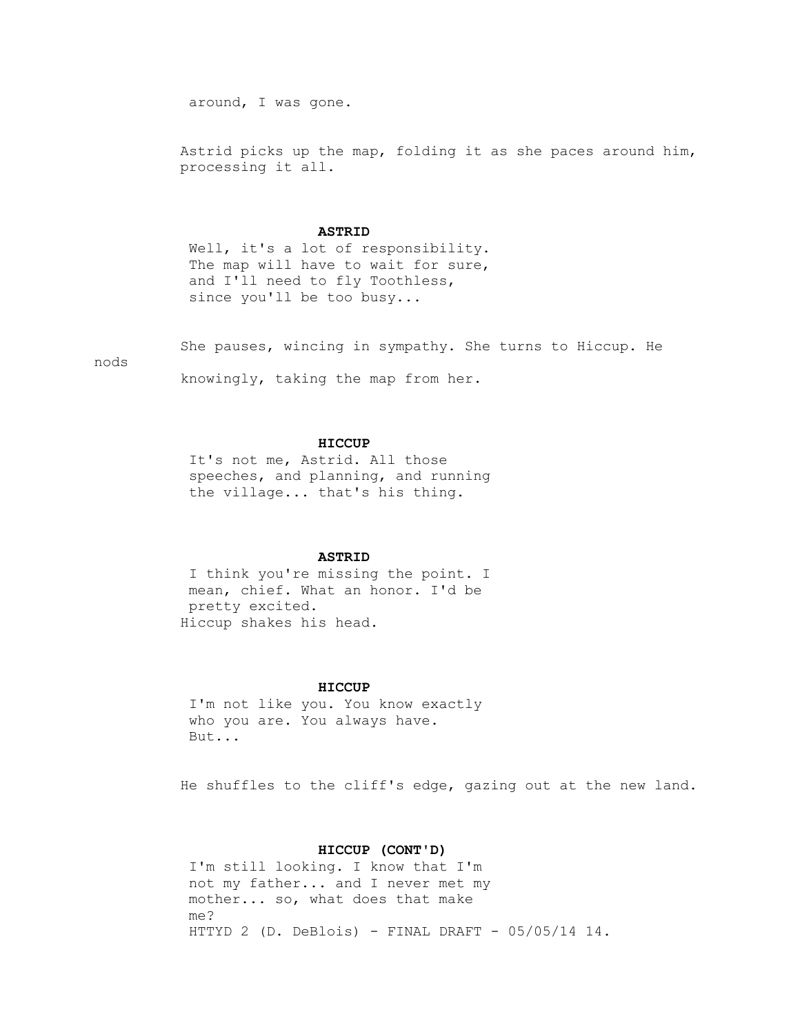around, I was gone.

 Astrid picks up the map, folding it as she paces around him, processing it all.

#### **ASTRID**

 Well, it's a lot of responsibility. The map will have to wait for sure, and I'll need to fly Toothless, since you'll be too busy...

 She pauses, wincing in sympathy. She turns to Hiccup. He nods knowingly, taking the map from her.

### **HICCUP**

 It's not me, Astrid. All those speeches, and planning, and running the village... that's his thing.

### **ASTRID**

 I think you're missing the point. I mean, chief. What an honor. I'd be pretty excited. Hiccup shakes his head.

#### **HICCUP**

 I'm not like you. You know exactly who you are. You always have. But...

He shuffles to the cliff's edge, gazing out at the new land.

# **HICCUP (CONT'D)**

 I'm still looking. I know that I'm not my father... and I never met my mother... so, what does that make me? HTTYD 2 (D. DeBlois) - FINAL DRAFT -  $05/05/14$  14.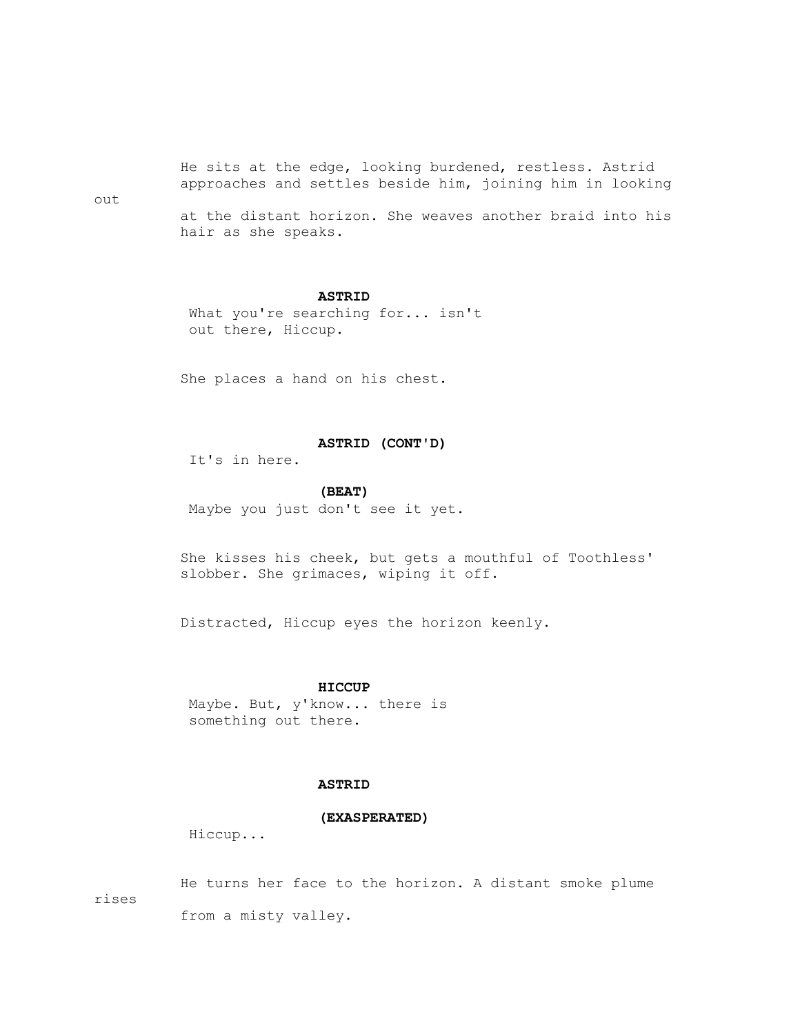He sits at the edge, looking burdened, restless. Astrid approaches and settles beside him, joining him in looking

out

 at the distant horizon. She weaves another braid into his hair as she speaks.

#### **ASTRID**

 What you're searching for... isn't out there, Hiccup.

She places a hand on his chest.

# **ASTRID (CONT'D)**

It's in here.

#### **(BEAT)**

Maybe you just don't see it yet.

 She kisses his cheek, but gets a mouthful of Toothless' slobber. She grimaces, wiping it off.

Distracted, Hiccup eyes the horizon keenly.

#### **HICCUP**

 Maybe. But, y'know... there is something out there.

### **ASTRID**

# **(EXASPERATED)**

Hiccup...

 He turns her face to the horizon. A distant smoke plume rises from a misty valley.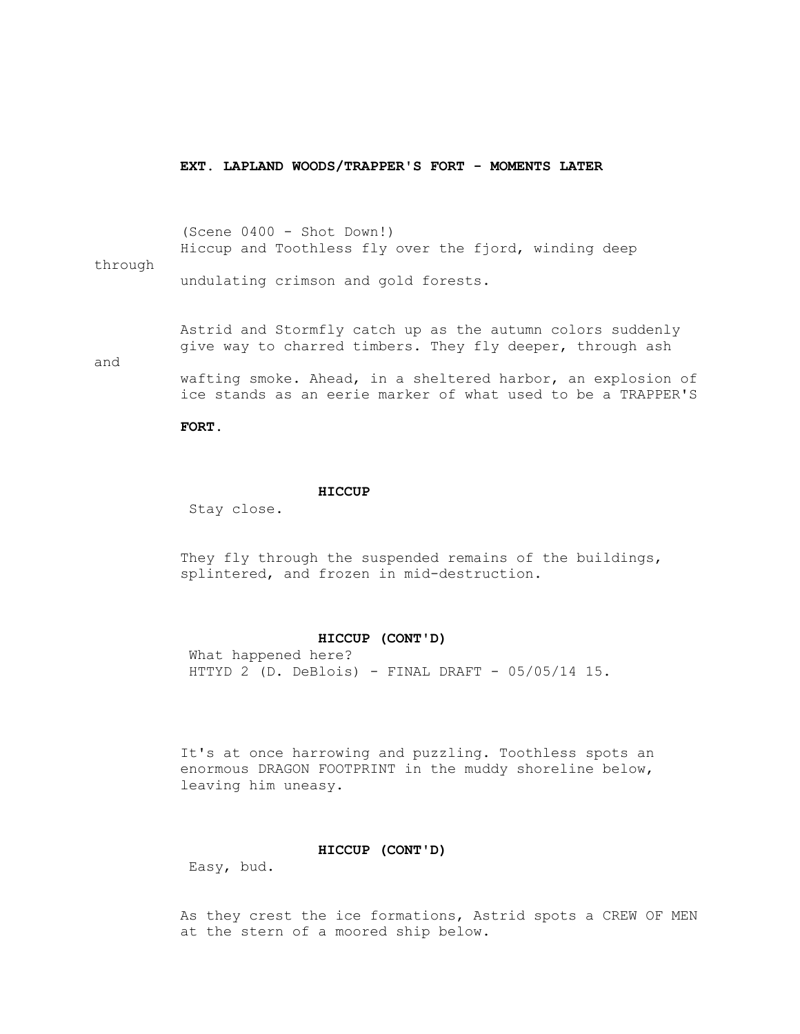## **EXT. LAPLAND WOODS/TRAPPER'S FORT - MOMENTS LATER**

 (Scene 0400 - Shot Down!) Hiccup and Toothless fly over the fjord, winding deep

undulating crimson and gold forests.

 Astrid and Stormfly catch up as the autumn colors suddenly give way to charred timbers. They fly deeper, through ash

and

through

 wafting smoke. Ahead, in a sheltered harbor, an explosion of ice stands as an eerie marker of what used to be a TRAPPER'S

 **FORT.**

#### **HICCUP**

Stay close.

 They fly through the suspended remains of the buildings, splintered, and frozen in mid-destruction.

### **HICCUP (CONT'D)**

 What happened here? HTTYD 2 (D. DeBlois) - FINAL DRAFT - 05/05/14 15.

 It's at once harrowing and puzzling. Toothless spots an enormous DRAGON FOOTPRINT in the muddy shoreline below, leaving him uneasy.

### **HICCUP (CONT'D)**

Easy, bud.

 As they crest the ice formations, Astrid spots a CREW OF MEN at the stern of a moored ship below.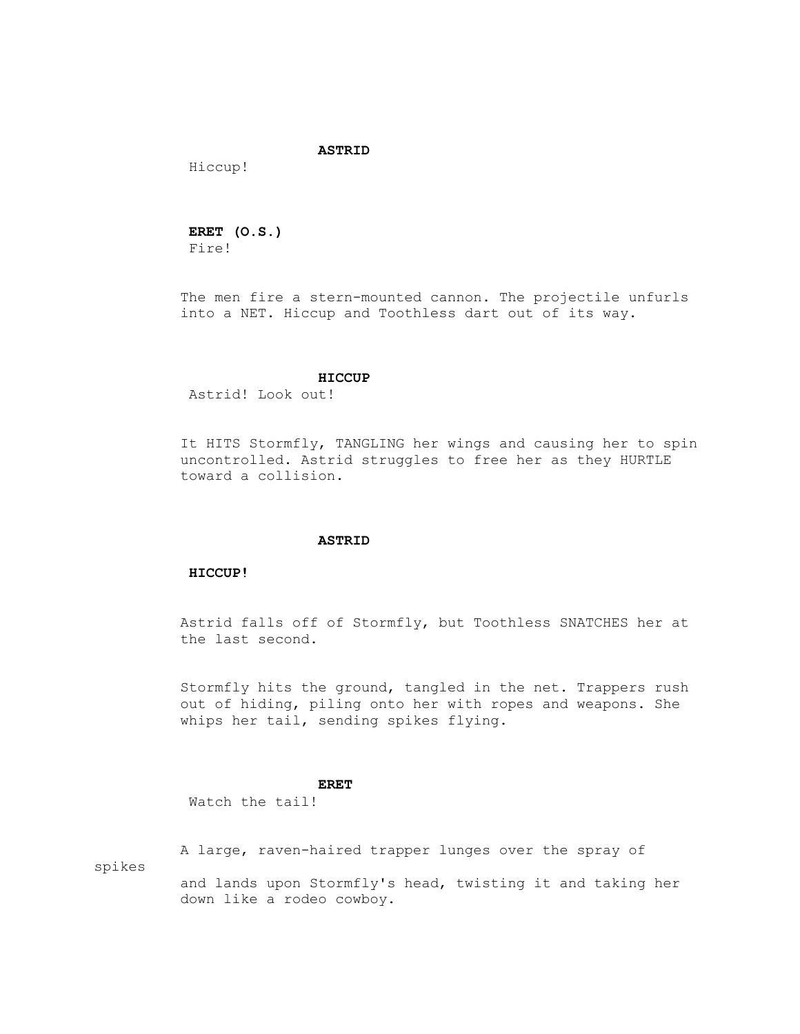**ASTRID**

Hiccup!

 **ERET (O.S.)** Fire!

 The men fire a stern-mounted cannon. The projectile unfurls into a NET. Hiccup and Toothless dart out of its way.

# **HICCUP**

Astrid! Look out!

 It HITS Stormfly, TANGLING her wings and causing her to spin uncontrolled. Astrid struggles to free her as they HURTLE toward a collision.

#### **ASTRID**

#### **HICCUP!**

 Astrid falls off of Stormfly, but Toothless SNATCHES her at the last second.

 Stormfly hits the ground, tangled in the net. Trappers rush out of hiding, piling onto her with ropes and weapons. She whips her tail, sending spikes flying.

#### **ERET**

Watch the tail!

 A large, raven-haired trapper lunges over the spray of spikes and lands upon Stormfly's head, twisting it and taking her down like a rodeo cowboy.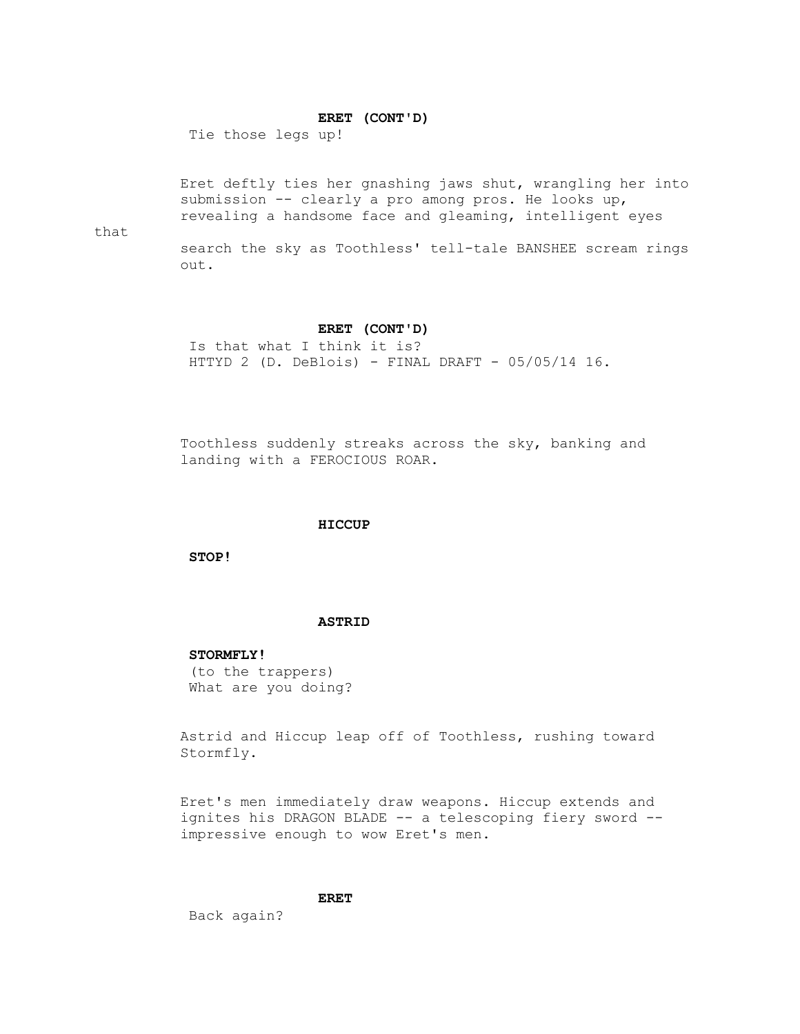### **ERET (CONT'D)**

Tie those legs up!

 Eret deftly ties her gnashing jaws shut, wrangling her into submission -- clearly a pro among pros. He looks up, revealing a handsome face and gleaming, intelligent eyes

that

 search the sky as Toothless' tell-tale BANSHEE scream rings out.

### **ERET (CONT'D)**

 Is that what I think it is? HTTYD 2 (D. DeBlois) - FINAL DRAFT - 05/05/14 16.

 Toothless suddenly streaks across the sky, banking and landing with a FEROCIOUS ROAR.

### **HICCUP**

 **STOP!**

### **ASTRID**

# **STORMFLY!**

 (to the trappers) What are you doing?

 Astrid and Hiccup leap off of Toothless, rushing toward Stormfly.

 Eret's men immediately draw weapons. Hiccup extends and ignites his DRAGON BLADE -- a telescoping fiery sword - impressive enough to wow Eret's men.

# **ERET**

Back again?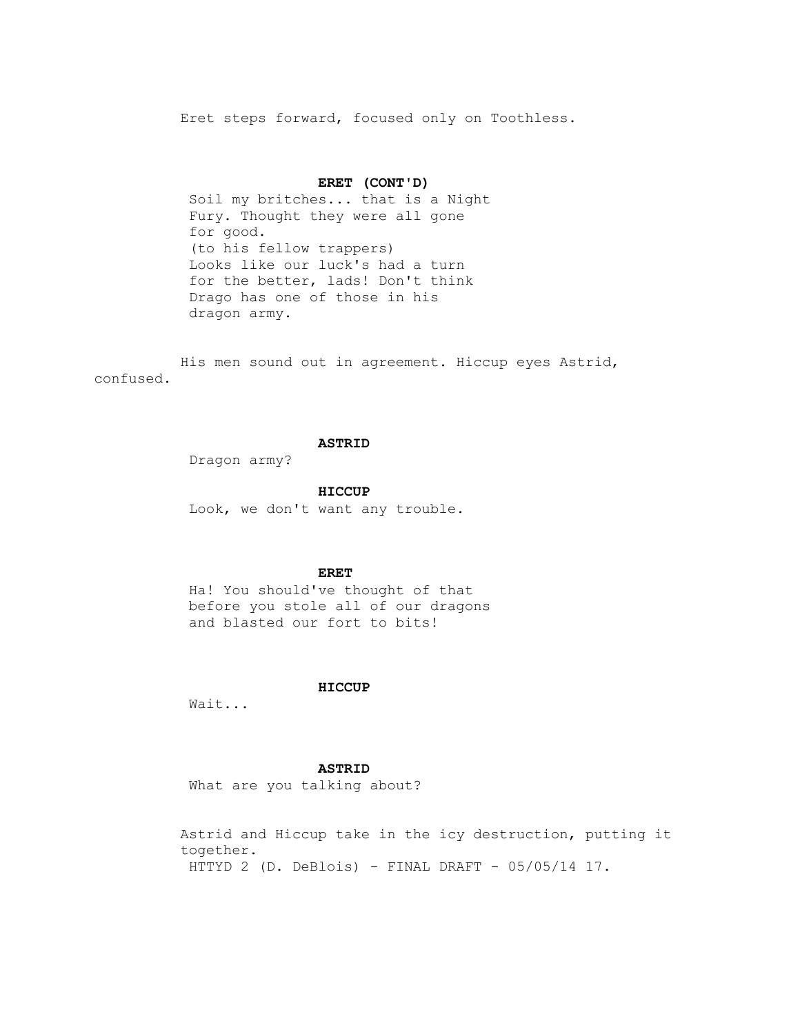Eret steps forward, focused only on Toothless.

### **ERET (CONT'D)**

 Soil my britches... that is a Night Fury. Thought they were all gone for good. (to his fellow trappers) Looks like our luck's had a turn for the better, lads! Don't think Drago has one of those in his dragon army.

 His men sound out in agreement. Hiccup eyes Astrid, confused.

#### **ASTRID**

Dragon army?

 **HICCUP** Look, we don't want any trouble.

#### **ERET**

 Ha! You should've thought of that before you stole all of our dragons and blasted our fort to bits!

### **HICCUP**

Wait...

# **ASTRID**

What are you talking about?

 Astrid and Hiccup take in the icy destruction, putting it together. HTTYD 2 (D. DeBlois) - FINAL DRAFT - 05/05/14 17.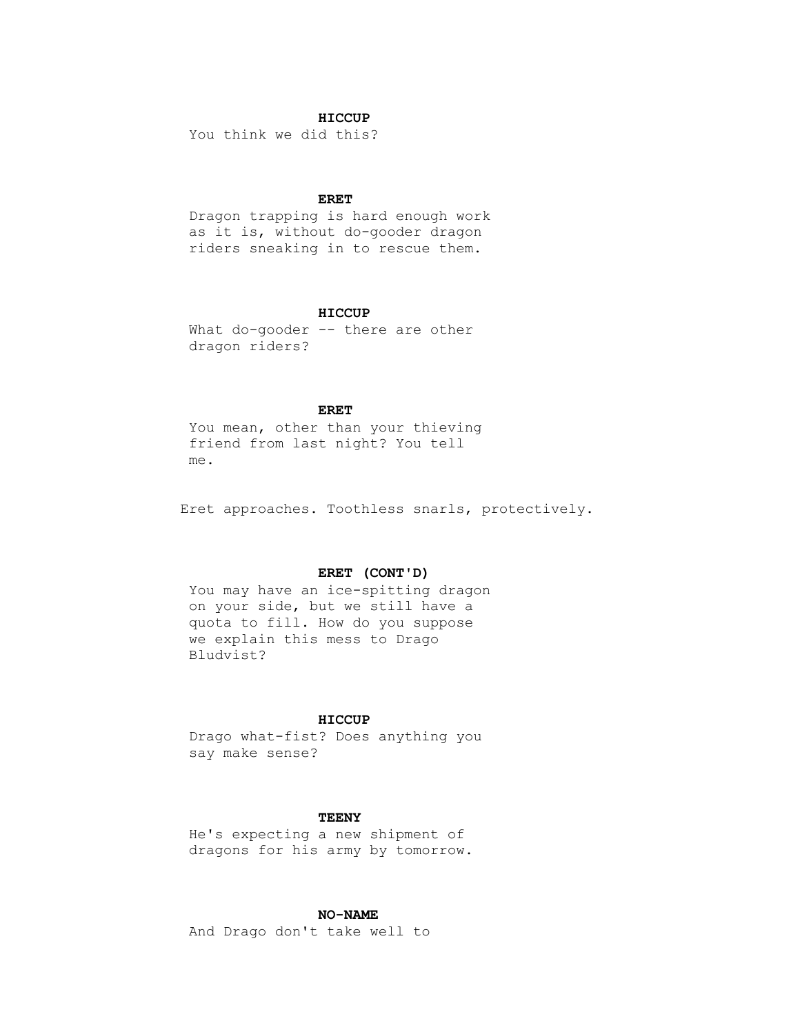### **HICCUP**

You think we did this?

## **ERET**

 Dragon trapping is hard enough work as it is, without do-gooder dragon riders sneaking in to rescue them.

#### **HICCUP**

What do-gooder -- there are other dragon riders?

#### **ERET**

 You mean, other than your thieving friend from last night? You tell me.

Eret approaches. Toothless snarls, protectively.

### **ERET (CONT'D)**

 You may have an ice-spitting dragon on your side, but we still have a quota to fill. How do you suppose we explain this mess to Drago Bludvist?

### **HICCUP**

 Drago what-fist? Does anything you say make sense?

# **TEENY**

 He's expecting a new shipment of dragons for his army by tomorrow.

### **NO-NAME**

And Drago don't take well to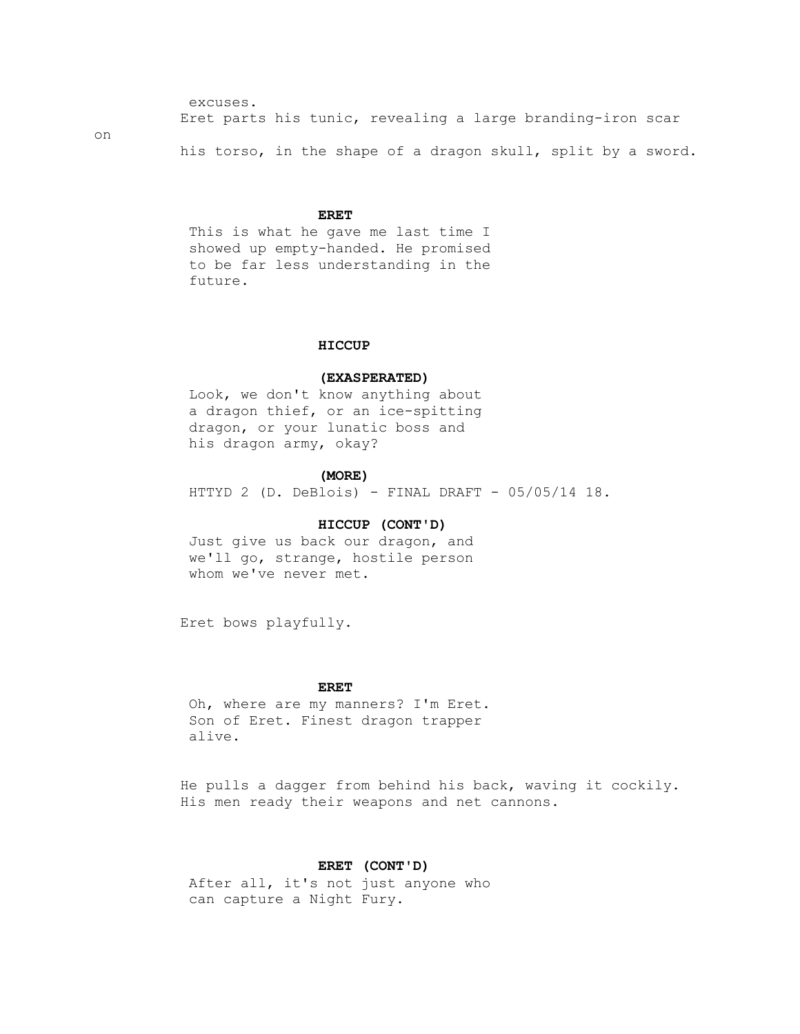excuses.

Eret parts his tunic, revealing a large branding-iron scar

on

his torso, in the shape of a dragon skull, split by a sword.

#### **ERET**

 This is what he gave me last time I showed up empty-handed. He promised to be far less understanding in the future.

#### **HICCUP**

#### **(EXASPERATED)**

 Look, we don't know anything about a dragon thief, or an ice-spitting dragon, or your lunatic boss and his dragon army, okay?

#### **(MORE)**

HTTYD 2 (D. DeBlois) - FINAL DRAFT - 05/05/14 18.

### **HICCUP (CONT'D)**

 Just give us back our dragon, and we'll go, strange, hostile person whom we've never met.

Eret bows playfully.

#### **ERET**

 Oh, where are my manners? I'm Eret. Son of Eret. Finest dragon trapper alive.

 He pulls a dagger from behind his back, waving it cockily. His men ready their weapons and net cannons.

# **ERET (CONT'D)**

 After all, it's not just anyone who can capture a Night Fury.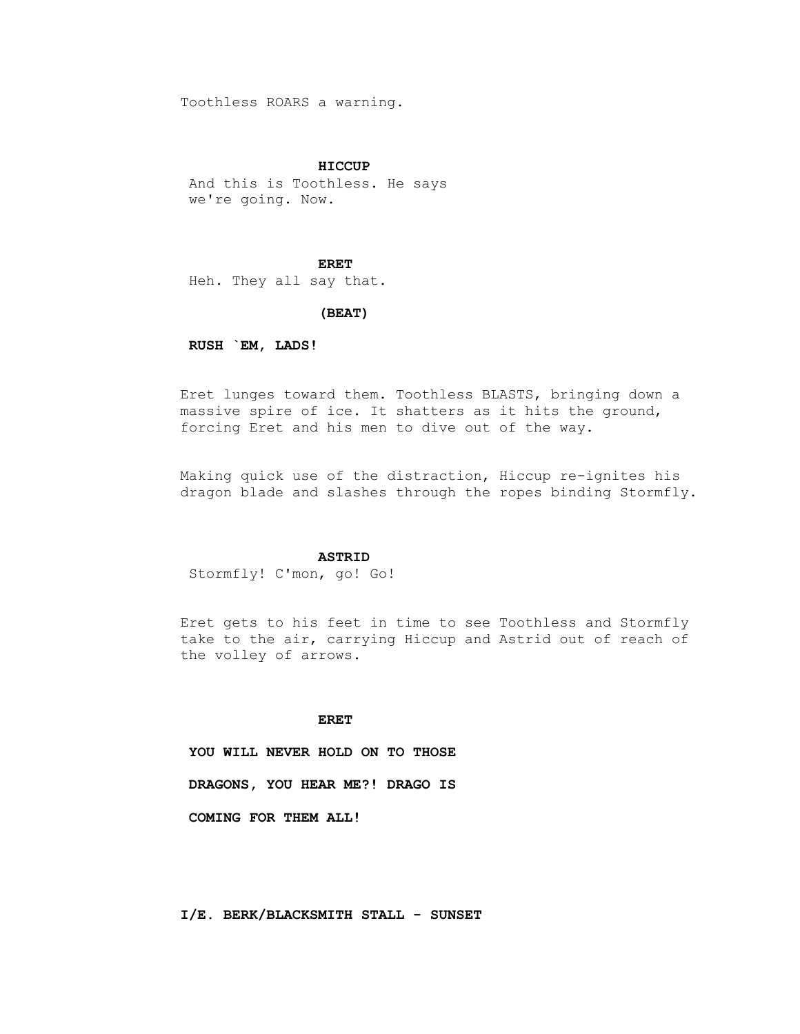Toothless ROARS a warning.

 **HICCUP** And this is Toothless. He says we're going. Now.

#### **ERET**

Heh. They all say that.

#### **(BEAT)**

 **RUSH `EM, LADS!**

 Eret lunges toward them. Toothless BLASTS, bringing down a massive spire of ice. It shatters as it hits the ground, forcing Eret and his men to dive out of the way.

 Making quick use of the distraction, Hiccup re-ignites his dragon blade and slashes through the ropes binding Stormfly.

#### **ASTRID**

Stormfly! C'mon, go! Go!

 Eret gets to his feet in time to see Toothless and Stormfly take to the air, carrying Hiccup and Astrid out of reach of the volley of arrows.

#### **ERET**

 **YOU WILL NEVER HOLD ON TO THOSE**

 **DRAGONS, YOU HEAR ME?! DRAGO IS**

 **COMING FOR THEM ALL!**

 **I/E. BERK/BLACKSMITH STALL - SUNSET**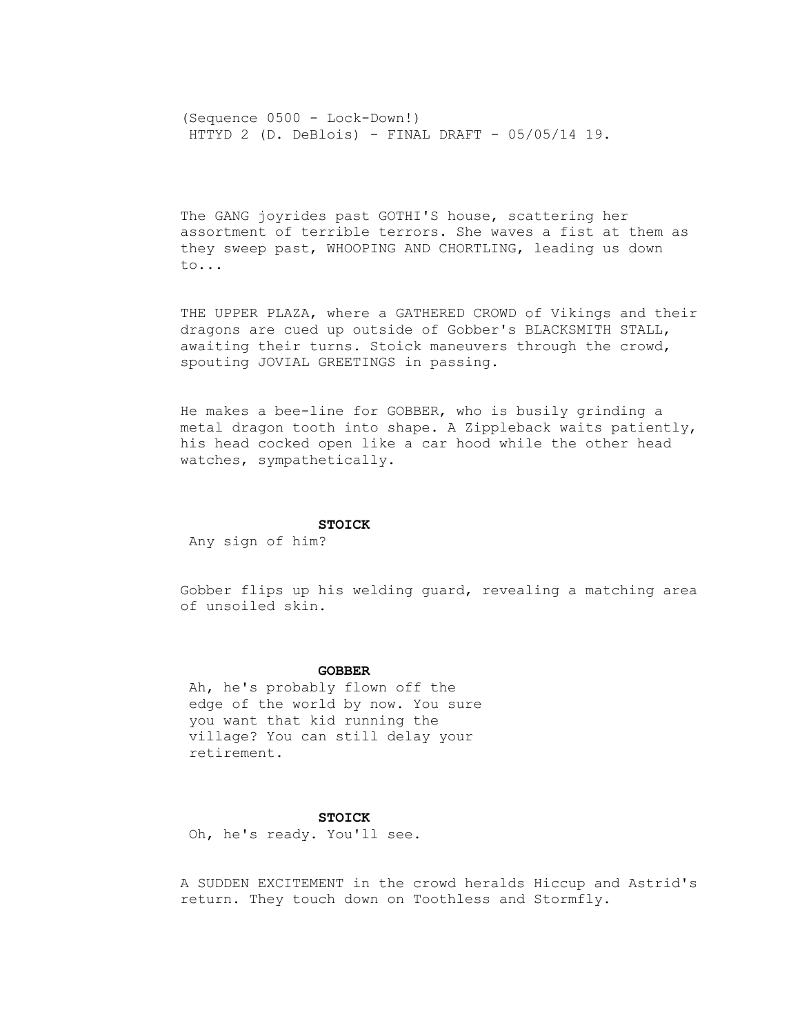(Sequence 0500 - Lock-Down!) HTTYD 2 (D. DeBlois) - FINAL DRAFT - 05/05/14 19.

 The GANG joyrides past GOTHI'S house, scattering her assortment of terrible terrors. She waves a fist at them as they sweep past, WHOOPING AND CHORTLING, leading us down to...

 THE UPPER PLAZA, where a GATHERED CROWD of Vikings and their dragons are cued up outside of Gobber's BLACKSMITH STALL, awaiting their turns. Stoick maneuvers through the crowd, spouting JOVIAL GREETINGS in passing.

 He makes a bee-line for GOBBER, who is busily grinding a metal dragon tooth into shape. A Zippleback waits patiently, his head cocked open like a car hood while the other head watches, sympathetically.

# **STOICK**

Any sign of him?

 Gobber flips up his welding guard, revealing a matching area of unsoiled skin.

### **GOBBER**

 Ah, he's probably flown off the edge of the world by now. You sure you want that kid running the village? You can still delay your retirement.

# **STOICK**

Oh, he's ready. You'll see.

 A SUDDEN EXCITEMENT in the crowd heralds Hiccup and Astrid's return. They touch down on Toothless and Stormfly.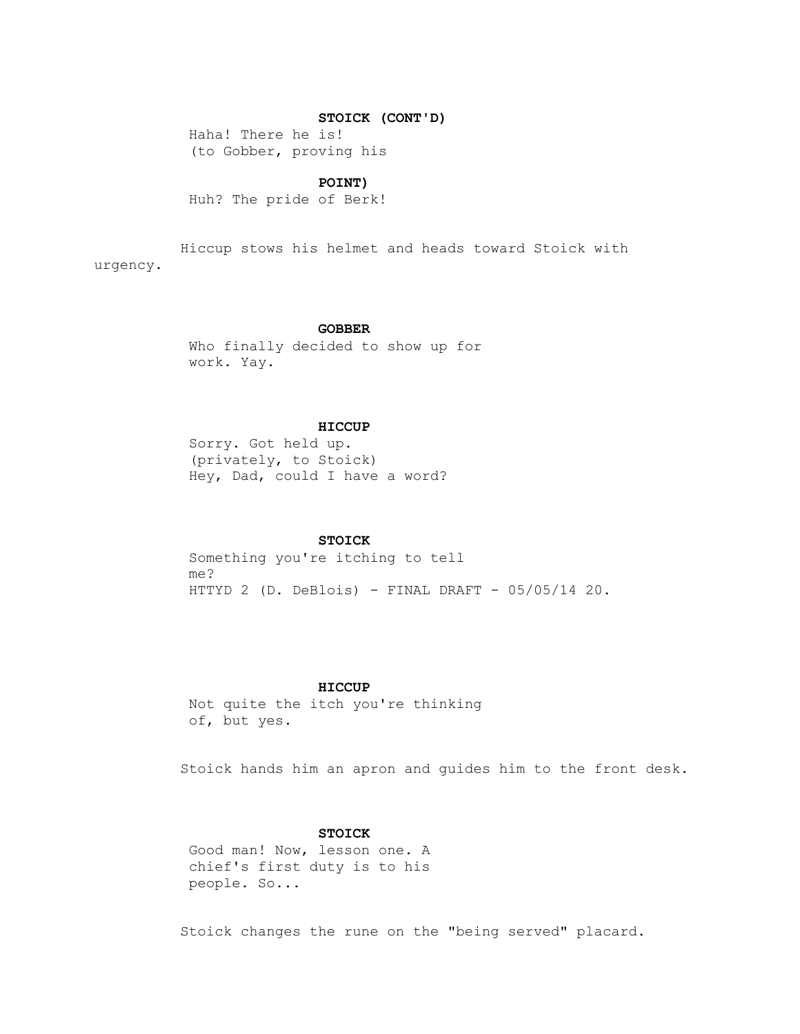### **STOICK (CONT'D)**

 Haha! There he is! (to Gobber, proving his

### **POINT)**

Huh? The pride of Berk!

 Hiccup stows his helmet and heads toward Stoick with urgency.

#### **GOBBER**

 Who finally decided to show up for work. Yay.

#### **HICCUP**

 Sorry. Got held up. (privately, to Stoick) Hey, Dad, could I have a word?

#### **STOICK**

 Something you're itching to tell me? HTTYD 2 (D. DeBlois) - FINAL DRAFT - 05/05/14 20.

#### **HICCUP**

 Not quite the itch you're thinking of, but yes.

Stoick hands him an apron and guides him to the front desk.

# **STOICK**

 Good man! Now, lesson one. A chief's first duty is to his people. So...

Stoick changes the rune on the "being served" placard.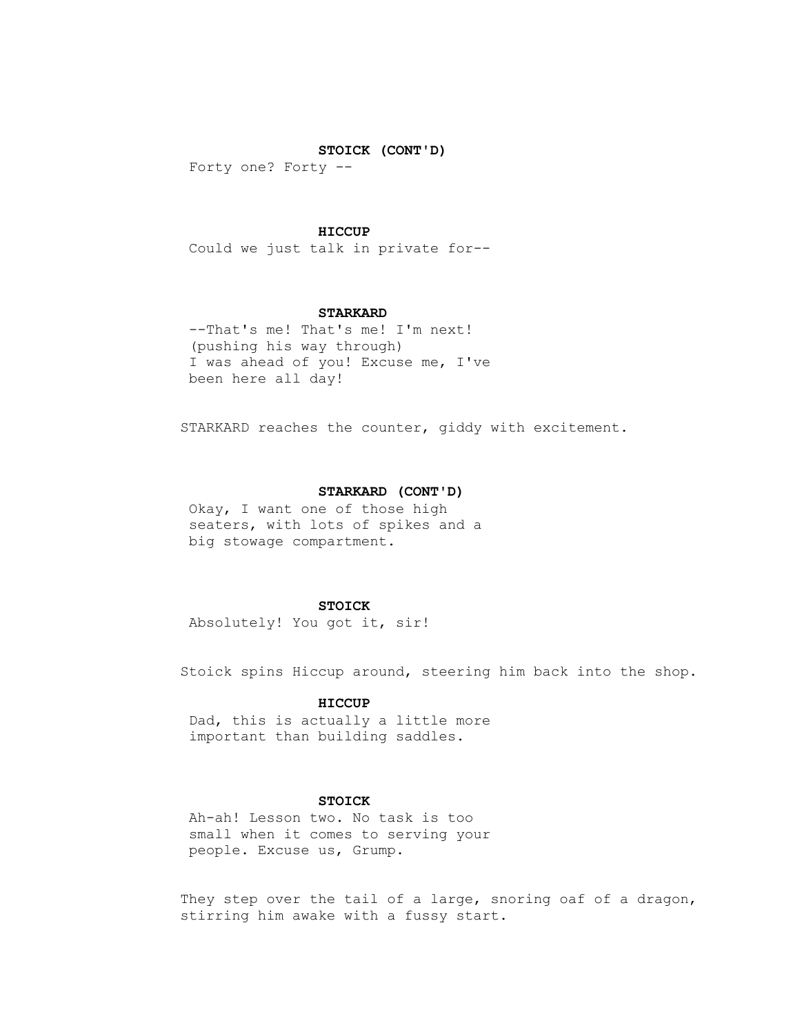### **STOICK (CONT'D)**

Forty one? Forty --

#### **HICCUP**

Could we just talk in private for--

### **STARKARD**

 --That's me! That's me! I'm next! (pushing his way through) I was ahead of you! Excuse me, I've been here all day!

STARKARD reaches the counter, giddy with excitement.

# **STARKARD (CONT'D)**

 Okay, I want one of those high seaters, with lots of spikes and a big stowage compartment.

#### **STOICK**

Absolutely! You got it, sir!

Stoick spins Hiccup around, steering him back into the shop.

### **HICCUP**

 Dad, this is actually a little more important than building saddles.

# **STOICK**

 Ah-ah! Lesson two. No task is too small when it comes to serving your people. Excuse us, Grump.

 They step over the tail of a large, snoring oaf of a dragon, stirring him awake with a fussy start.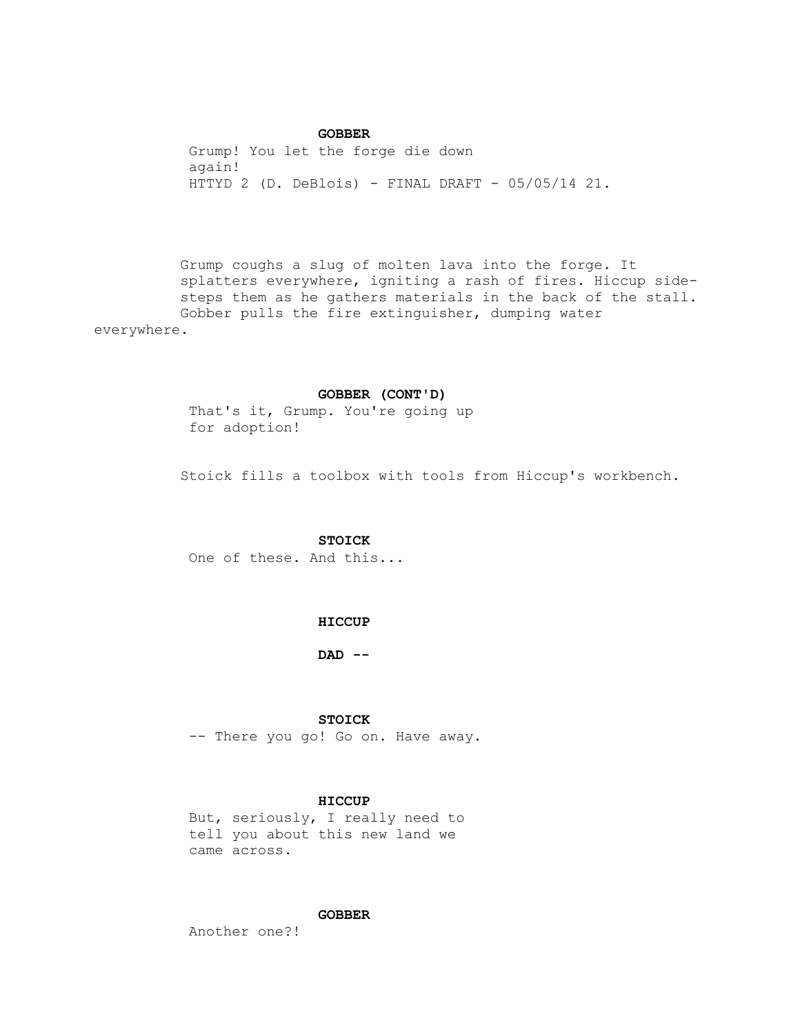#### **GOBBER**

 Grump! You let the forge die down again! HTTYD 2 (D. DeBlois) - FINAL DRAFT - 05/05/14 21.

 Grump coughs a slug of molten lava into the forge. It splatters everywhere, igniting a rash of fires. Hiccup side steps them as he gathers materials in the back of the stall. Gobber pulls the fire extinguisher, dumping water everywhere.

### **GOBBER (CONT'D)**

 That's it, Grump. You're going up for adoption!

Stoick fills a toolbox with tools from Hiccup's workbench.

#### **STOICK**

One of these. And this...

# **HICCUP**

 **DAD --**

# **STOICK**

-- There you go! Go on. Have away.

# **HICCUP**

 But, seriously, I really need to tell you about this new land we came across.

# **GOBBER**

Another one?!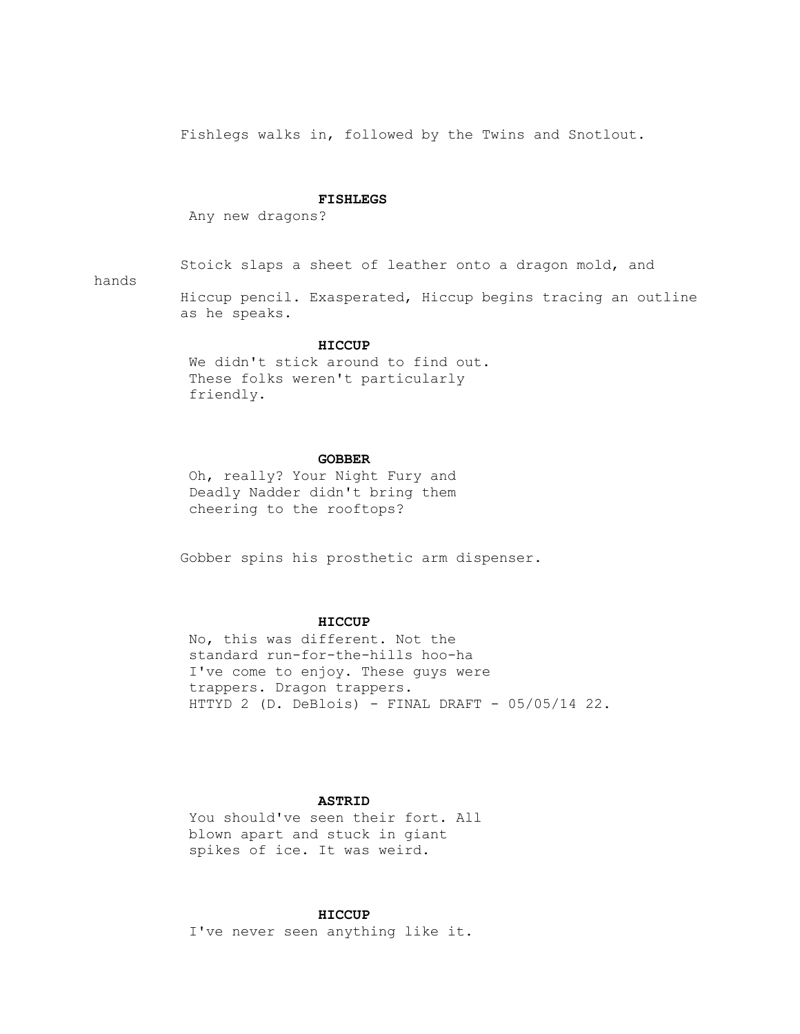Fishlegs walks in, followed by the Twins and Snotlout.

#### **FISHLEGS**

Any new dragons?

hands

Stoick slaps a sheet of leather onto a dragon mold, and

 Hiccup pencil. Exasperated, Hiccup begins tracing an outline as he speaks.

#### **HICCUP**

 We didn't stick around to find out. These folks weren't particularly friendly.

### **GOBBER**

 Oh, really? Your Night Fury and Deadly Nadder didn't bring them cheering to the rooftops?

Gobber spins his prosthetic arm dispenser.

# **HICCUP**

 No, this was different. Not the standard run-for-the-hills hoo-ha I've come to enjoy. These guys were trappers. Dragon trappers. HTTYD 2 (D. DeBlois) - FINAL DRAFT - 05/05/14 22.

# **ASTRID**

 You should've seen their fort. All blown apart and stuck in giant spikes of ice. It was weird.

### **HICCUP**

I've never seen anything like it.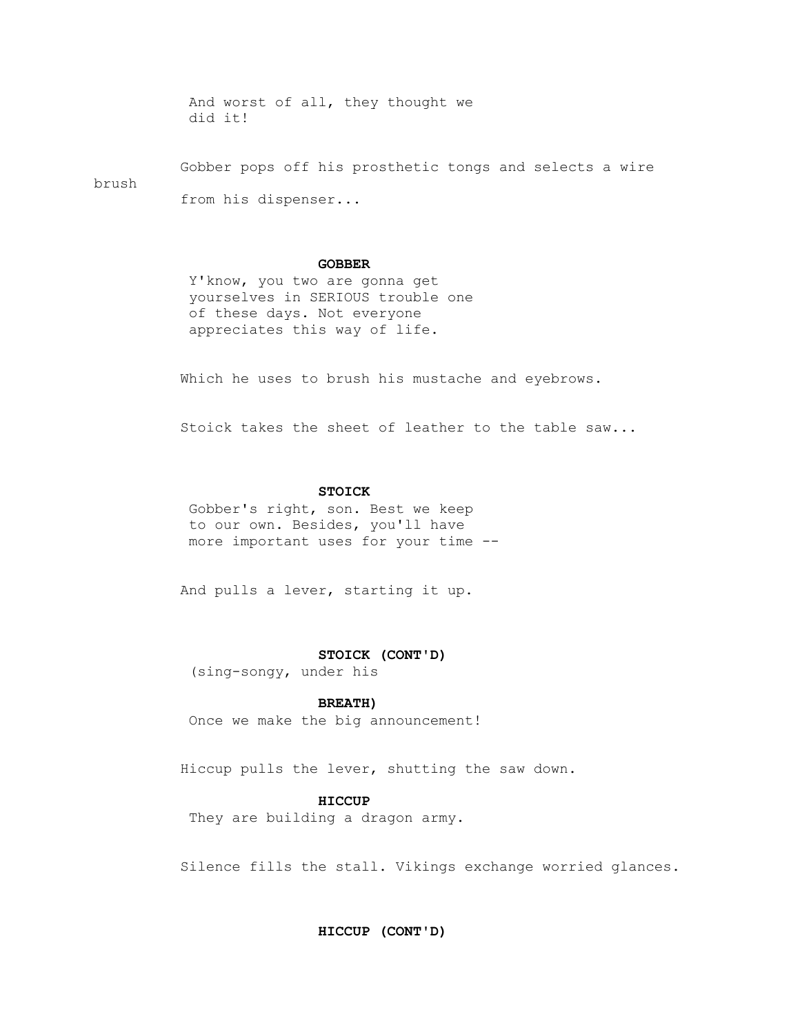And worst of all, they thought we did it!

 Gobber pops off his prosthetic tongs and selects a wire brush

from his dispenser...

#### **GOBBER**

 Y'know, you two are gonna get yourselves in SERIOUS trouble one of these days. Not everyone appreciates this way of life.

Which he uses to brush his mustache and eyebrows.

Stoick takes the sheet of leather to the table saw...

#### **STOICK**

 Gobber's right, son. Best we keep to our own. Besides, you'll have more important uses for your time --

And pulls a lever, starting it up.

### **STOICK (CONT'D)**

(sing-songy, under his

#### **BREATH)**

Once we make the big announcement!

Hiccup pulls the lever, shutting the saw down.

# **HICCUP**

They are building a dragon army.

Silence fills the stall. Vikings exchange worried glances.

 **HICCUP (CONT'D)**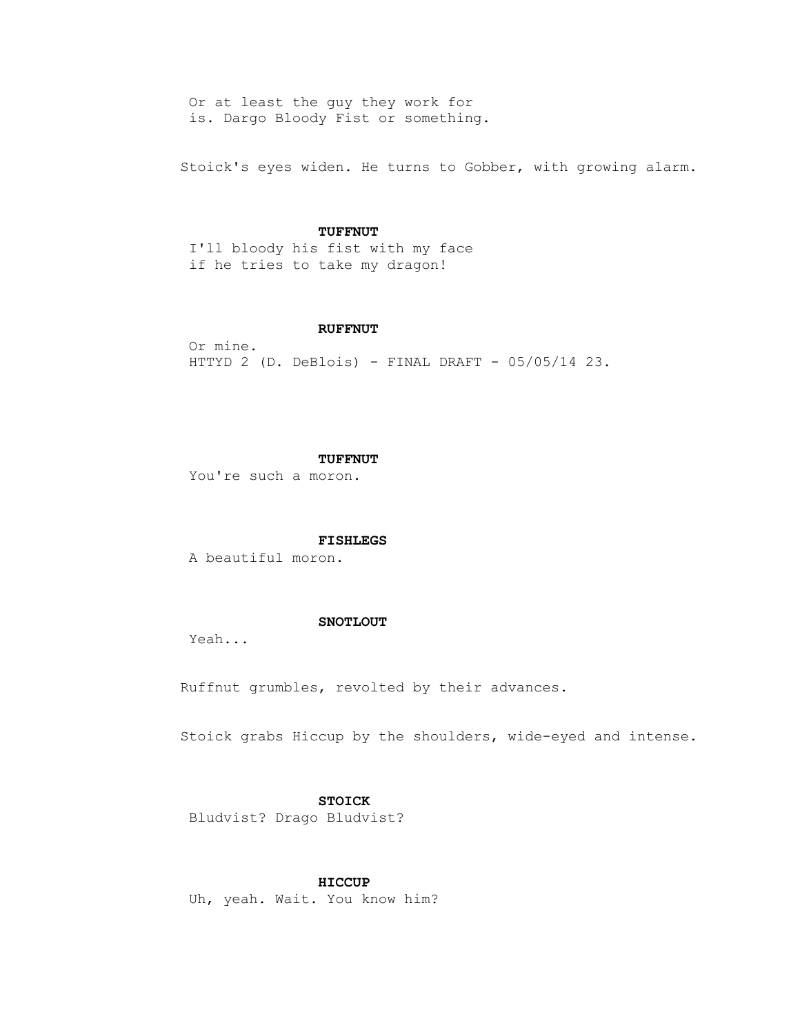Or at least the guy they work for is. Dargo Bloody Fist or something.

Stoick's eyes widen. He turns to Gobber, with growing alarm.

#### **TUFFNUT**

 I'll bloody his fist with my face if he tries to take my dragon!

# **RUFFNUT**

 Or mine. HTTYD 2 (D. DeBlois) - FINAL DRAFT - 05/05/14 23.

# **TUFFNUT**

You're such a moron.

#### **FISHLEGS**

A beautiful moron.

#### **SNOTLOUT**

Yeah...

Ruffnut grumbles, revolted by their advances.

Stoick grabs Hiccup by the shoulders, wide-eyed and intense.

# **STOICK**

Bludvist? Drago Bludvist?

### **HICCUP**

Uh, yeah. Wait. You know him?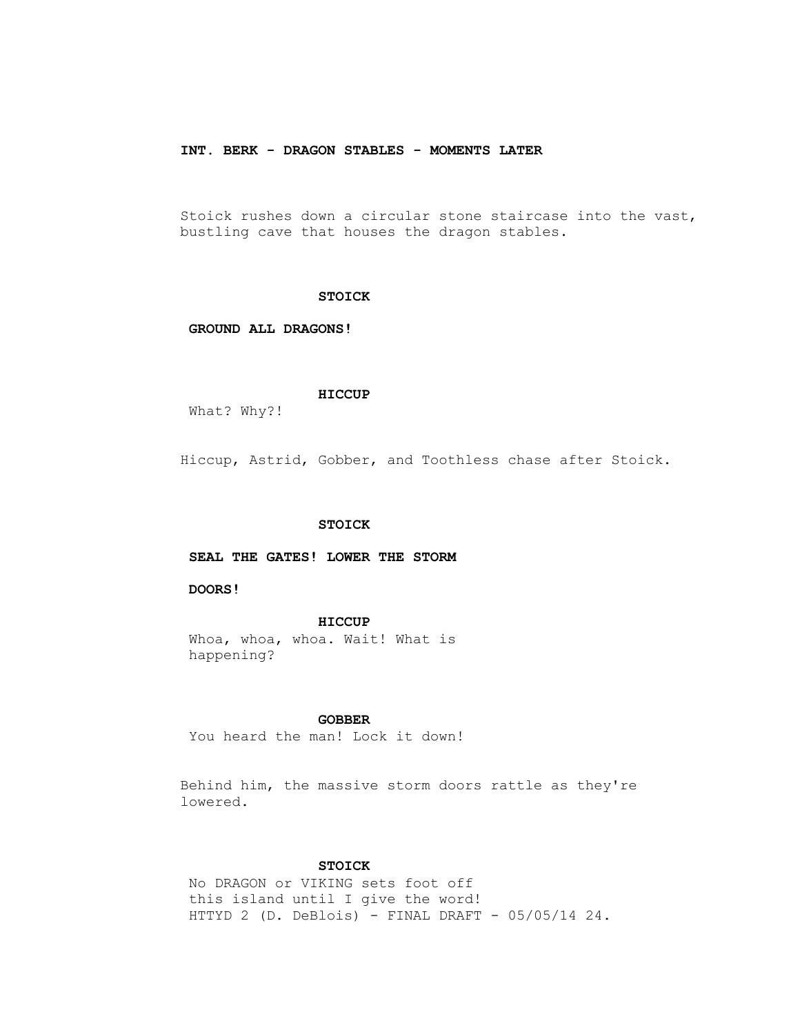# **INT. BERK - DRAGON STABLES - MOMENTS LATER**

 Stoick rushes down a circular stone staircase into the vast, bustling cave that houses the dragon stables.

#### **STOICK**

 **GROUND ALL DRAGONS!**

#### **HICCUP**

What? Why?!

Hiccup, Astrid, Gobber, and Toothless chase after Stoick.

# **STOICK**

### **SEAL THE GATES! LOWER THE STORM**

 **DOORS!**

#### **HICCUP**

 Whoa, whoa, whoa. Wait! What is happening?

# **GOBBER**

You heard the man! Lock it down!

 Behind him, the massive storm doors rattle as they're lowered.

# **STOICK**

 No DRAGON or VIKING sets foot off this island until I give the word! HTTYD 2 (D. DeBlois) - FINAL DRAFT - 05/05/14 24.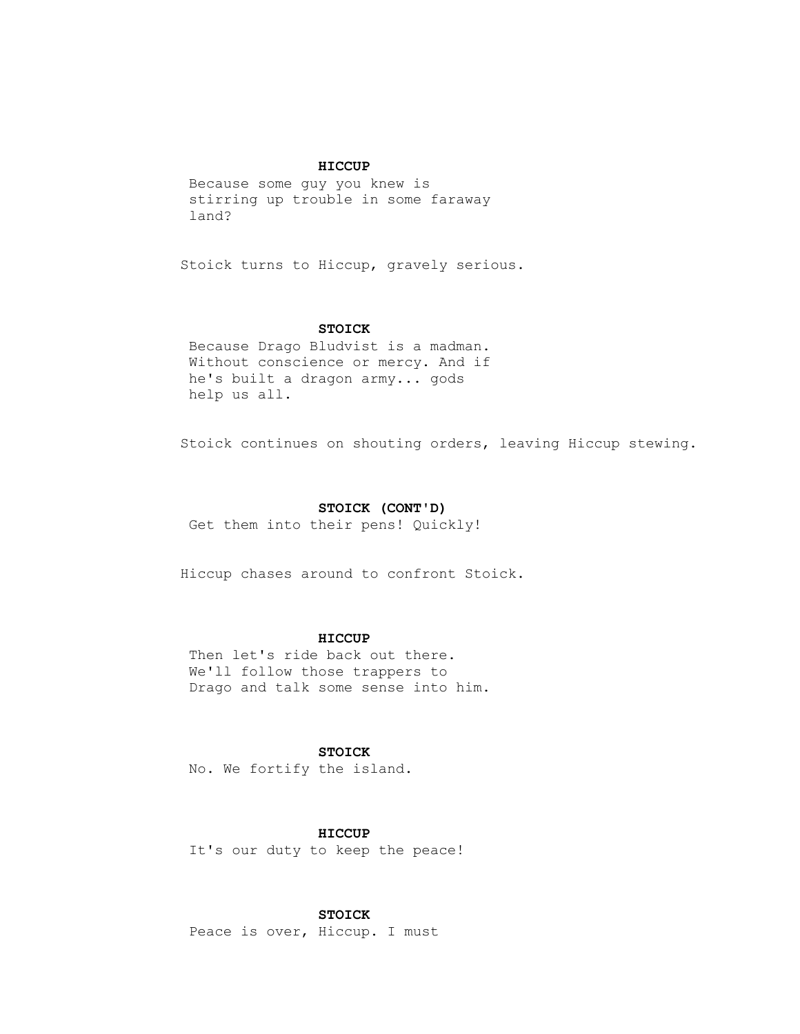#### **HICCUP**

 Because some guy you knew is stirring up trouble in some faraway land?

Stoick turns to Hiccup, gravely serious.

# **STOICK**

 Because Drago Bludvist is a madman. Without conscience or mercy. And if he's built a dragon army... gods help us all.

Stoick continues on shouting orders, leaving Hiccup stewing.

# **STOICK (CONT'D)**

Get them into their pens! Quickly!

Hiccup chases around to confront Stoick.

### **HICCUP**

Then let's ride back out there. We'll follow those trappers to Drago and talk some sense into him.

### **STOICK**

No. We fortify the island.

# **HICCUP**

It's our duty to keep the peace!

# **STOICK**

Peace is over, Hiccup. I must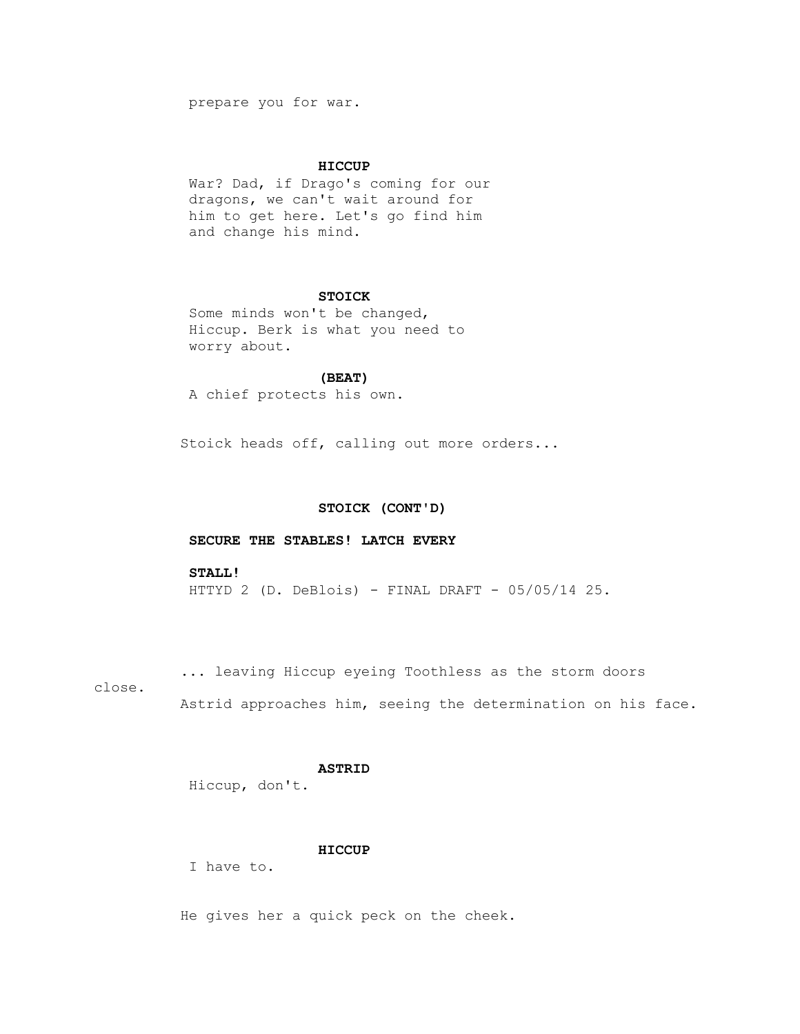prepare you for war.

#### **HICCUP**

 War? Dad, if Drago's coming for our dragons, we can't wait around for him to get here. Let's go find him and change his mind.

#### **STOICK**

 Some minds won't be changed, Hiccup. Berk is what you need to worry about.

### **(BEAT)**

A chief protects his own.

Stoick heads off, calling out more orders...

### **STOICK (CONT'D)**

#### **SECURE THE STABLES! LATCH EVERY**

 **STALL!** HTTYD 2 (D. DeBlois) - FINAL DRAFT - 05/05/14 25.

 ... leaving Hiccup eyeing Toothless as the storm doors close.

Astrid approaches him, seeing the determination on his face.

#### **ASTRID**

Hiccup, don't.

# **HICCUP**

I have to.

He gives her a quick peck on the cheek.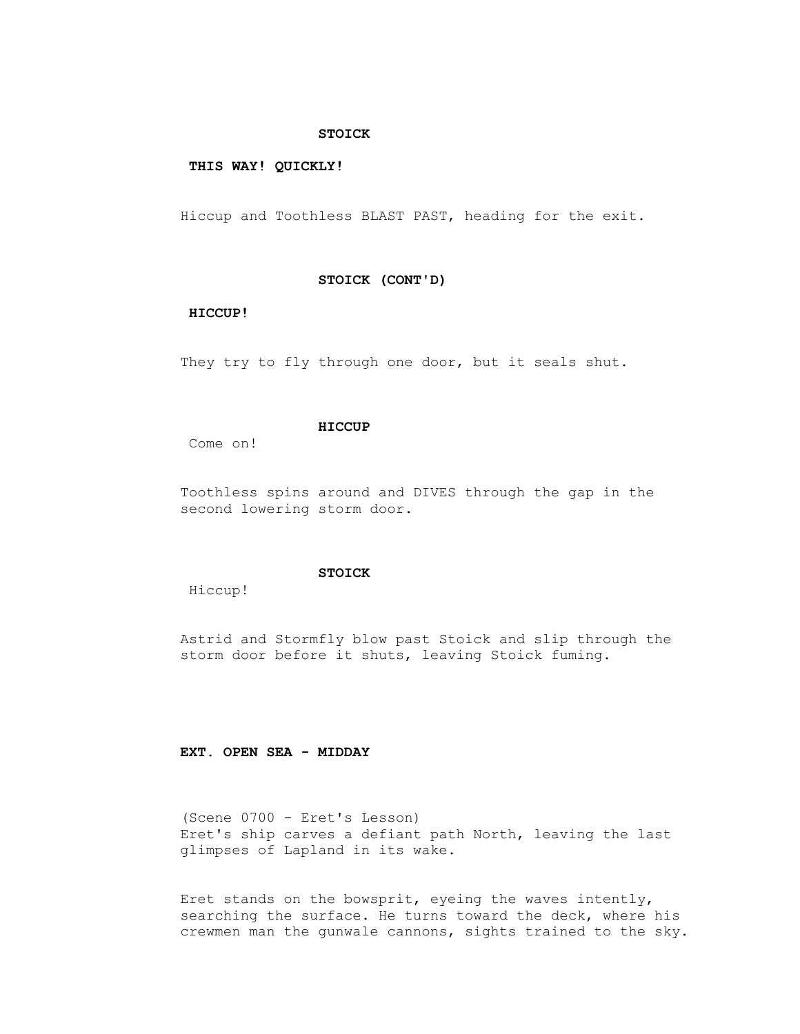#### **STOICK**

## **THIS WAY! QUICKLY!**

Hiccup and Toothless BLAST PAST, heading for the exit.

# **STOICK (CONT'D)**

#### **HICCUP!**

They try to fly through one door, but it seals shut.

#### **HICCUP**

Come on!

 Toothless spins around and DIVES through the gap in the second lowering storm door.

### **STOICK**

Hiccup!

 Astrid and Stormfly blow past Stoick and slip through the storm door before it shuts, leaving Stoick fuming.

 **EXT. OPEN SEA - MIDDAY**

 (Scene 0700 - Eret's Lesson) Eret's ship carves a defiant path North, leaving the last glimpses of Lapland in its wake.

 Eret stands on the bowsprit, eyeing the waves intently, searching the surface. He turns toward the deck, where his crewmen man the gunwale cannons, sights trained to the sky.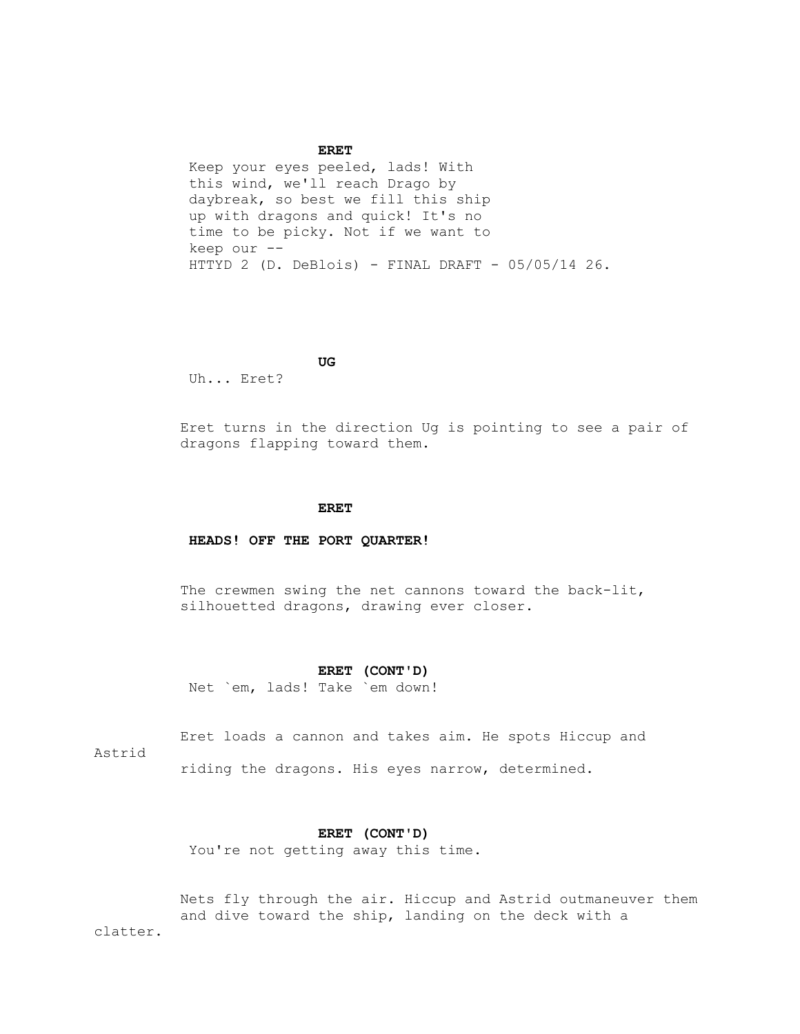## **ERET**

 Keep your eyes peeled, lads! With this wind, we'll reach Drago by daybreak, so best we fill this ship up with dragons and quick! It's no time to be picky. Not if we want to keep our -- HTTYD 2 (D. DeBlois) - FINAL DRAFT - 05/05/14 26.

## *<u> UG</u>*

Uh... Eret?

 Eret turns in the direction Ug is pointing to see a pair of dragons flapping toward them.

#### **ERET**

 **HEADS! OFF THE PORT QUARTER!**

The crewmen swing the net cannons toward the back-lit, silhouetted dragons, drawing ever closer.

#### **ERET (CONT'D)**

Net `em, lads! Take `em down!

 Eret loads a cannon and takes aim. He spots Hiccup and Astrid riding the dragons. His eyes narrow, determined.

## **ERET (CONT'D)**

You're not getting away this time.

 Nets fly through the air. Hiccup and Astrid outmaneuver them and dive toward the ship, landing on the deck with a clatter.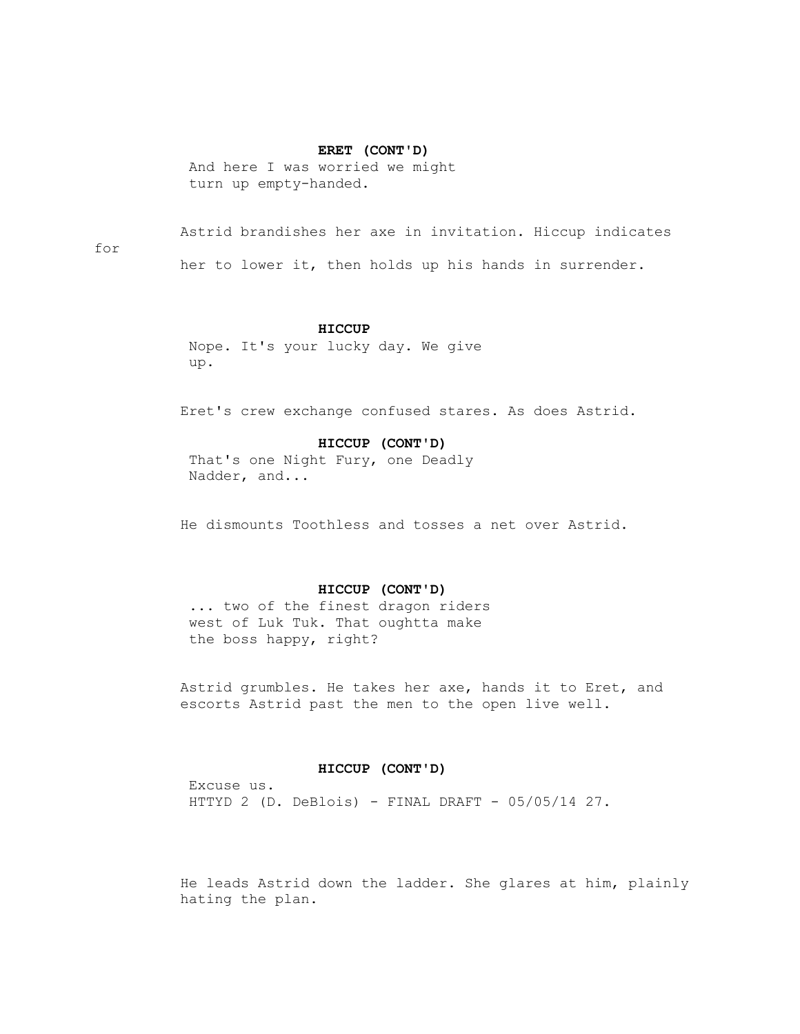## **ERET (CONT'D)**

 And here I was worried we might turn up empty-handed.

for

 Astrid brandishes her axe in invitation. Hiccup indicates her to lower it, then holds up his hands in surrender.

#### **HICCUP**

 Nope. It's your lucky day. We give up.

Eret's crew exchange confused stares. As does Astrid.

## **HICCUP (CONT'D)**

 That's one Night Fury, one Deadly Nadder, and...

He dismounts Toothless and tosses a net over Astrid.

## **HICCUP (CONT'D)**

 ... two of the finest dragon riders west of Luk Tuk. That oughtta make the boss happy, right?

 Astrid grumbles. He takes her axe, hands it to Eret, and escorts Astrid past the men to the open live well.

## **HICCUP (CONT'D)**

 Excuse us. HTTYD 2 (D. DeBlois) - FINAL DRAFT - 05/05/14 27.

 He leads Astrid down the ladder. She glares at him, plainly hating the plan.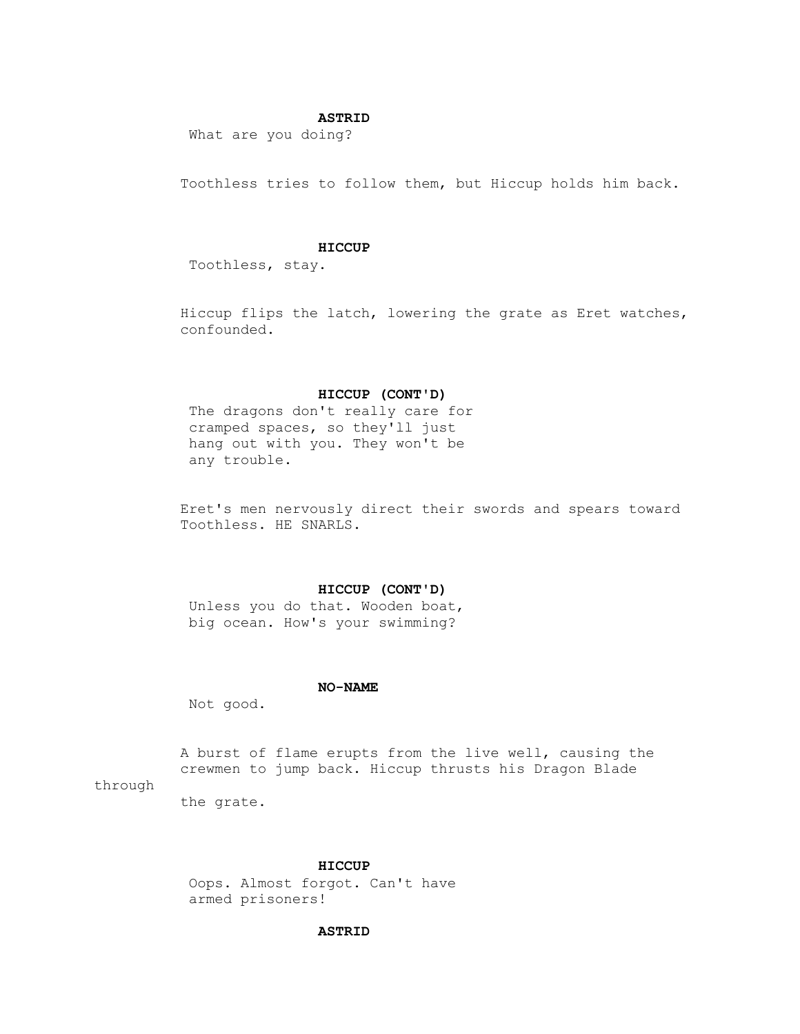## **ASTRID**

What are you doing?

Toothless tries to follow them, but Hiccup holds him back.

#### **HICCUP**

Toothless, stay.

 Hiccup flips the latch, lowering the grate as Eret watches, confounded.

## **HICCUP (CONT'D)**

 The dragons don't really care for cramped spaces, so they'll just hang out with you. They won't be any trouble.

 Eret's men nervously direct their swords and spears toward Toothless. HE SNARLS.

## **HICCUP (CONT'D)**

 Unless you do that. Wooden boat, big ocean. How's your swimming?

#### **NO-NAME**

Not good.

 A burst of flame erupts from the live well, causing the crewmen to jump back. Hiccup thrusts his Dragon Blade

through

the grate.

## **HICCUP**

 Oops. Almost forgot. Can't have armed prisoners!

#### **ASTRID**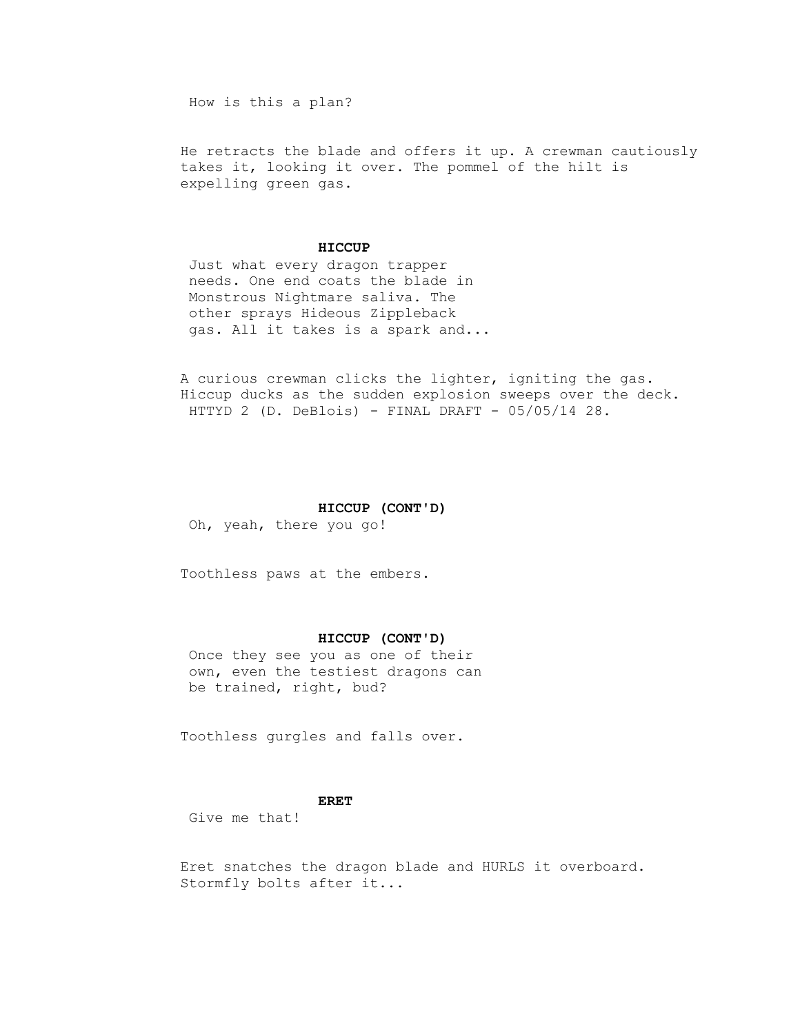How is this a plan?

 He retracts the blade and offers it up. A crewman cautiously takes it, looking it over. The pommel of the hilt is expelling green gas.

#### **HICCUP**

 Just what every dragon trapper needs. One end coats the blade in Monstrous Nightmare saliva. The other sprays Hideous Zippleback gas. All it takes is a spark and...

 A curious crewman clicks the lighter, igniting the gas. Hiccup ducks as the sudden explosion sweeps over the deck. HTTYD 2 (D. DeBlois) - FINAL DRAFT - 05/05/14 28.

#### **HICCUP (CONT'D)**

Oh, yeah, there you go!

Toothless paws at the embers.

## **HICCUP (CONT'D)**

 Once they see you as one of their own, even the testiest dragons can be trained, right, bud?

Toothless gurgles and falls over.

## **ERET**

Give me that!

 Eret snatches the dragon blade and HURLS it overboard. Stormfly bolts after it...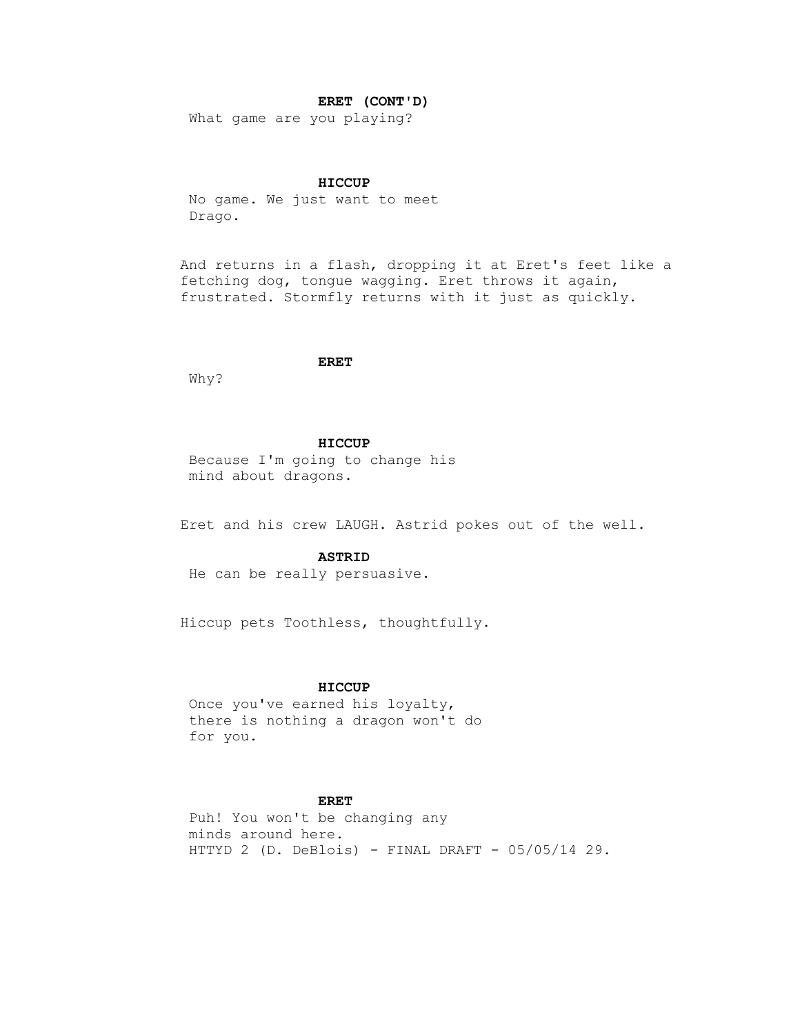## **ERET (CONT'D)**

What game are you playing?

## **HICCUP**

 No game. We just want to meet Drago.

 And returns in a flash, dropping it at Eret's feet like a fetching dog, tongue wagging. Eret throws it again, frustrated. Stormfly returns with it just as quickly.

#### **ERET**

Why?

## **HICCUP**

 Because I'm going to change his mind about dragons.

Eret and his crew LAUGH. Astrid pokes out of the well.

## **ASTRID**

He can be really persuasive.

Hiccup pets Toothless, thoughtfully.

#### **HICCUP**

 Once you've earned his loyalty, there is nothing a dragon won't do for you.

## **ERET**

 Puh! You won't be changing any minds around here. HTTYD 2 (D. DeBlois) - FINAL DRAFT - 05/05/14 29.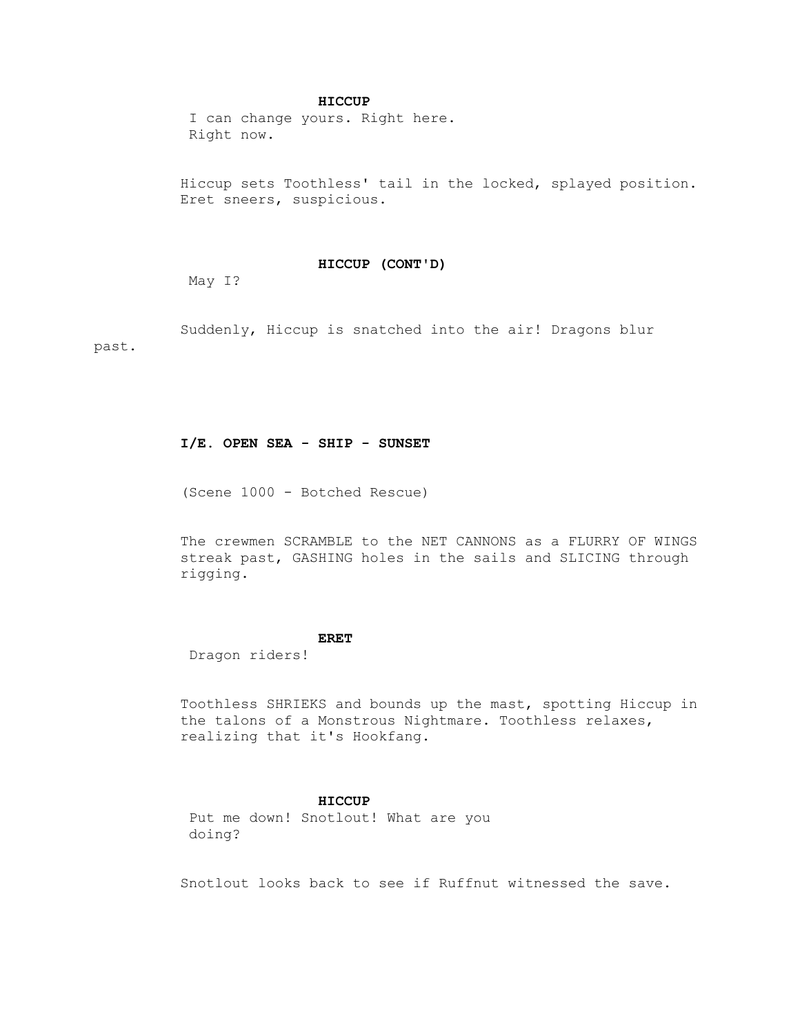## **HICCUP**

 I can change yours. Right here. Right now.

 Hiccup sets Toothless' tail in the locked, splayed position. Eret sneers, suspicious.

## **HICCUP (CONT'D)**

May I?

 Suddenly, Hiccup is snatched into the air! Dragons blur past.

## **I/E. OPEN SEA - SHIP - SUNSET**

(Scene 1000 - Botched Rescue)

 The crewmen SCRAMBLE to the NET CANNONS as a FLURRY OF WINGS streak past, GASHING holes in the sails and SLICING through rigging.

#### **ERET**

Dragon riders!

 Toothless SHRIEKS and bounds up the mast, spotting Hiccup in the talons of a Monstrous Nightmare. Toothless relaxes, realizing that it's Hookfang.

## **HICCUP**

 Put me down! Snotlout! What are you doing?

Snotlout looks back to see if Ruffnut witnessed the save.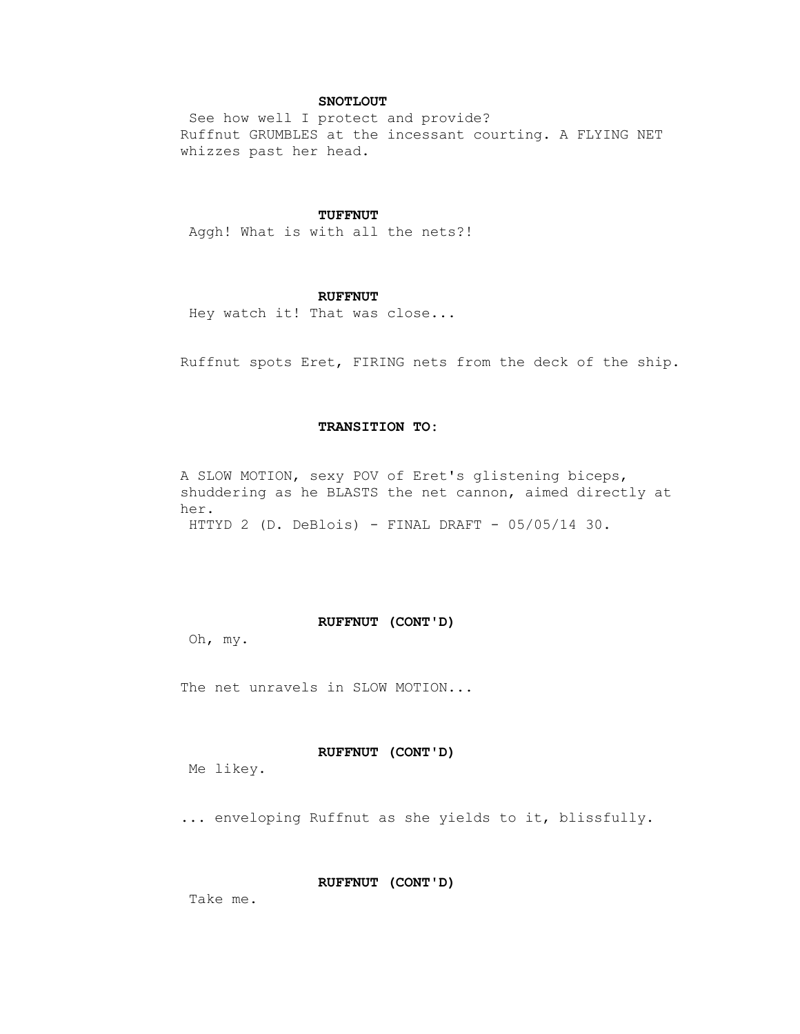## **SNOTLOUT**

 See how well I protect and provide? Ruffnut GRUMBLES at the incessant courting. A FLYING NET whizzes past her head.

#### **TUFFNUT**

Aggh! What is with all the nets?!

### **RUFFNUT**

Hey watch it! That was close...

Ruffnut spots Eret, FIRING nets from the deck of the ship.

## **TRANSITION TO:**

 A SLOW MOTION, sexy POV of Eret's glistening biceps, shuddering as he BLASTS the net cannon, aimed directly at her. HTTYD 2 (D. DeBlois) - FINAL DRAFT - 05/05/14 30.

 **RUFFNUT (CONT'D)**

Oh, my.

The net unravels in SLOW MOTION...

## **RUFFNUT (CONT'D)**

Me likey.

... enveloping Ruffnut as she yields to it, blissfully.

## **RUFFNUT (CONT'D)**

Take me.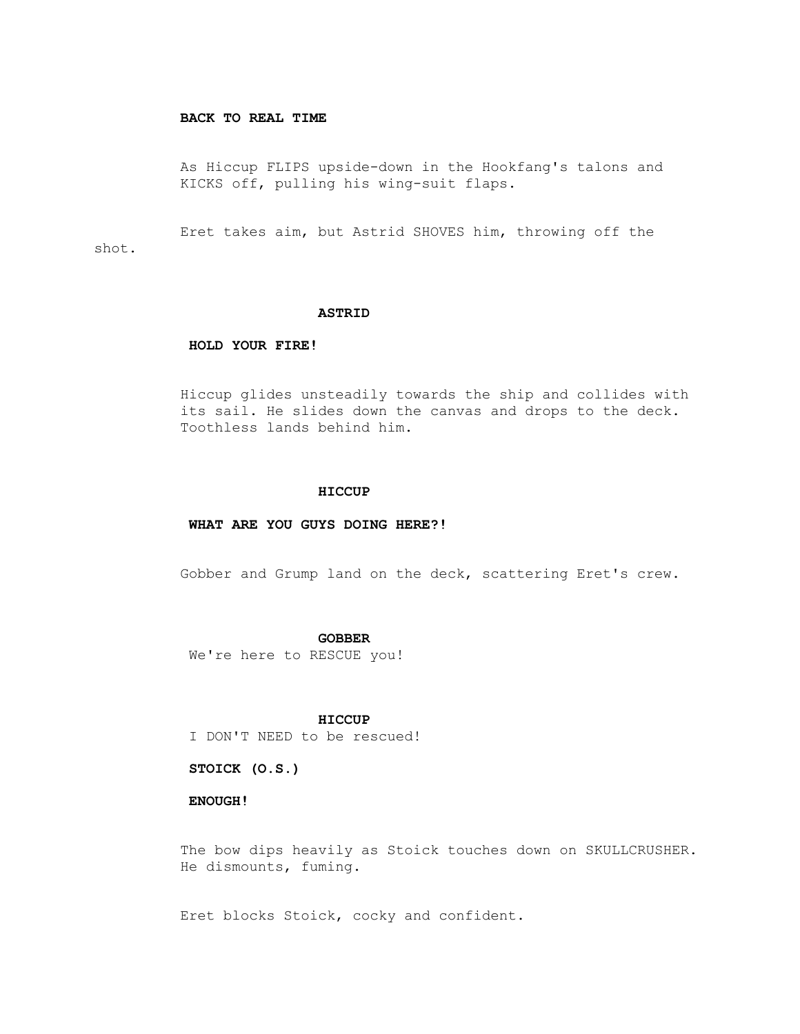## **BACK TO REAL TIME**

 As Hiccup FLIPS upside-down in the Hookfang's talons and KICKS off, pulling his wing-suit flaps.

 Eret takes aim, but Astrid SHOVES him, throwing off the shot.

#### **ASTRID**

## **HOLD YOUR FIRE!**

 Hiccup glides unsteadily towards the ship and collides with its sail. He slides down the canvas and drops to the deck. Toothless lands behind him.

#### **HICCUP**

 **WHAT ARE YOU GUYS DOING HERE?!**

Gobber and Grump land on the deck, scattering Eret's crew.

#### **GOBBER**

We're here to RESCUE you!

## **HICCUP**

I DON'T NEED to be rescued!

 **STOICK (O.S.)**

## **ENOUGH!**

 The bow dips heavily as Stoick touches down on SKULLCRUSHER. He dismounts, fuming.

Eret blocks Stoick, cocky and confident.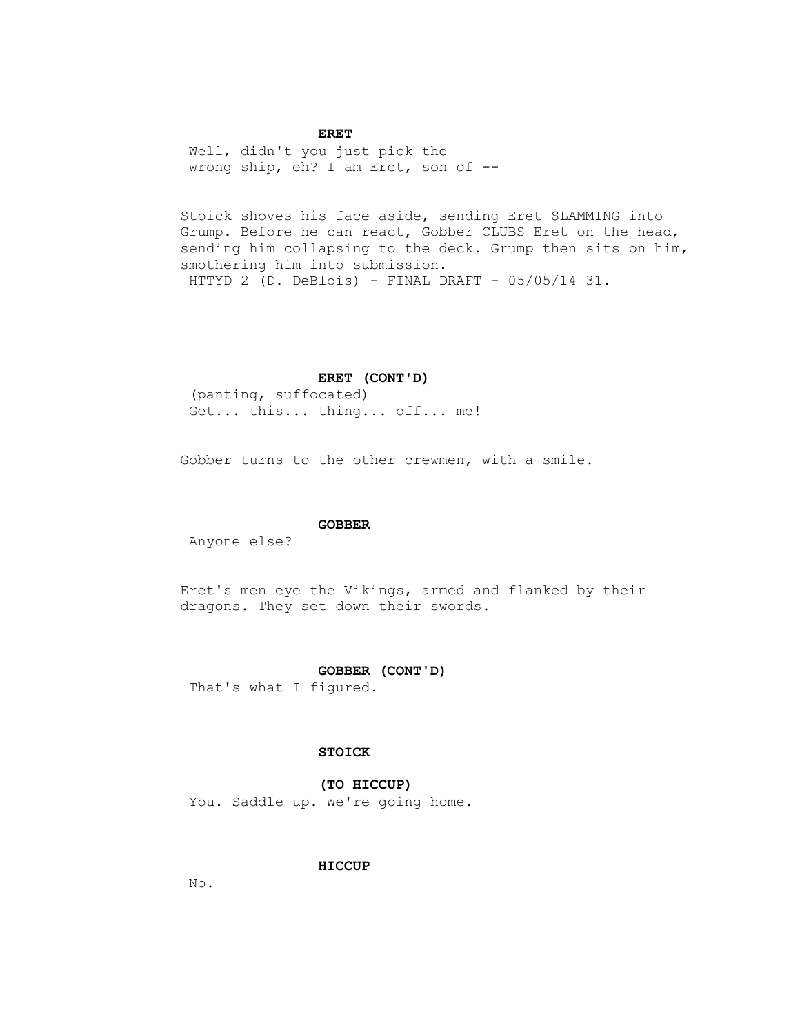## **ERET**

 Well, didn't you just pick the wrong ship, eh? I am Eret, son of --

 Stoick shoves his face aside, sending Eret SLAMMING into Grump. Before he can react, Gobber CLUBS Eret on the head, sending him collapsing to the deck. Grump then sits on him, smothering him into submission. HTTYD 2 (D. DeBlois) - FINAL DRAFT - 05/05/14 31.

## **ERET (CONT'D)**

 (panting, suffocated) Get... this... thing... off... me!

Gobber turns to the other crewmen, with a smile.

## **GOBBER**

Anyone else?

 Eret's men eye the Vikings, armed and flanked by their dragons. They set down their swords.

## **GOBBER (CONT'D)**

That's what I figured.

## **STOICK**

 **(TO HICCUP)** You. Saddle up. We're going home.

## **HICCUP**

No.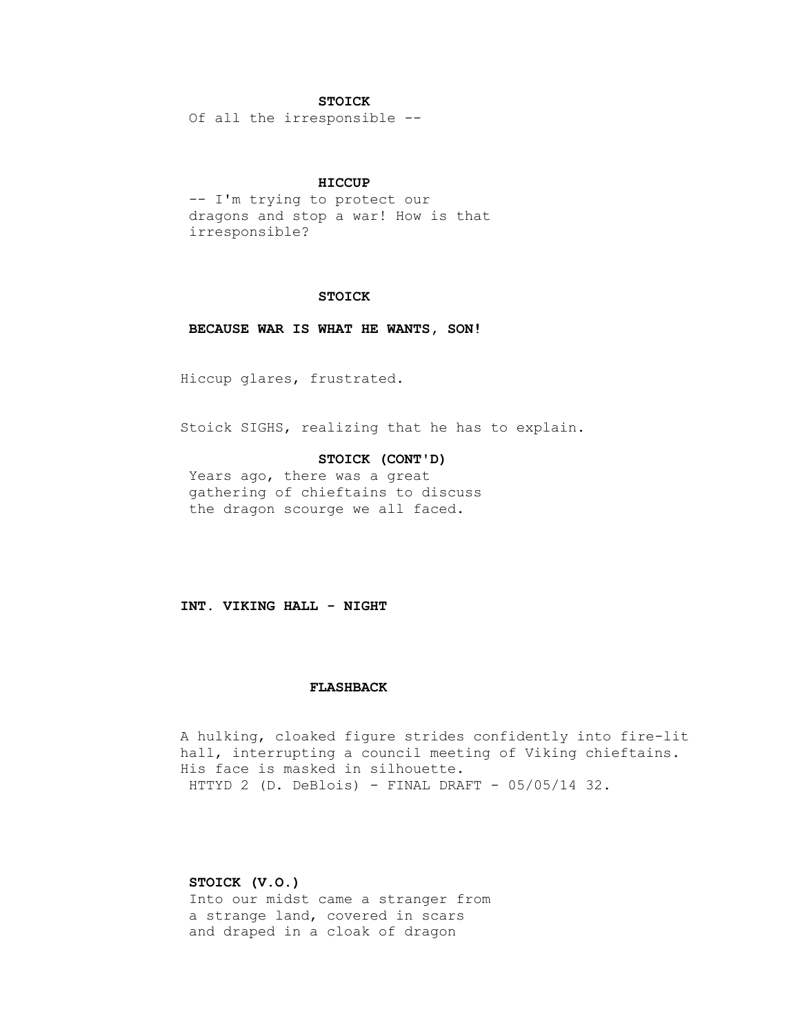## **STOICK**

Of all the irresponsible --

## **HICCUP**

 -- I'm trying to protect our dragons and stop a war! How is that irresponsible?

## **STOICK**

 **BECAUSE WAR IS WHAT HE WANTS, SON!**

Hiccup glares, frustrated.

Stoick SIGHS, realizing that he has to explain.

## **STOICK (CONT'D)**

Years ago, there was a great gathering of chieftains to discuss the dragon scourge we all faced.

 **INT. VIKING HALL - NIGHT**

## **FLASHBACK**

 A hulking, cloaked figure strides confidently into fire-lit hall, interrupting a council meeting of Viking chieftains. His face is masked in silhouette. HTTYD 2 (D. DeBlois) - FINAL DRAFT - 05/05/14 32.

## **STOICK (V.O.)**

 Into our midst came a stranger from a strange land, covered in scars and draped in a cloak of dragon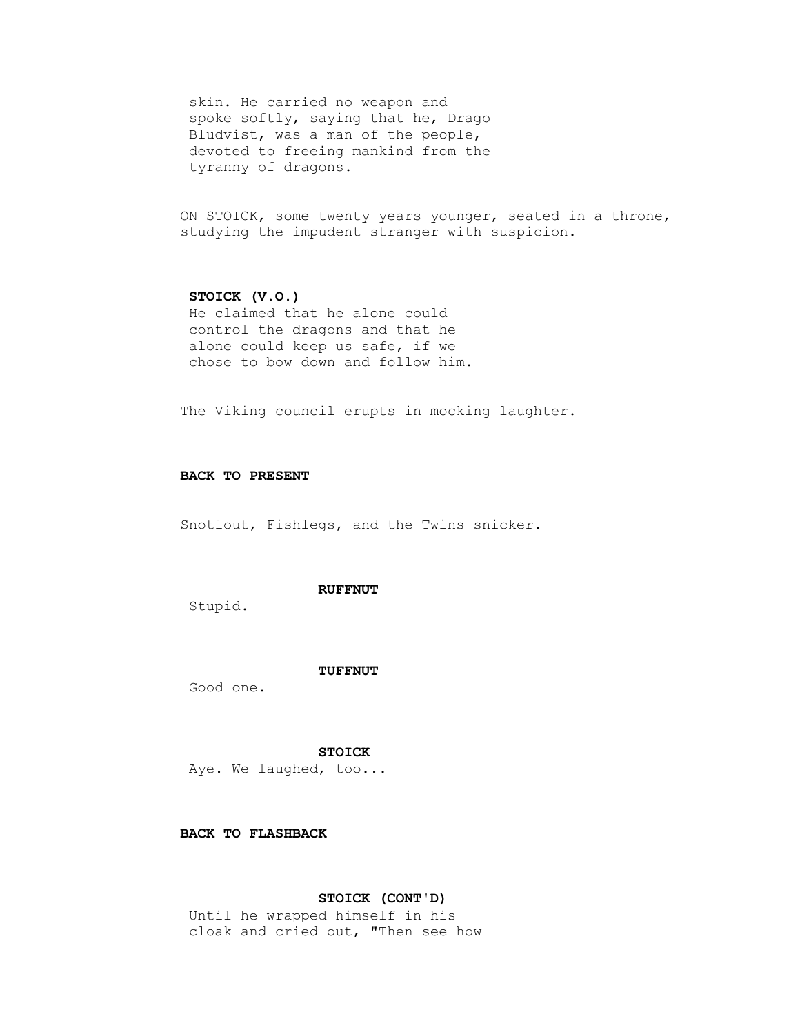skin. He carried no weapon and spoke softly, saying that he, Drago Bludvist, was a man of the people, devoted to freeing mankind from the tyranny of dragons.

 ON STOICK, some twenty years younger, seated in a throne, studying the impudent stranger with suspicion.

## **STOICK (V.O.)**

 He claimed that he alone could control the dragons and that he alone could keep us safe, if we chose to bow down and follow him.

The Viking council erupts in mocking laughter.

## **BACK TO PRESENT**

Snotlout, Fishlegs, and the Twins snicker.

#### **RUFFNUT**

Stupid.

#### **TUFFNUT**

Good one.

# **STOICK**

Aye. We laughed, too...

## **BACK TO FLASHBACK**

## **STOICK (CONT'D)**

 Until he wrapped himself in his cloak and cried out, "Then see how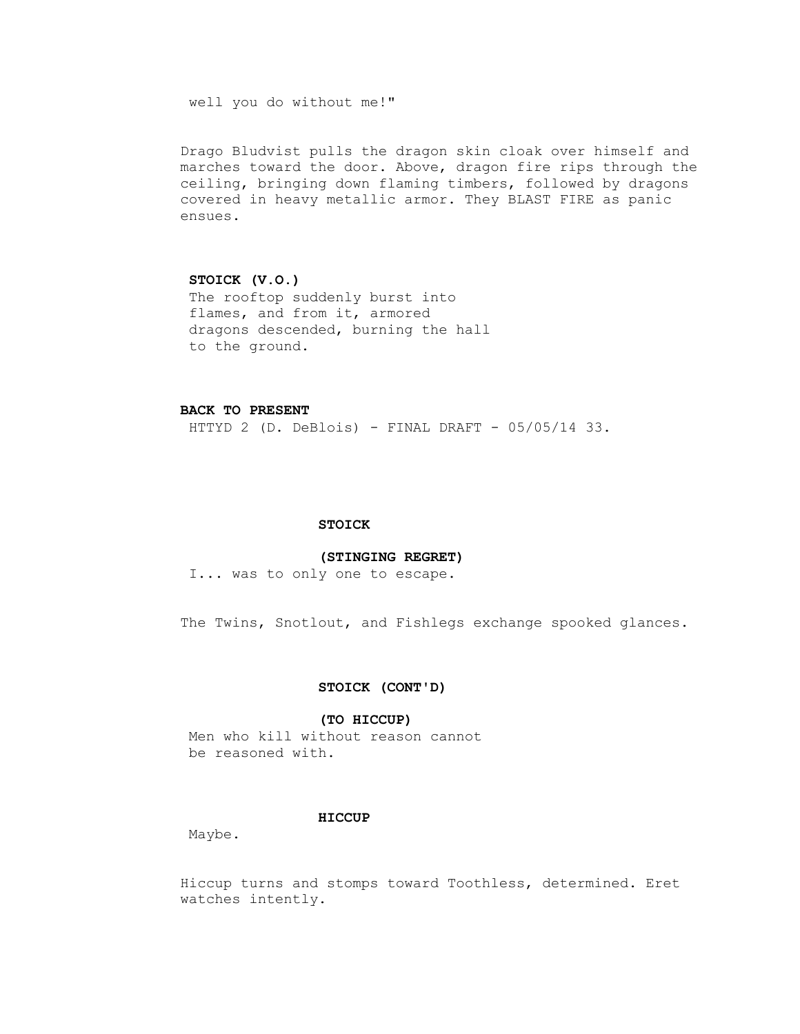well you do without me!"

 Drago Bludvist pulls the dragon skin cloak over himself and marches toward the door. Above, dragon fire rips through the ceiling, bringing down flaming timbers, followed by dragons covered in heavy metallic armor. They BLAST FIRE as panic ensues.

 **STOICK (V.O.)** The rooftop suddenly burst into flames, and from it, armored dragons descended, burning the hall to the ground.

 **BACK TO PRESENT** HTTYD 2 (D. DeBlois) - FINAL DRAFT -  $05/05/14$  33.

## **STOICK**

## **(STINGING REGRET)**

I... was to only one to escape.

The Twins, Snotlout, and Fishlegs exchange spooked glances.

## **STOICK (CONT'D)**

## **(TO HICCUP)**

 Men who kill without reason cannot be reasoned with.

## **HICCUP**

Maybe.

 Hiccup turns and stomps toward Toothless, determined. Eret watches intently.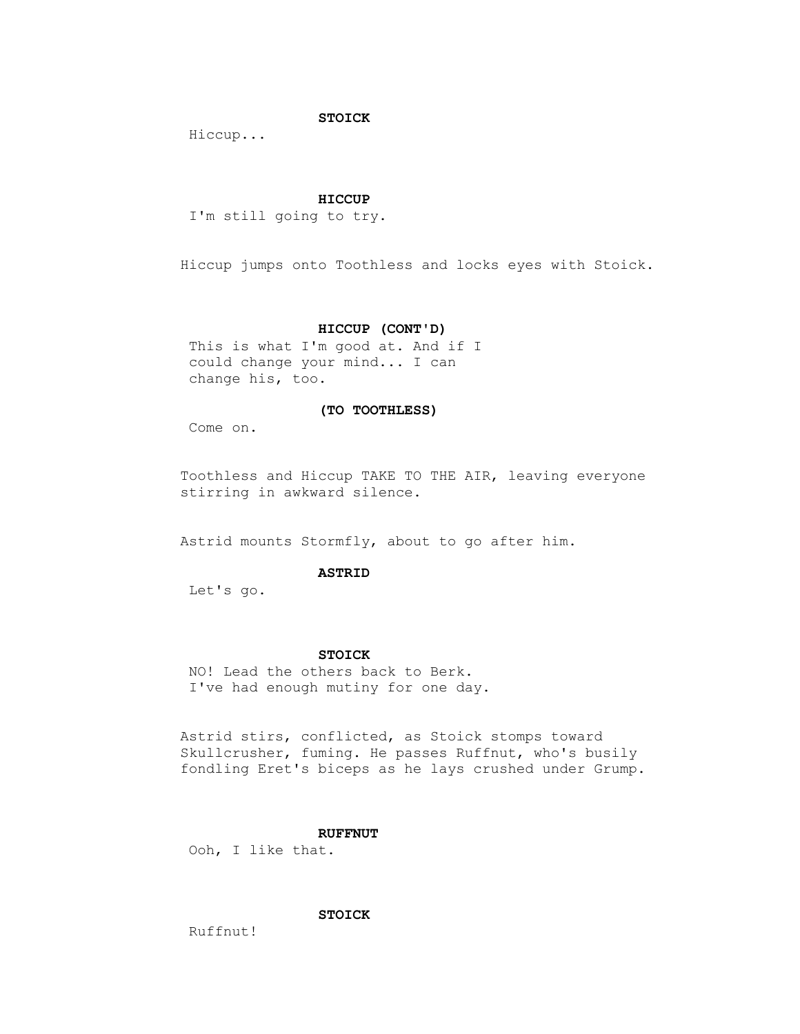## **STOICK**

Hiccup...

#### **HICCUP**

I'm still going to try.

Hiccup jumps onto Toothless and locks eyes with Stoick.

## **HICCUP (CONT'D)**

 This is what I'm good at. And if I could change your mind... I can change his, too.

## **(TO TOOTHLESS)**

Come on.

 Toothless and Hiccup TAKE TO THE AIR, leaving everyone stirring in awkward silence.

Astrid mounts Stormfly, about to go after him.

## **ASTRID**

Let's go.

## **STOICK**

 NO! Lead the others back to Berk. I've had enough mutiny for one day.

 Astrid stirs, conflicted, as Stoick stomps toward Skullcrusher, fuming. He passes Ruffnut, who's busily fondling Eret's biceps as he lays crushed under Grump.

## **RUFFNUT**

Ooh, I like that.

## **STOICK**

Ruffnut!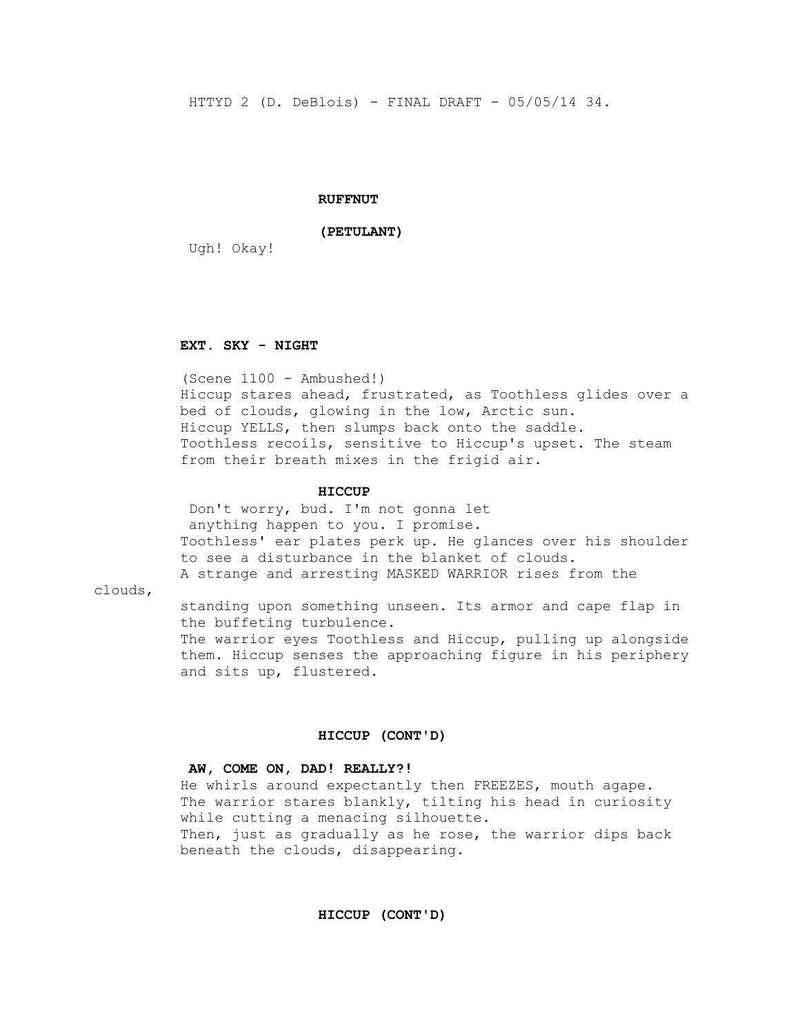HTTYD 2 (D. DeBlois) - FINAL DRAFT - 05/05/14 34.

### **RUFFNUT**

## **(PETULANT)**

Ugh! Okay!

## **EXT. SKY - NIGHT**

 (Scene 1100 - Ambushed!) Hiccup stares ahead, frustrated, as Toothless glides over a bed of clouds, glowing in the low, Arctic sun. Hiccup YELLS, then slumps back onto the saddle. Toothless recoils, sensitive to Hiccup's upset. The steam from their breath mixes in the frigid air.

## **HICCUP**

 Don't worry, bud. I'm not gonna let anything happen to you. I promise. Toothless' ear plates perk up. He glances over his shoulder to see a disturbance in the blanket of clouds. A strange and arresting MASKED WARRIOR rises from the

clouds,

 standing upon something unseen. Its armor and cape flap in the buffeting turbulence. The warrior eyes Toothless and Hiccup, pulling up alongside them. Hiccup senses the approaching figure in his periphery and sits up, flustered.

## **HICCUP (CONT'D)**

## **AW, COME ON, DAD! REALLY?!**

 He whirls around expectantly then FREEZES, mouth agape. The warrior stares blankly, tilting his head in curiosity while cutting a menacing silhouette. Then, just as gradually as he rose, the warrior dips back beneath the clouds, disappearing.

 **HICCUP (CONT'D)**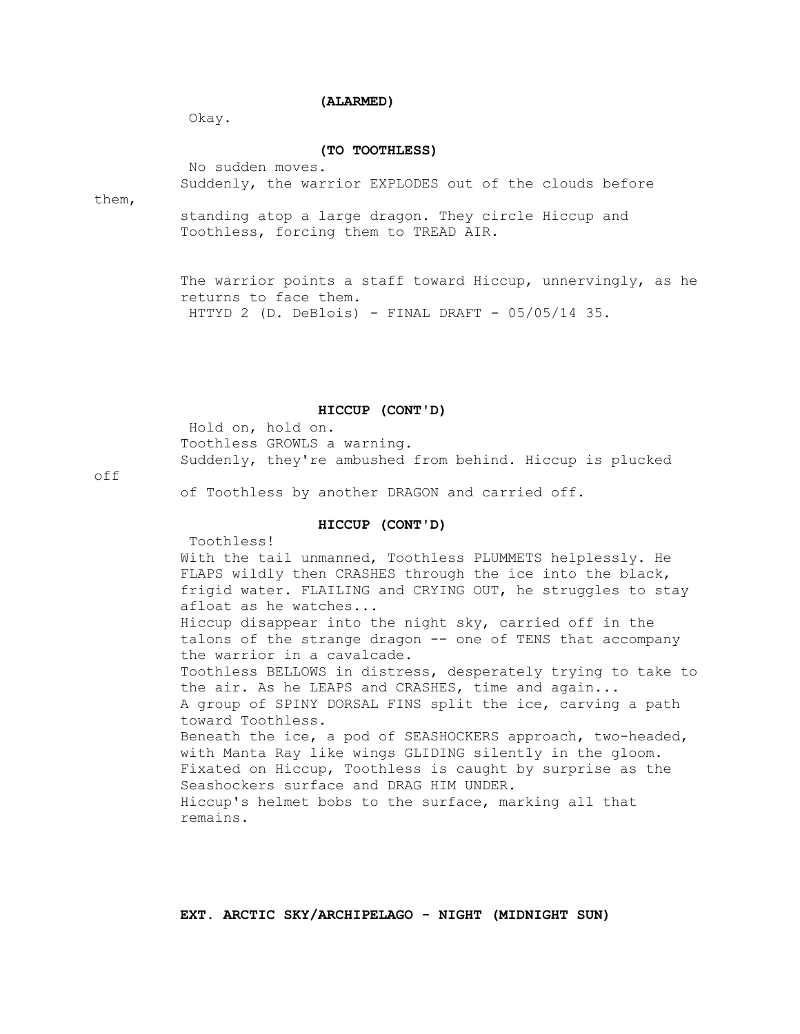## **(ALARMED)**

Okay.

## **(TO TOOTHLESS)**

No sudden moves.

Suddenly, the warrior EXPLODES out of the clouds before

them,

 standing atop a large dragon. They circle Hiccup and Toothless, forcing them to TREAD AIR.

 The warrior points a staff toward Hiccup, unnervingly, as he returns to face them. HTTYD 2 (D. DeBlois) - FINAL DRAFT -  $05/05/14$  35.

### **HICCUP (CONT'D)**

 Hold on, hold on. Toothless GROWLS a warning. Suddenly, they're ambushed from behind. Hiccup is plucked

off

of Toothless by another DRAGON and carried off.

## **HICCUP (CONT'D)**

 Toothless! With the tail unmanned, Toothless PLUMMETS helplessly. He FLAPS wildly then CRASHES through the ice into the black, frigid water. FLAILING and CRYING OUT, he struggles to stay afloat as he watches... Hiccup disappear into the night sky, carried off in the talons of the strange dragon -- one of TENS that accompany the warrior in a cavalcade. Toothless BELLOWS in distress, desperately trying to take to the air. As he LEAPS and CRASHES, time and again... A group of SPINY DORSAL FINS split the ice, carving a path toward Toothless. Beneath the ice, a pod of SEASHOCKERS approach, two-headed, with Manta Ray like wings GLIDING silently in the gloom. Fixated on Hiccup, Toothless is caught by surprise as the Seashockers surface and DRAG HIM UNDER. Hiccup's helmet bobs to the surface, marking all that remains.

 **EXT. ARCTIC SKY/ARCHIPELAGO - NIGHT (MIDNIGHT SUN)**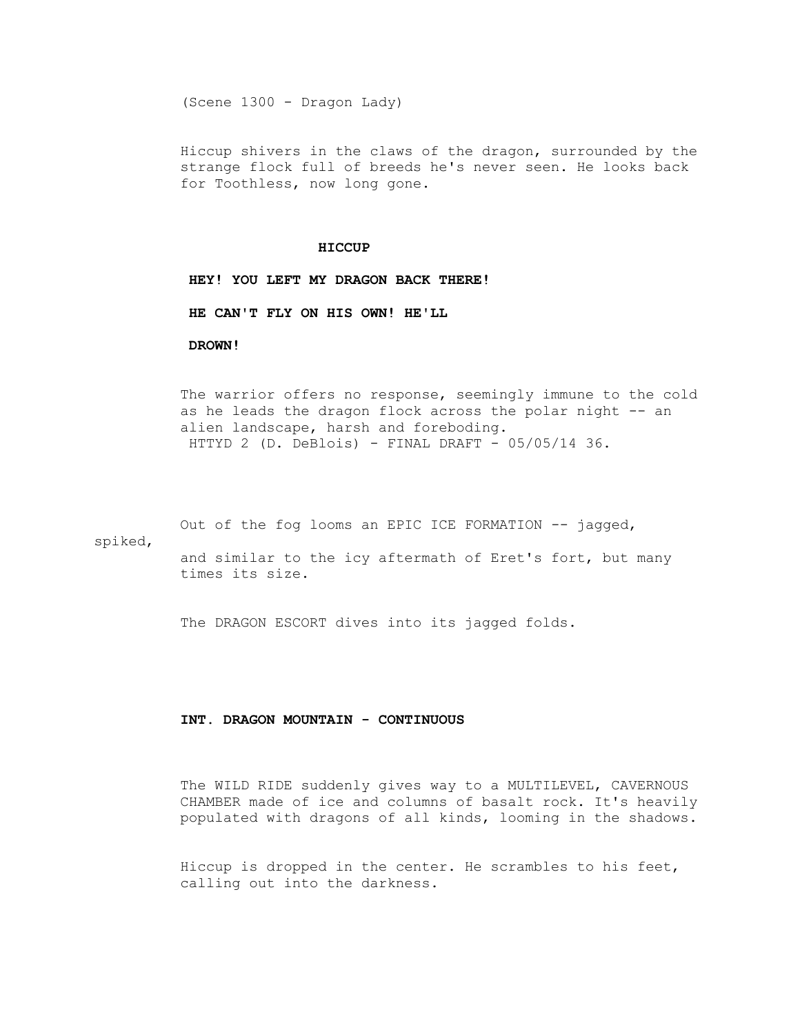(Scene 1300 - Dragon Lady)

 Hiccup shivers in the claws of the dragon, surrounded by the strange flock full of breeds he's never seen. He looks back for Toothless, now long gone.

#### **HICCUP**

 **HEY! YOU LEFT MY DRAGON BACK THERE!**

 **HE CAN'T FLY ON HIS OWN! HE'LL**

## **DROWN!**

 The warrior offers no response, seemingly immune to the cold as he leads the dragon flock across the polar night -- an alien landscape, harsh and foreboding. HTTYD 2 (D. DeBlois) - FINAL DRAFT - 05/05/14 36.

Out of the fog looms an EPIC ICE FORMATION -- jagged, spiked, and similar to the icy aftermath of Eret's fort, but many times its size.

The DRAGON ESCORT dives into its jagged folds.

 **INT. DRAGON MOUNTAIN - CONTINUOUS**

 The WILD RIDE suddenly gives way to a MULTILEVEL, CAVERNOUS CHAMBER made of ice and columns of basalt rock. It's heavily populated with dragons of all kinds, looming in the shadows.

 Hiccup is dropped in the center. He scrambles to his feet, calling out into the darkness.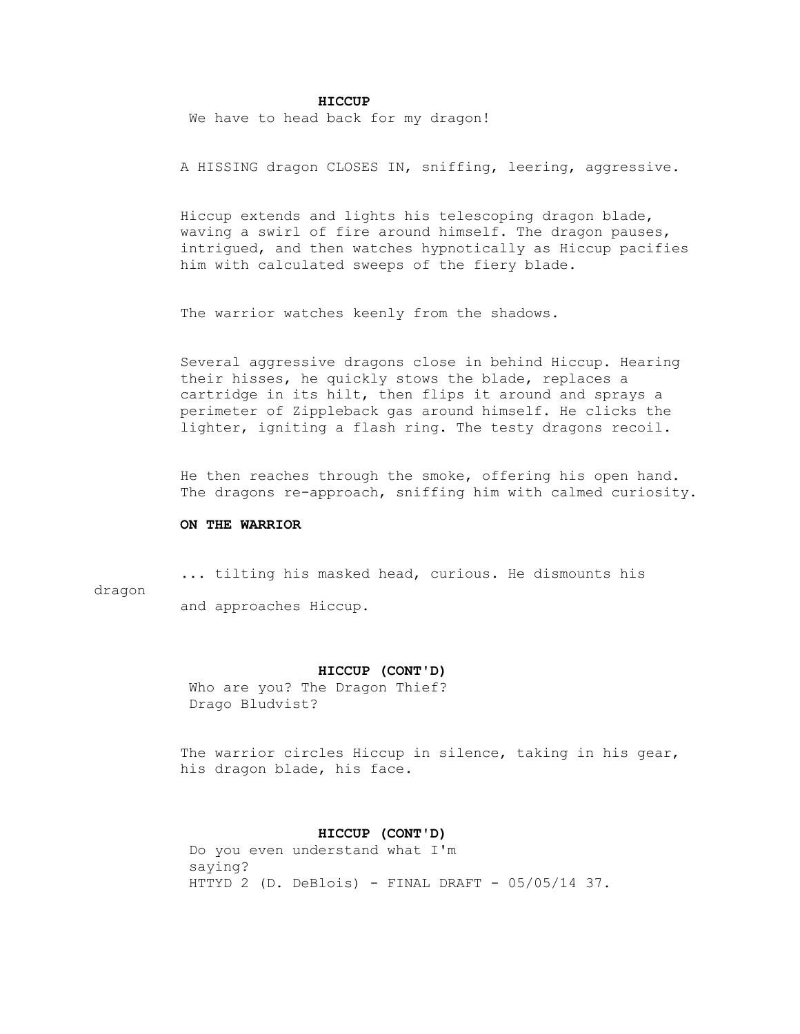#### **HICCUP**

We have to head back for my dragon!

A HISSING dragon CLOSES IN, sniffing, leering, aggressive.

 Hiccup extends and lights his telescoping dragon blade, waving a swirl of fire around himself. The dragon pauses, intrigued, and then watches hypnotically as Hiccup pacifies him with calculated sweeps of the fiery blade.

The warrior watches keenly from the shadows.

 Several aggressive dragons close in behind Hiccup. Hearing their hisses, he quickly stows the blade, replaces a cartridge in its hilt, then flips it around and sprays a perimeter of Zippleback gas around himself. He clicks the lighter, igniting a flash ring. The testy dragons recoil.

 He then reaches through the smoke, offering his open hand. The dragons re-approach, sniffing him with calmed curiosity.

## **ON THE WARRIOR**

 ... tilting his masked head, curious. He dismounts his dragon and approaches Hiccup.

## **HICCUP (CONT'D)**

 Who are you? The Dragon Thief? Drago Bludvist?

 The warrior circles Hiccup in silence, taking in his gear, his dragon blade, his face.

#### **HICCUP (CONT'D)**

 Do you even understand what I'm saying? HTTYD 2 (D. DeBlois) - FINAL DRAFT - 05/05/14 37.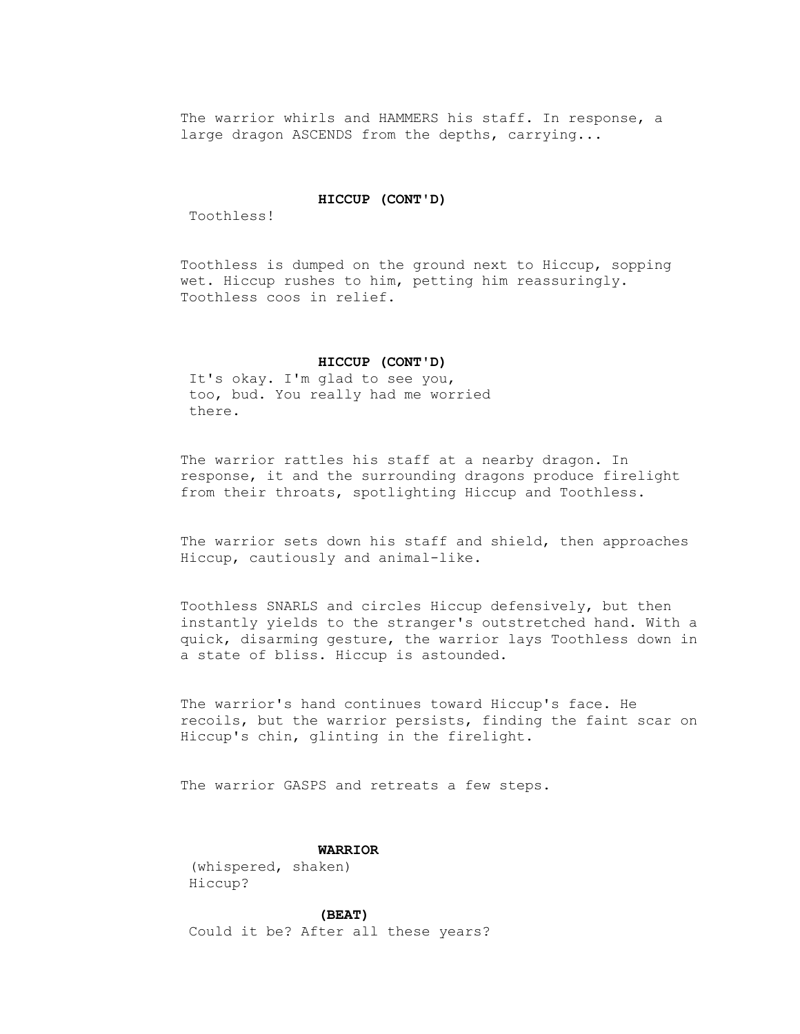The warrior whirls and HAMMERS his staff. In response, a large dragon ASCENDS from the depths, carrying...

#### **HICCUP (CONT'D)**

Toothless!

 Toothless is dumped on the ground next to Hiccup, sopping wet. Hiccup rushes to him, petting him reassuringly. Toothless coos in relief.

#### **HICCUP (CONT'D)**

 It's okay. I'm glad to see you, too, bud. You really had me worried there.

 The warrior rattles his staff at a nearby dragon. In response, it and the surrounding dragons produce firelight from their throats, spotlighting Hiccup and Toothless.

 The warrior sets down his staff and shield, then approaches Hiccup, cautiously and animal-like.

 Toothless SNARLS and circles Hiccup defensively, but then instantly yields to the stranger's outstretched hand. With a quick, disarming gesture, the warrior lays Toothless down in a state of bliss. Hiccup is astounded.

 The warrior's hand continues toward Hiccup's face. He recoils, but the warrior persists, finding the faint scar on Hiccup's chin, glinting in the firelight.

The warrior GASPS and retreats a few steps.

## **WARRIOR**

 (whispered, shaken) Hiccup?

 **(BEAT)** Could it be? After all these years?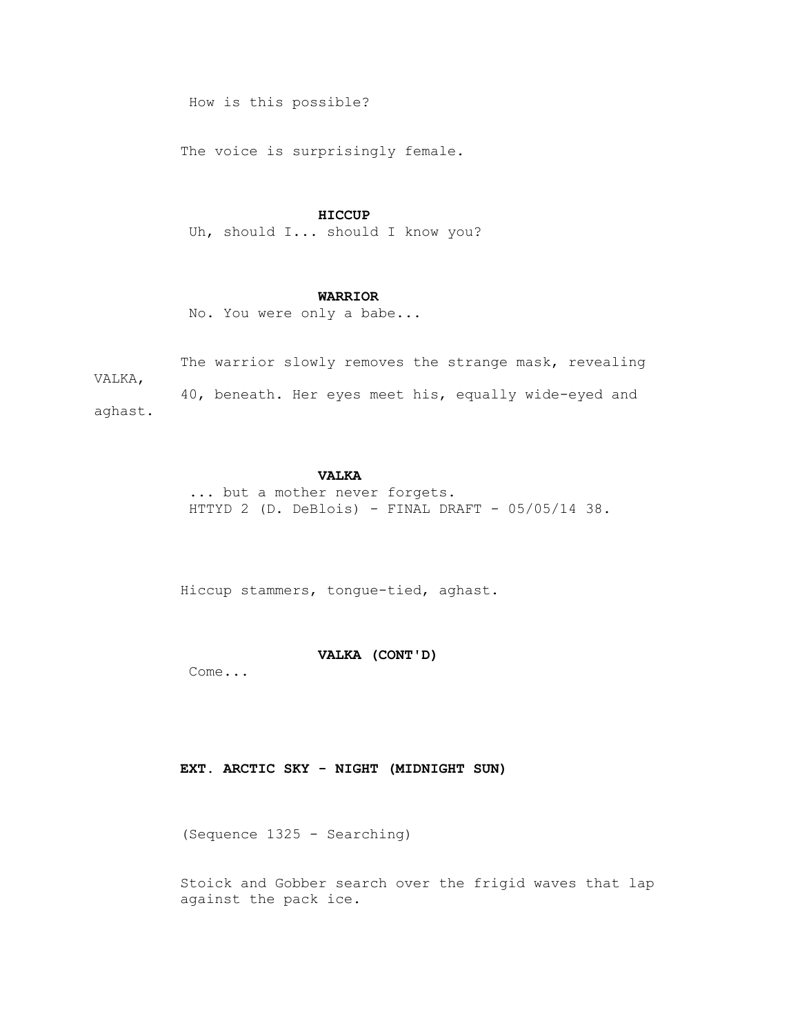How is this possible?

The voice is surprisingly female.

## **HICCUP**

Uh, should I... should I know you?

### **WARRIOR**

No. You were only a babe...

The warrior slowly removes the strange mask, revealing VALKA, 40, beneath. Her eyes meet his, equally wide-eyed and aghast.

## **VALKA**

 ... but a mother never forgets. HTTYD 2 (D. DeBlois) - FINAL DRAFT - 05/05/14 38.

Hiccup stammers, tongue-tied, aghast.

## **VALKA (CONT'D)**

Come...

## **EXT. ARCTIC SKY - NIGHT (MIDNIGHT SUN)**

(Sequence 1325 - Searching)

 Stoick and Gobber search over the frigid waves that lap against the pack ice.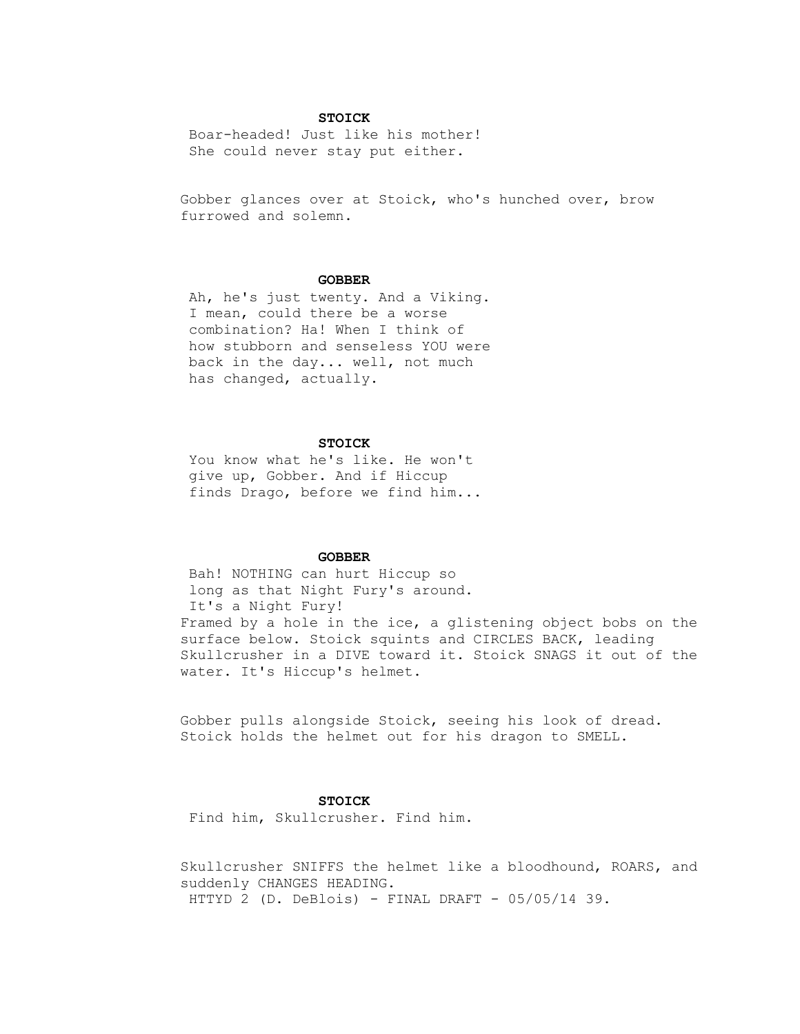#### **STOICK**

 Boar-headed! Just like his mother! She could never stay put either.

 Gobber glances over at Stoick, who's hunched over, brow furrowed and solemn.

## **GOBBER**

 Ah, he's just twenty. And a Viking. I mean, could there be a worse combination? Ha! When I think of how stubborn and senseless YOU were back in the day... well, not much has changed, actually.

### **STOICK**

 You know what he's like. He won't give up, Gobber. And if Hiccup finds Drago, before we find him...

#### **GOBBER**

 Bah! NOTHING can hurt Hiccup so long as that Night Fury's around. It's a Night Fury! Framed by a hole in the ice, a glistening object bobs on the surface below. Stoick squints and CIRCLES BACK, leading Skullcrusher in a DIVE toward it. Stoick SNAGS it out of the water. It's Hiccup's helmet.

 Gobber pulls alongside Stoick, seeing his look of dread. Stoick holds the helmet out for his dragon to SMELL.

## **STOICK**

Find him, Skullcrusher. Find him.

 Skullcrusher SNIFFS the helmet like a bloodhound, ROARS, and suddenly CHANGES HEADING. HTTYD 2 (D. DeBlois) - FINAL DRAFT -  $05/05/14$  39.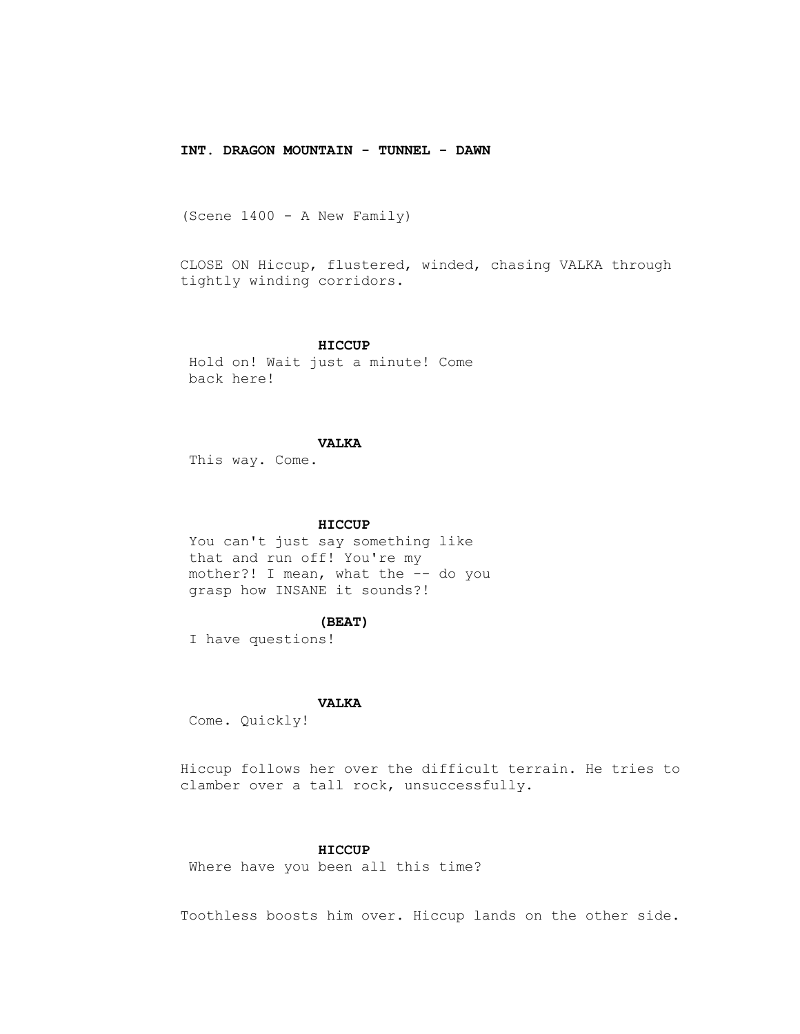## **INT. DRAGON MOUNTAIN - TUNNEL - DAWN**

(Scene 1400 - A New Family)

 CLOSE ON Hiccup, flustered, winded, chasing VALKA through tightly winding corridors.

#### **HICCUP**

 Hold on! Wait just a minute! Come back here!

#### **VALKA**

This way. Come.

## **HICCUP**

 You can't just say something like that and run off! You're my mother?! I mean, what the -- do you grasp how INSANE it sounds?!

#### **(BEAT)**

I have questions!

#### **VALKA**

Come. Quickly!

 Hiccup follows her over the difficult terrain. He tries to clamber over a tall rock, unsuccessfully.

## **HICCUP**

Where have you been all this time?

Toothless boosts him over. Hiccup lands on the other side.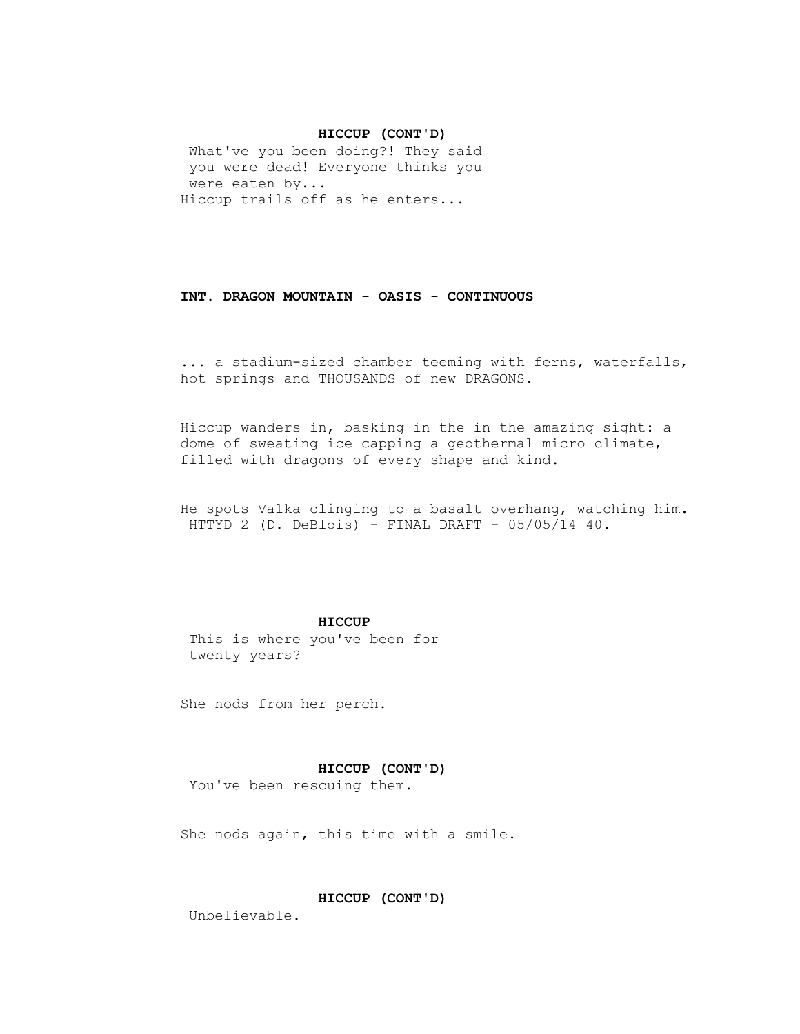#### **HICCUP (CONT'D)**

 What've you been doing?! They said you were dead! Everyone thinks you were eaten by... Hiccup trails off as he enters...

## **INT. DRAGON MOUNTAIN - OASIS - CONTINUOUS**

 ... a stadium-sized chamber teeming with ferns, waterfalls, hot springs and THOUSANDS of new DRAGONS.

 Hiccup wanders in, basking in the in the amazing sight: a dome of sweating ice capping a geothermal micro climate, filled with dragons of every shape and kind.

 He spots Valka clinging to a basalt overhang, watching him. HTTYD 2 (D. DeBlois) - FINAL DRAFT - 05/05/14 40.

## **HICCUP**

 This is where you've been for twenty years?

She nods from her perch.

## **HICCUP (CONT'D)**

You've been rescuing them.

She nods again, this time with a smile.

## **HICCUP (CONT'D)**

Unbelievable.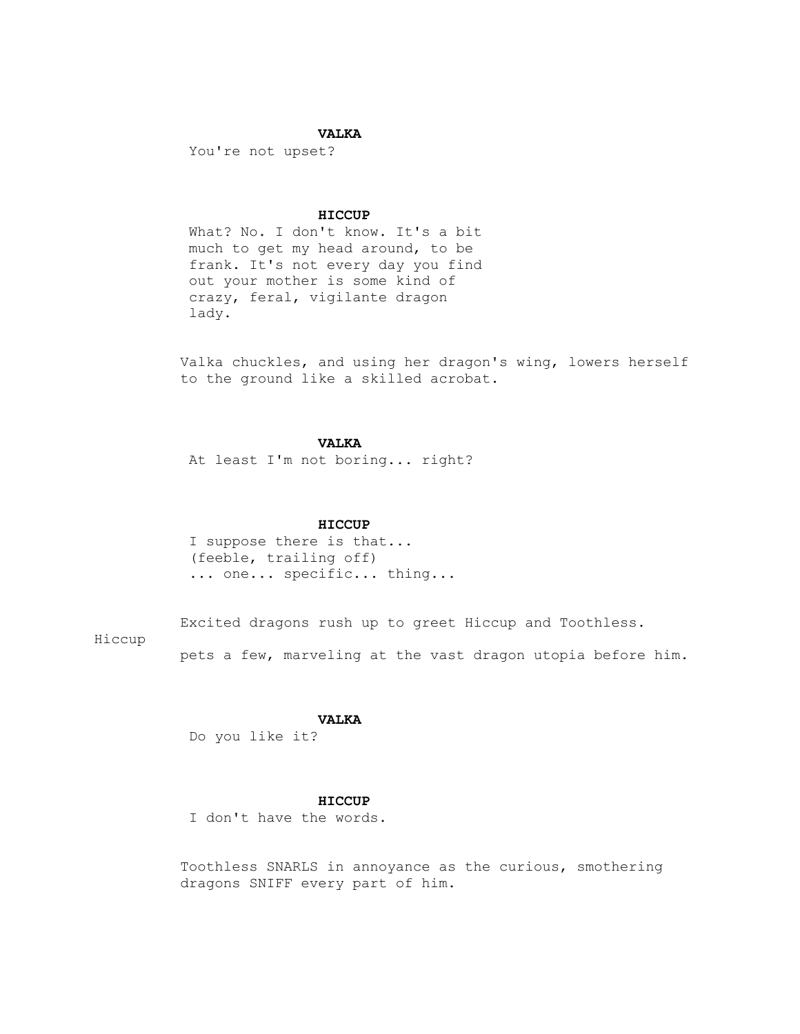#### **VALKA**

You're not upset?

#### **HICCUP**

 What? No. I don't know. It's a bit much to get my head around, to be frank. It's not every day you find out your mother is some kind of crazy, feral, vigilante dragon lady.

 Valka chuckles, and using her dragon's wing, lowers herself to the ground like a skilled acrobat.

#### **VALKA**

At least I'm not boring... right?

#### **HICCUP**

 I suppose there is that... (feeble, trailing off) ... one... specific... thing...

Excited dragons rush up to greet Hiccup and Toothless.

## Hiccup

pets a few, marveling at the vast dragon utopia before him.

## **VALKA**

Do you like it?

## **HICCUP**

I don't have the words.

 Toothless SNARLS in annoyance as the curious, smothering dragons SNIFF every part of him.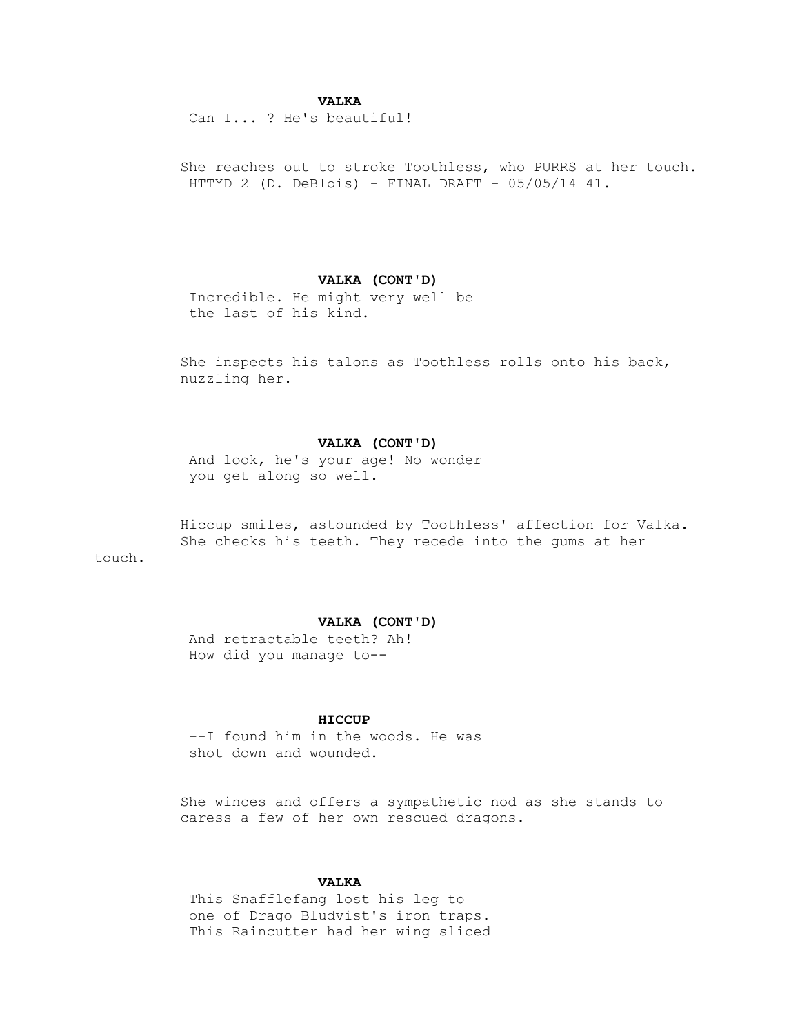#### **VALKA**

Can I... ? He's beautiful!

 She reaches out to stroke Toothless, who PURRS at her touch. HTTYD 2 (D. DeBlois) - FINAL DRAFT - 05/05/14 41.

## **VALKA (CONT'D)**

 Incredible. He might very well be the last of his kind.

 She inspects his talons as Toothless rolls onto his back, nuzzling her.

## **VALKA (CONT'D)**

 And look, he's your age! No wonder you get along so well.

 Hiccup smiles, astounded by Toothless' affection for Valka. She checks his teeth. They recede into the gums at her

touch.

## **VALKA (CONT'D)**

 And retractable teeth? Ah! How did you manage to--

## **HICCUP**

 --I found him in the woods. He was shot down and wounded.

 She winces and offers a sympathetic nod as she stands to caress a few of her own rescued dragons.

## **VALKA**

 This Snafflefang lost his leg to one of Drago Bludvist's iron traps. This Raincutter had her wing sliced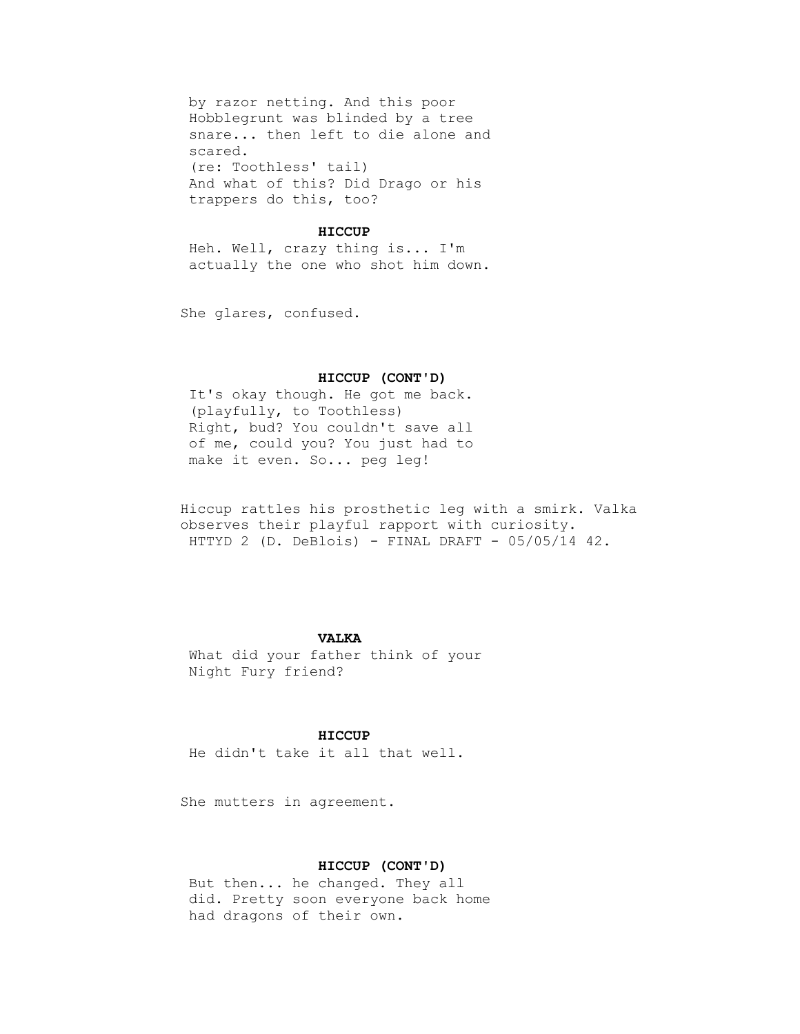by razor netting. And this poor Hobblegrunt was blinded by a tree snare... then left to die alone and scared. (re: Toothless' tail) And what of this? Did Drago or his trappers do this, too?

### **HICCUP**

 Heh. Well, crazy thing is... I'm actually the one who shot him down.

She glares, confused.

## **HICCUP (CONT'D)**

 It's okay though. He got me back. (playfully, to Toothless) Right, bud? You couldn't save all of me, could you? You just had to make it even. So... peg leg!

 Hiccup rattles his prosthetic leg with a smirk. Valka observes their playful rapport with curiosity. HTTYD 2 (D. DeBlois) - FINAL DRAFT - 05/05/14 42.

## **VALKA**

 What did your father think of your Night Fury friend?

#### **HICCUP**

He didn't take it all that well.

She mutters in agreement.

## **HICCUP (CONT'D)**

 But then... he changed. They all did. Pretty soon everyone back home had dragons of their own.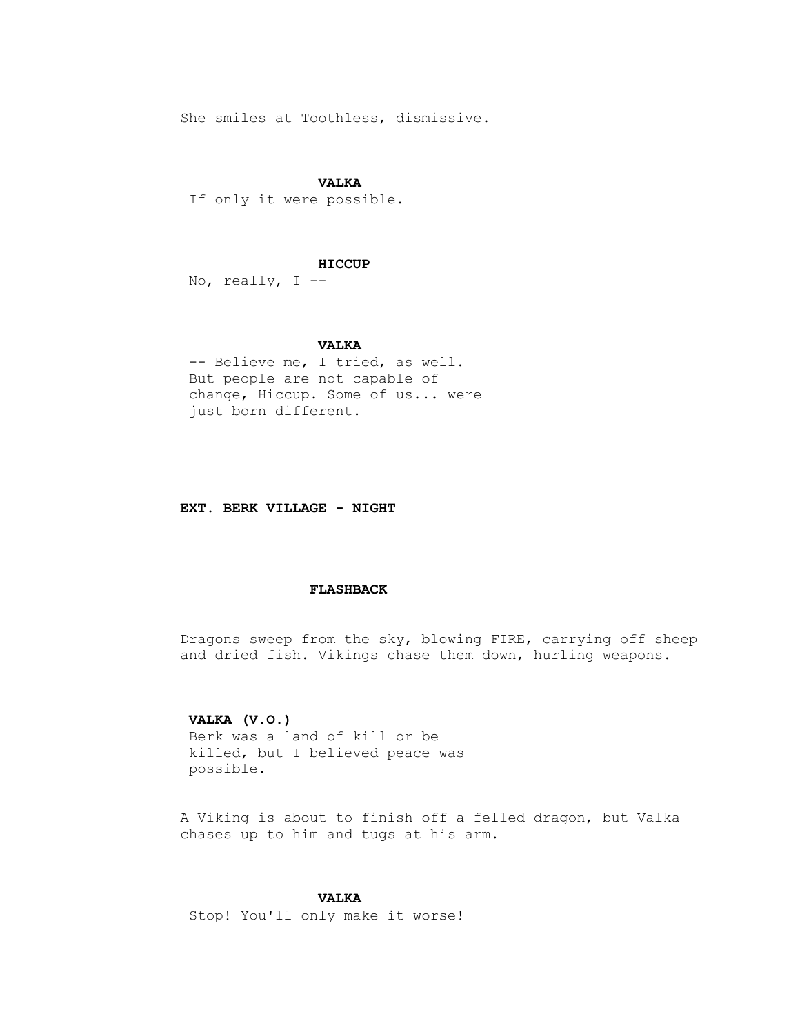She smiles at Toothless, dismissive.

#### **VALKA**

If only it were possible.

#### **HICCUP**

No, really, I --

 **VALKA**

 -- Believe me, I tried, as well. But people are not capable of change, Hiccup. Some of us... were just born different.

 **EXT. BERK VILLAGE - NIGHT**

## **FLASHBACK**

 Dragons sweep from the sky, blowing FIRE, carrying off sheep and dried fish. Vikings chase them down, hurling weapons.

## **VALKA (V.O.)**

 Berk was a land of kill or be killed, but I believed peace was possible.

 A Viking is about to finish off a felled dragon, but Valka chases up to him and tugs at his arm.

## **VALKA**

Stop! You'll only make it worse!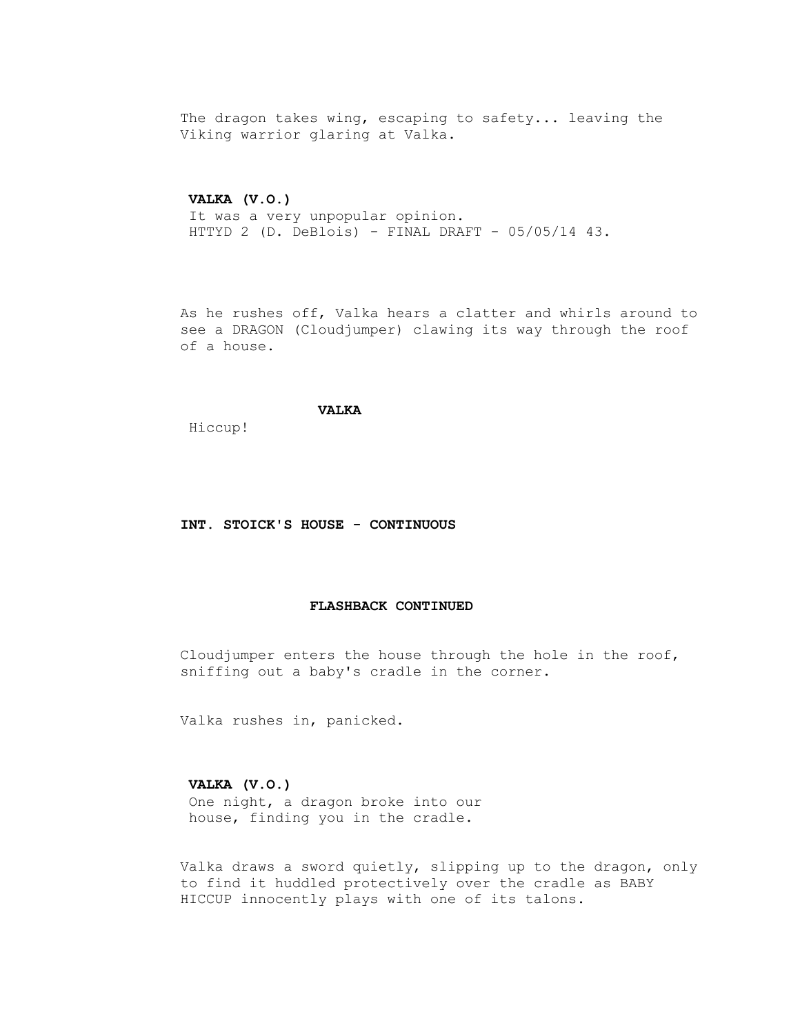The dragon takes wing, escaping to safety... leaving the Viking warrior glaring at Valka.

#### **VALKA (V.O.)**

 It was a very unpopular opinion. HTTYD 2 (D. DeBlois) - FINAL DRAFT - 05/05/14 43.

 As he rushes off, Valka hears a clatter and whirls around to see a DRAGON (Cloudjumper) clawing its way through the roof of a house.

## **VALKA**

Hiccup!

 **INT. STOICK'S HOUSE - CONTINUOUS**

## **FLASHBACK CONTINUED**

 Cloudjumper enters the house through the hole in the roof, sniffing out a baby's cradle in the corner.

Valka rushes in, panicked.

## **VALKA (V.O.)**

 One night, a dragon broke into our house, finding you in the cradle.

 Valka draws a sword quietly, slipping up to the dragon, only to find it huddled protectively over the cradle as BABY HICCUP innocently plays with one of its talons.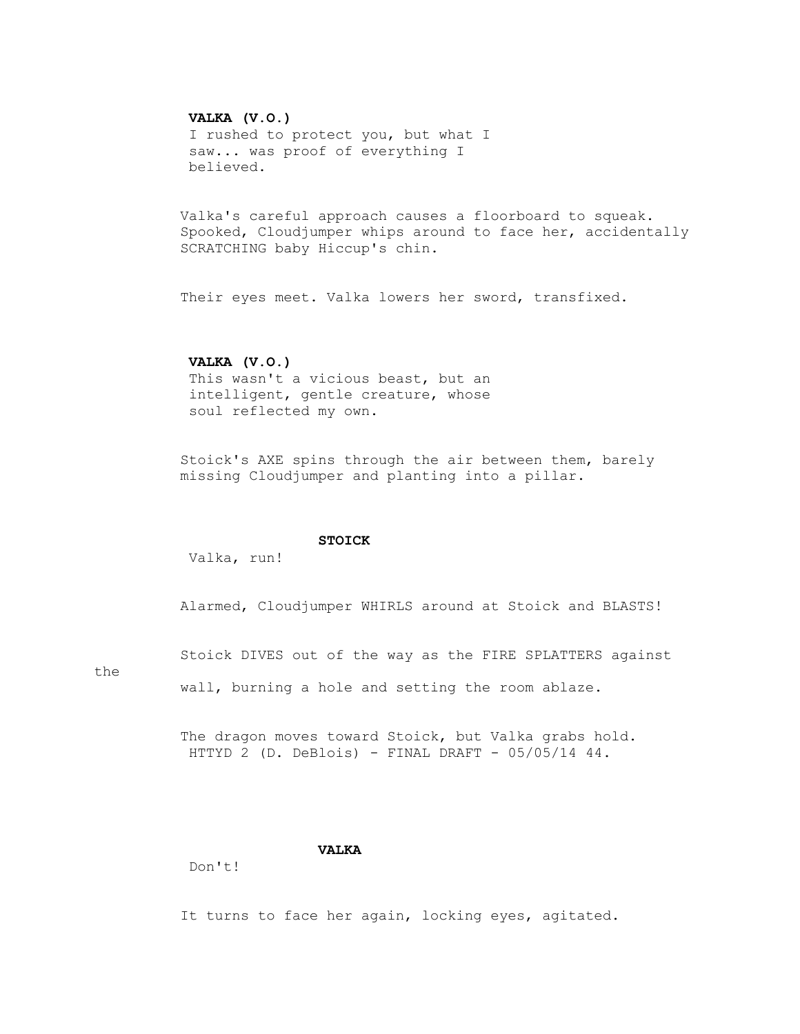**VALKA (V.O.)** I rushed to protect you, but what I saw... was proof of everything I believed.

 Valka's careful approach causes a floorboard to squeak. Spooked, Cloudjumper whips around to face her, accidentally SCRATCHING baby Hiccup's chin.

Their eyes meet. Valka lowers her sword, transfixed.

#### **VALKA (V.O.)**

 This wasn't a vicious beast, but an intelligent, gentle creature, whose soul reflected my own.

 Stoick's AXE spins through the air between them, barely missing Cloudjumper and planting into a pillar.

#### **STOICK**

Valka, run!

Alarmed, Cloudjumper WHIRLS around at Stoick and BLASTS!

Stoick DIVES out of the way as the FIRE SPLATTERS against

the

wall, burning a hole and setting the room ablaze.

 The dragon moves toward Stoick, but Valka grabs hold. HTTYD 2 (D. DeBlois) - FINAL DRAFT - 05/05/14 44.

## **VALKA**

Don't!

It turns to face her again, locking eyes, agitated.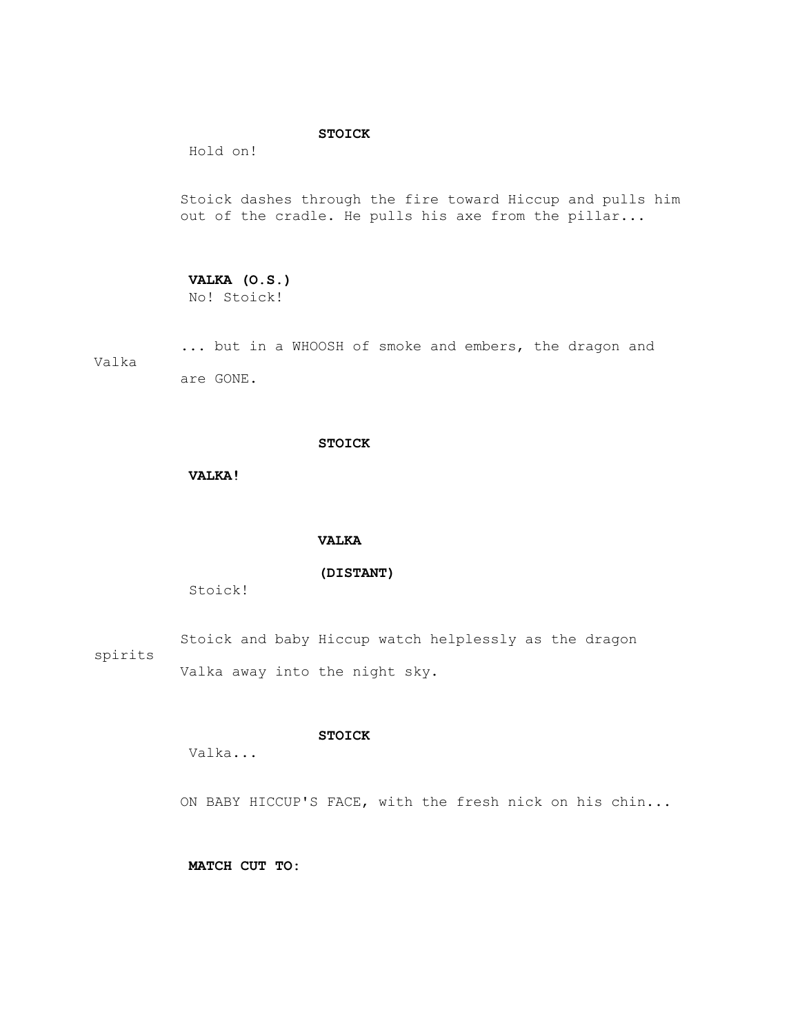#### **STOICK**

Hold on!

 Stoick dashes through the fire toward Hiccup and pulls him out of the cradle. He pulls his axe from the pillar...

# **VALKA (O.S.)**

No! Stoick!

... but in a WHOOSH of smoke and embers, the dragon and Valka are GONE.

## **STOICK**

 **VALKA!**

#### **VALKA**

## **(DISTANT)**

Stoick!

 Stoick and baby Hiccup watch helplessly as the dragon spirits Valka away into the night sky.

## **STOICK**

Valka...

ON BABY HICCUP'S FACE, with the fresh nick on his chin...

## **MATCH CUT TO:**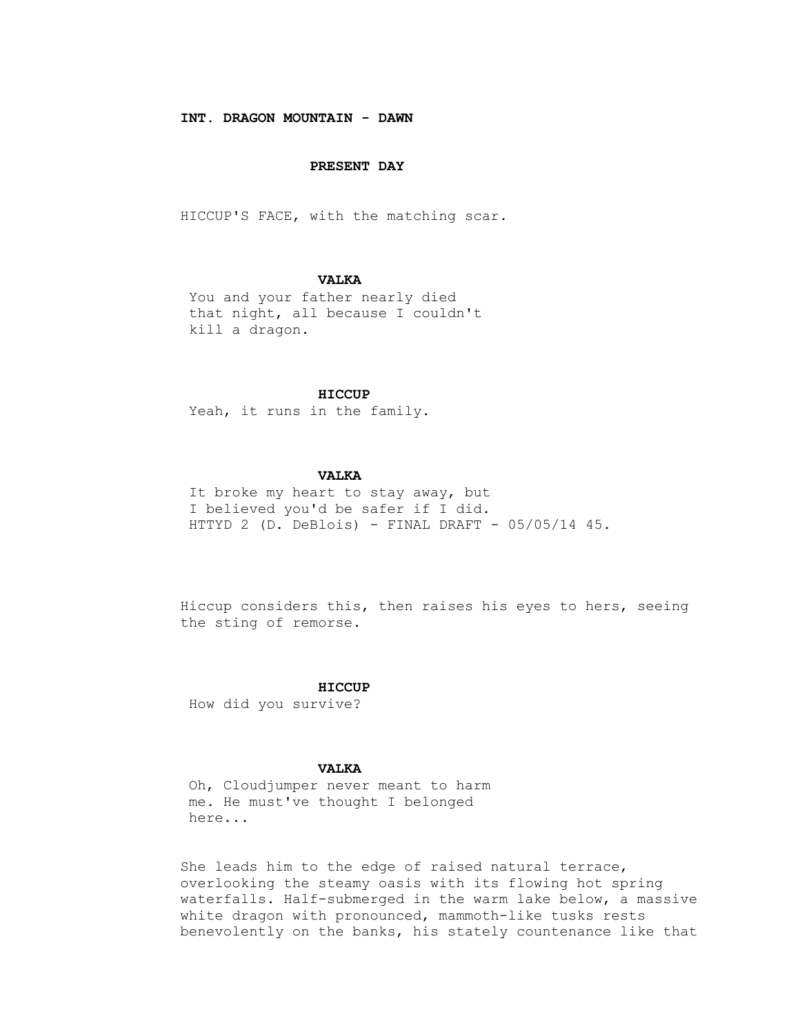## **INT. DRAGON MOUNTAIN - DAWN**

## **PRESENT DAY**

HICCUP'S FACE, with the matching scar.

## **VALKA**

 You and your father nearly died that night, all because I couldn't kill a dragon.

#### **HICCUP**

Yeah, it runs in the family.

## **VALKA**

 It broke my heart to stay away, but I believed you'd be safer if I did. HTTYD 2 (D. DeBlois) - FINAL DRAFT - 05/05/14 45.

 Hiccup considers this, then raises his eyes to hers, seeing the sting of remorse.

#### **HICCUP**

How did you survive?

#### **VALKA**

 Oh, Cloudjumper never meant to harm me. He must've thought I belonged here...

 She leads him to the edge of raised natural terrace, overlooking the steamy oasis with its flowing hot spring waterfalls. Half-submerged in the warm lake below, a massive white dragon with pronounced, mammoth-like tusks rests benevolently on the banks, his stately countenance like that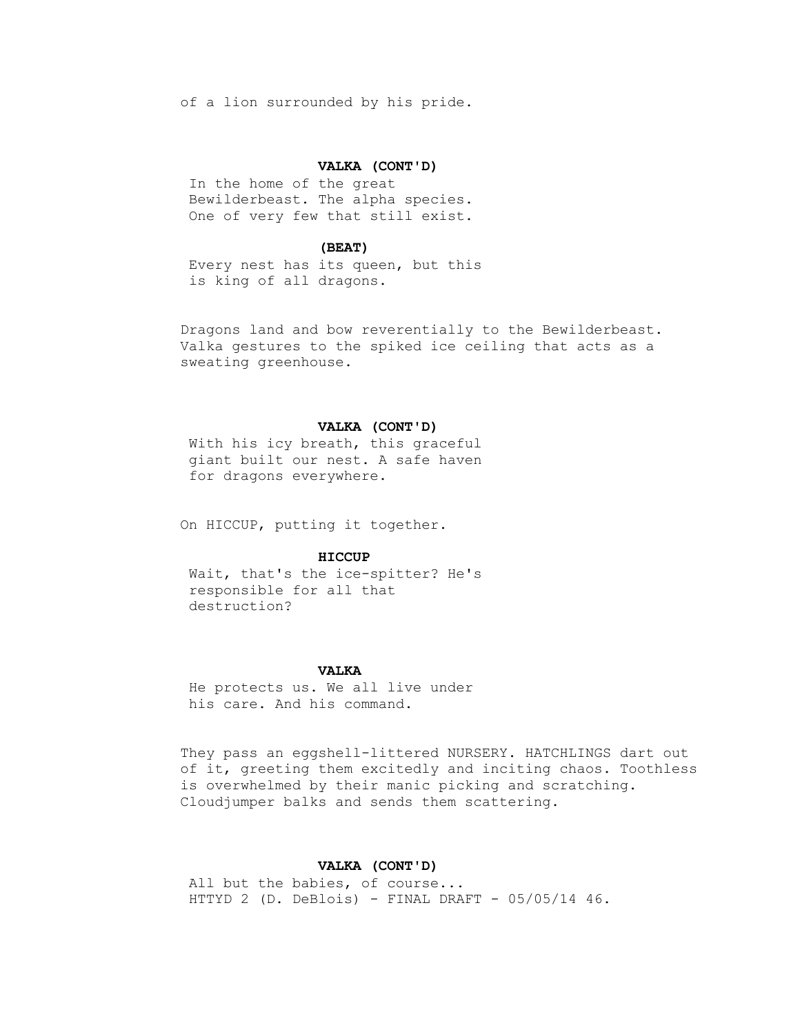of a lion surrounded by his pride.

## **VALKA (CONT'D)**

 In the home of the great Bewilderbeast. The alpha species. One of very few that still exist.

#### **(BEAT)**

 Every nest has its queen, but this is king of all dragons.

 Dragons land and bow reverentially to the Bewilderbeast. Valka gestures to the spiked ice ceiling that acts as a sweating greenhouse.

## **VALKA (CONT'D)**

 With his icy breath, this graceful giant built our nest. A safe haven for dragons everywhere.

On HICCUP, putting it together.

## **HICCUP**

 Wait, that's the ice-spitter? He's responsible for all that destruction?

#### **VALKA**

 He protects us. We all live under his care. And his command.

 They pass an eggshell-littered NURSERY. HATCHLINGS dart out of it, greeting them excitedly and inciting chaos. Toothless is overwhelmed by their manic picking and scratching. Cloudjumper balks and sends them scattering.

## **VALKA (CONT'D)**

All but the babies, of course... HTTYD 2 (D. DeBlois) - FINAL DRAFT - 05/05/14 46.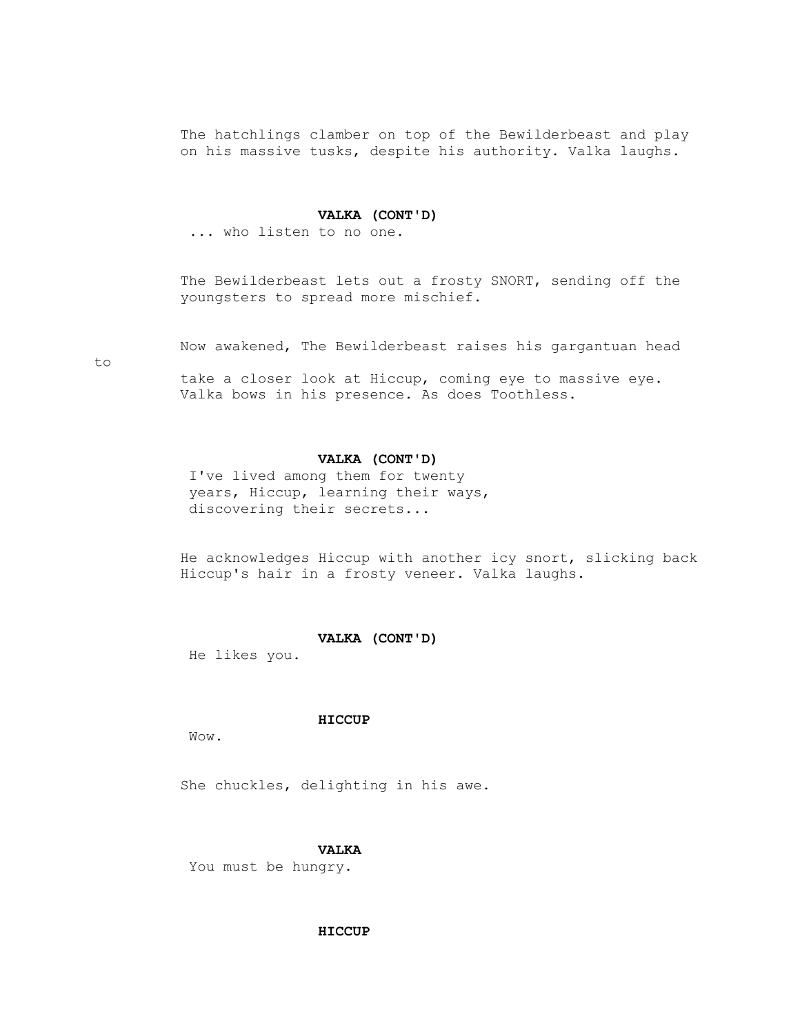The hatchlings clamber on top of the Bewilderbeast and play on his massive tusks, despite his authority. Valka laughs.

## **VALKA (CONT'D)**

... who listen to no one.

 The Bewilderbeast lets out a frosty SNORT, sending off the youngsters to spread more mischief.

to

Now awakened, The Bewilderbeast raises his gargantuan head

 take a closer look at Hiccup, coming eye to massive eye. Valka bows in his presence. As does Toothless.

## **VALKA (CONT'D)**

 I've lived among them for twenty years, Hiccup, learning their ways, discovering their secrets...

 He acknowledges Hiccup with another icy snort, slicking back Hiccup's hair in a frosty veneer. Valka laughs.

## **VALKA (CONT'D)**

He likes you.

#### **HICCUP**

Wow.

She chuckles, delighting in his awe.

## **VALKA**

You must be hungry.

#### **HICCUP**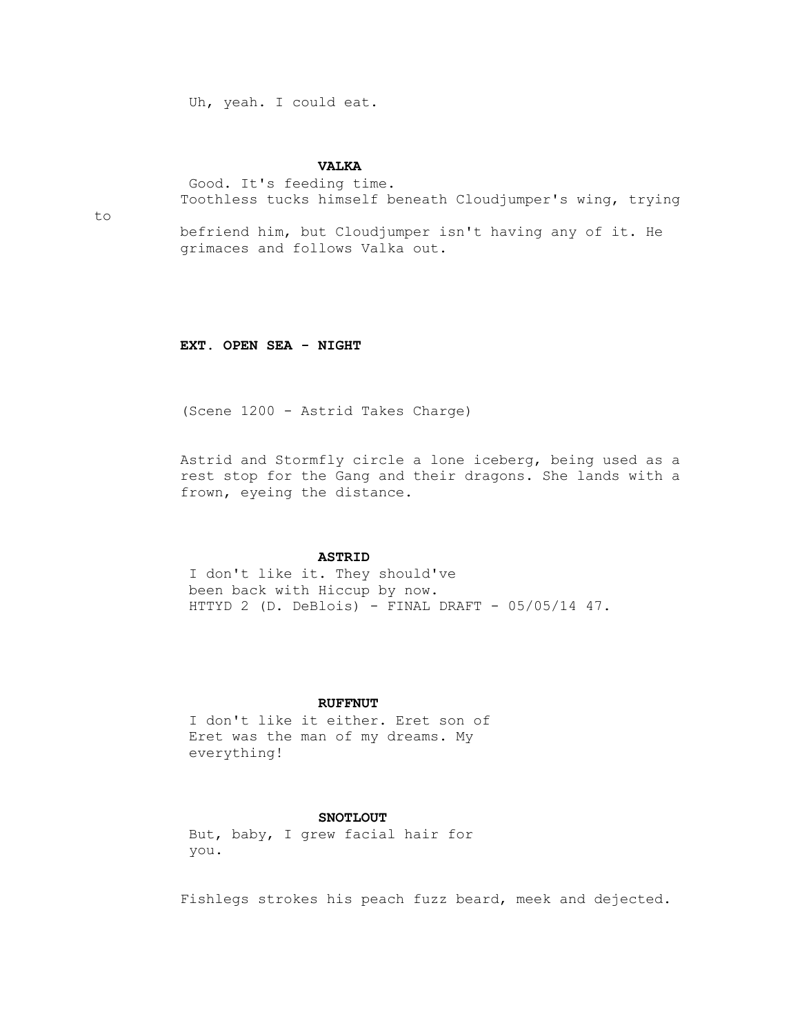Uh, yeah. I could eat.

## **VALKA**

 Good. It's feeding time. Toothless tucks himself beneath Cloudjumper's wing, trying

to

 befriend him, but Cloudjumper isn't having any of it. He grimaces and follows Valka out.

 **EXT. OPEN SEA - NIGHT**

(Scene 1200 - Astrid Takes Charge)

 Astrid and Stormfly circle a lone iceberg, being used as a rest stop for the Gang and their dragons. She lands with a frown, eyeing the distance.

## **ASTRID**

 I don't like it. They should've been back with Hiccup by now. HTTYD 2 (D. DeBlois) - FINAL DRAFT - 05/05/14 47.

#### **RUFFNUT**

 I don't like it either. Eret son of Eret was the man of my dreams. My everything!

## **SNOTLOUT**

 But, baby, I grew facial hair for you.

Fishlegs strokes his peach fuzz beard, meek and dejected.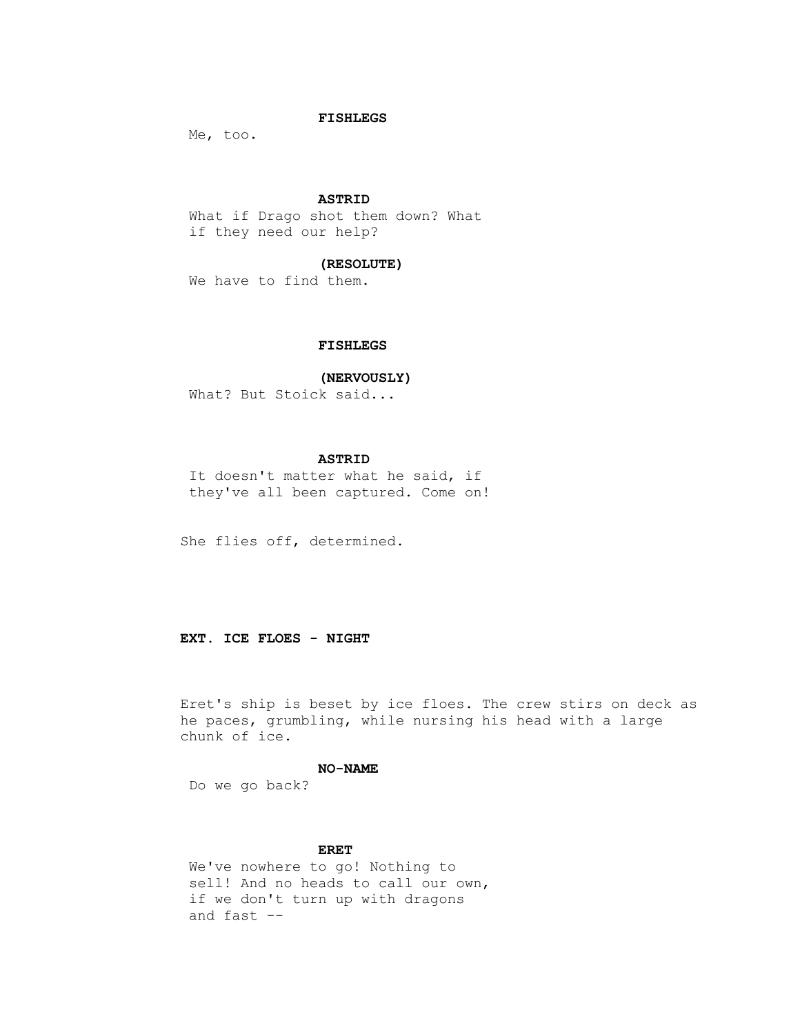### **FISHLEGS**

Me, too.

#### **ASTRID**

 What if Drago shot them down? What if they need our help?

## **(RESOLUTE)**

We have to find them.

## **FISHLEGS**

## **(NERVOUSLY)**

What? But Stoick said...

## **ASTRID**

 It doesn't matter what he said, if they've all been captured. Come on!

She flies off, determined.

## **EXT. ICE FLOES - NIGHT**

 Eret's ship is beset by ice floes. The crew stirs on deck as he paces, grumbling, while nursing his head with a large chunk of ice.

## **NO-NAME**

Do we go back?

## **ERET**

 We've nowhere to go! Nothing to sell! And no heads to call our own, if we don't turn up with dragons and fast --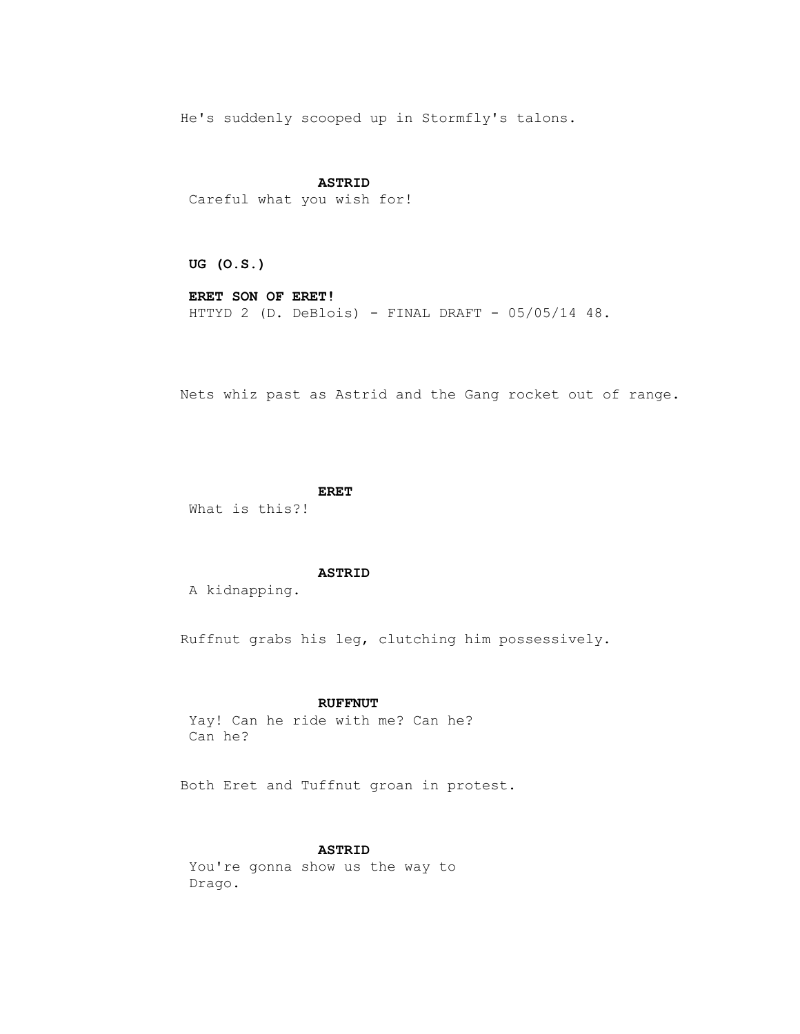He's suddenly scooped up in Stormfly's talons.

## **ASTRID**

Careful what you wish for!

 **UG (O.S.)**

 **ERET SON OF ERET!** HTTYD 2 (D. DeBlois) - FINAL DRAFT - 05/05/14 48.

Nets whiz past as Astrid and the Gang rocket out of range.

 **ERET**

What is this?!

#### **ASTRID**

A kidnapping.

Ruffnut grabs his leg, clutching him possessively.

## **RUFFNUT**

 Yay! Can he ride with me? Can he? Can he?

Both Eret and Tuffnut groan in protest.

## **ASTRID**

 You're gonna show us the way to Drago.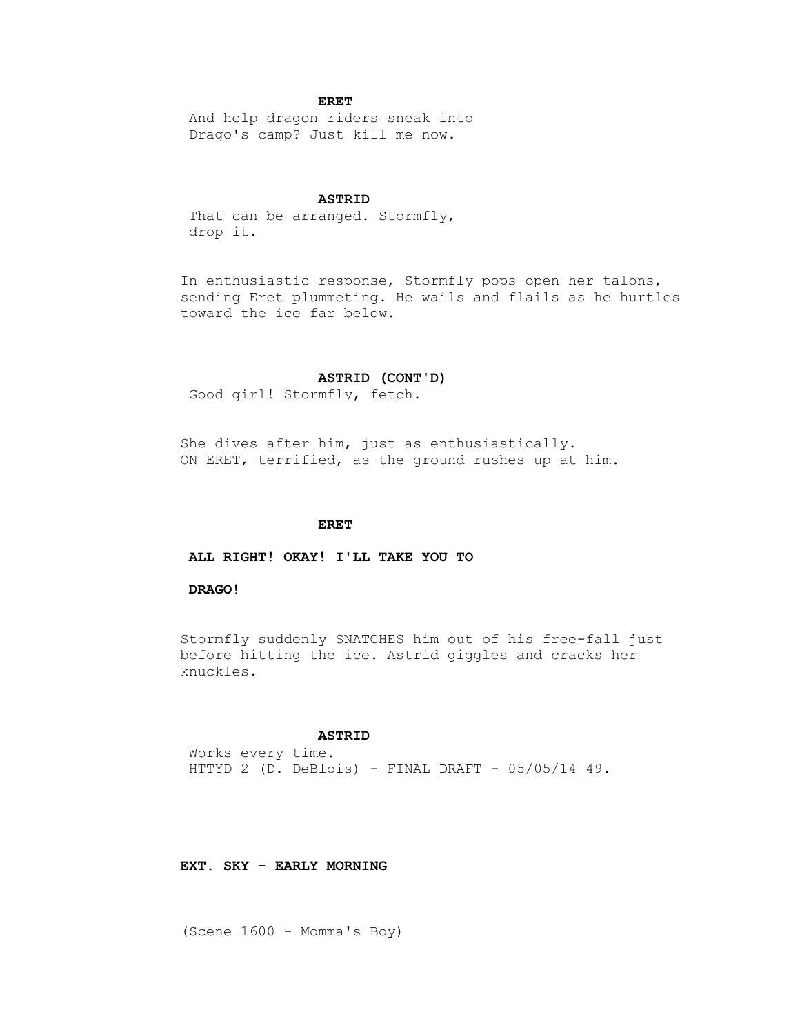#### **ERET**

 And help dragon riders sneak into Drago's camp? Just kill me now.

#### **ASTRID**

That can be arranged. Stormfly, drop it.

 In enthusiastic response, Stormfly pops open her talons, sending Eret plummeting. He wails and flails as he hurtles toward the ice far below.

## **ASTRID (CONT'D)**

Good girl! Stormfly, fetch.

 She dives after him, just as enthusiastically. ON ERET, terrified, as the ground rushes up at him.

#### **ERET**

 **ALL RIGHT! OKAY! I'LL TAKE YOU TO**

## **DRAGO!**

 Stormfly suddenly SNATCHES him out of his free-fall just before hitting the ice. Astrid giggles and cracks her knuckles.

#### **ASTRID**

 Works every time. HTTYD 2 (D. DeBlois) - FINAL DRAFT - 05/05/14 49.

## **EXT. SKY - EARLY MORNING**

(Scene 1600 - Momma's Boy)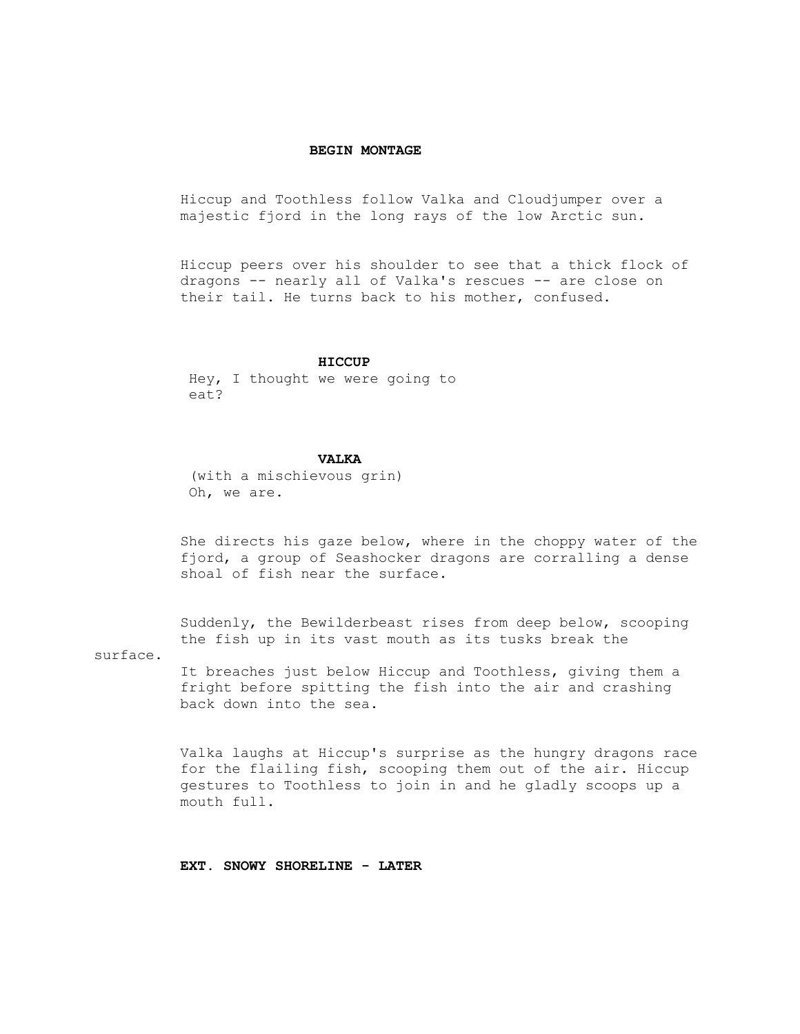# **BEGIN MONTAGE**

 Hiccup and Toothless follow Valka and Cloudjumper over a majestic fjord in the long rays of the low Arctic sun.

 Hiccup peers over his shoulder to see that a thick flock of dragons -- nearly all of Valka's rescues -- are close on their tail. He turns back to his mother, confused.

#### **HICCUP**

 Hey, I thought we were going to eat?

# **VALKA**

 (with a mischievous grin) Oh, we are.

 She directs his gaze below, where in the choppy water of the fjord, a group of Seashocker dragons are corralling a dense shoal of fish near the surface.

 Suddenly, the Bewilderbeast rises from deep below, scooping the fish up in its vast mouth as its tusks break the

surface.

 It breaches just below Hiccup and Toothless, giving them a fright before spitting the fish into the air and crashing back down into the sea.

 Valka laughs at Hiccup's surprise as the hungry dragons race for the flailing fish, scooping them out of the air. Hiccup gestures to Toothless to join in and he gladly scoops up a mouth full.

 **EXT. SNOWY SHORELINE - LATER**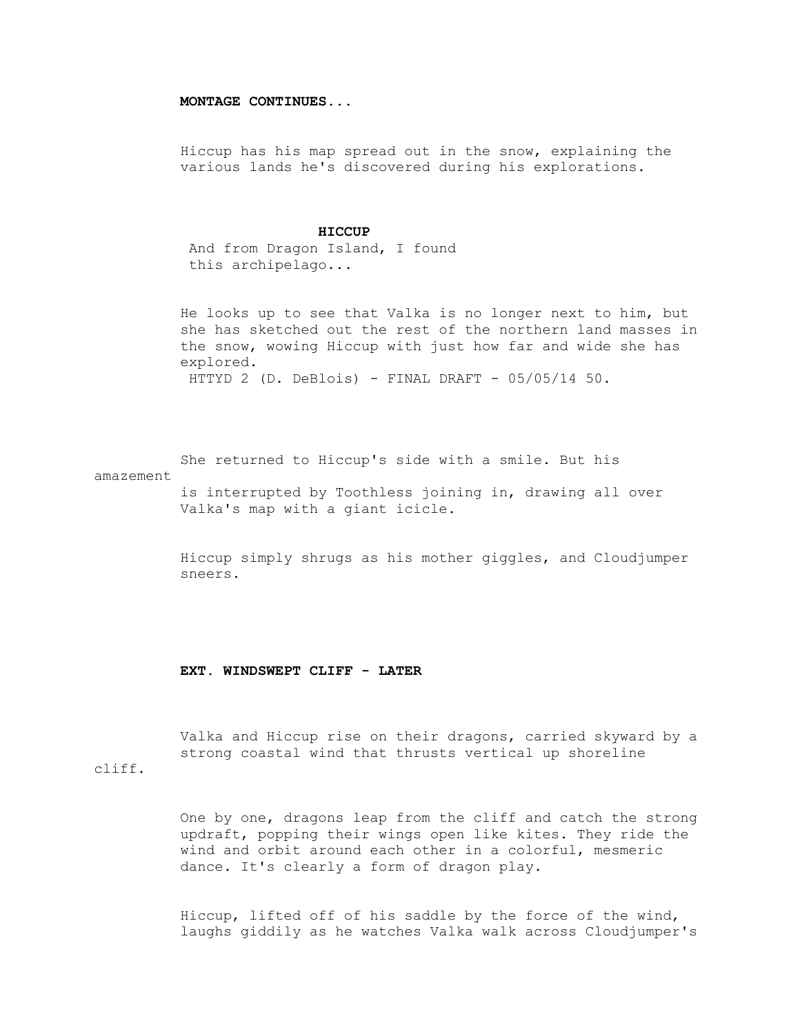# **MONTAGE CONTINUES...**

 Hiccup has his map spread out in the snow, explaining the various lands he's discovered during his explorations.

### **HICCUP**

 And from Dragon Island, I found this archipelago...

 He looks up to see that Valka is no longer next to him, but she has sketched out the rest of the northern land masses in the snow, wowing Hiccup with just how far and wide she has explored. HTTYD 2 (D. DeBlois) - FINAL DRAFT -  $05/05/14$  50.

 She returned to Hiccup's side with a smile. But his amazement is interrupted by Toothless joining in, drawing all over Valka's map with a giant icicle.

> Hiccup simply shrugs as his mother giggles, and Cloudjumper sneers.

### **EXT. WINDSWEPT CLIFF - LATER**

 Valka and Hiccup rise on their dragons, carried skyward by a strong coastal wind that thrusts vertical up shoreline cliff.

> One by one, dragons leap from the cliff and catch the strong updraft, popping their wings open like kites. They ride the wind and orbit around each other in a colorful, mesmeric dance. It's clearly a form of dragon play.

> Hiccup, lifted off of his saddle by the force of the wind, laughs giddily as he watches Valka walk across Cloudjumper's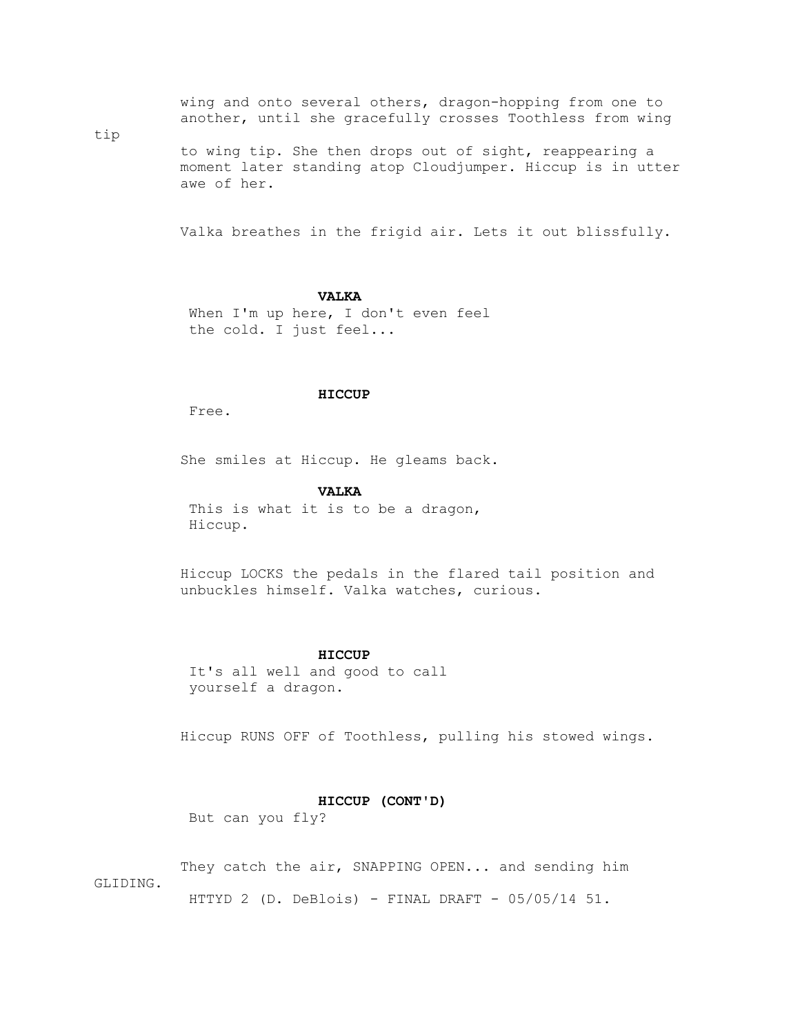wing and onto several others, dragon-hopping from one to another, until she gracefully crosses Toothless from wing

tip

 to wing tip. She then drops out of sight, reappearing a moment later standing atop Cloudjumper. Hiccup is in utter awe of her.

Valka breathes in the frigid air. Lets it out blissfully.

# **VALKA**

 When I'm up here, I don't even feel the cold. I just feel...

#### **HICCUP**

Free.

She smiles at Hiccup. He gleams back.

### **VALKA**

This is what it is to be a dragon, Hiccup.

 Hiccup LOCKS the pedals in the flared tail position and unbuckles himself. Valka watches, curious.

# **HICCUP**

 It's all well and good to call yourself a dragon.

Hiccup RUNS OFF of Toothless, pulling his stowed wings.

# **HICCUP (CONT'D)**

But can you fly?

 They catch the air, SNAPPING OPEN... and sending him GLIDING. HTTYD 2 (D. DeBlois) - FINAL DRAFT - 05/05/14 51.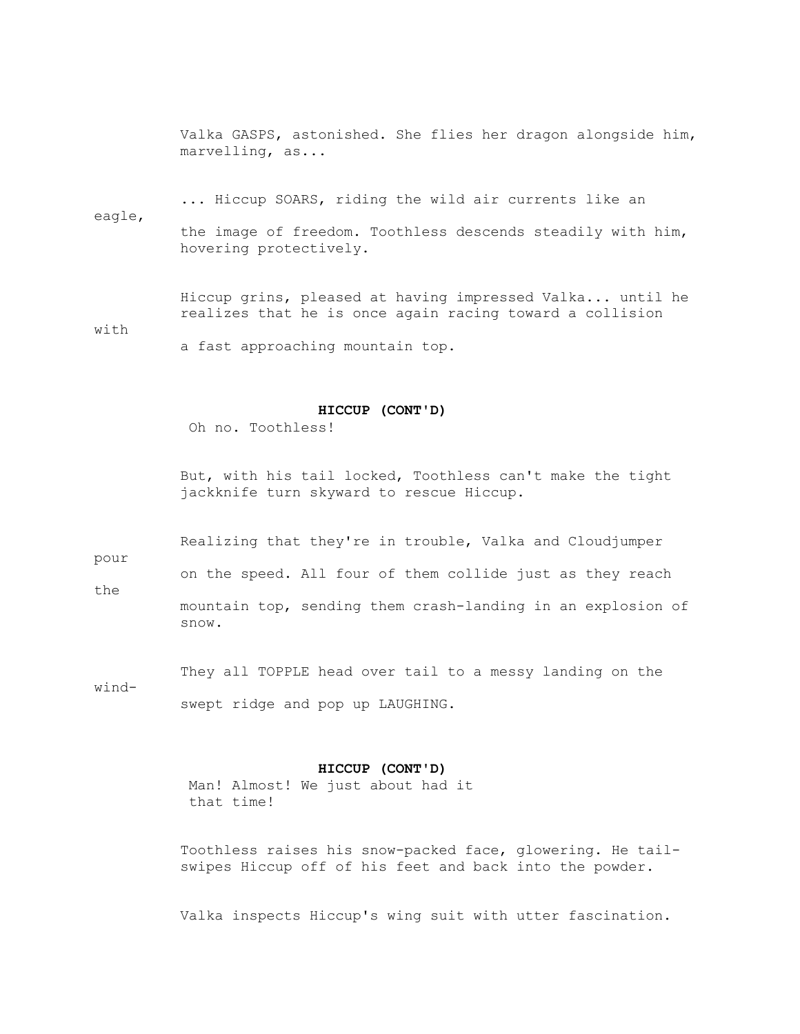Valka GASPS, astonished. She flies her dragon alongside him, marvelling, as...

 ... Hiccup SOARS, riding the wild air currents like an eagle, the image of freedom. Toothless descends steadily with him, hovering protectively.

> Hiccup grins, pleased at having impressed Valka... until he realizes that he is once again racing toward a collision

with

a fast approaching mountain top.

# **HICCUP (CONT'D)**

Oh no. Toothless!

 But, with his tail locked, Toothless can't make the tight jackknife turn skyward to rescue Hiccup.

 Realizing that they're in trouble, Valka and Cloudjumper pour on the speed. All four of them collide just as they reach the mountain top, sending them crash-landing in an explosion of snow.

# They all TOPPLE head over tail to a messy landing on the wind swept ridge and pop up LAUGHING.

# **HICCUP (CONT'D)**

 Man! Almost! We just about had it that time!

 Toothless raises his snow-packed face, glowering. He tail swipes Hiccup off of his feet and back into the powder.

Valka inspects Hiccup's wing suit with utter fascination.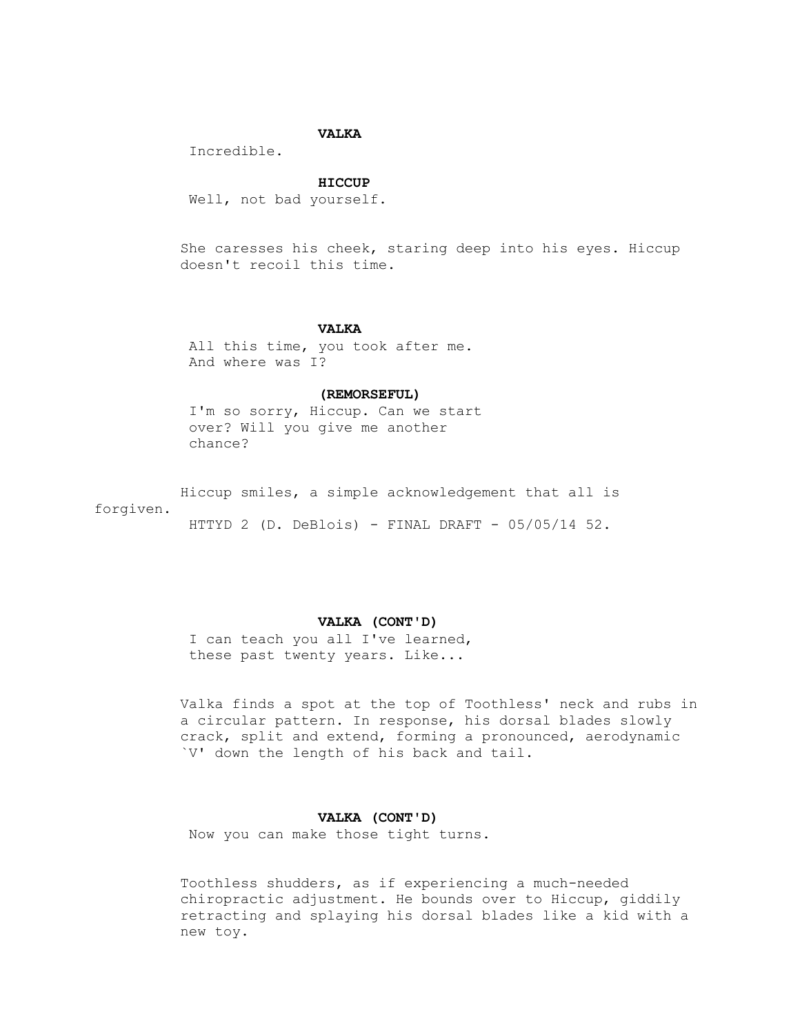#### **VALKA**

Incredible.

# **HICCUP**

Well, not bad yourself.

 She caresses his cheek, staring deep into his eyes. Hiccup doesn't recoil this time.

### **VALKA**

 All this time, you took after me. And where was I?

# **(REMORSEFUL)**

 I'm so sorry, Hiccup. Can we start over? Will you give me another chance?

 Hiccup smiles, a simple acknowledgement that all is forgiven. HTTYD 2 (D. DeBlois) - FINAL DRAFT - 05/05/14 52.

# **VALKA (CONT'D)**

 I can teach you all I've learned, these past twenty years. Like...

 Valka finds a spot at the top of Toothless' neck and rubs in a circular pattern. In response, his dorsal blades slowly crack, split and extend, forming a pronounced, aerodynamic `V' down the length of his back and tail.

# **VALKA (CONT'D)**

Now you can make those tight turns.

 Toothless shudders, as if experiencing a much-needed chiropractic adjustment. He bounds over to Hiccup, giddily retracting and splaying his dorsal blades like a kid with a new toy.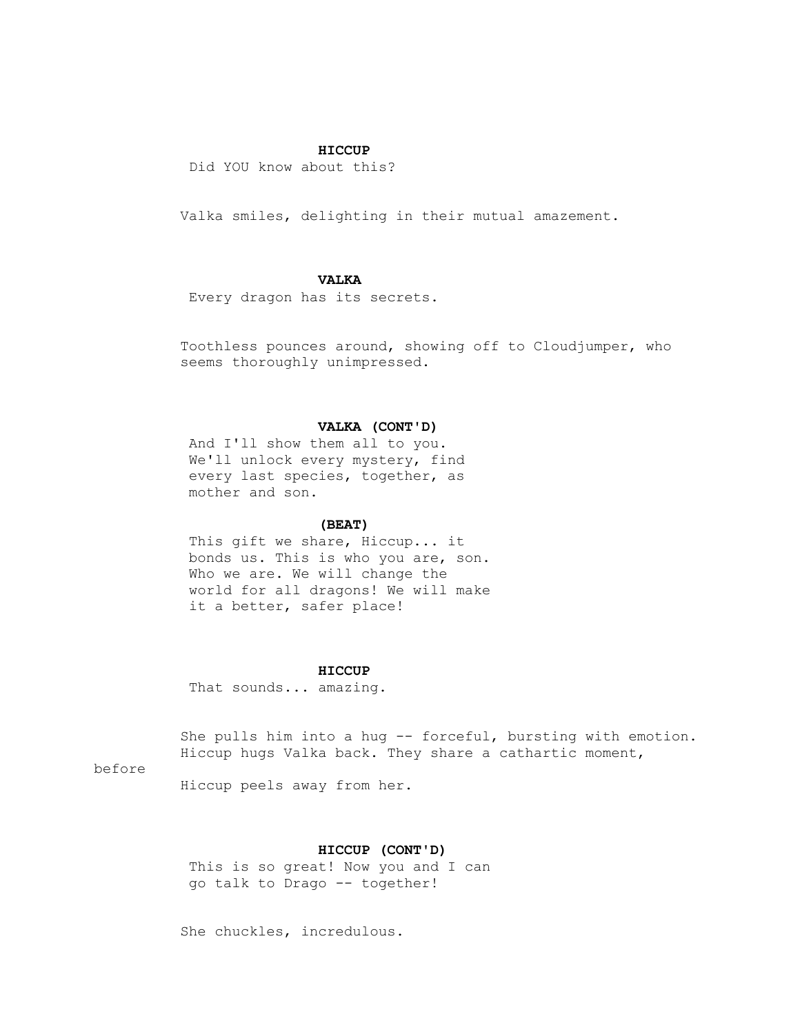### **HICCUP**

Did YOU know about this?

Valka smiles, delighting in their mutual amazement.

# **VALKA**

Every dragon has its secrets.

 Toothless pounces around, showing off to Cloudjumper, who seems thoroughly unimpressed.

# **VALKA (CONT'D)**

 And I'll show them all to you. We'll unlock every mystery, find every last species, together, as mother and son.

# **(BEAT)**

 This gift we share, Hiccup... it bonds us. This is who you are, son. Who we are. We will change the world for all dragons! We will make it a better, safer place!

#### **HICCUP**

That sounds... amazing.

 She pulls him into a hug -- forceful, bursting with emotion. Hiccup hugs Valka back. They share a cathartic moment,

before

Hiccup peels away from her.

# **HICCUP (CONT'D)**

 This is so great! Now you and I can go talk to Drago -- together!

She chuckles, incredulous.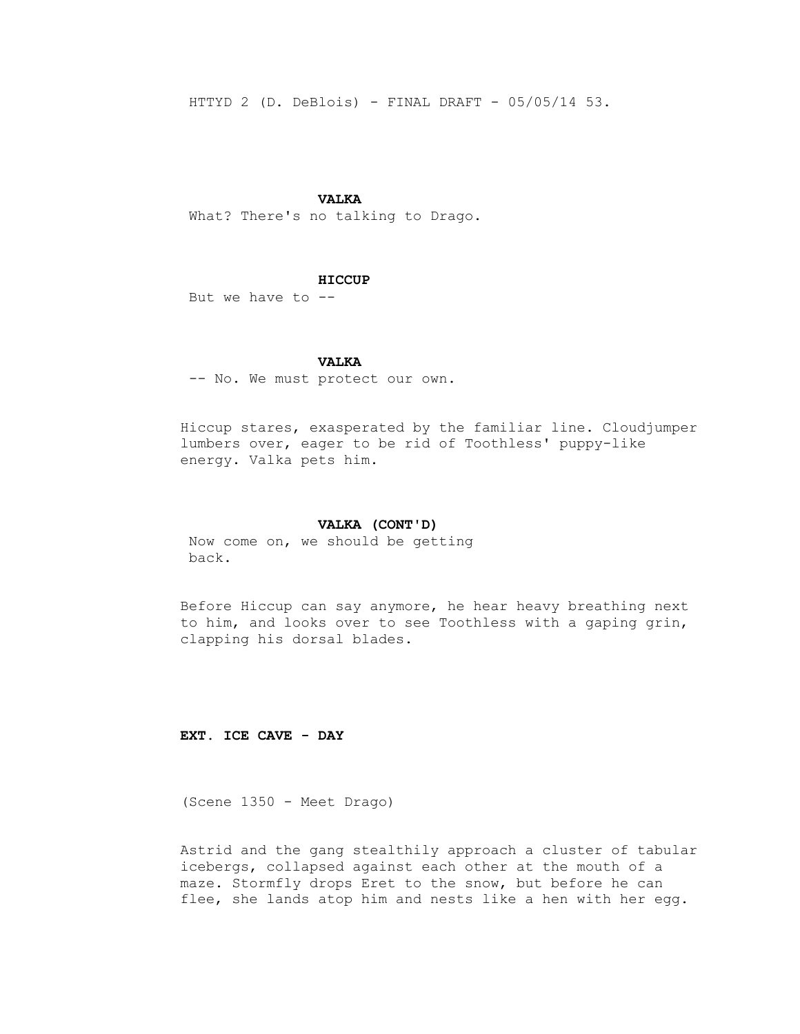HTTYD 2 (D. DeBlois) - FINAL DRAFT -  $05/05/14$  53.

### **VALKA**

What? There's no talking to Drago.

# **HICCUP**

But we have to  $-$ -

#### **VALKA**

-- No. We must protect our own.

 Hiccup stares, exasperated by the familiar line. Cloudjumper lumbers over, eager to be rid of Toothless' puppy-like energy. Valka pets him.

# **VALKA (CONT'D)**

 Now come on, we should be getting back.

 Before Hiccup can say anymore, he hear heavy breathing next to him, and looks over to see Toothless with a gaping grin, clapping his dorsal blades.

 **EXT. ICE CAVE - DAY**

(Scene 1350 - Meet Drago)

 Astrid and the gang stealthily approach a cluster of tabular icebergs, collapsed against each other at the mouth of a maze. Stormfly drops Eret to the snow, but before he can flee, she lands atop him and nests like a hen with her egg.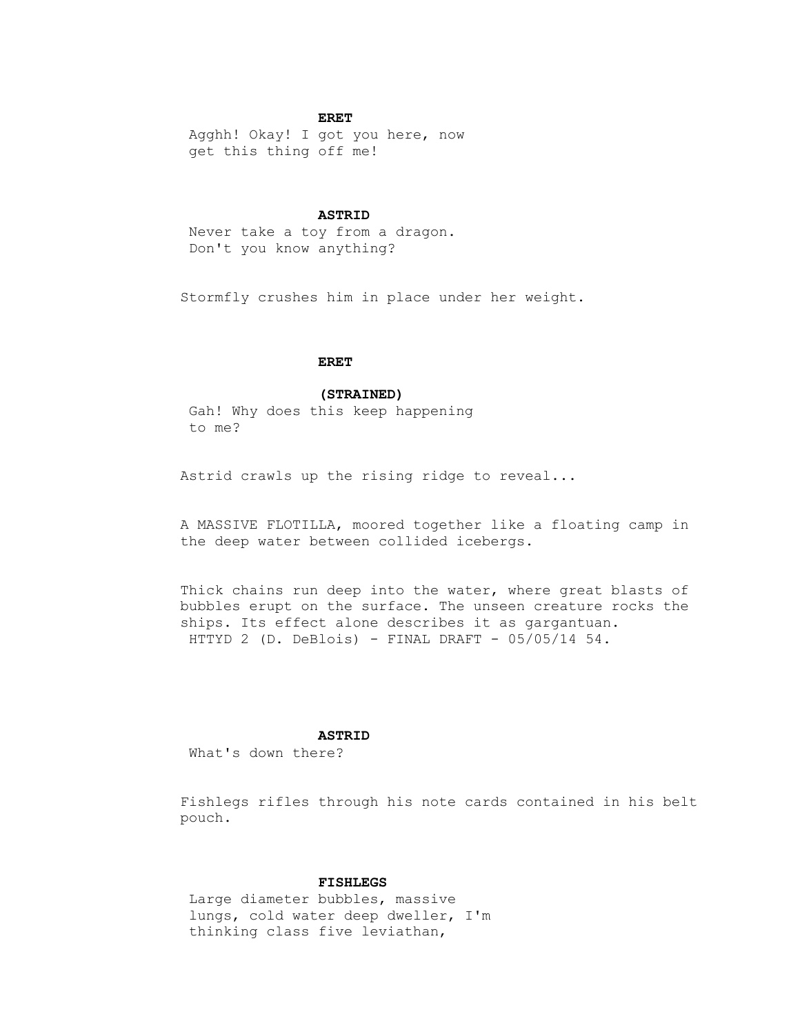# **ERET**

 Agghh! Okay! I got you here, now get this thing off me!

#### **ASTRID**

 Never take a toy from a dragon. Don't you know anything?

Stormfly crushes him in place under her weight.

#### **ERET**

# **(STRAINED)**

 Gah! Why does this keep happening to me?

Astrid crawls up the rising ridge to reveal...

 A MASSIVE FLOTILLA, moored together like a floating camp in the deep water between collided icebergs.

 Thick chains run deep into the water, where great blasts of bubbles erupt on the surface. The unseen creature rocks the ships. Its effect alone describes it as gargantuan. HTTYD 2 (D. DeBlois) - FINAL DRAFT - 05/05/14 54.

# **ASTRID**

What's down there?

 Fishlegs rifles through his note cards contained in his belt pouch.

# **FISHLEGS**

 Large diameter bubbles, massive lungs, cold water deep dweller, I'm thinking class five leviathan,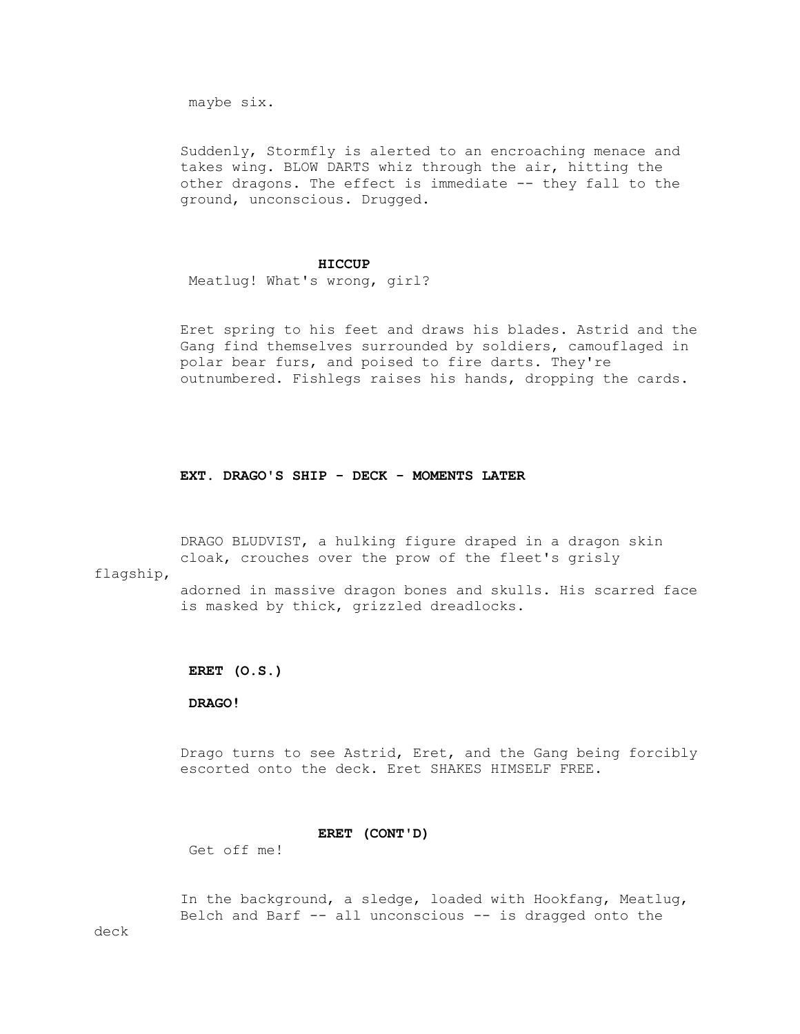maybe six.

 Suddenly, Stormfly is alerted to an encroaching menace and takes wing. BLOW DARTS whiz through the air, hitting the other dragons. The effect is immediate -- they fall to the ground, unconscious. Drugged.

#### **HICCUP**

Meatlug! What's wrong, girl?

 Eret spring to his feet and draws his blades. Astrid and the Gang find themselves surrounded by soldiers, camouflaged in polar bear furs, and poised to fire darts. They're outnumbered. Fishlegs raises his hands, dropping the cards.

### **EXT. DRAGO'S SHIP - DECK - MOMENTS LATER**

 DRAGO BLUDVIST, a hulking figure draped in a dragon skin cloak, crouches over the prow of the fleet's grisly

flagship,

 adorned in massive dragon bones and skulls. His scarred face is masked by thick, grizzled dreadlocks.

 **ERET (O.S.)**

 **DRAGO!**

 Drago turns to see Astrid, Eret, and the Gang being forcibly escorted onto the deck. Eret SHAKES HIMSELF FREE.

### **ERET (CONT'D)**

Get off me!

 In the background, a sledge, loaded with Hookfang, Meatlug, Belch and Barf -- all unconscious -- is dragged onto the

deck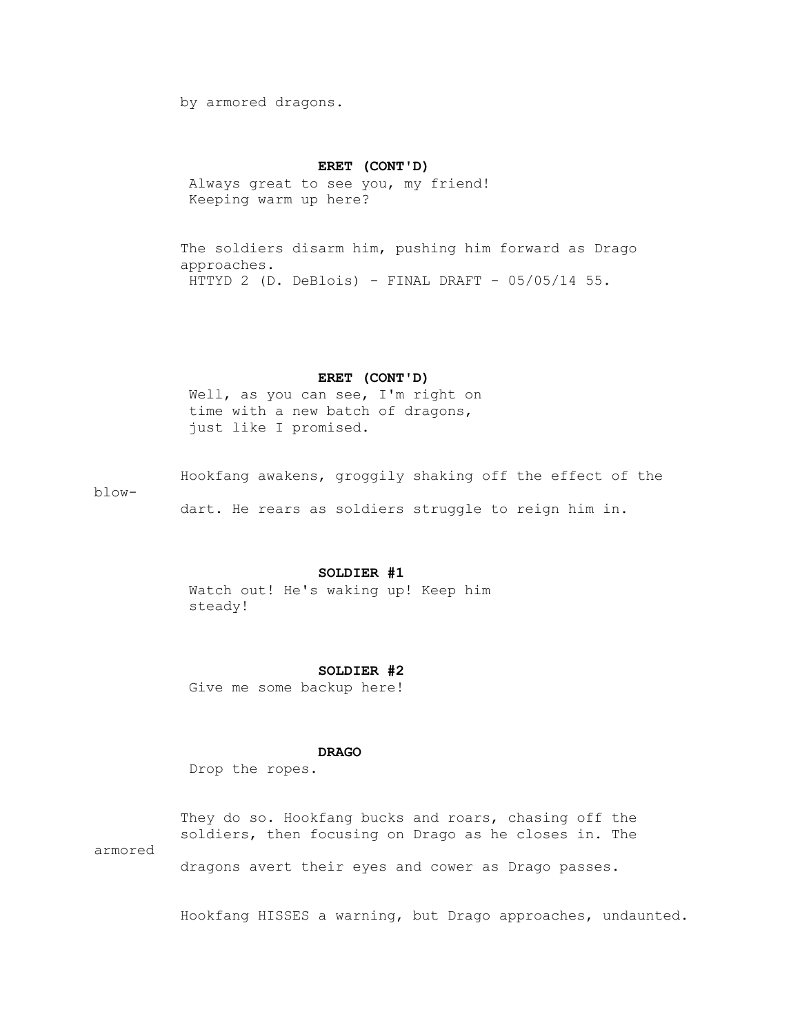by armored dragons.

# **ERET (CONT'D)**

 Always great to see you, my friend! Keeping warm up here?

 The soldiers disarm him, pushing him forward as Drago approaches. HTTYD 2 (D. DeBlois) - FINAL DRAFT - 05/05/14 55.

# **ERET (CONT'D)**

 Well, as you can see, I'm right on time with a new batch of dragons, just like I promised.

 Hookfang awakens, groggily shaking off the effect of the blow-

dart. He rears as soldiers struggle to reign him in.

# **SOLDIER #1**

 Watch out! He's waking up! Keep him steady!

# **SOLDIER #2**

Give me some backup here!

# **DRAGO**

Drop the ropes.

 They do so. Hookfang bucks and roars, chasing off the soldiers, then focusing on Drago as he closes in. The

armored

dragons avert their eyes and cower as Drago passes.

Hookfang HISSES a warning, but Drago approaches, undaunted.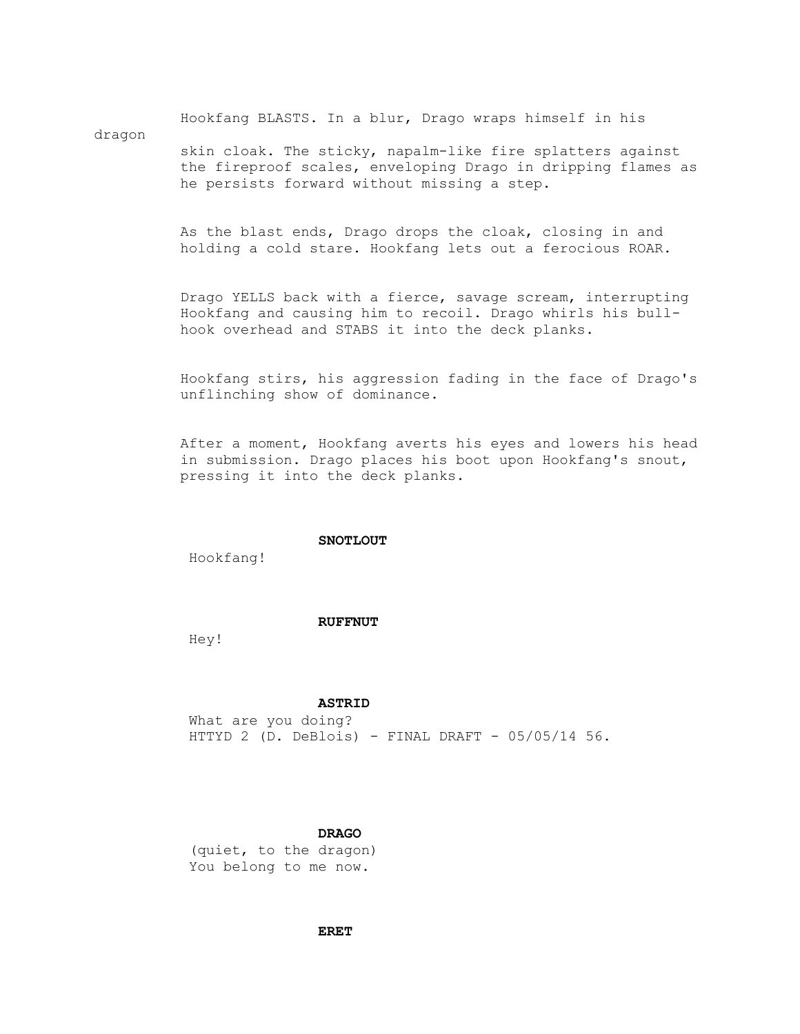Hookfang BLASTS. In a blur, Drago wraps himself in his

dragon

 skin cloak. The sticky, napalm-like fire splatters against the fireproof scales, enveloping Drago in dripping flames as he persists forward without missing a step.

 As the blast ends, Drago drops the cloak, closing in and holding a cold stare. Hookfang lets out a ferocious ROAR.

 Drago YELLS back with a fierce, savage scream, interrupting Hookfang and causing him to recoil. Drago whirls his bull hook overhead and STABS it into the deck planks.

 Hookfang stirs, his aggression fading in the face of Drago's unflinching show of dominance.

 After a moment, Hookfang averts his eyes and lowers his head in submission. Drago places his boot upon Hookfang's snout, pressing it into the deck planks.

#### **SNOTLOUT**

Hookfang!

### **RUFFNUT**

Hey!

### **ASTRID**

 What are you doing? HTTYD 2 (D. DeBlois) - FINAL DRAFT - 05/05/14 56.

### **DRAGO**

 (quiet, to the dragon) You belong to me now.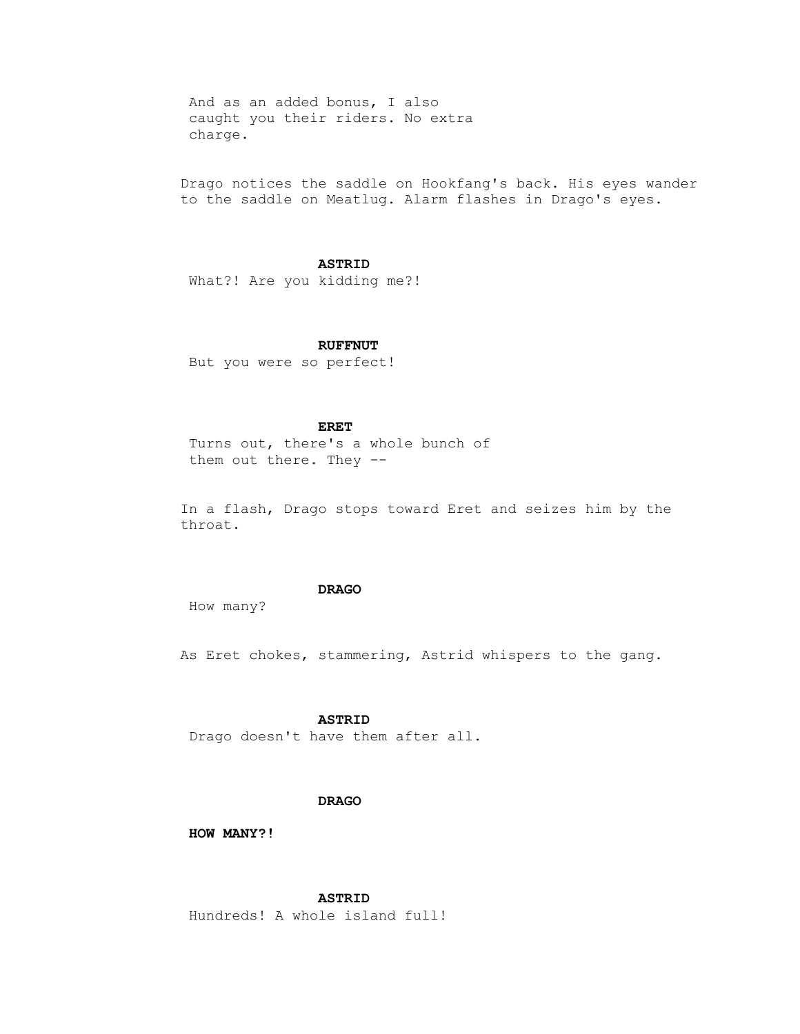And as an added bonus, I also caught you their riders. No extra charge.

 Drago notices the saddle on Hookfang's back. His eyes wander to the saddle on Meatlug. Alarm flashes in Drago's eyes.

#### **ASTRID**

What?! Are you kidding me?!

# **RUFFNUT**

But you were so perfect!

#### **ERET**

 Turns out, there's a whole bunch of them out there. They --

 In a flash, Drago stops toward Eret and seizes him by the throat.

# **DRAGO**

How many?

As Eret chokes, stammering, Astrid whispers to the gang.

# **ASTRID**

Drago doesn't have them after all.

# **DRAGO**

 **HOW MANY?!**

### **ASTRID**

Hundreds! A whole island full!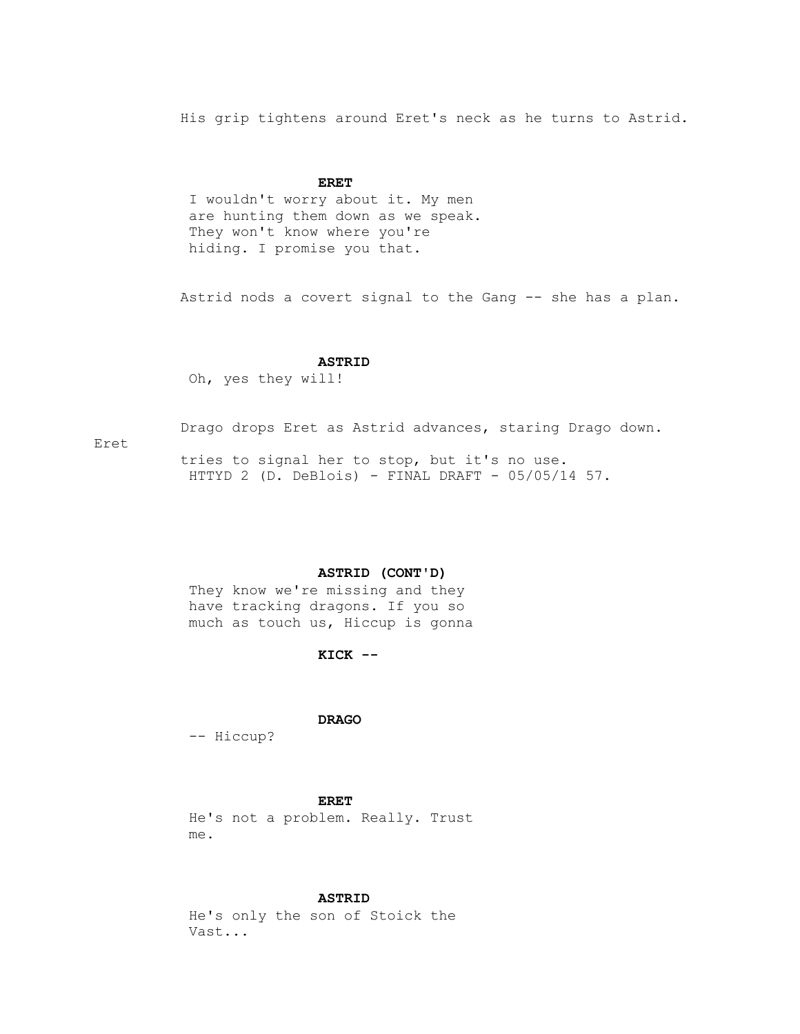His grip tightens around Eret's neck as he turns to Astrid.

### **ERET**

 I wouldn't worry about it. My men are hunting them down as we speak. They won't know where you're hiding. I promise you that.

Astrid nods a covert signal to the Gang -- she has a plan.

#### **ASTRID**

Oh, yes they will!

Drago drops Eret as Astrid advances, staring Drago down.

# Eret

 tries to signal her to stop, but it's no use. HTTYD 2 (D. DeBlois) - FINAL DRAFT - 05/05/14 57.

# **ASTRID (CONT'D)**

 They know we're missing and they have tracking dragons. If you so much as touch us, Hiccup is gonna

# **KICK --**

# **DRAGO**

-- Hiccup?

# **ERET**

 He's not a problem. Really. Trust me.

# **ASTRID**

 He's only the son of Stoick the Vast...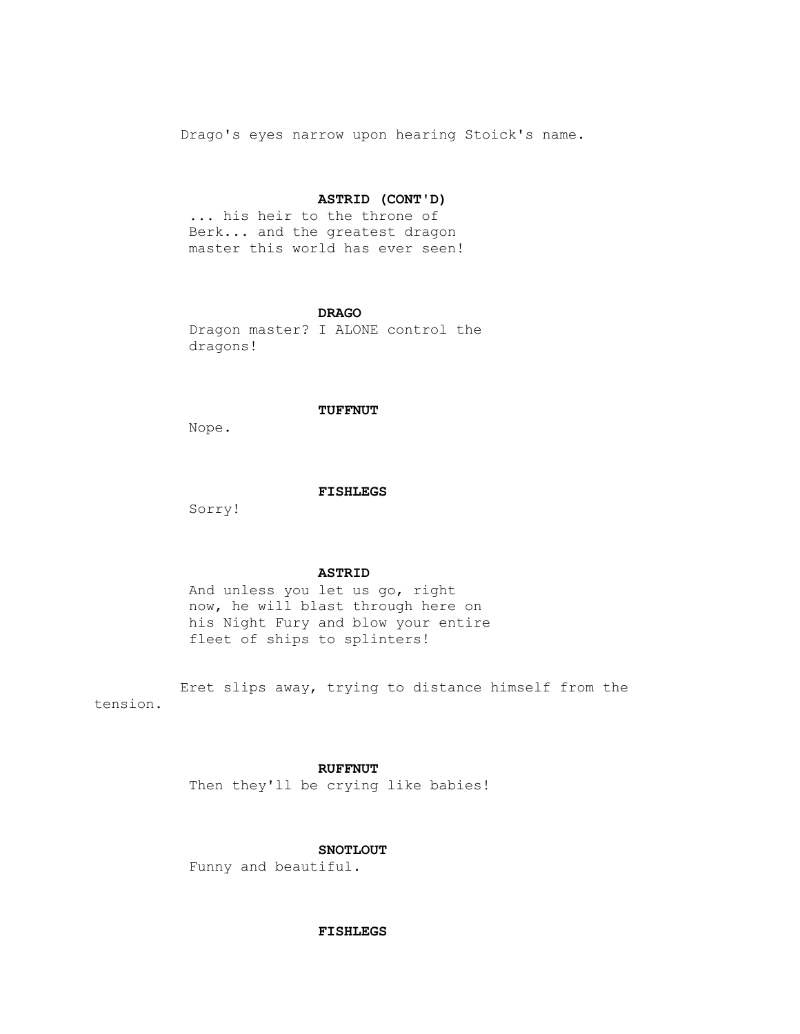Drago's eyes narrow upon hearing Stoick's name.

# **ASTRID (CONT'D)**

 ... his heir to the throne of Berk... and the greatest dragon master this world has ever seen!

### **DRAGO**

 Dragon master? I ALONE control the dragons!

# **TUFFNUT**

Nope.

# **FISHLEGS**

Sorry!

### **ASTRID**

 And unless you let us go, right now, he will blast through here on his Night Fury and blow your entire fleet of ships to splinters!

 Eret slips away, trying to distance himself from the tension.

# **RUFFNUT**

Then they'll be crying like babies!

# **SNOTLOUT**

Funny and beautiful.

# **FISHLEGS**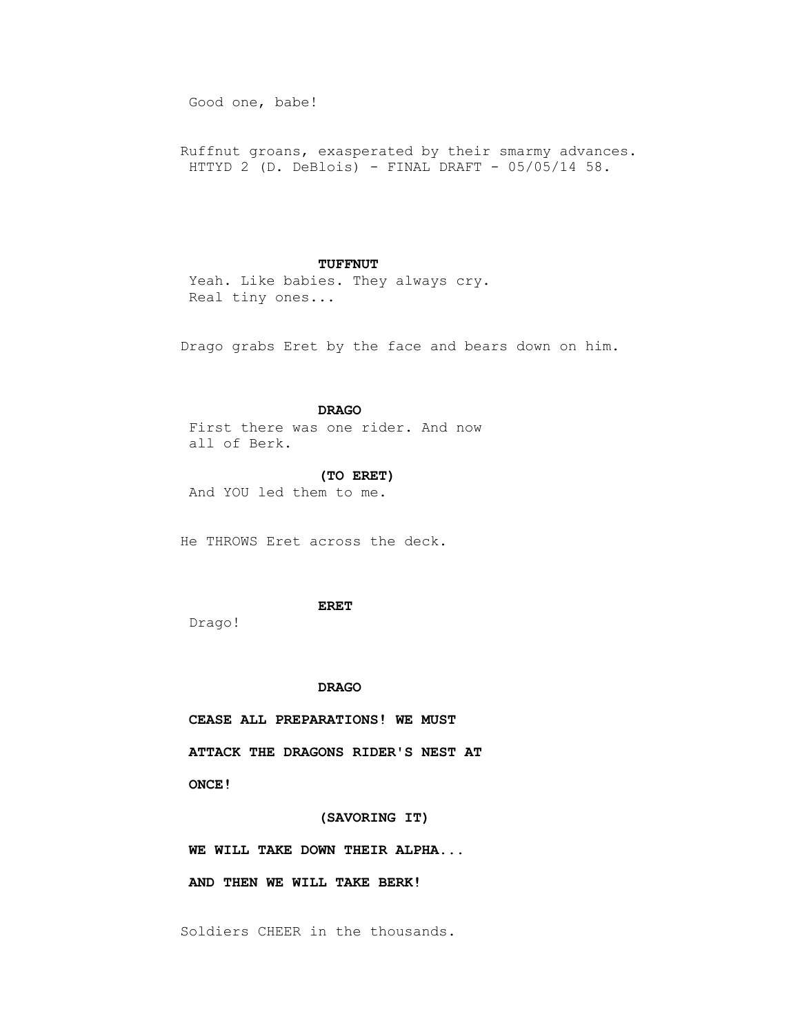Good one, babe!

 Ruffnut groans, exasperated by their smarmy advances. HTTYD 2 (D. DeBlois) - FINAL DRAFT - 05/05/14 58.

#### **TUFFNUT**

 Yeah. Like babies. They always cry. Real tiny ones...

Drago grabs Eret by the face and bears down on him.

# **DRAGO** First there was one rider. And now all of Berk.

 **(TO ERET)** And YOU led them to me.

He THROWS Eret across the deck.

#### **ERET**

Drago!

# **DRAGO**

 **CEASE ALL PREPARATIONS! WE MUST**

 **ATTACK THE DRAGONS RIDER'S NEST AT**

 **ONCE!**

# **(SAVORING IT)**

 **WE WILL TAKE DOWN THEIR ALPHA...**

 **AND THEN WE WILL TAKE BERK!**

Soldiers CHEER in the thousands.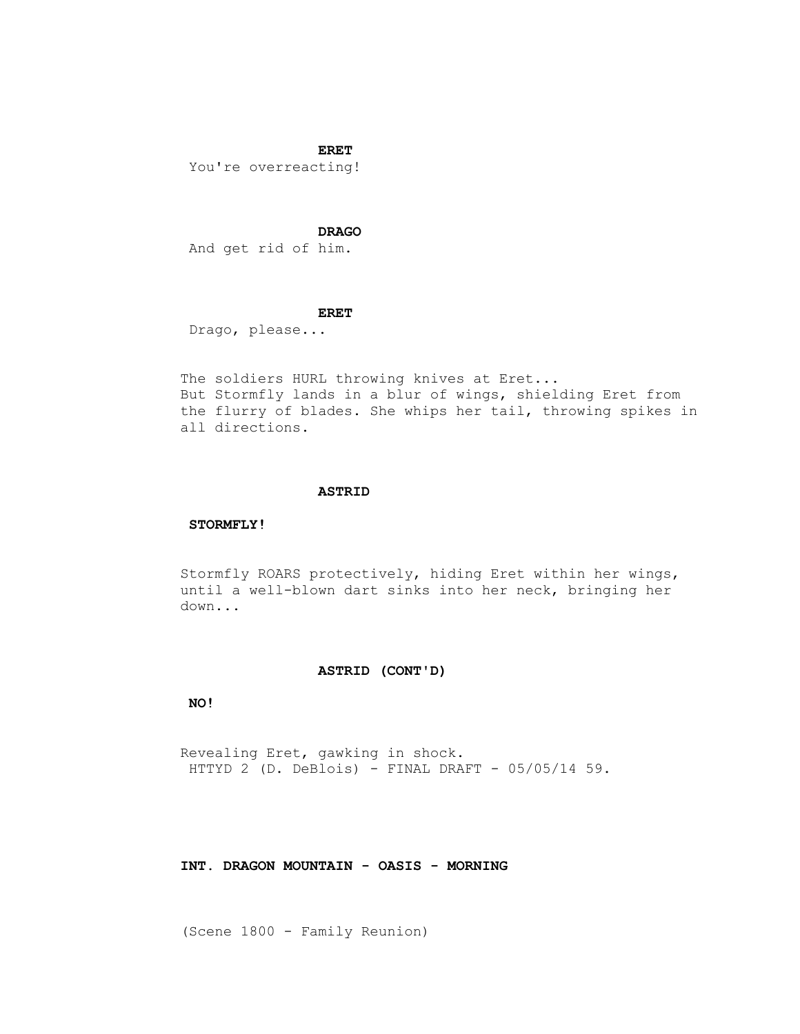# **ERET**

You're overreacting!

#### **DRAGO**

And get rid of him.

#### **ERET**

Drago, please...

The soldiers HURL throwing knives at Eret... But Stormfly lands in a blur of wings, shielding Eret from the flurry of blades. She whips her tail, throwing spikes in all directions.

#### **ASTRID**

### **STORMFLY!**

 Stormfly ROARS protectively, hiding Eret within her wings, until a well-blown dart sinks into her neck, bringing her down...

#### **ASTRID (CONT'D)**

# **NO!**

 Revealing Eret, gawking in shock. HTTYD 2 (D. DeBlois) - FINAL DRAFT - 05/05/14 59.

 **INT. DRAGON MOUNTAIN - OASIS - MORNING**

(Scene 1800 - Family Reunion)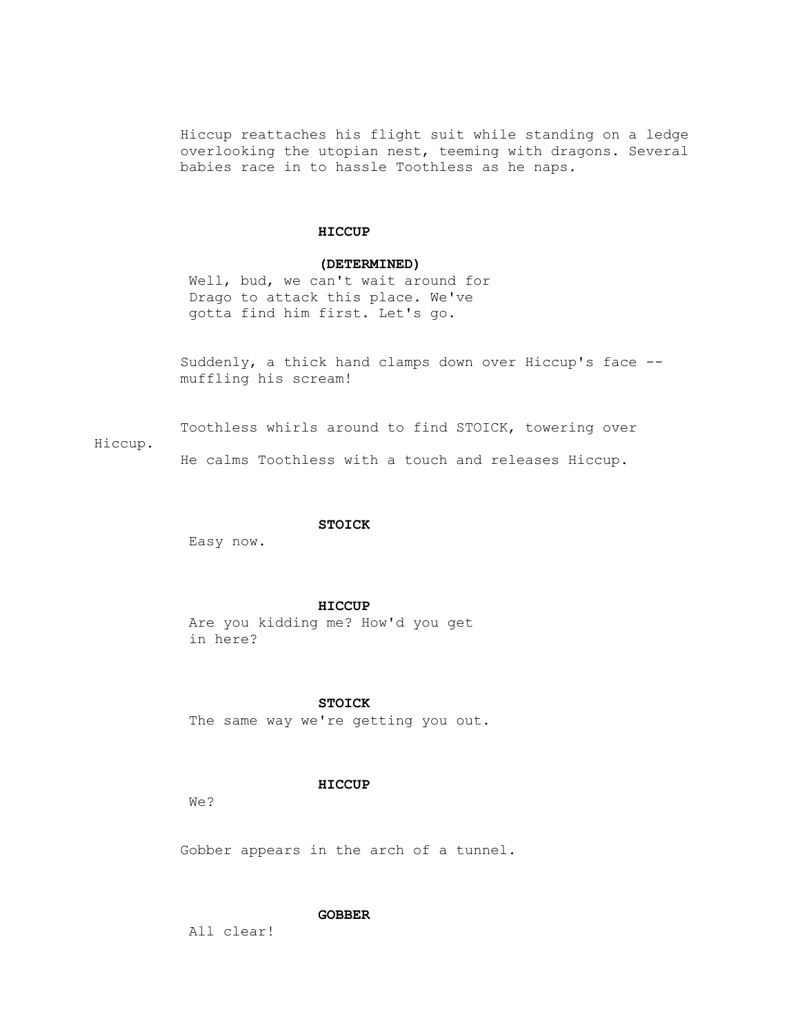Hiccup reattaches his flight suit while standing on a ledge overlooking the utopian nest, teeming with dragons. Several babies race in to hassle Toothless as he naps.

# **HICCUP**

# **(DETERMINED)**

 Well, bud, we can't wait around for Drago to attack this place. We've gotta find him first. Let's go.

 Suddenly, a thick hand clamps down over Hiccup's face - muffling his scream!

 Toothless whirls around to find STOICK, towering over Hiccup. He calms Toothless with a touch and releases Hiccup.

# **STOICK**

Easy now.

#### **HICCUP**

 Are you kidding me? How'd you get in here?

 **STOICK**

The same way we're getting you out.

### **HICCUP**

We?

Gobber appears in the arch of a tunnel.

# **GOBBER**

All clear!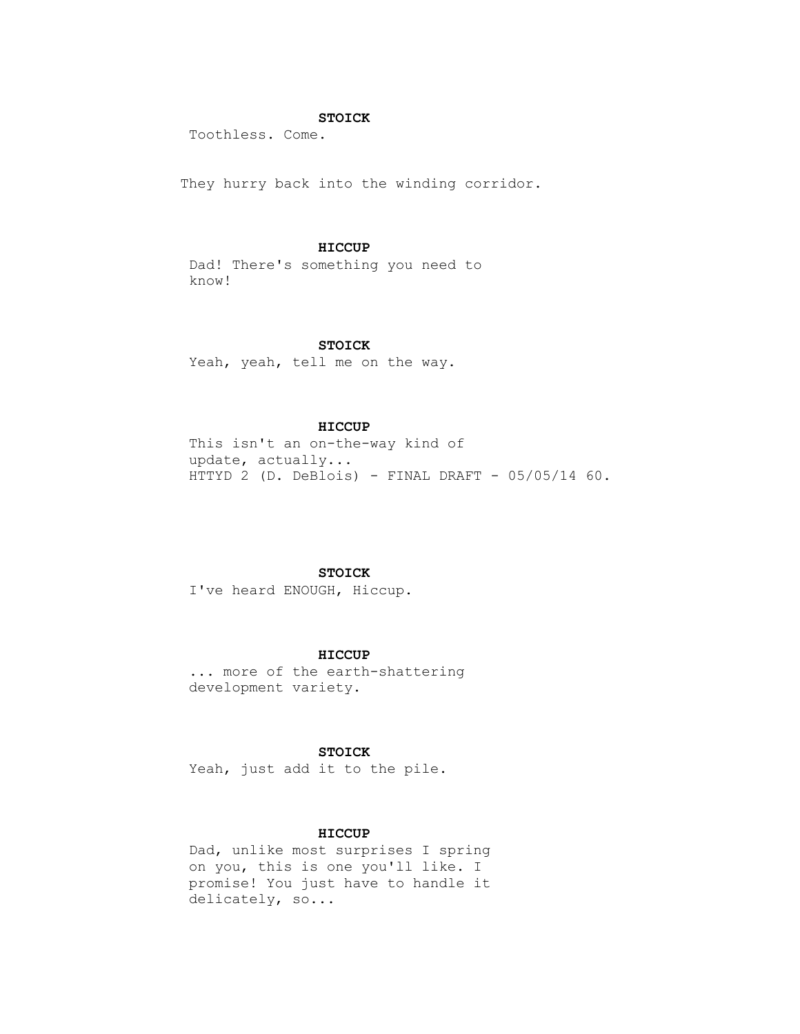# **STOICK**

Toothless. Come.

They hurry back into the winding corridor.

### **HICCUP**

 Dad! There's something you need to know!

 **STOICK**

Yeah, yeah, tell me on the way.

# **HICCUP**

 This isn't an on-the-way kind of update, actually... HTTYD 2 (D. DeBlois) - FINAL DRAFT - 05/05/14 60.

# **STOICK**

I've heard ENOUGH, Hiccup.

# **HICCUP**

 ... more of the earth-shattering development variety.

# **STOICK**

Yeah, just add it to the pile.

# **HICCUP**

 Dad, unlike most surprises I spring on you, this is one you'll like. I promise! You just have to handle it delicately, so...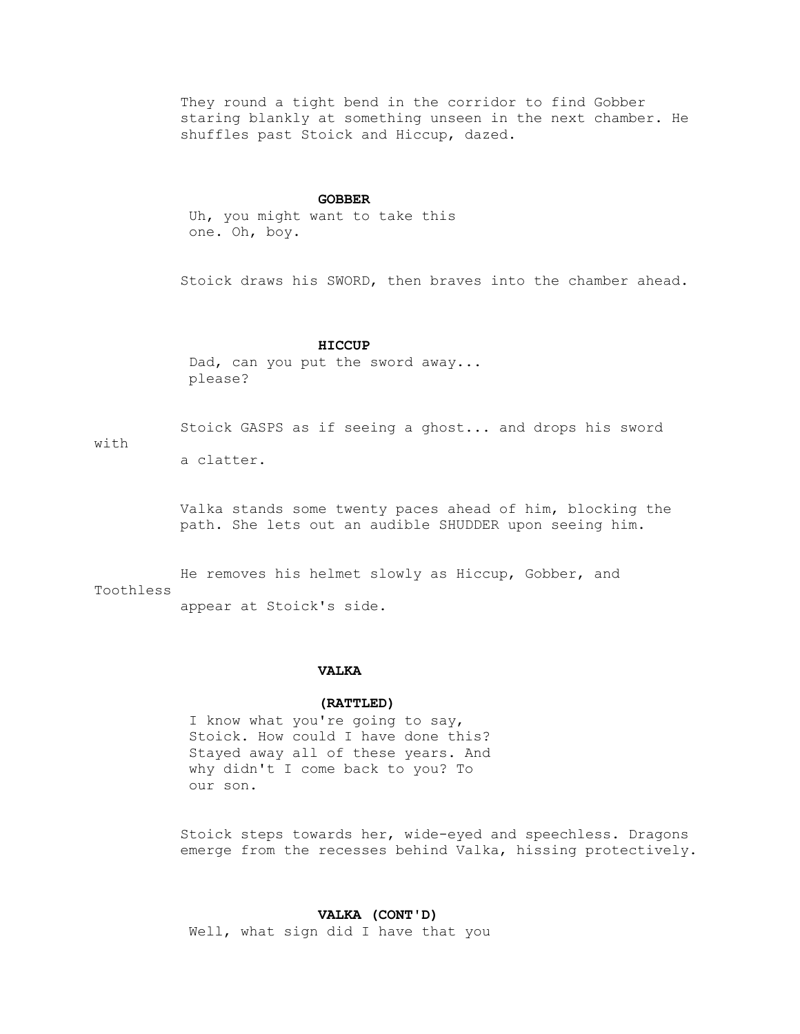They round a tight bend in the corridor to find Gobber staring blankly at something unseen in the next chamber. He shuffles past Stoick and Hiccup, dazed.

#### **GOBBER**

 Uh, you might want to take this one. Oh, boy.

Stoick draws his SWORD, then braves into the chamber ahead.

#### **HICCUP**

 Dad, can you put the sword away... please?

Stoick GASPS as if seeing a ghost... and drops his sword

# with

a clatter.

 Valka stands some twenty paces ahead of him, blocking the path. She lets out an audible SHUDDER upon seeing him.

 He removes his helmet slowly as Hiccup, Gobber, and Toothless appear at Stoick's side.

#### **VALKA**

# **(RATTLED)**

 I know what you're going to say, Stoick. How could I have done this? Stayed away all of these years. And why didn't I come back to you? To our son.

 Stoick steps towards her, wide-eyed and speechless. Dragons emerge from the recesses behind Valka, hissing protectively.

# **VALKA (CONT'D)**

Well, what sign did I have that you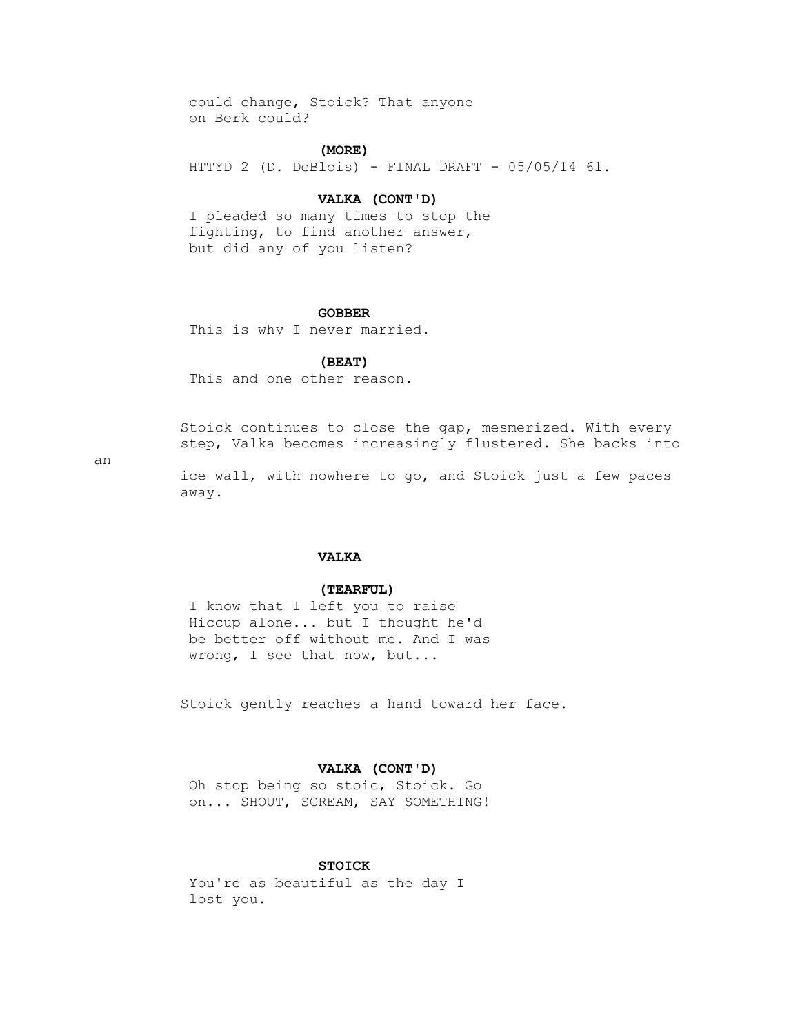could change, Stoick? That anyone on Berk could?

# **(MORE)**

HTTYD 2 (D. DeBlois) - FINAL DRAFT - 05/05/14 61.

#### **VALKA (CONT'D)**

 I pleaded so many times to stop the fighting, to find another answer, but did any of you listen?

#### **GOBBER**

This is why I never married.

### **(BEAT)**

This and one other reason.

 Stoick continues to close the gap, mesmerized. With every step, Valka becomes increasingly flustered. She backs into

an

 ice wall, with nowhere to go, and Stoick just a few paces away.

# **VALKA**

# **(TEARFUL)**

 I know that I left you to raise Hiccup alone... but I thought he'd be better off without me. And I was wrong, I see that now, but...

Stoick gently reaches a hand toward her face.

# **VALKA (CONT'D)**

 Oh stop being so stoic, Stoick. Go on... SHOUT, SCREAM, SAY SOMETHING!

### **STOICK**

 You're as beautiful as the day I lost you.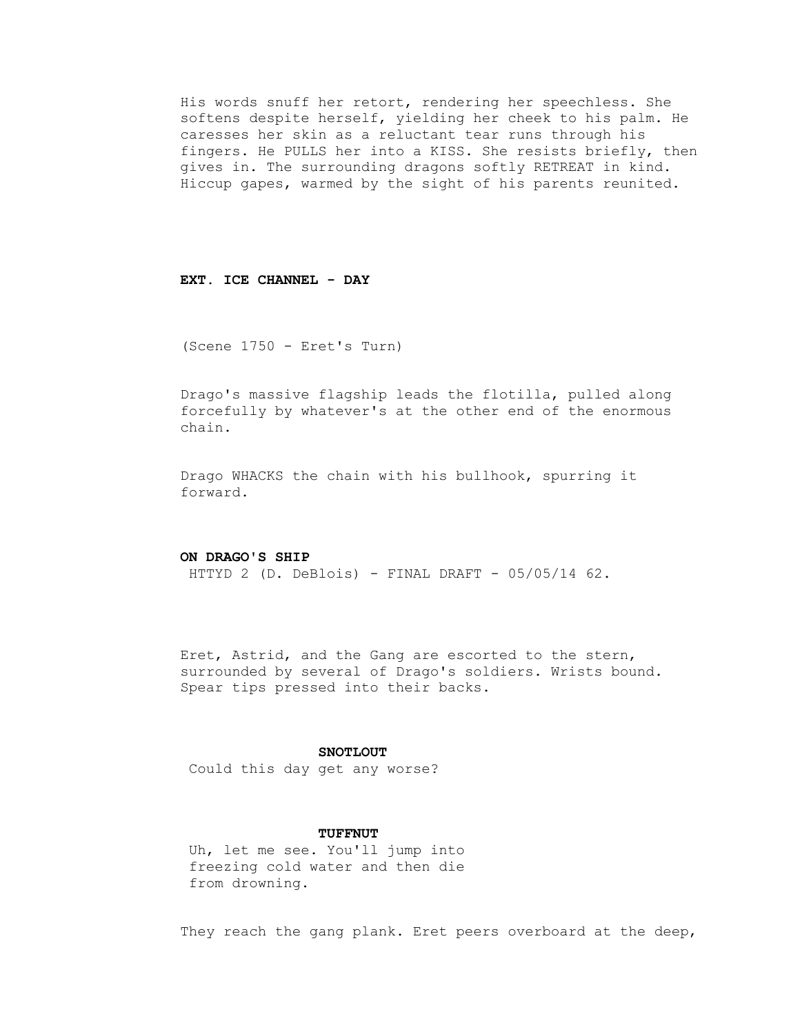His words snuff her retort, rendering her speechless. She softens despite herself, yielding her cheek to his palm. He caresses her skin as a reluctant tear runs through his fingers. He PULLS her into a KISS. She resists briefly, then gives in. The surrounding dragons softly RETREAT in kind. Hiccup gapes, warmed by the sight of his parents reunited.

 **EXT. ICE CHANNEL - DAY**

(Scene 1750 - Eret's Turn)

 Drago's massive flagship leads the flotilla, pulled along forcefully by whatever's at the other end of the enormous chain.

 Drago WHACKS the chain with his bullhook, spurring it forward.

 **ON DRAGO'S SHIP** HTTYD 2 (D. DeBlois) - FINAL DRAFT - 05/05/14 62.

 Eret, Astrid, and the Gang are escorted to the stern, surrounded by several of Drago's soldiers. Wrists bound. Spear tips pressed into their backs.

# **SNOTLOUT**

Could this day get any worse?

### **TUFFNUT**

 Uh, let me see. You'll jump into freezing cold water and then die from drowning.

They reach the gang plank. Eret peers overboard at the deep,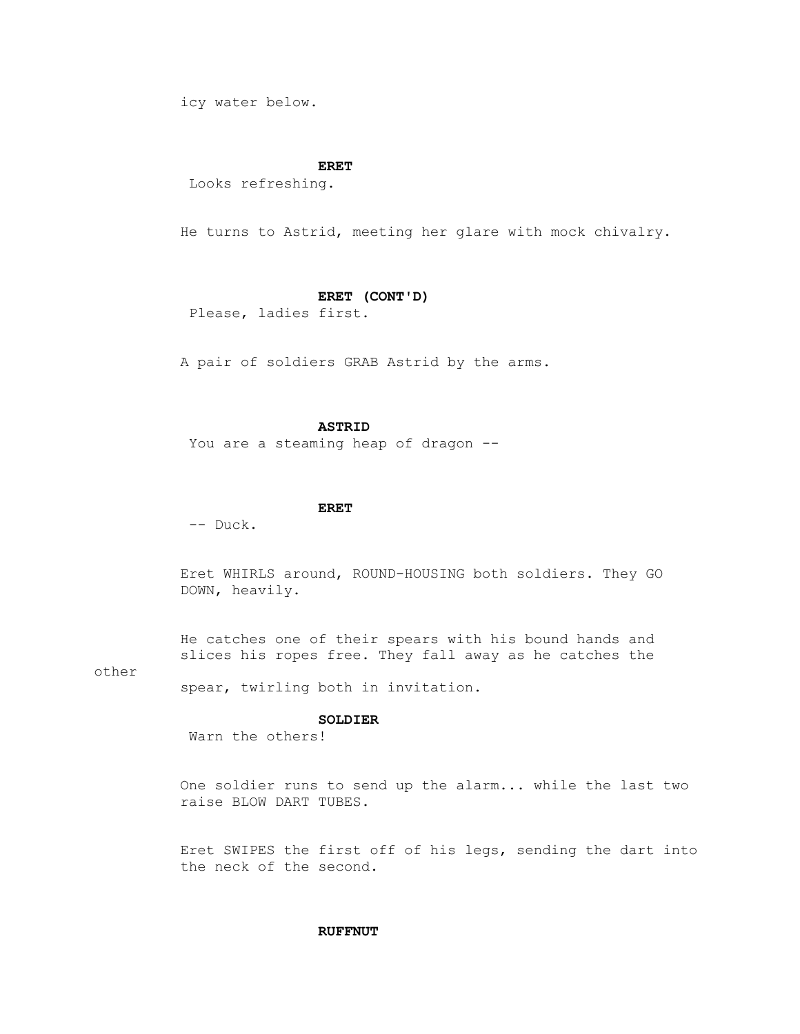icy water below.

### **ERET**

Looks refreshing.

He turns to Astrid, meeting her glare with mock chivalry.

### **ERET (CONT'D)**

Please, ladies first.

A pair of soldiers GRAB Astrid by the arms.

### **ASTRID**

You are a steaming heap of dragon --

#### **ERET**

-- Duck.

 Eret WHIRLS around, ROUND-HOUSING both soldiers. They GO DOWN, heavily.

 He catches one of their spears with his bound hands and slices his ropes free. They fall away as he catches the

other

spear, twirling both in invitation.

# **SOLDIER**

Warn the others!

 One soldier runs to send up the alarm... while the last two raise BLOW DART TUBES.

 Eret SWIPES the first off of his legs, sending the dart into the neck of the second.

### **RUFFNUT**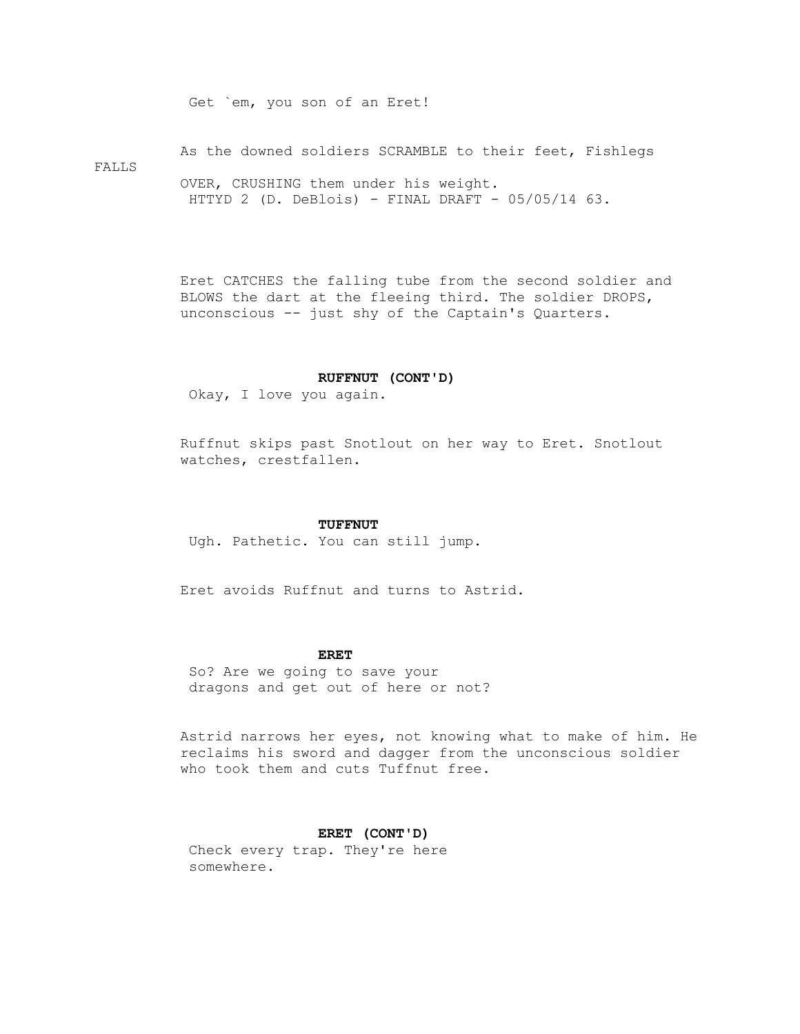Get `em, you son of an Eret!

As the downed soldiers SCRAMBLE to their feet, Fishlegs

# FALLS

 OVER, CRUSHING them under his weight. HTTYD 2 (D. DeBlois) - FINAL DRAFT - 05/05/14 63.

 Eret CATCHES the falling tube from the second soldier and BLOWS the dart at the fleeing third. The soldier DROPS, unconscious -- just shy of the Captain's Quarters.

### **RUFFNUT (CONT'D)**

Okay, I love you again.

 Ruffnut skips past Snotlout on her way to Eret. Snotlout watches, crestfallen.

# **TUFFNUT**

Ugh. Pathetic. You can still jump.

Eret avoids Ruffnut and turns to Astrid.

# **ERET**

 So? Are we going to save your dragons and get out of here or not?

 Astrid narrows her eyes, not knowing what to make of him. He reclaims his sword and dagger from the unconscious soldier who took them and cuts Tuffnut free.

# **ERET (CONT'D)**

 Check every trap. They're here somewhere.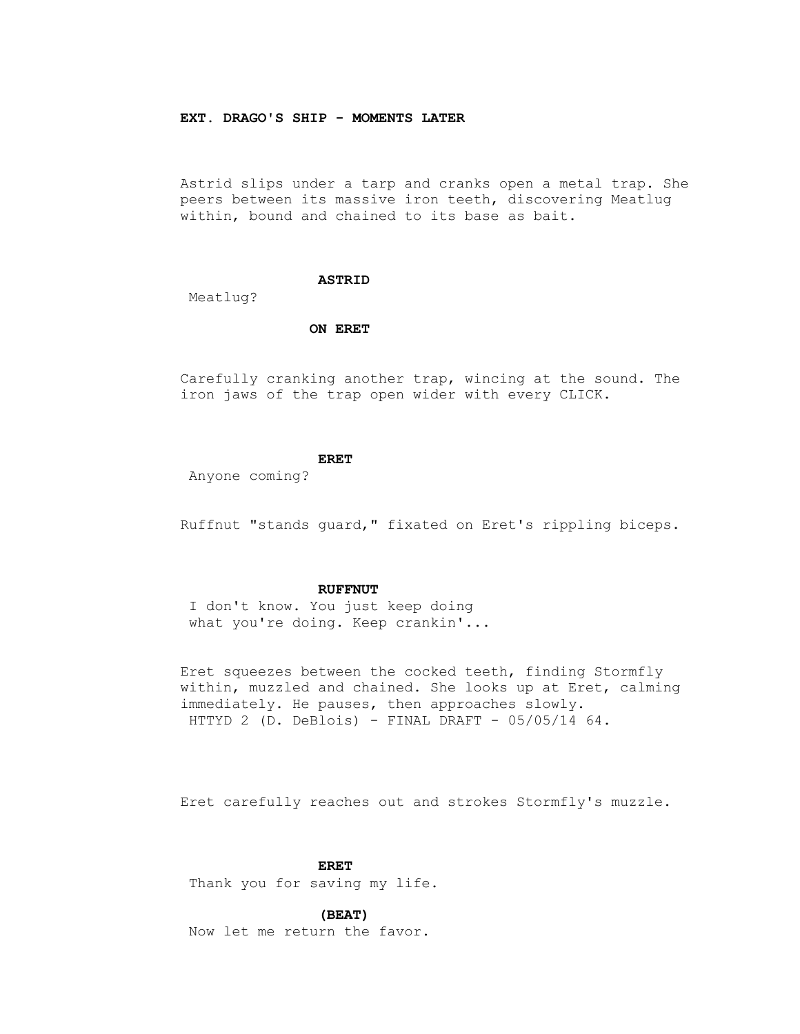# **EXT. DRAGO'S SHIP - MOMENTS LATER**

 Astrid slips under a tarp and cranks open a metal trap. She peers between its massive iron teeth, discovering Meatlug within, bound and chained to its base as bait.

# **ASTRID**

Meatlug?

# **ON ERET**

 Carefully cranking another trap, wincing at the sound. The iron jaws of the trap open wider with every CLICK.

# **ERET**

Anyone coming?

Ruffnut "stands guard," fixated on Eret's rippling biceps.

### **RUFFNUT**

 I don't know. You just keep doing what you're doing. Keep crankin'...

 Eret squeezes between the cocked teeth, finding Stormfly within, muzzled and chained. She looks up at Eret, calming immediately. He pauses, then approaches slowly. HTTYD 2 (D. DeBlois) - FINAL DRAFT - 05/05/14 64.

Eret carefully reaches out and strokes Stormfly's muzzle.

 **ERET** Thank you for saving my life.

 **(BEAT)**

Now let me return the favor.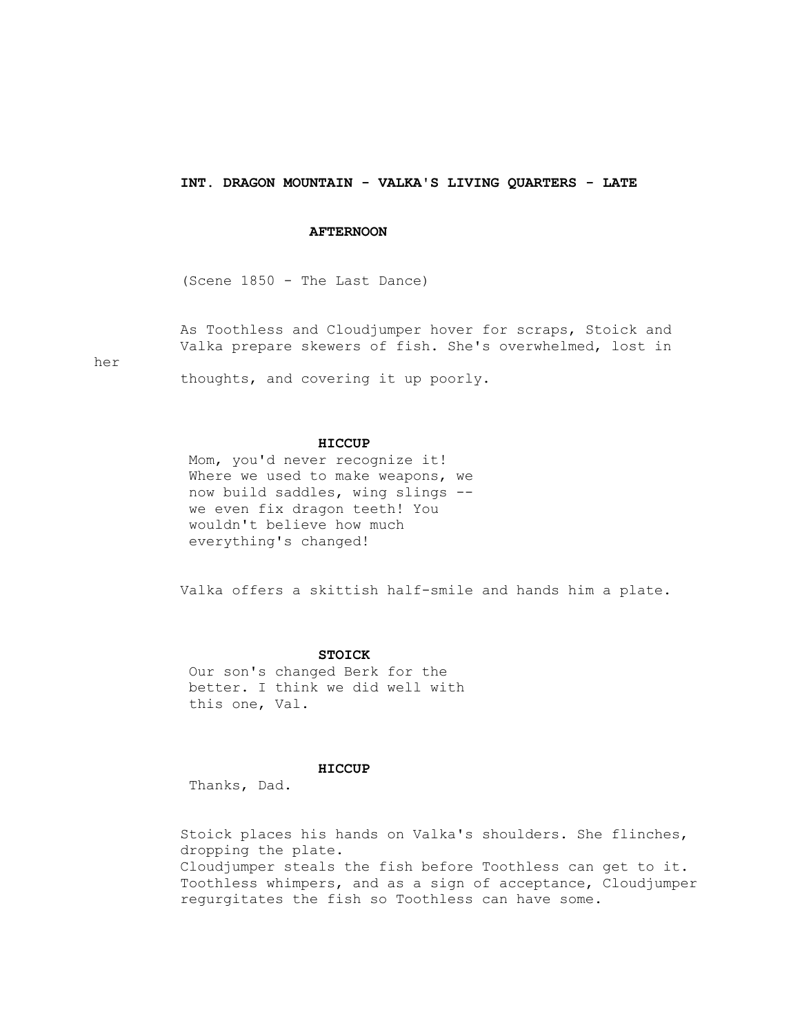#### **INT. DRAGON MOUNTAIN - VALKA'S LIVING QUARTERS - LATE**

# **AFTERNOON**

(Scene 1850 - The Last Dance)

 As Toothless and Cloudjumper hover for scraps, Stoick and Valka prepare skewers of fish. She's overwhelmed, lost in

her

thoughts, and covering it up poorly.

### **HICCUP**

 Mom, you'd never recognize it! Where we used to make weapons, we now build saddles, wing slings - we even fix dragon teeth! You wouldn't believe how much everything's changed!

Valka offers a skittish half-smile and hands him a plate.

#### **STOICK**

 Our son's changed Berk for the better. I think we did well with this one, Val.

### **HICCUP**

Thanks, Dad.

 Stoick places his hands on Valka's shoulders. She flinches, dropping the plate. Cloudjumper steals the fish before Toothless can get to it. Toothless whimpers, and as a sign of acceptance, Cloudjumper regurgitates the fish so Toothless can have some.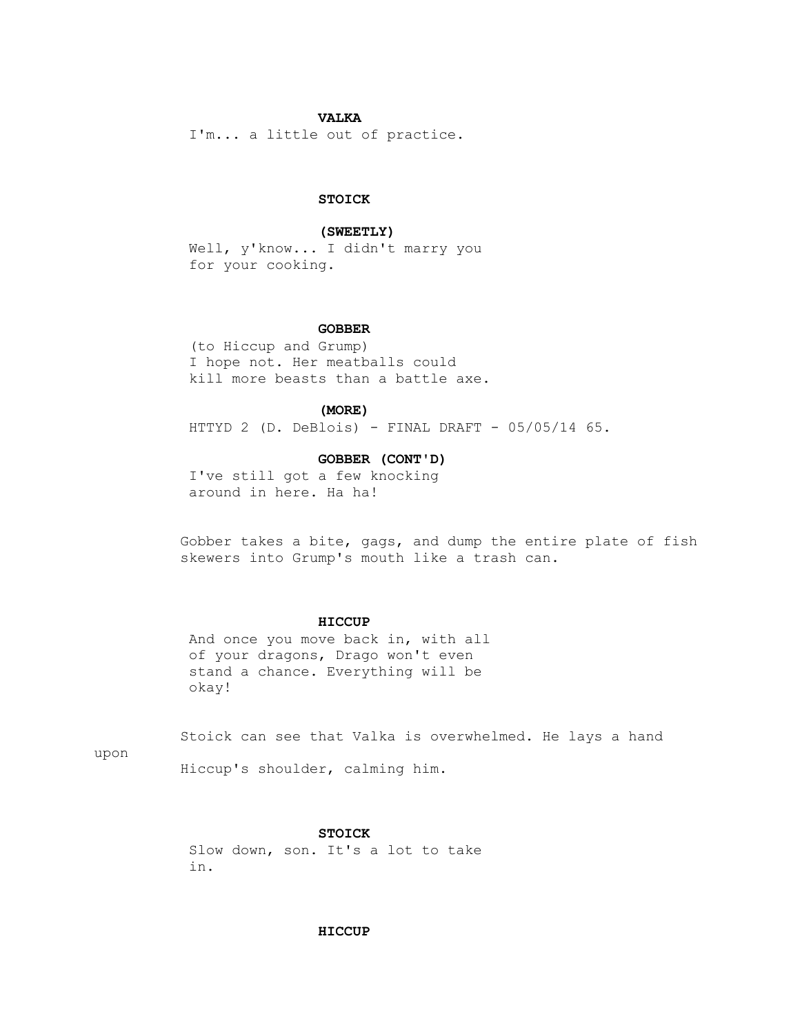# **VALKA**

I'm... a little out of practice.

### **STOICK**

# **(SWEETLY)**

 Well, y'know... I didn't marry you for your cooking.

# **GOBBER**

 (to Hiccup and Grump) I hope not. Her meatballs could kill more beasts than a battle axe.

#### **(MORE)**

HTTYD 2 (D. DeBlois) - FINAL DRAFT - 05/05/14 65.

# **GOBBER (CONT'D)**

 I've still got a few knocking around in here. Ha ha!

 Gobber takes a bite, gags, and dump the entire plate of fish skewers into Grump's mouth like a trash can.

# **HICCUP**

 And once you move back in, with all of your dragons, Drago won't even stand a chance. Everything will be okay!

Stoick can see that Valka is overwhelmed. He lays a hand

upon

Hiccup's shoulder, calming him.

# **STOICK**

 Slow down, son. It's a lot to take in.

# **HICCUP**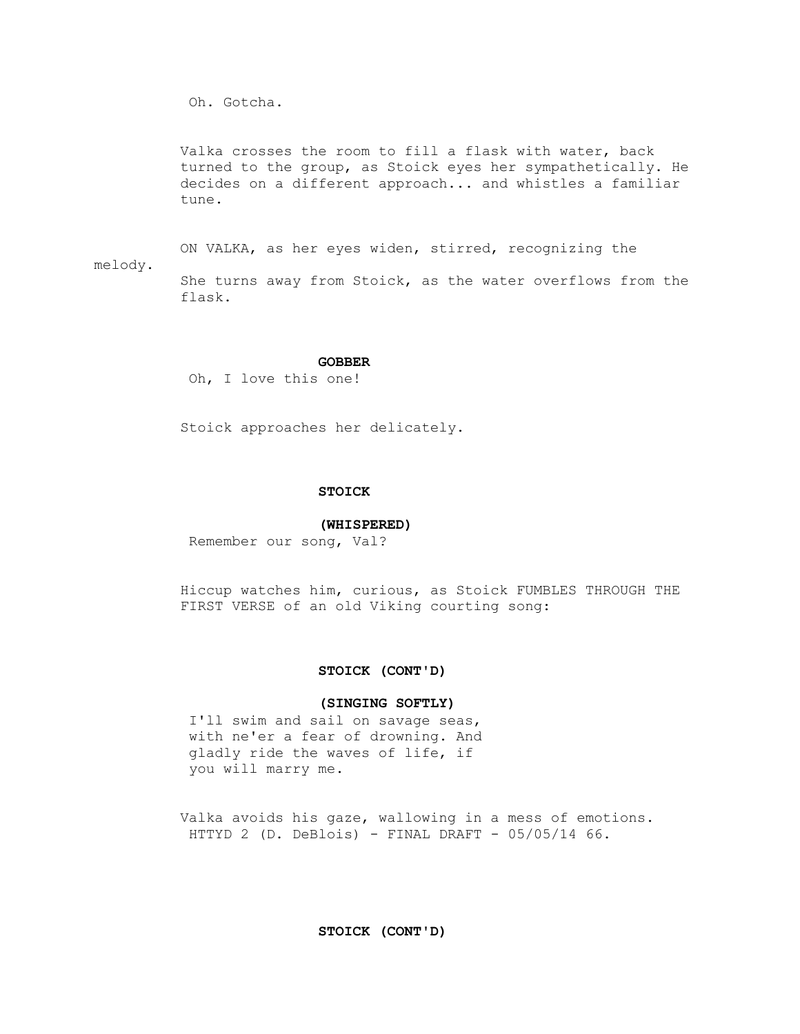Oh. Gotcha.

 Valka crosses the room to fill a flask with water, back turned to the group, as Stoick eyes her sympathetically. He decides on a different approach... and whistles a familiar tune.

 ON VALKA, as her eyes widen, stirred, recognizing the melody. She turns away from Stoick, as the water overflows from the flask.

#### **GOBBER**

Oh, I love this one!

Stoick approaches her delicately.

# **STOICK**

# **(WHISPERED)**

Remember our song, Val?

 Hiccup watches him, curious, as Stoick FUMBLES THROUGH THE FIRST VERSE of an old Viking courting song:

#### **STOICK (CONT'D)**

# **(SINGING SOFTLY)**

 I'll swim and sail on savage seas, with ne'er a fear of drowning. And gladly ride the waves of life, if you will marry me.

 Valka avoids his gaze, wallowing in a mess of emotions. HTTYD 2 (D. DeBlois) - FINAL DRAFT - 05/05/14 66.

 **STOICK (CONT'D)**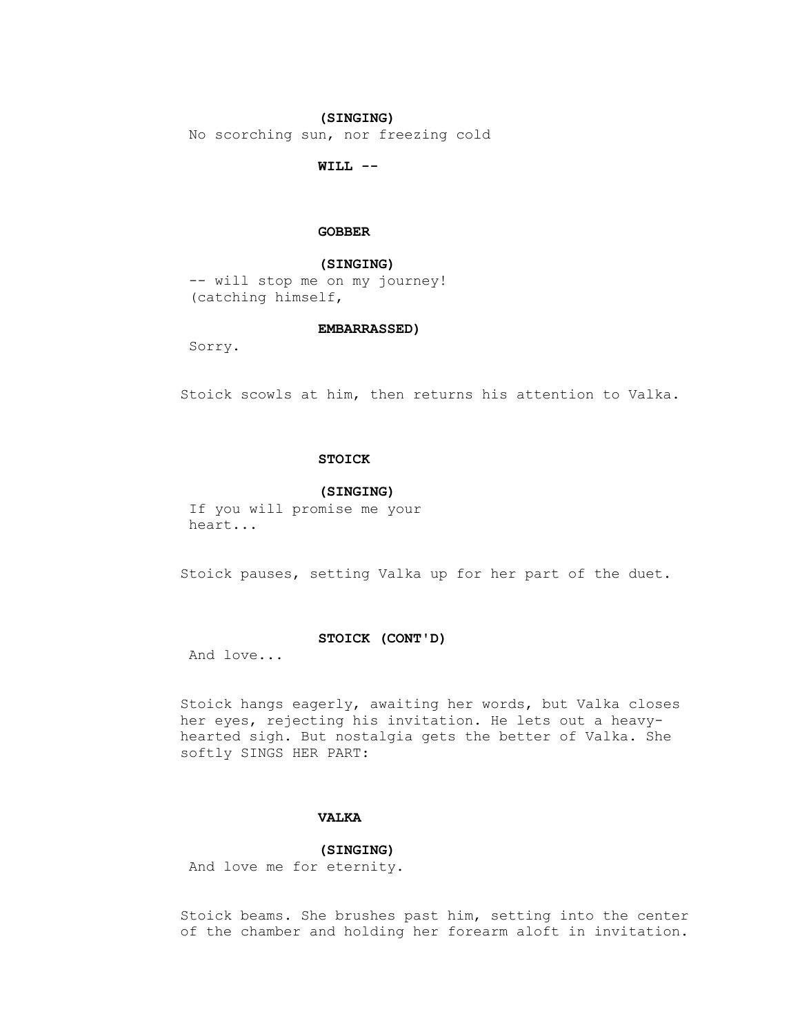# **(SINGING)**

No scorching sun, nor freezing cold

 **WILL --**

### **GOBBER**

 **(SINGING)**

 -- will stop me on my journey! (catching himself,

# **EMBARRASSED)**

Sorry.

Stoick scowls at him, then returns his attention to Valka.

# **STOICK**

### **(SINGING)**

 If you will promise me your heart...

Stoick pauses, setting Valka up for her part of the duet.

# **STOICK (CONT'D)**

And love...

 Stoick hangs eagerly, awaiting her words, but Valka closes her eyes, rejecting his invitation. He lets out a heavy hearted sigh. But nostalgia gets the better of Valka. She softly SINGS HER PART:

# **VALKA**

 **(SINGING)**

And love me for eternity.

 Stoick beams. She brushes past him, setting into the center of the chamber and holding her forearm aloft in invitation.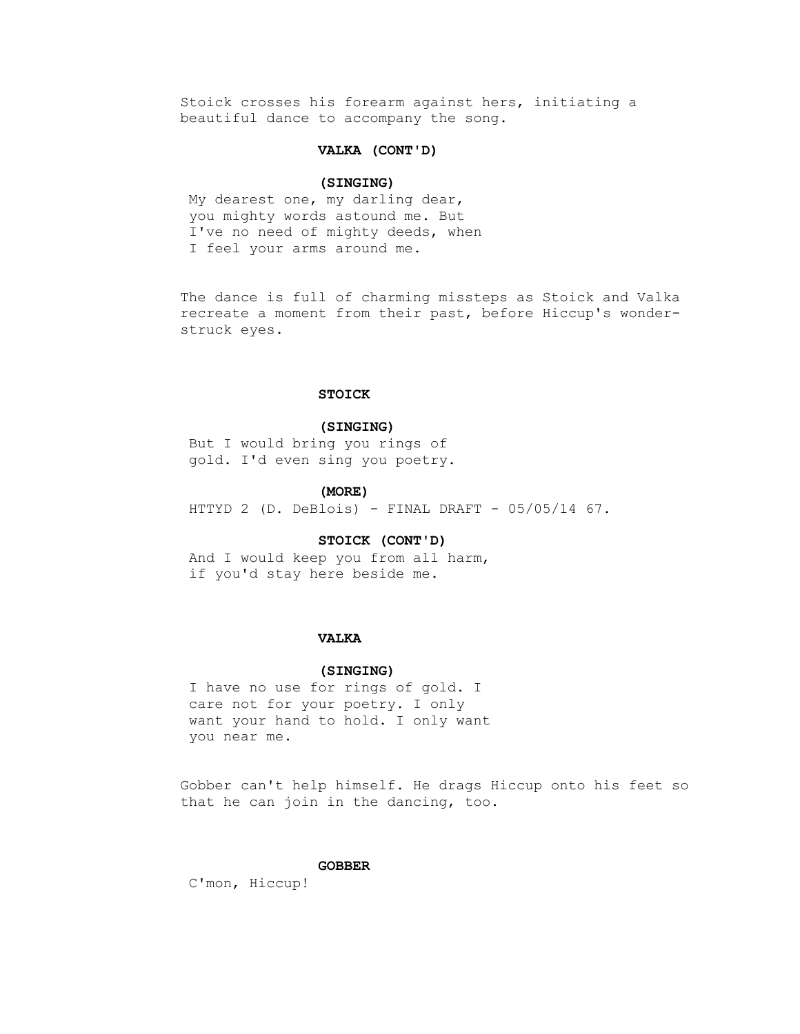Stoick crosses his forearm against hers, initiating a beautiful dance to accompany the song.

# **VALKA (CONT'D)**

#### **(SINGING)**

 My dearest one, my darling dear, you mighty words astound me. But I've no need of mighty deeds, when I feel your arms around me.

 The dance is full of charming missteps as Stoick and Valka recreate a moment from their past, before Hiccup's wonder struck eyes.

# **STOICK**

# **(SINGING)**

 But I would bring you rings of gold. I'd even sing you poetry.

 **(MORE)**

HTTYD 2 (D. DeBlois) - FINAL DRAFT - 05/05/14 67.

#### **STOICK (CONT'D)**

 And I would keep you from all harm, if you'd stay here beside me.

# **VALKA**

#### **(SINGING)**

 I have no use for rings of gold. I care not for your poetry. I only want your hand to hold. I only want you near me.

 Gobber can't help himself. He drags Hiccup onto his feet so that he can join in the dancing, too.

### **GOBBER**

C'mon, Hiccup!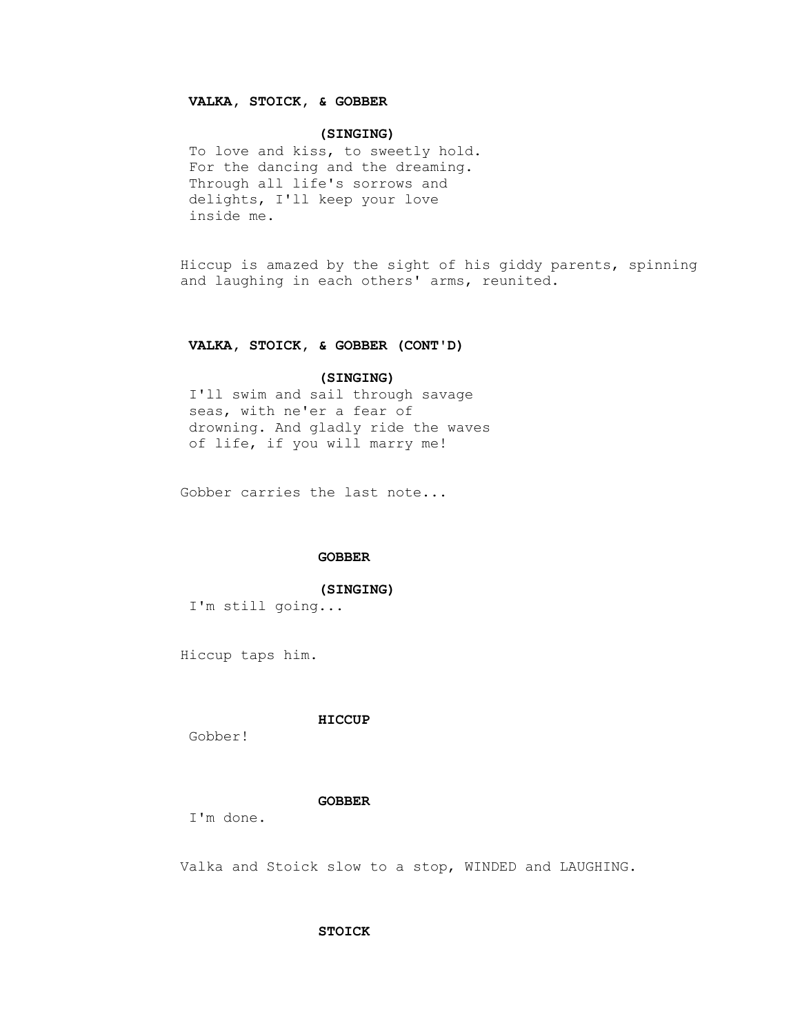# **VALKA, STOICK, & GOBBER**

#### **(SINGING)**

 To love and kiss, to sweetly hold. For the dancing and the dreaming. Through all life's sorrows and delights, I'll keep your love inside me.

 Hiccup is amazed by the sight of his giddy parents, spinning and laughing in each others' arms, reunited.

# **VALKA, STOICK, & GOBBER (CONT'D)**

#### **(SINGING)**

 I'll swim and sail through savage seas, with ne'er a fear of drowning. And gladly ride the waves of life, if you will marry me!

Gobber carries the last note...

# **GOBBER**

# **(SINGING)**

I'm still going...

Hiccup taps him.

#### **HICCUP**

Gobber!

#### **GOBBER**

I'm done.

Valka and Stoick slow to a stop, WINDED and LAUGHING.

# **STOICK**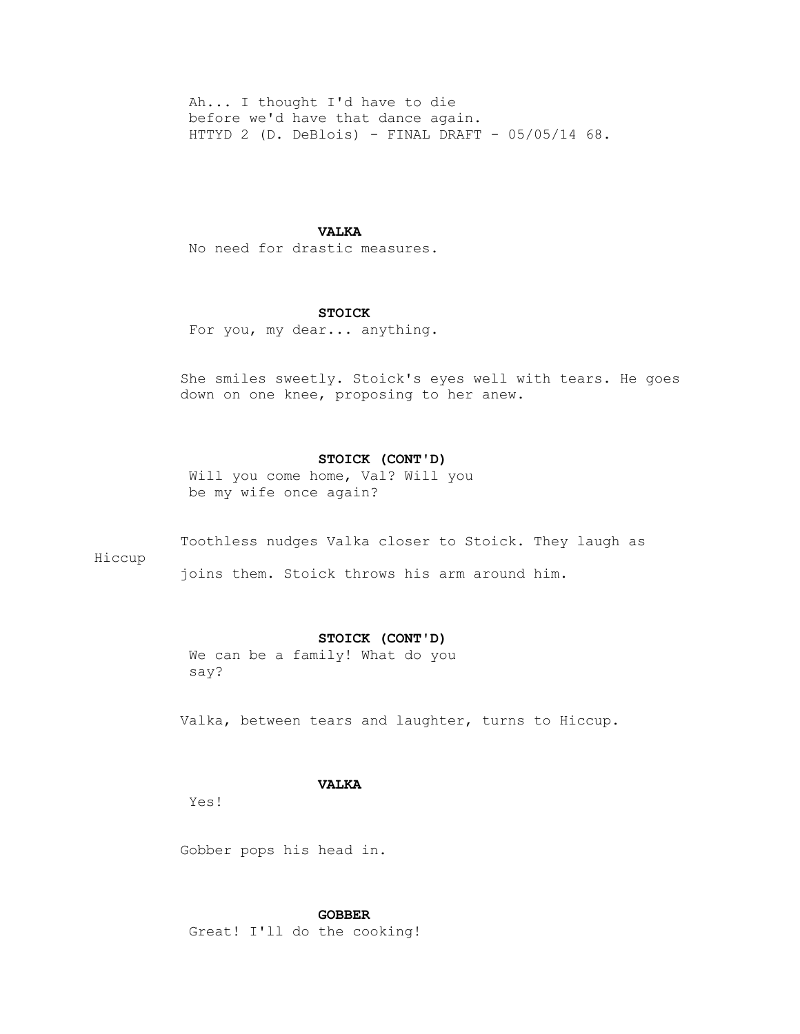Ah... I thought I'd have to die before we'd have that dance again. HTTYD 2 (D. DeBlois) - FINAL DRAFT - 05/05/14 68.

#### **VALKA**

No need for drastic measures.

### **STOICK**

For you, my dear... anything.

 She smiles sweetly. Stoick's eyes well with tears. He goes down on one knee, proposing to her anew.

# **STOICK (CONT'D)**

 Will you come home, Val? Will you be my wife once again?

Toothless nudges Valka closer to Stoick. They laugh as

Hiccup

joins them. Stoick throws his arm around him.

# **STOICK (CONT'D)**

 We can be a family! What do you say?

Valka, between tears and laughter, turns to Hiccup.

# **VALKA**

Yes!

Gobber pops his head in.

### **GOBBER**

Great! I'll do the cooking!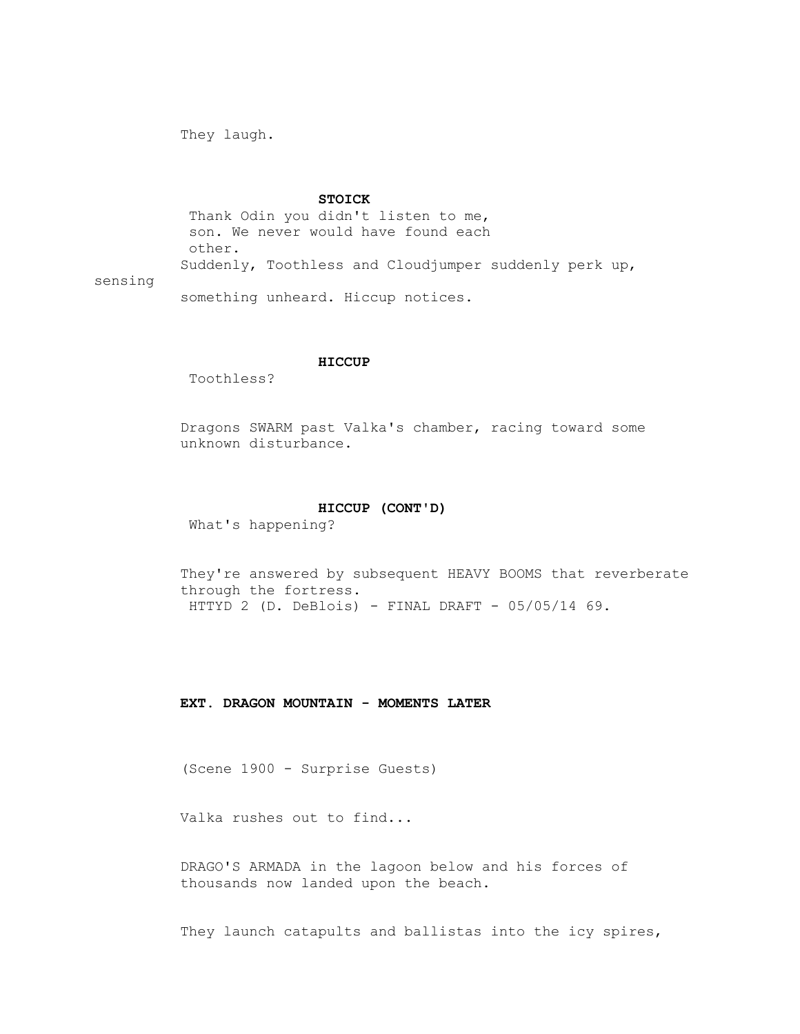They laugh.

#### **STOICK**

 Thank Odin you didn't listen to me, son. We never would have found each other. Suddenly, Toothless and Cloudjumper suddenly perk up, something unheard. Hiccup notices.

#### **HICCUP**

Toothless?

sensing

 Dragons SWARM past Valka's chamber, racing toward some unknown disturbance.

# **HICCUP (CONT'D)**

What's happening?

 They're answered by subsequent HEAVY BOOMS that reverberate through the fortress. HTTYD 2 (D. DeBlois) - FINAL DRAFT - 05/05/14 69.

 **EXT. DRAGON MOUNTAIN - MOMENTS LATER**

(Scene 1900 - Surprise Guests)

Valka rushes out to find...

 DRAGO'S ARMADA in the lagoon below and his forces of thousands now landed upon the beach.

They launch catapults and ballistas into the icy spires,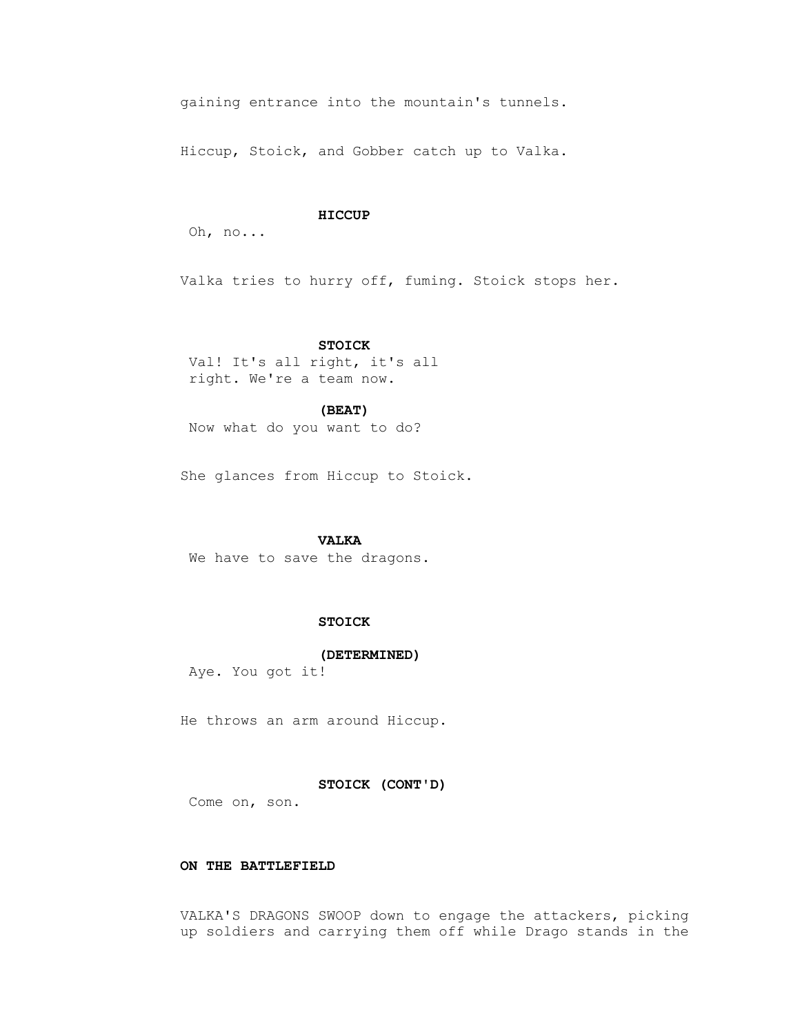gaining entrance into the mountain's tunnels.

Hiccup, Stoick, and Gobber catch up to Valka.

# **HICCUP**

Oh, no...

Valka tries to hurry off, fuming. Stoick stops her.

 **STOICK** Val! It's all right, it's all right. We're a team now.

 **(BEAT)** Now what do you want to do?

She glances from Hiccup to Stoick.

 **VALKA**

We have to save the dragons.

# **STOICK**

### **(DETERMINED)**

Aye. You got it!

He throws an arm around Hiccup.

# **STOICK (CONT'D)**

Come on, son.

# **ON THE BATTLEFIELD**

 VALKA'S DRAGONS SWOOP down to engage the attackers, picking up soldiers and carrying them off while Drago stands in the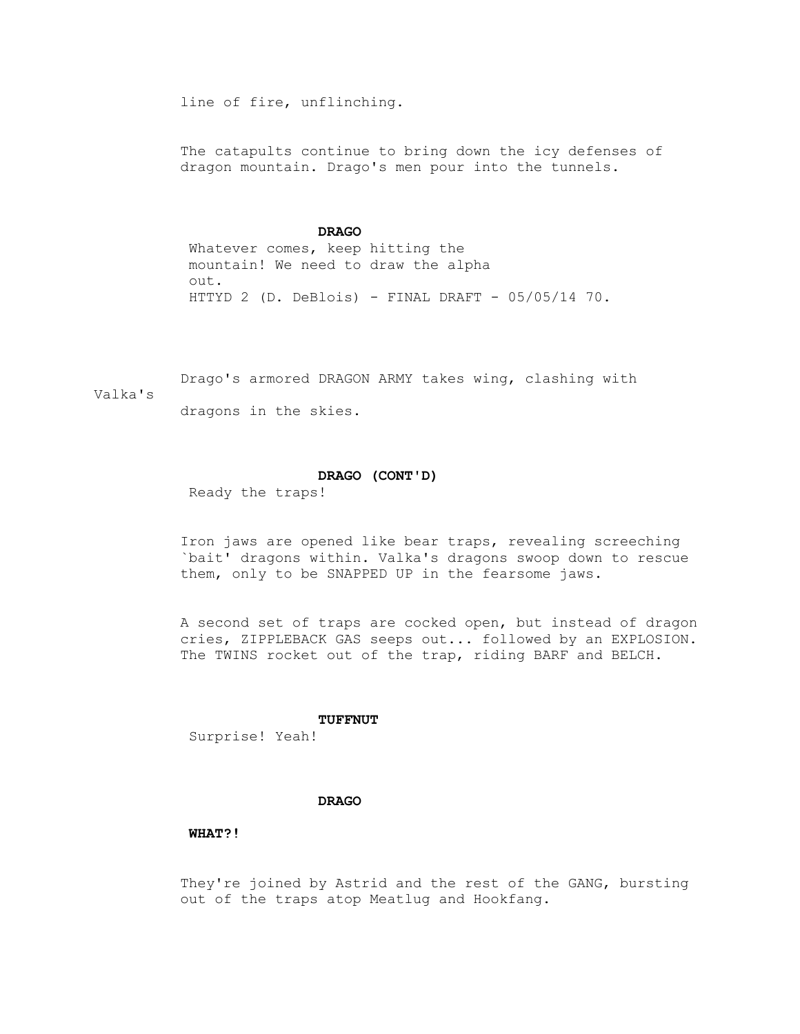line of fire, unflinching.

 The catapults continue to bring down the icy defenses of dragon mountain. Drago's men pour into the tunnels.

#### **DRAGO**

 Whatever comes, keep hitting the mountain! We need to draw the alpha out. HTTYD 2 (D. DeBlois) - FINAL DRAFT - 05/05/14 70.

 Drago's armored DRAGON ARMY takes wing, clashing with Valka's dragons in the skies.

# **DRAGO (CONT'D)**

Ready the traps!

 Iron jaws are opened like bear traps, revealing screeching `bait' dragons within. Valka's dragons swoop down to rescue them, only to be SNAPPED UP in the fearsome jaws.

 A second set of traps are cocked open, but instead of dragon cries, ZIPPLEBACK GAS seeps out... followed by an EXPLOSION. The TWINS rocket out of the trap, riding BARF and BELCH.

# **TUFFNUT**

Surprise! Yeah!

# **DRAGO**

# **WHAT?!**

 They're joined by Astrid and the rest of the GANG, bursting out of the traps atop Meatlug and Hookfang.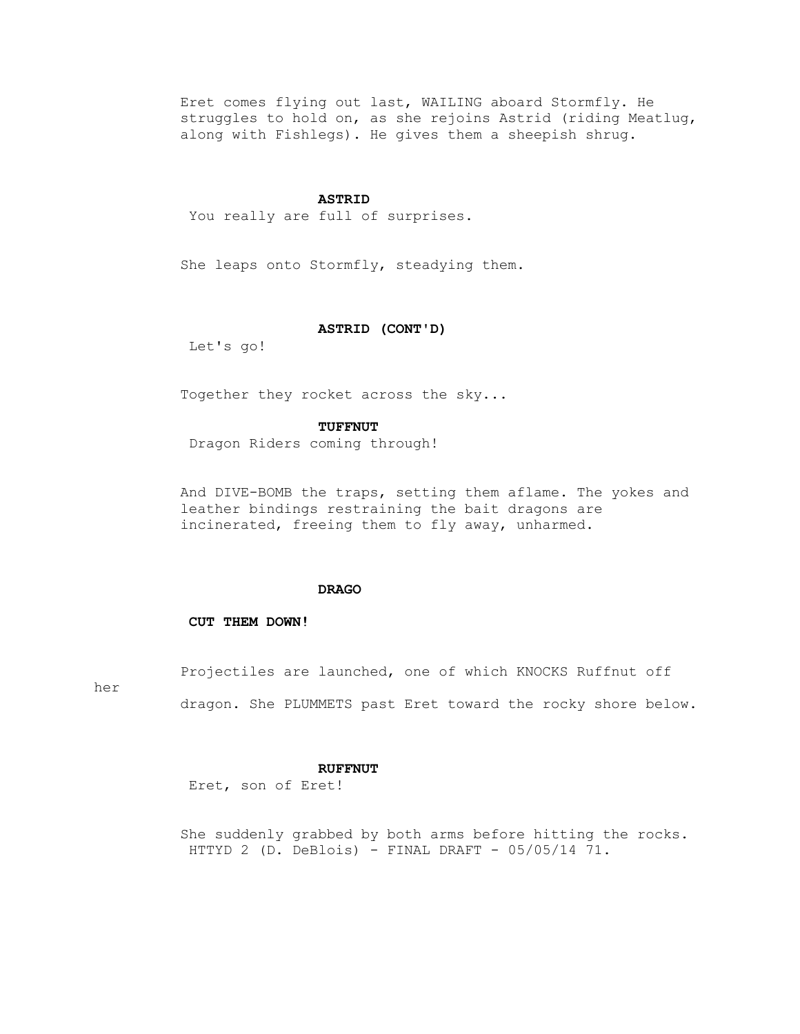Eret comes flying out last, WAILING aboard Stormfly. He struggles to hold on, as she rejoins Astrid (riding Meatlug, along with Fishlegs). He gives them a sheepish shrug.

#### **ASTRID**

You really are full of surprises.

She leaps onto Stormfly, steadying them.

# **ASTRID (CONT'D)**

Let's go!

Together they rocket across the sky...

# **TUFFNUT**

Dragon Riders coming through!

 And DIVE-BOMB the traps, setting them aflame. The yokes and leather bindings restraining the bait dragons are incinerated, freeing them to fly away, unharmed.

# **DRAGO**

# **CUT THEM DOWN!**

 Projectiles are launched, one of which KNOCKS Ruffnut off her dragon. She PLUMMETS past Eret toward the rocky shore below.

### **RUFFNUT**

Eret, son of Eret!

 She suddenly grabbed by both arms before hitting the rocks. HTTYD 2 (D. DeBlois) - FINAL DRAFT - 05/05/14 71.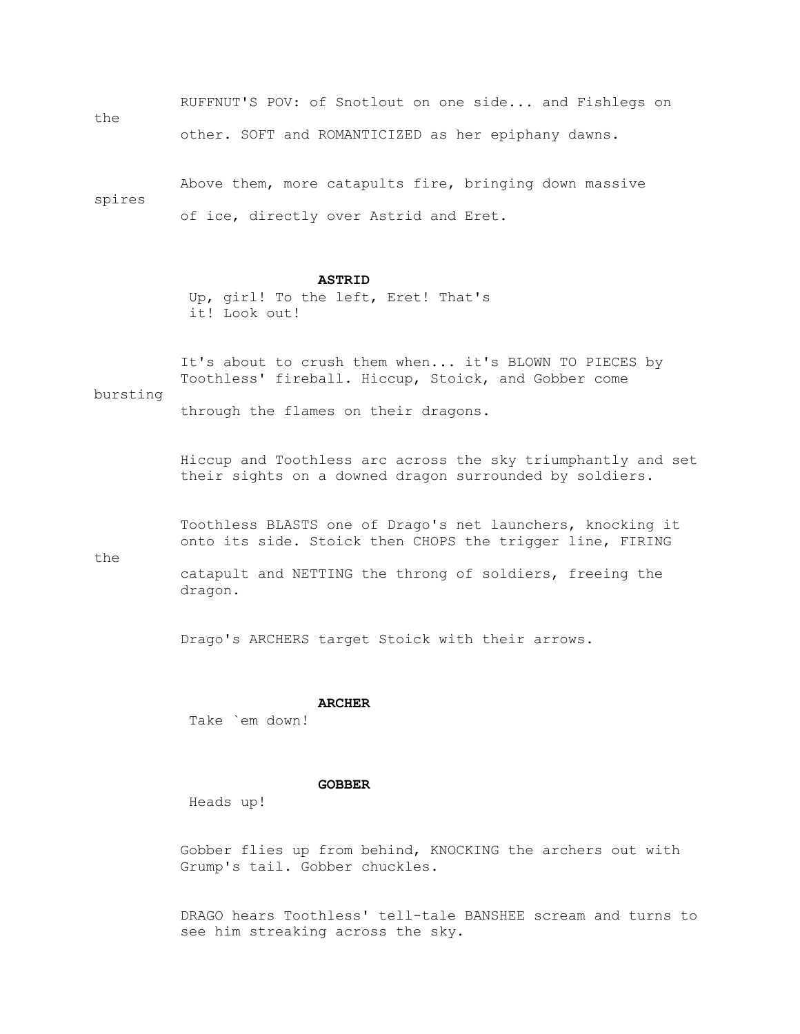RUFFNUT'S POV: of Snotlout on one side... and Fishlegs on the

other. SOFT and ROMANTICIZED as her epiphany dawns.

 Above them, more catapults fire, bringing down massive spires of ice, directly over Astrid and Eret.

# **ASTRID**

 Up, girl! To the left, Eret! That's it! Look out!

 It's about to crush them when... it's BLOWN TO PIECES by Toothless' fireball. Hiccup, Stoick, and Gobber come bursting

through the flames on their dragons.

 Hiccup and Toothless arc across the sky triumphantly and set their sights on a downed dragon surrounded by soldiers.

 Toothless BLASTS one of Drago's net launchers, knocking it onto its side. Stoick then CHOPS the trigger line, FIRING

the

 catapult and NETTING the throng of soldiers, freeing the dragon.

Drago's ARCHERS target Stoick with their arrows.

# **ARCHER**

Take `em down!

# **GOBBER**

Heads up!

 Gobber flies up from behind, KNOCKING the archers out with Grump's tail. Gobber chuckles.

 DRAGO hears Toothless' tell-tale BANSHEE scream and turns to see him streaking across the sky.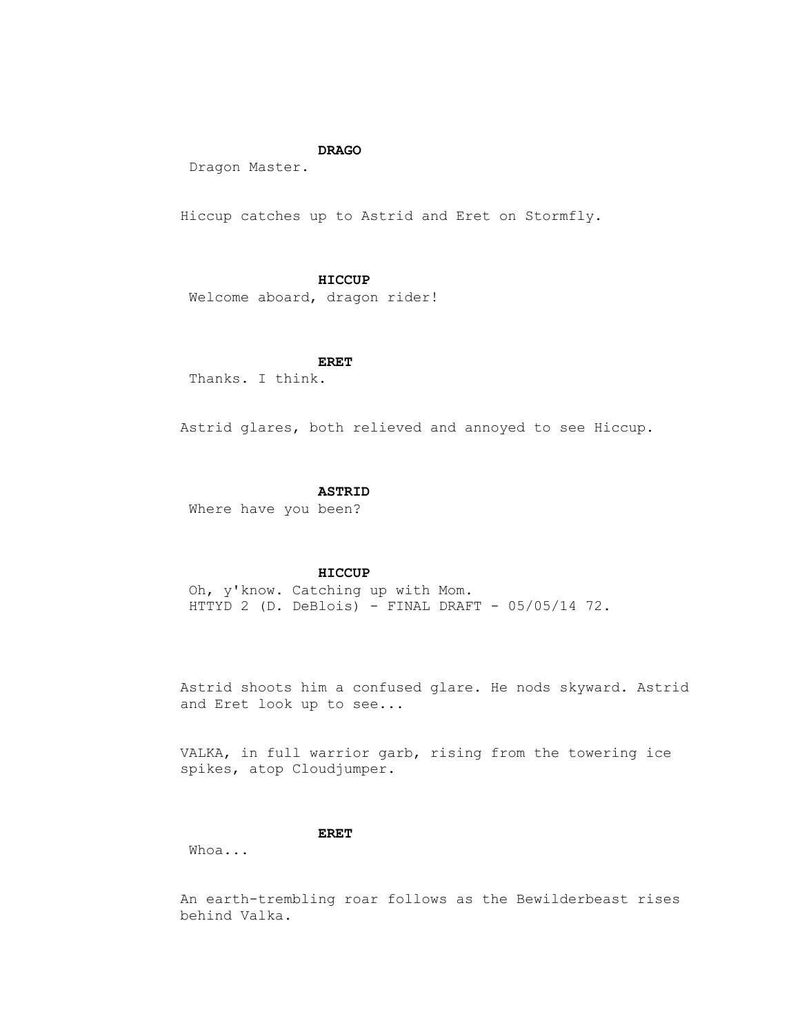## **DRAGO**

Dragon Master.

Hiccup catches up to Astrid and Eret on Stormfly.

## **HICCUP**

Welcome aboard, dragon rider!

 **ERET**

Thanks. I think.

Astrid glares, both relieved and annoyed to see Hiccup.

### **ASTRID**

Where have you been?

### **HICCUP**

 Oh, y'know. Catching up with Mom. HTTYD 2 (D. DeBlois) - FINAL DRAFT - 05/05/14 72.

 Astrid shoots him a confused glare. He nods skyward. Astrid and Eret look up to see...

 VALKA, in full warrior garb, rising from the towering ice spikes, atop Cloudjumper.

## **ERET**

Whoa...

 An earth-trembling roar follows as the Bewilderbeast rises behind Valka.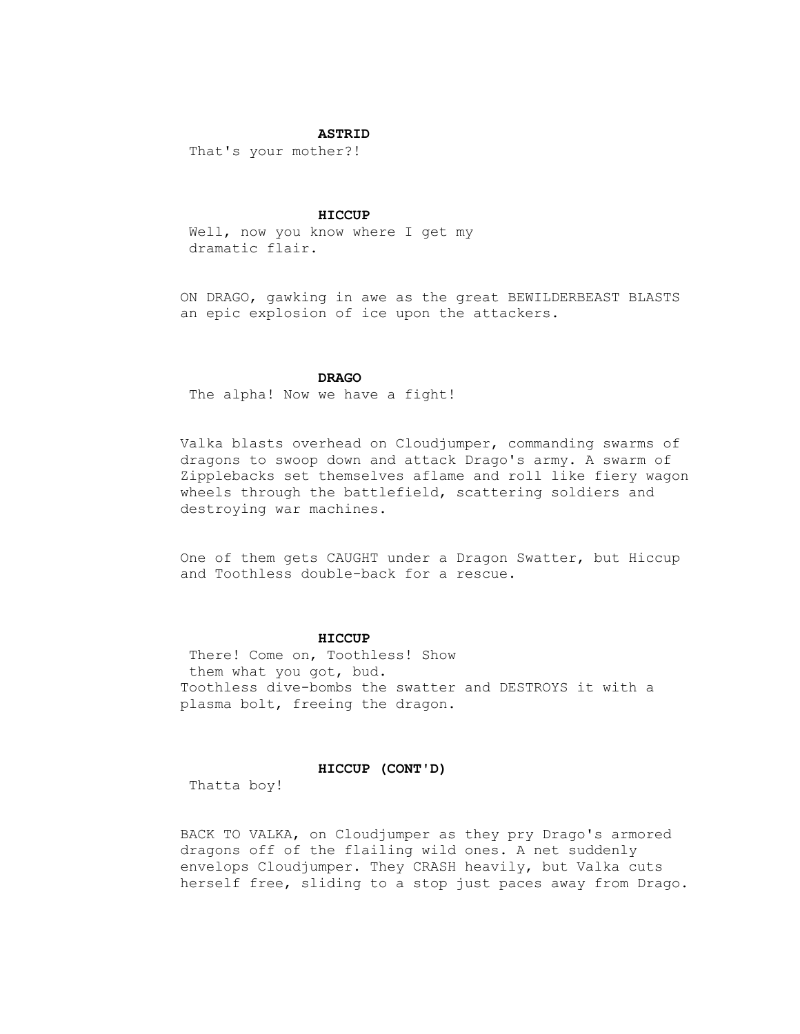#### **ASTRID**

That's your mother?!

### **HICCUP**

 Well, now you know where I get my dramatic flair.

 ON DRAGO, gawking in awe as the great BEWILDERBEAST BLASTS an epic explosion of ice upon the attackers.

### **DRAGO**

The alpha! Now we have a fight!

 Valka blasts overhead on Cloudjumper, commanding swarms of dragons to swoop down and attack Drago's army. A swarm of Zipplebacks set themselves aflame and roll like fiery wagon wheels through the battlefield, scattering soldiers and destroying war machines.

 One of them gets CAUGHT under a Dragon Swatter, but Hiccup and Toothless double-back for a rescue.

## **HICCUP**

 There! Come on, Toothless! Show them what you got, bud. Toothless dive-bombs the swatter and DESTROYS it with a plasma bolt, freeing the dragon.

### **HICCUP (CONT'D)**

Thatta boy!

 BACK TO VALKA, on Cloudjumper as they pry Drago's armored dragons off of the flailing wild ones. A net suddenly envelops Cloudjumper. They CRASH heavily, but Valka cuts herself free, sliding to a stop just paces away from Drago.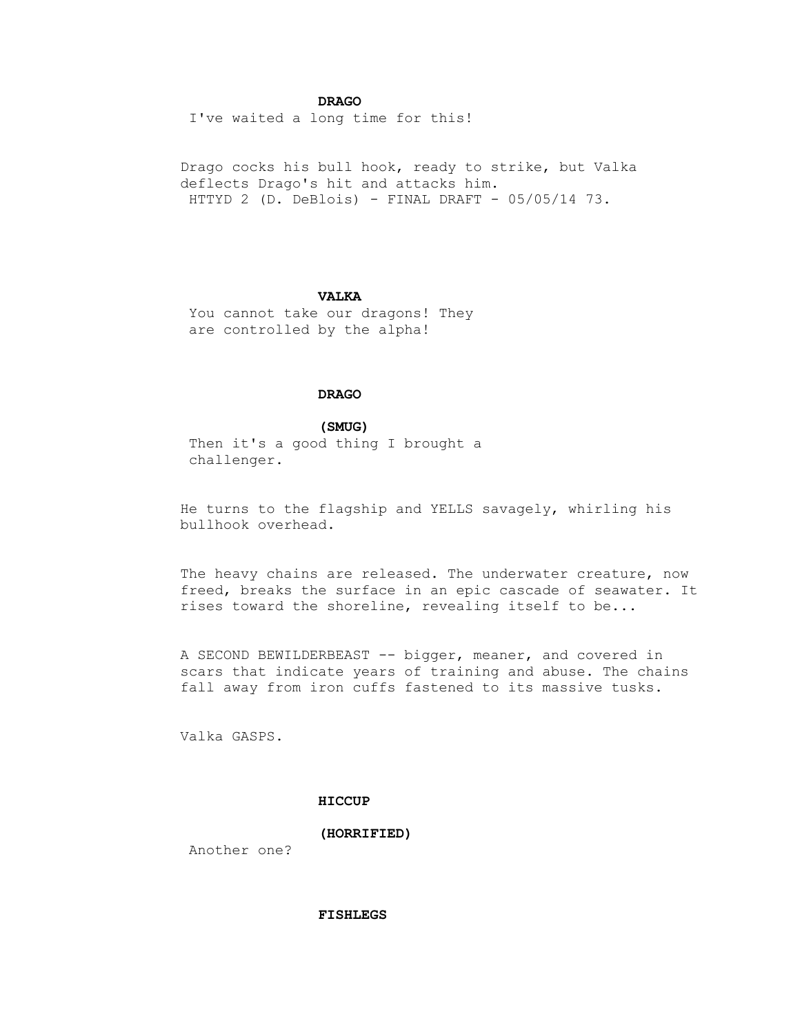## **DRAGO**

I've waited a long time for this!

 Drago cocks his bull hook, ready to strike, but Valka deflects Drago's hit and attacks him. HTTYD 2 (D. DeBlois) - FINAL DRAFT - 05/05/14 73.

# **VALKA**

 You cannot take our dragons! They are controlled by the alpha!

# **DRAGO**

## **(SMUG)**

 Then it's a good thing I brought a challenger.

 He turns to the flagship and YELLS savagely, whirling his bullhook overhead.

The heavy chains are released. The underwater creature, now freed, breaks the surface in an epic cascade of seawater. It rises toward the shoreline, revealing itself to be...

A SECOND BEWILDERBEAST -- bigger, meaner, and covered in scars that indicate years of training and abuse. The chains fall away from iron cuffs fastened to its massive tusks.

Valka GASPS.

# **HICCUP**

 **(HORRIFIED)**

Another one?

 **FISHLEGS**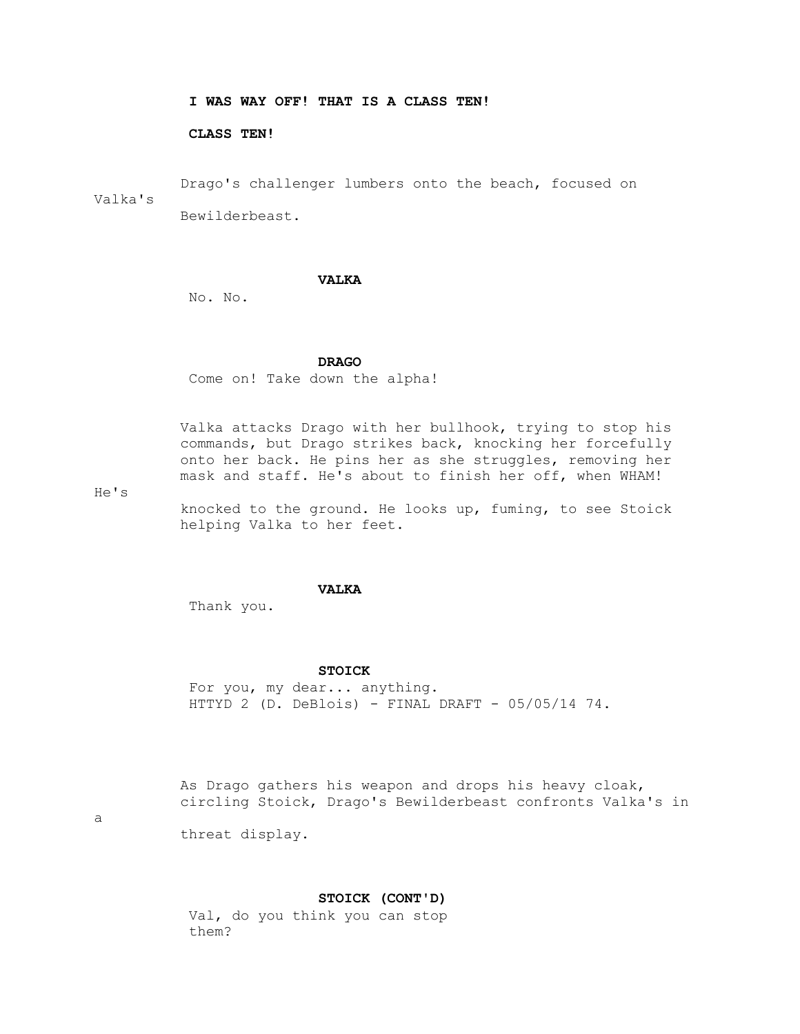## **I WAS WAY OFF! THAT IS A CLASS TEN!**

### **CLASS TEN!**

 Drago's challenger lumbers onto the beach, focused on Valka's Bewilderbeast.

# **VALKA**

No. No.

#### **DRAGO**

Come on! Take down the alpha!

 Valka attacks Drago with her bullhook, trying to stop his commands, but Drago strikes back, knocking her forcefully onto her back. He pins her as she struggles, removing her mask and staff. He's about to finish her off, when WHAM!

He's

 knocked to the ground. He looks up, fuming, to see Stoick helping Valka to her feet.

# **VALKA**

Thank you.

### **STOICK**

 For you, my dear... anything. HTTYD 2 (D. DeBlois) - FINAL DRAFT - 05/05/14 74.

 As Drago gathers his weapon and drops his heavy cloak, circling Stoick, Drago's Bewilderbeast confronts Valka's in

a

threat display.

## **STOICK (CONT'D)**

 Val, do you think you can stop them?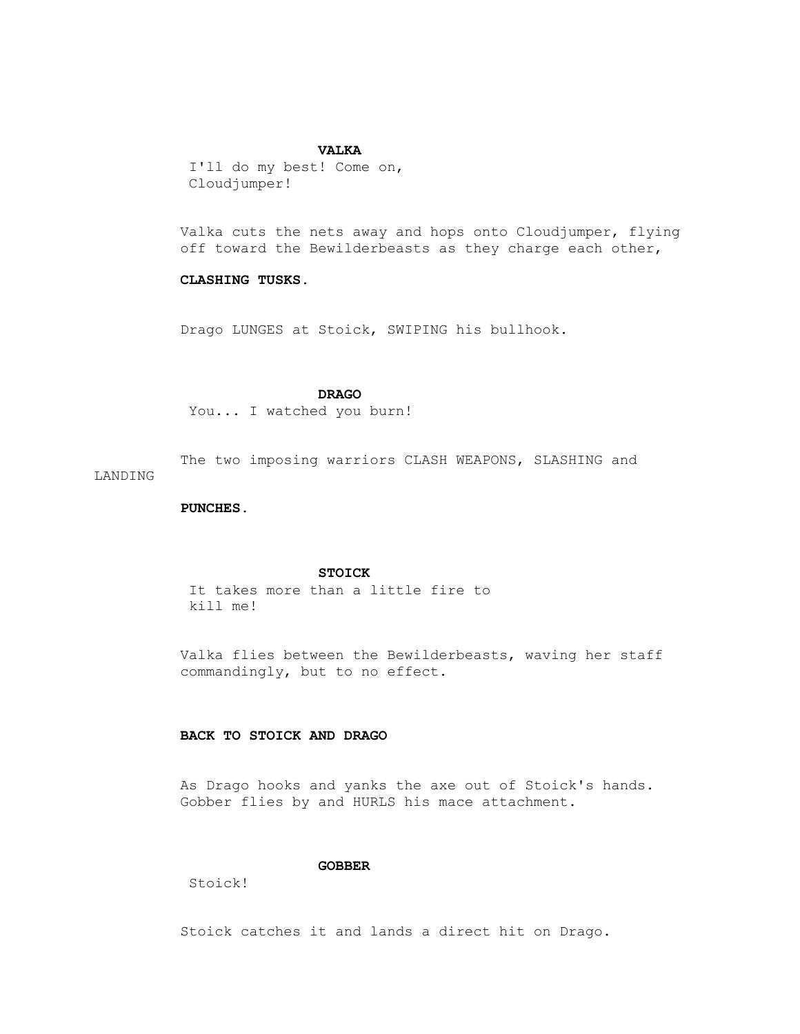## **VALKA**

 I'll do my best! Come on, Cloudjumper!

 Valka cuts the nets away and hops onto Cloudjumper, flying off toward the Bewilderbeasts as they charge each other,

# **CLASHING TUSKS.**

Drago LUNGES at Stoick, SWIPING his bullhook.

### **DRAGO**

You... I watched you burn!

 The two imposing warriors CLASH WEAPONS, SLASHING and LANDING

#### **PUNCHES.**

### **STOICK**

 It takes more than a little fire to kill me!

 Valka flies between the Bewilderbeasts, waving her staff commandingly, but to no effect.

## **BACK TO STOICK AND DRAGO**

 As Drago hooks and yanks the axe out of Stoick's hands. Gobber flies by and HURLS his mace attachment.

# **GOBBER**

Stoick!

Stoick catches it and lands a direct hit on Drago.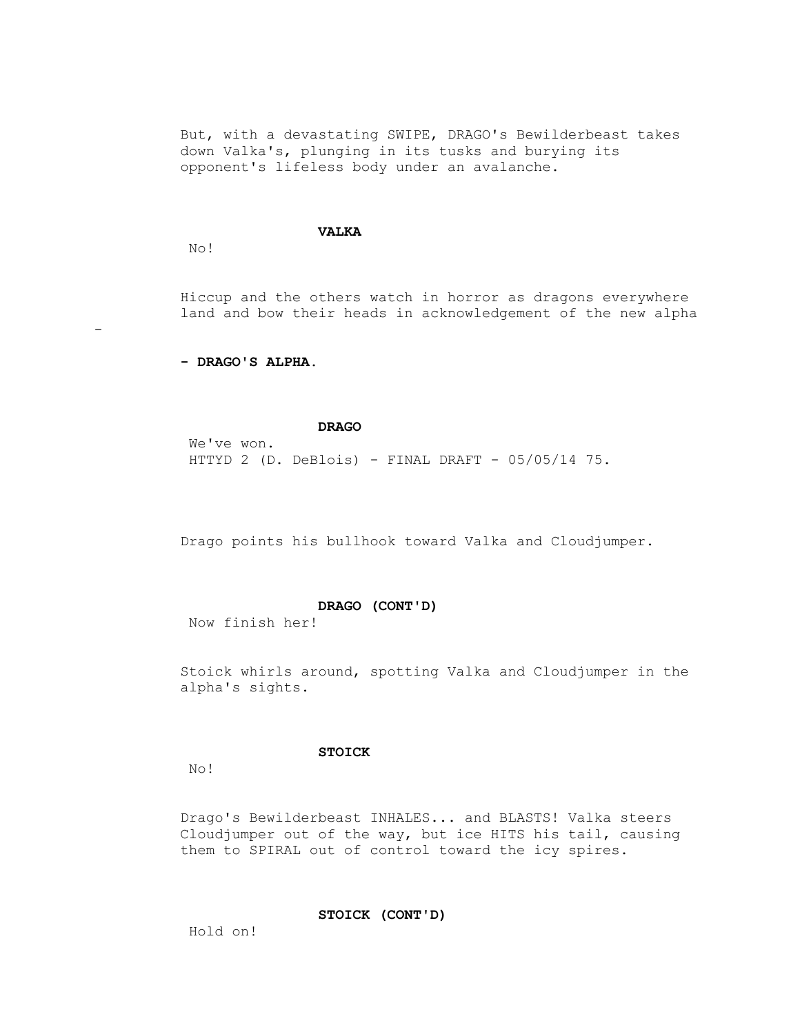But, with a devastating SWIPE, DRAGO's Bewilderbeast takes down Valka's, plunging in its tusks and burying its opponent's lifeless body under an avalanche.

## **VALKA**

No!

-

 Hiccup and the others watch in horror as dragons everywhere land and bow their heads in acknowledgement of the new alpha

### **- DRAGO'S ALPHA.**

#### **DRAGO**

 We've won. HTTYD 2 (D. DeBlois) - FINAL DRAFT - 05/05/14 75.

Drago points his bullhook toward Valka and Cloudjumper.

### **DRAGO (CONT'D)**

Now finish her!

 Stoick whirls around, spotting Valka and Cloudjumper in the alpha's sights.

# **STOICK**

No!

 Drago's Bewilderbeast INHALES... and BLASTS! Valka steers Cloudjumper out of the way, but ice HITS his tail, causing them to SPIRAL out of control toward the icy spires.

 **STOICK (CONT'D)**

Hold on!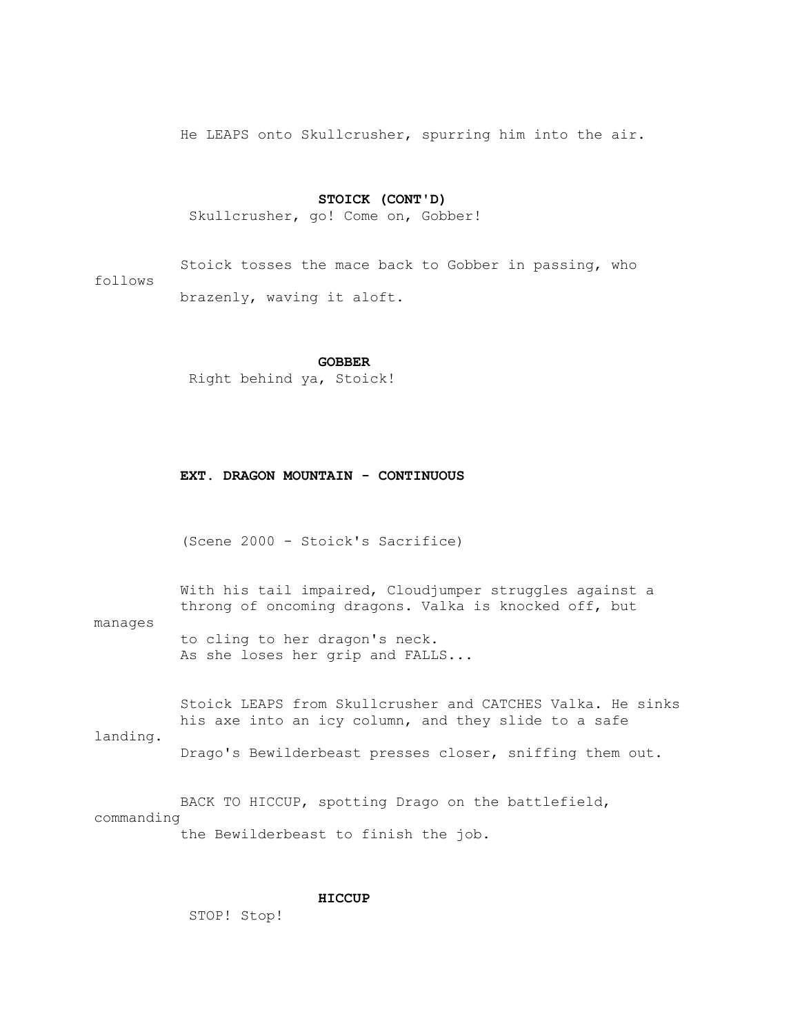He LEAPS onto Skullcrusher, spurring him into the air.

# **STOICK (CONT'D)**

Skullcrusher, go! Come on, Gobber!

Stoick tosses the mace back to Gobber in passing, who

brazenly, waving it aloft.

### **GOBBER**

Right behind ya, Stoick!

# **EXT. DRAGON MOUNTAIN - CONTINUOUS**

(Scene 2000 - Stoick's Sacrifice)

 With his tail impaired, Cloudjumper struggles against a throng of oncoming dragons. Valka is knocked off, but

## manages

follows

 to cling to her dragon's neck. As she loses her grip and FALLS...

 Stoick LEAPS from Skullcrusher and CATCHES Valka. He sinks his axe into an icy column, and they slide to a safe landing. Drago's Bewilderbeast presses closer, sniffing them out.

 BACK TO HICCUP, spotting Drago on the battlefield, commanding the Bewilderbeast to finish the job.

 **HICCUP**

STOP! Stop!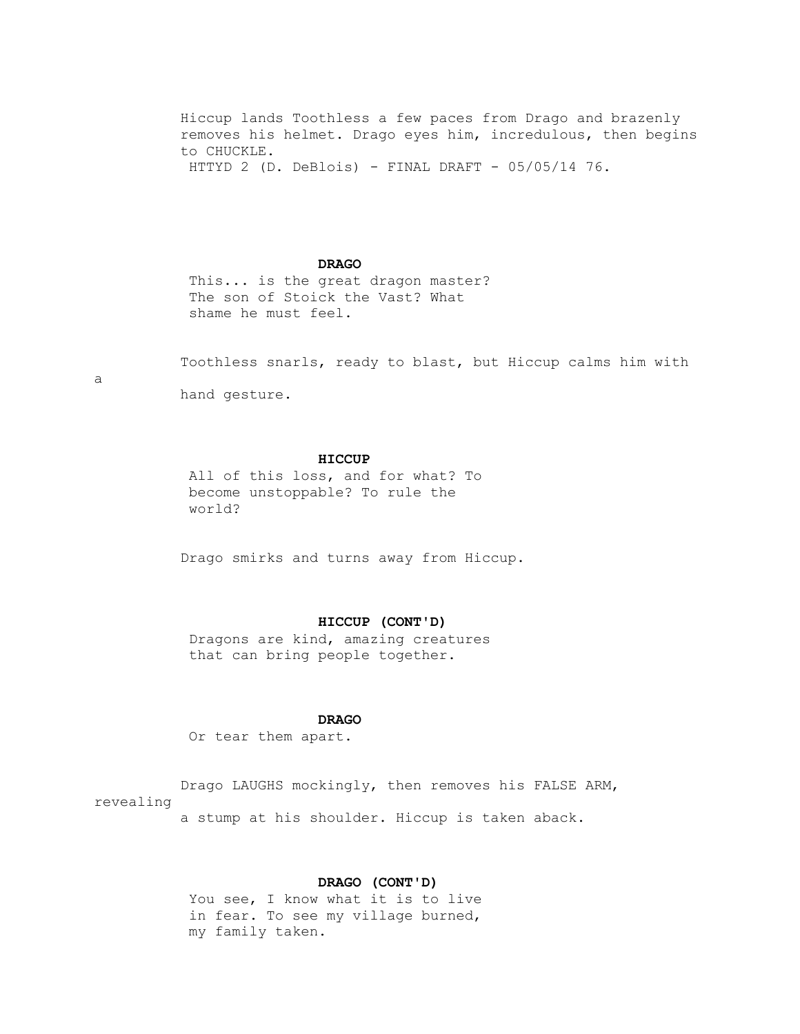Hiccup lands Toothless a few paces from Drago and brazenly removes his helmet. Drago eyes him, incredulous, then begins to CHUCKLE. HTTYD 2 (D. DeBlois) - FINAL DRAFT - 05/05/14 76.

### **DRAGO**

 This... is the great dragon master? The son of Stoick the Vast? What shame he must feel.

Toothless snarls, ready to blast, but Hiccup calms him with

hand gesture.

## **HICCUP**

 All of this loss, and for what? To become unstoppable? To rule the world?

Drago smirks and turns away from Hiccup.

# **HICCUP (CONT'D)**

 Dragons are kind, amazing creatures that can bring people together.

# **DRAGO**

Or tear them apart.

 Drago LAUGHS mockingly, then removes his FALSE ARM, revealing

a stump at his shoulder. Hiccup is taken aback.

# **DRAGO (CONT'D)**

 You see, I know what it is to live in fear. To see my village burned, my family taken.

a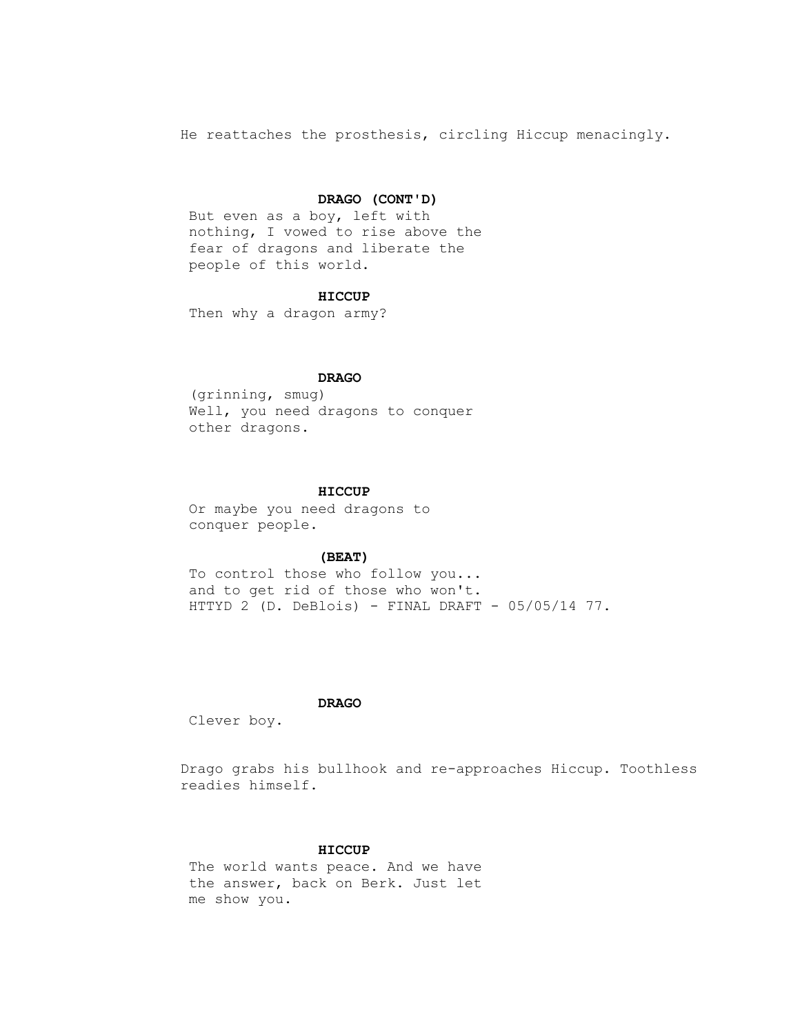He reattaches the prosthesis, circling Hiccup menacingly.

# **DRAGO (CONT'D)**

 But even as a boy, left with nothing, I vowed to rise above the fear of dragons and liberate the people of this world.

#### **HICCUP**

Then why a dragon army?

# **DRAGO**

 (grinning, smug) Well, you need dragons to conquer other dragons.

# **HICCUP**

 Or maybe you need dragons to conquer people.

## **(BEAT)**

 To control those who follow you... and to get rid of those who won't. HTTYD 2 (D. DeBlois) - FINAL DRAFT - 05/05/14 77.

## **DRAGO**

Clever boy.

 Drago grabs his bullhook and re-approaches Hiccup. Toothless readies himself.

# **HICCUP**

 The world wants peace. And we have the answer, back on Berk. Just let me show you.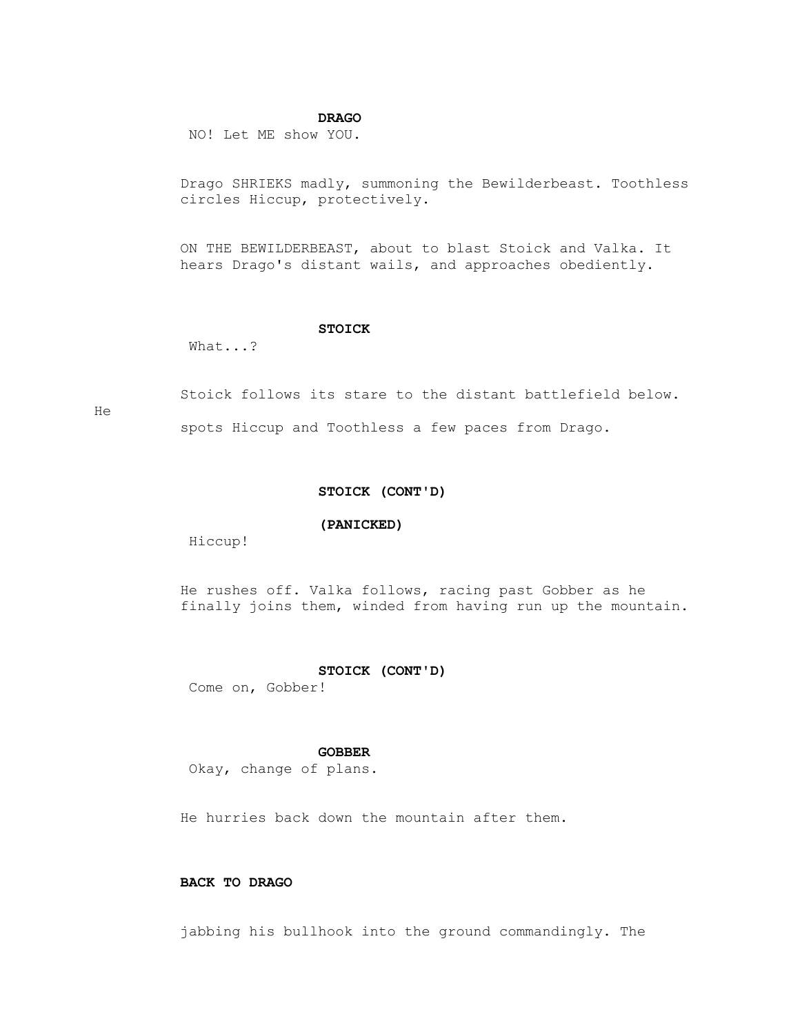## **DRAGO**

NO! Let ME show YOU.

 Drago SHRIEKS madly, summoning the Bewilderbeast. Toothless circles Hiccup, protectively.

 ON THE BEWILDERBEAST, about to blast Stoick and Valka. It hears Drago's distant wails, and approaches obediently.

## **STOICK**

What...?

He

Stoick follows its stare to the distant battlefield below.

spots Hiccup and Toothless a few paces from Drago.

### **STOICK (CONT'D)**

# **(PANICKED)**

Hiccup!

 He rushes off. Valka follows, racing past Gobber as he finally joins them, winded from having run up the mountain.

### **STOICK (CONT'D)**

Come on, Gobber!

## **GOBBER**

Okay, change of plans.

He hurries back down the mountain after them.

# **BACK TO DRAGO**

jabbing his bullhook into the ground commandingly. The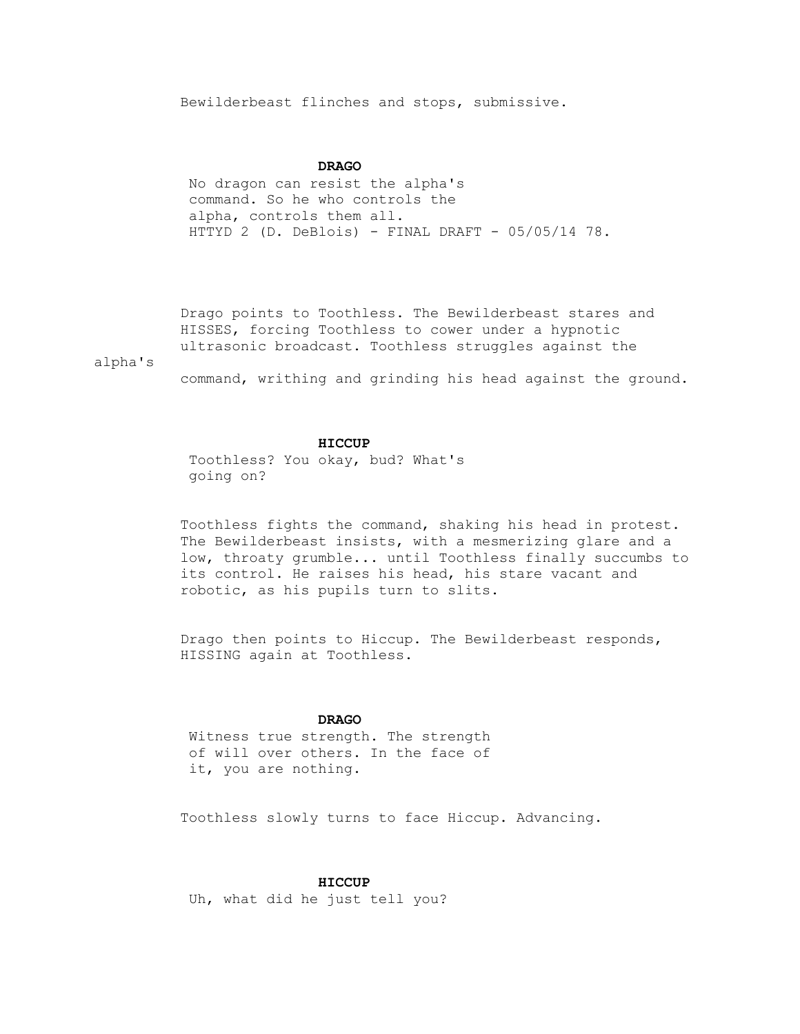Bewilderbeast flinches and stops, submissive.

## **DRAGO**

 No dragon can resist the alpha's command. So he who controls the alpha, controls them all. HTTYD 2 (D. DeBlois) - FINAL DRAFT -  $05/05/14$  78.

 Drago points to Toothless. The Bewilderbeast stares and HISSES, forcing Toothless to cower under a hypnotic ultrasonic broadcast. Toothless struggles against the

alpha's

command, writhing and grinding his head against the ground.

### **HICCUP**

 Toothless? You okay, bud? What's going on?

 Toothless fights the command, shaking his head in protest. The Bewilderbeast insists, with a mesmerizing glare and a low, throaty grumble... until Toothless finally succumbs to its control. He raises his head, his stare vacant and robotic, as his pupils turn to slits.

 Drago then points to Hiccup. The Bewilderbeast responds, HISSING again at Toothless.

### **DRAGO**

 Witness true strength. The strength of will over others. In the face of it, you are nothing.

Toothless slowly turns to face Hiccup. Advancing.

## **HICCUP**

Uh, what did he just tell you?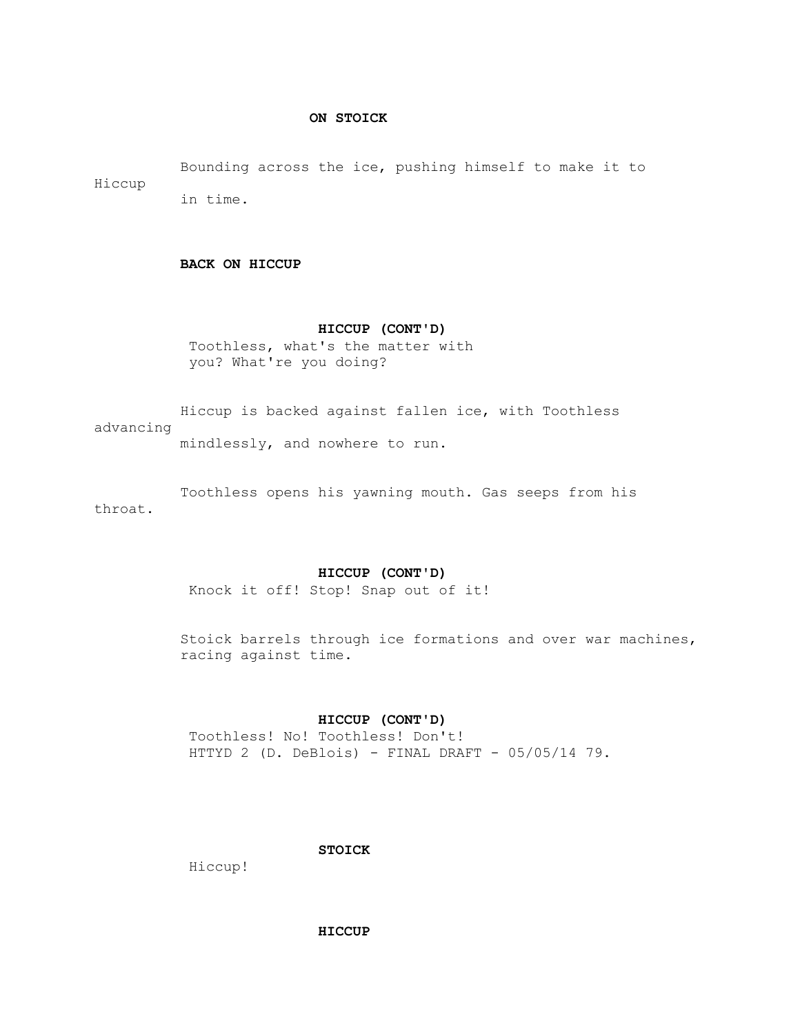## **ON STOICK**

 Bounding across the ice, pushing himself to make it to Hiccup in time.

 **BACK ON HICCUP**

# **HICCUP (CONT'D)**

 Toothless, what's the matter with you? What're you doing?

 Hiccup is backed against fallen ice, with Toothless advancing mindlessly, and nowhere to run.

 Toothless opens his yawning mouth. Gas seeps from his throat.

## **HICCUP (CONT'D)**

Knock it off! Stop! Snap out of it!

 Stoick barrels through ice formations and over war machines, racing against time.

# **HICCUP (CONT'D)**

 Toothless! No! Toothless! Don't! HTTYD 2 (D. DeBlois) - FINAL DRAFT - 05/05/14 79.

## **STOICK**

Hiccup!

 **HICCUP**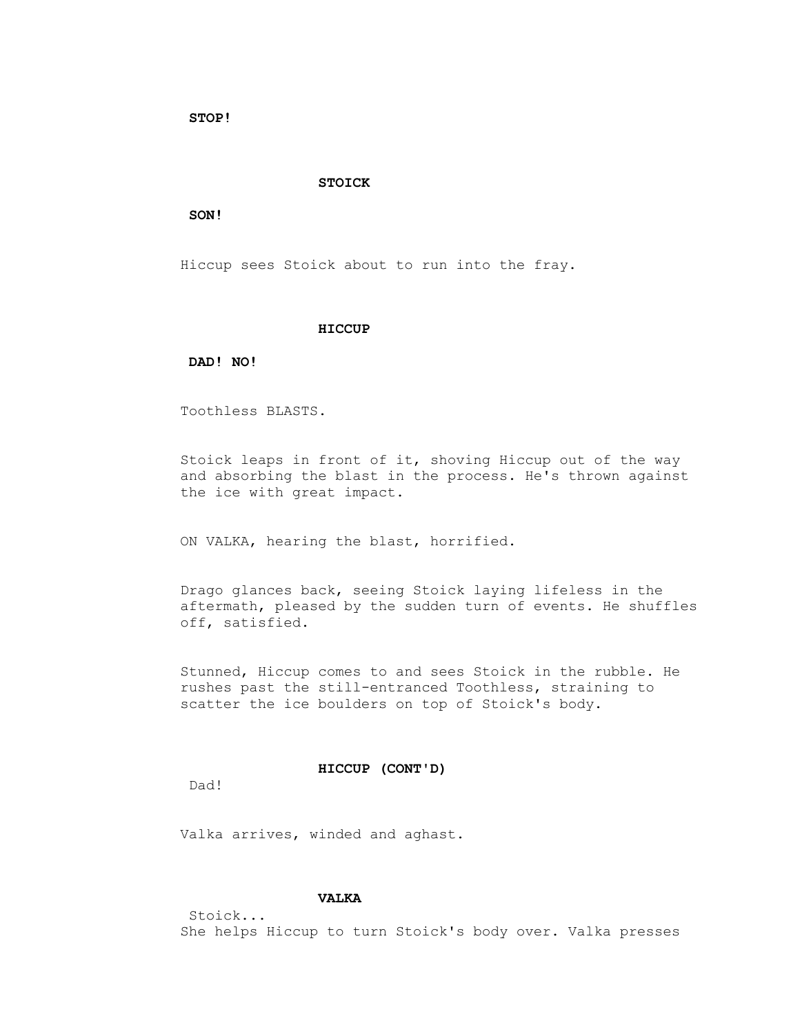**STOP!**

### **STOICK**

 **SON!**

Hiccup sees Stoick about to run into the fray.

### **HICCUP**

 **DAD! NO!**

Toothless BLASTS.

 Stoick leaps in front of it, shoving Hiccup out of the way and absorbing the blast in the process. He's thrown against the ice with great impact.

ON VALKA, hearing the blast, horrified.

 Drago glances back, seeing Stoick laying lifeless in the aftermath, pleased by the sudden turn of events. He shuffles off, satisfied.

 Stunned, Hiccup comes to and sees Stoick in the rubble. He rushes past the still-entranced Toothless, straining to scatter the ice boulders on top of Stoick's body.

### **HICCUP (CONT'D)**

Dad!

Valka arrives, winded and aghast.

## **VALKA**

 Stoick... She helps Hiccup to turn Stoick's body over. Valka presses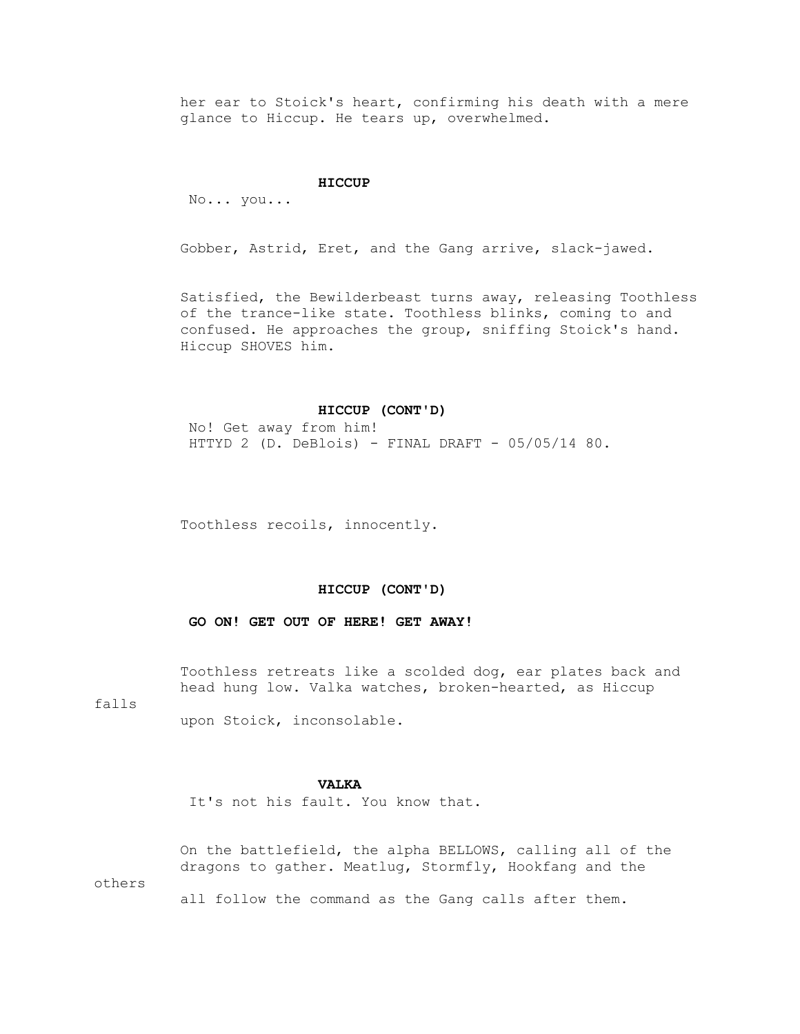her ear to Stoick's heart, confirming his death with a mere glance to Hiccup. He tears up, overwhelmed.

### **HICCUP**

No... you...

Gobber, Astrid, Eret, and the Gang arrive, slack-jawed.

 Satisfied, the Bewilderbeast turns away, releasing Toothless of the trance-like state. Toothless blinks, coming to and confused. He approaches the group, sniffing Stoick's hand. Hiccup SHOVES him.

## **HICCUP (CONT'D)**

 No! Get away from him! HTTYD 2 (D. DeBlois) - FINAL DRAFT - 05/05/14 80.

Toothless recoils, innocently.

# **HICCUP (CONT'D)**

 **GO ON! GET OUT OF HERE! GET AWAY!**

 Toothless retreats like a scolded dog, ear plates back and head hung low. Valka watches, broken-hearted, as Hiccup falls

upon Stoick, inconsolable.

## **VALKA**

It's not his fault. You know that.

 On the battlefield, the alpha BELLOWS, calling all of the dragons to gather. Meatlug, Stormfly, Hookfang and the others all follow the command as the Gang calls after them.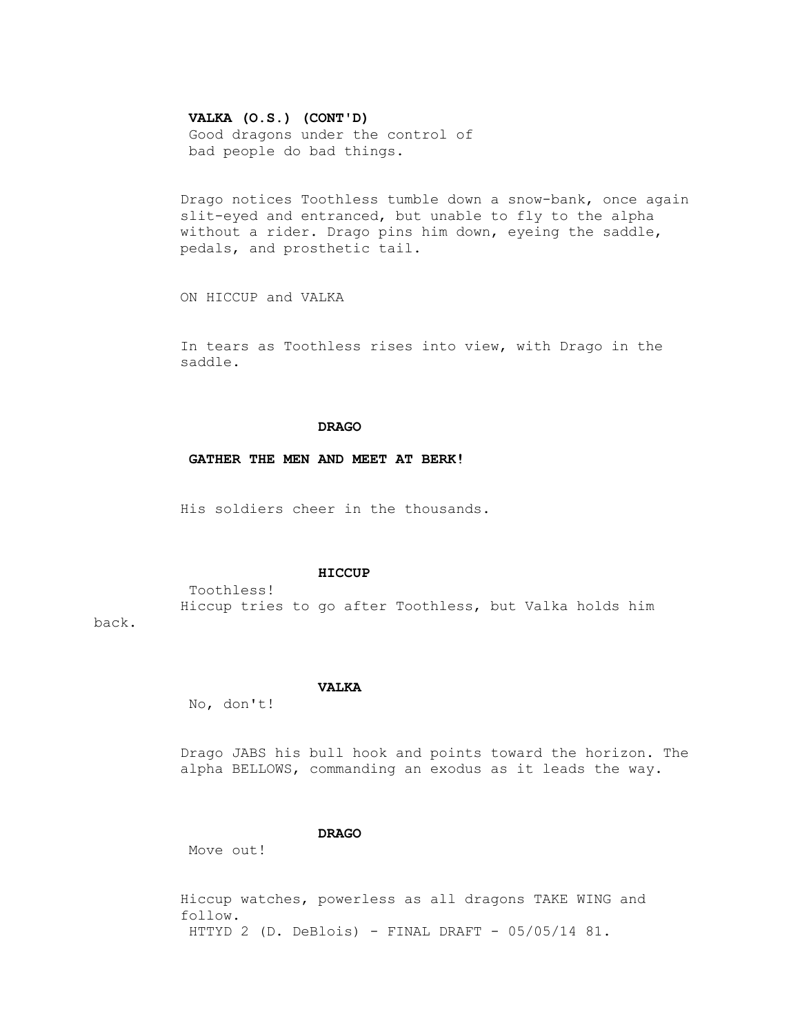# **VALKA (O.S.) (CONT'D)**

 Good dragons under the control of bad people do bad things.

 Drago notices Toothless tumble down a snow-bank, once again slit-eyed and entranced, but unable to fly to the alpha without a rider. Drago pins him down, eyeing the saddle, pedals, and prosthetic tail.

ON HICCUP and VALKA

 In tears as Toothless rises into view, with Drago in the saddle.

### **DRAGO**

# **GATHER THE MEN AND MEET AT BERK!**

His soldiers cheer in the thousands.

### **HICCUP**

 Toothless! Hiccup tries to go after Toothless, but Valka holds him

back.

#### **VALKA**

No, don't!

 Drago JABS his bull hook and points toward the horizon. The alpha BELLOWS, commanding an exodus as it leads the way.

## **DRAGO**

Move out!

 Hiccup watches, powerless as all dragons TAKE WING and follow. HTTYD 2 (D. DeBlois) - FINAL DRAFT - 05/05/14 81.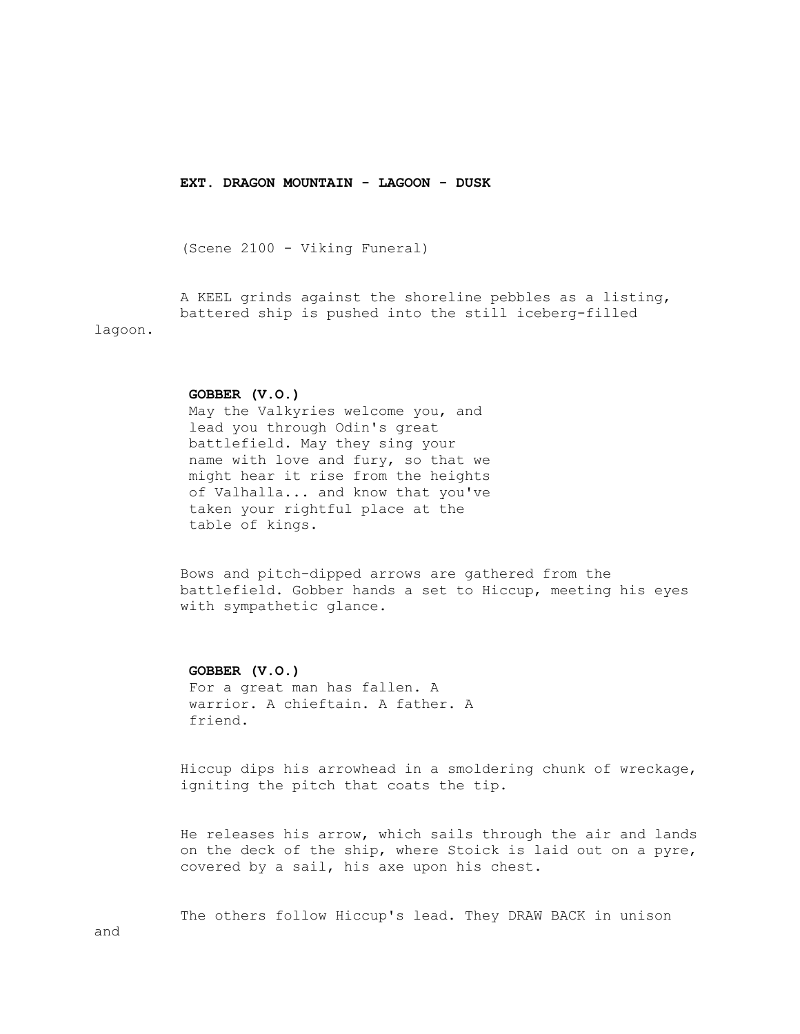**EXT. DRAGON MOUNTAIN - LAGOON - DUSK**

(Scene 2100 - Viking Funeral)

 A KEEL grinds against the shoreline pebbles as a listing, battered ship is pushed into the still iceberg-filled lagoon.

# **GOBBER (V.O.)**

 May the Valkyries welcome you, and lead you through Odin's great battlefield. May they sing your name with love and fury, so that we might hear it rise from the heights of Valhalla... and know that you've taken your rightful place at the table of kings.

 Bows and pitch-dipped arrows are gathered from the battlefield. Gobber hands a set to Hiccup, meeting his eyes with sympathetic glance.

## **GOBBER (V.O.)**

 For a great man has fallen. A warrior. A chieftain. A father. A friend.

 Hiccup dips his arrowhead in a smoldering chunk of wreckage, igniting the pitch that coats the tip.

 He releases his arrow, which sails through the air and lands on the deck of the ship, where Stoick is laid out on a pyre, covered by a sail, his axe upon his chest.

The others follow Hiccup's lead. They DRAW BACK in unison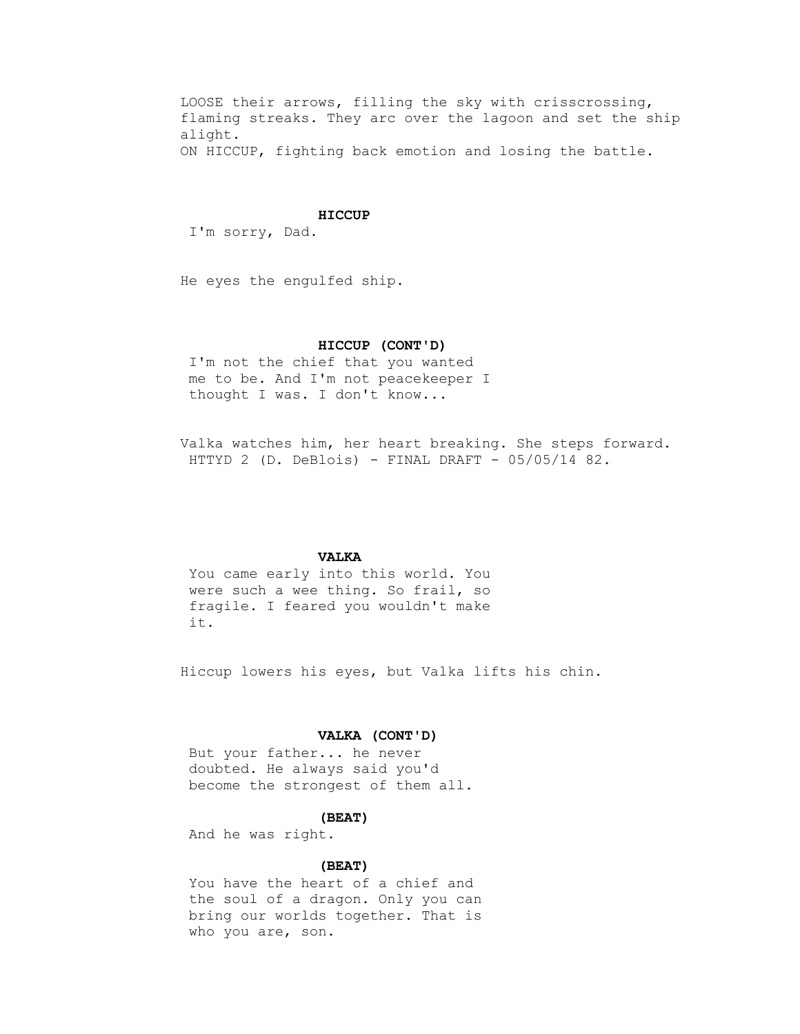LOOSE their arrows, filling the sky with crisscrossing, flaming streaks. They arc over the lagoon and set the ship alight. ON HICCUP, fighting back emotion and losing the battle.

#### **HICCUP**

I'm sorry, Dad.

He eyes the engulfed ship.

# **HICCUP (CONT'D)**

 I'm not the chief that you wanted me to be. And I'm not peacekeeper I thought I was. I don't know...

 Valka watches him, her heart breaking. She steps forward. HTTYD 2 (D. DeBlois) - FINAL DRAFT - 05/05/14 82.

### **VALKA**

 You came early into this world. You were such a wee thing. So frail, so fragile. I feared you wouldn't make it.

Hiccup lowers his eyes, but Valka lifts his chin.

### **VALKA (CONT'D)**

 But your father... he never doubted. He always said you'd become the strongest of them all.

## **(BEAT)**

And he was right.

## **(BEAT)**

 You have the heart of a chief and the soul of a dragon. Only you can bring our worlds together. That is who you are, son.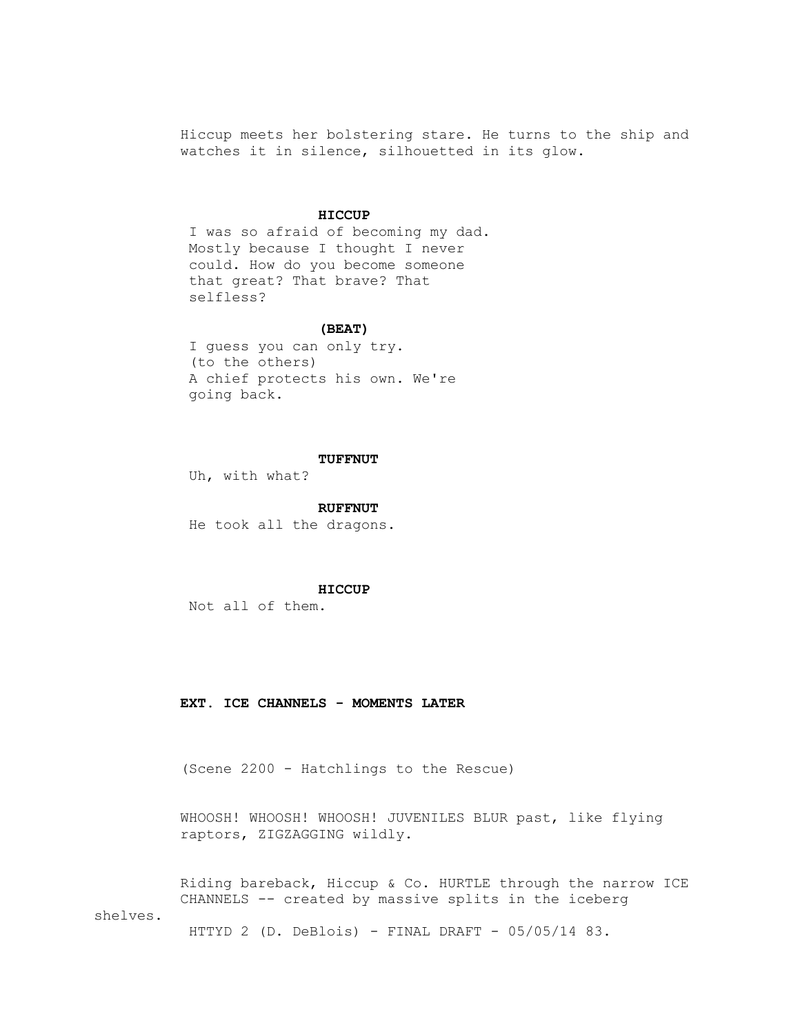Hiccup meets her bolstering stare. He turns to the ship and watches it in silence, silhouetted in its glow.

### **HICCUP**

 I was so afraid of becoming my dad. Mostly because I thought I never could. How do you become someone that great? That brave? That selfless?

# **(BEAT)**

 I guess you can only try. (to the others) A chief protects his own. We're going back.

### **TUFFNUT**

Uh, with what?

### **RUFFNUT**

He took all the dragons.

#### **HICCUP**

Not all of them.

# **EXT. ICE CHANNELS - MOMENTS LATER**

(Scene 2200 - Hatchlings to the Rescue)

 WHOOSH! WHOOSH! WHOOSH! JUVENILES BLUR past, like flying raptors, ZIGZAGGING wildly.

 Riding bareback, Hiccup & Co. HURTLE through the narrow ICE CHANNELS -- created by massive splits in the iceberg

shelves.

HTTYD 2 (D. DeBlois) - FINAL DRAFT - 05/05/14 83.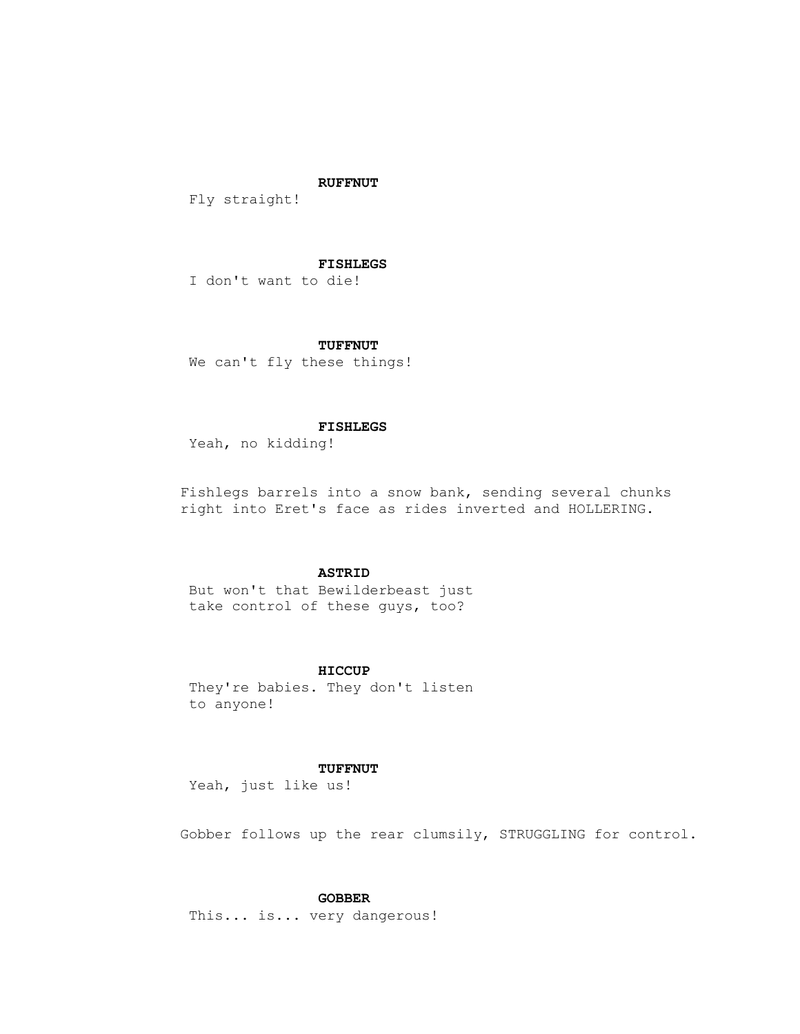# **RUFFNUT**

Fly straight!

### **FISHLEGS**

I don't want to die!

# **TUFFNUT**

We can't fly these things!

## **FISHLEGS**

Yeah, no kidding!

 Fishlegs barrels into a snow bank, sending several chunks right into Eret's face as rides inverted and HOLLERING.

## **ASTRID**

 But won't that Bewilderbeast just take control of these guys, too?

### **HICCUP**

 They're babies. They don't listen to anyone!

# **TUFFNUT**

Yeah, just like us!

Gobber follows up the rear clumsily, STRUGGLING for control.

# **GOBBER**

This... is... very dangerous!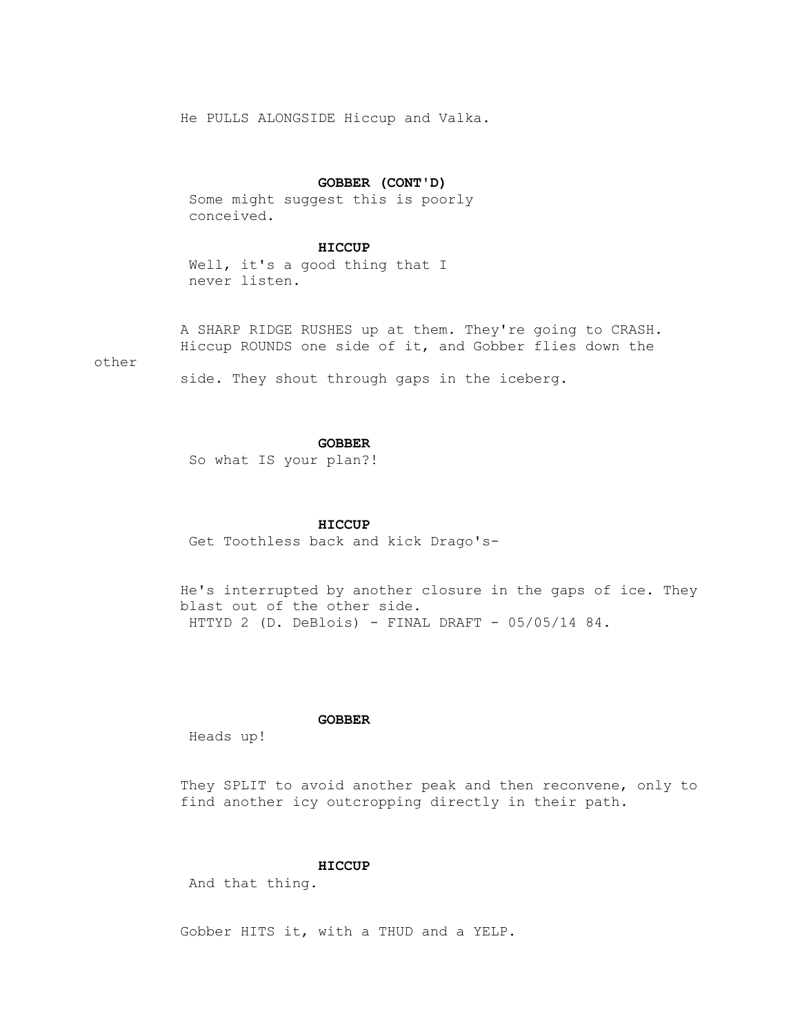He PULLS ALONGSIDE Hiccup and Valka.

## **GOBBER (CONT'D)**

 Some might suggest this is poorly conceived.

### **HICCUP**

 Well, it's a good thing that I never listen.

 A SHARP RIDGE RUSHES up at them. They're going to CRASH. Hiccup ROUNDS one side of it, and Gobber flies down the

other

side. They shout through gaps in the iceberg.

# **GOBBER**

So what IS your plan?!

### **HICCUP**

Get Toothless back and kick Drago's-

 He's interrupted by another closure in the gaps of ice. They blast out of the other side. HTTYD 2 (D. DeBlois) - FINAL DRAFT - 05/05/14 84.

## **GOBBER**

Heads up!

 They SPLIT to avoid another peak and then reconvene, only to find another icy outcropping directly in their path.

# **HICCUP**

And that thing.

Gobber HITS it, with a THUD and a YELP.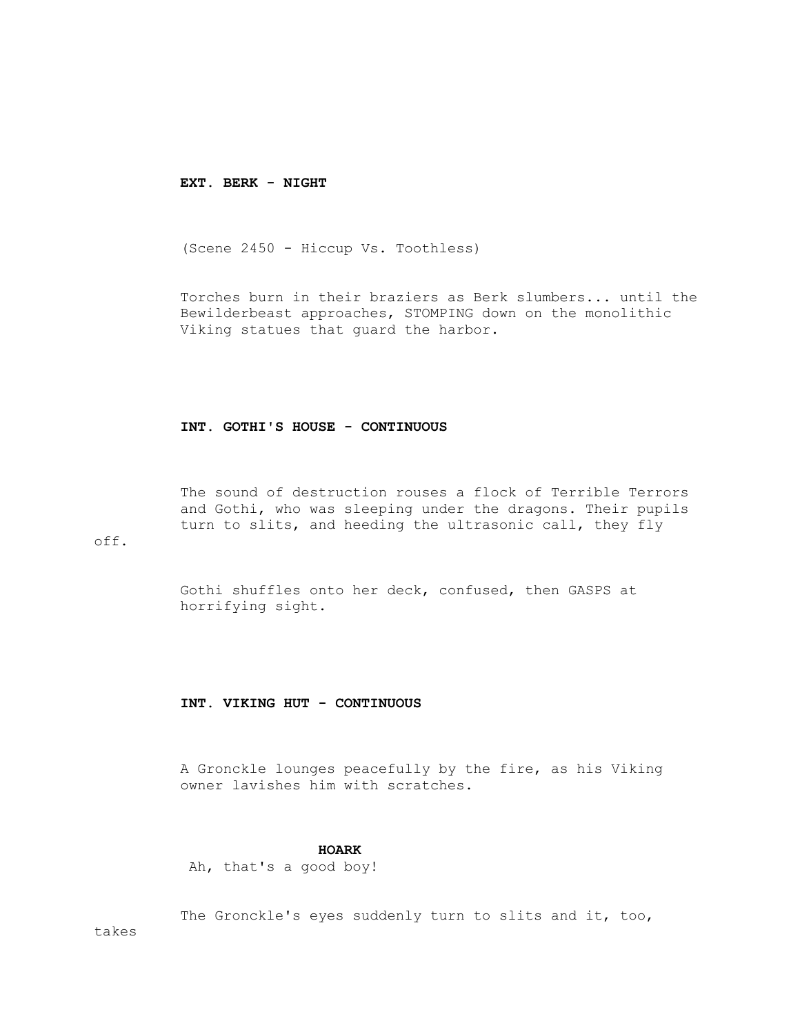### **EXT. BERK - NIGHT**

(Scene 2450 - Hiccup Vs. Toothless)

 Torches burn in their braziers as Berk slumbers... until the Bewilderbeast approaches, STOMPING down on the monolithic Viking statues that guard the harbor.

# **INT. GOTHI'S HOUSE - CONTINUOUS**

 The sound of destruction rouses a flock of Terrible Terrors and Gothi, who was sleeping under the dragons. Their pupils turn to slits, and heeding the ultrasonic call, they fly

off.

 Gothi shuffles onto her deck, confused, then GASPS at horrifying sight.

# **INT. VIKING HUT - CONTINUOUS**

 A Gronckle lounges peacefully by the fire, as his Viking owner lavishes him with scratches.

# **HOARK**

Ah, that's a good boy!

The Gronckle's eyes suddenly turn to slits and it, too,

takes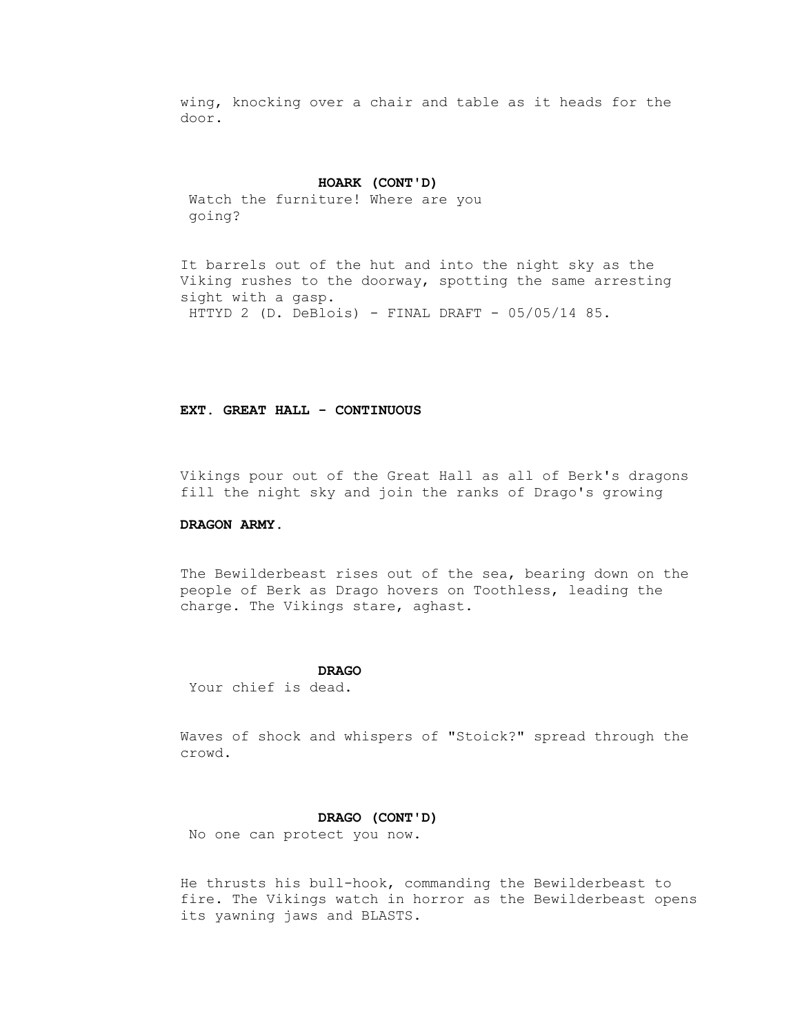wing, knocking over a chair and table as it heads for the door.

### **HOARK (CONT'D)**

 Watch the furniture! Where are you going?

 It barrels out of the hut and into the night sky as the Viking rushes to the doorway, spotting the same arresting sight with a gasp. HTTYD 2 (D. DeBlois) - FINAL DRAFT -  $05/05/14$  85.

# **EXT. GREAT HALL - CONTINUOUS**

 Vikings pour out of the Great Hall as all of Berk's dragons fill the night sky and join the ranks of Drago's growing

# **DRAGON ARMY.**

 The Bewilderbeast rises out of the sea, bearing down on the people of Berk as Drago hovers on Toothless, leading the charge. The Vikings stare, aghast.

#### **DRAGO**

Your chief is dead.

 Waves of shock and whispers of "Stoick?" spread through the crowd.

# **DRAGO (CONT'D)**

No one can protect you now.

 He thrusts his bull-hook, commanding the Bewilderbeast to fire. The Vikings watch in horror as the Bewilderbeast opens its yawning jaws and BLASTS.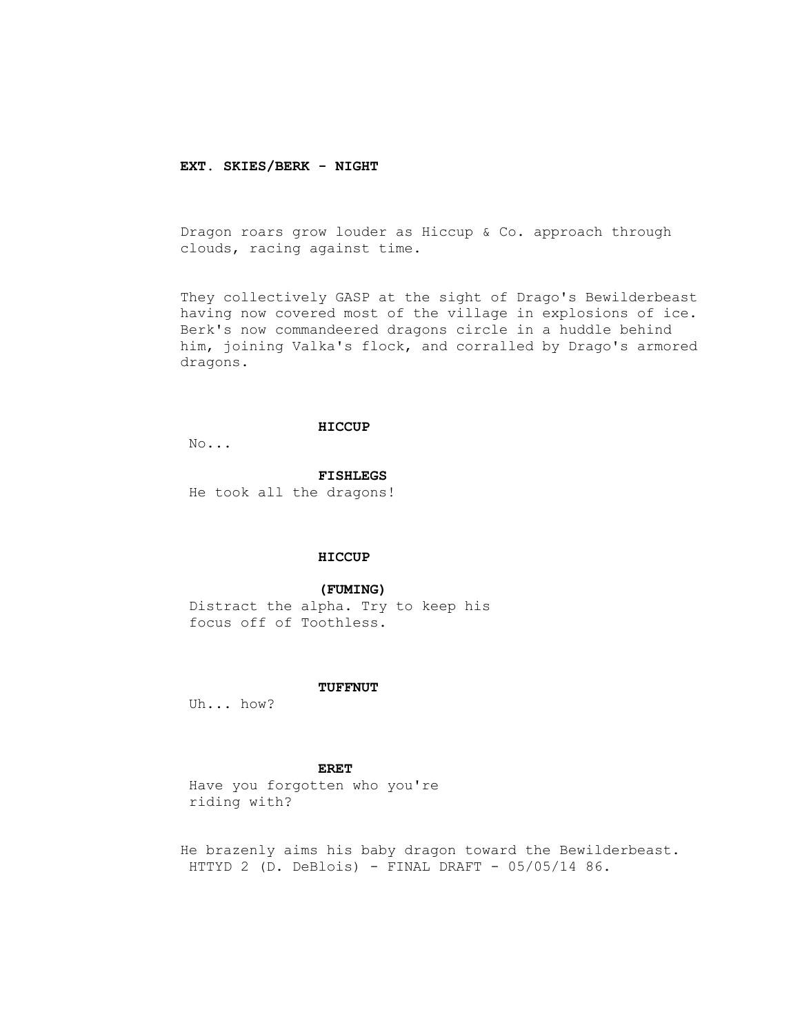# **EXT. SKIES/BERK - NIGHT**

 Dragon roars grow louder as Hiccup & Co. approach through clouds, racing against time.

 They collectively GASP at the sight of Drago's Bewilderbeast having now covered most of the village in explosions of ice. Berk's now commandeered dragons circle in a huddle behind him, joining Valka's flock, and corralled by Drago's armored dragons.

### **HICCUP**

No...

 **FISHLEGS** He took all the dragons!

# **HICCUP**

 **(FUMING)** Distract the alpha. Try to keep his focus off of Toothless.

## **TUFFNUT**

Uh... how?

# **ERET**

 Have you forgotten who you're riding with?

 He brazenly aims his baby dragon toward the Bewilderbeast. HTTYD 2 (D. DeBlois) - FINAL DRAFT - 05/05/14 86.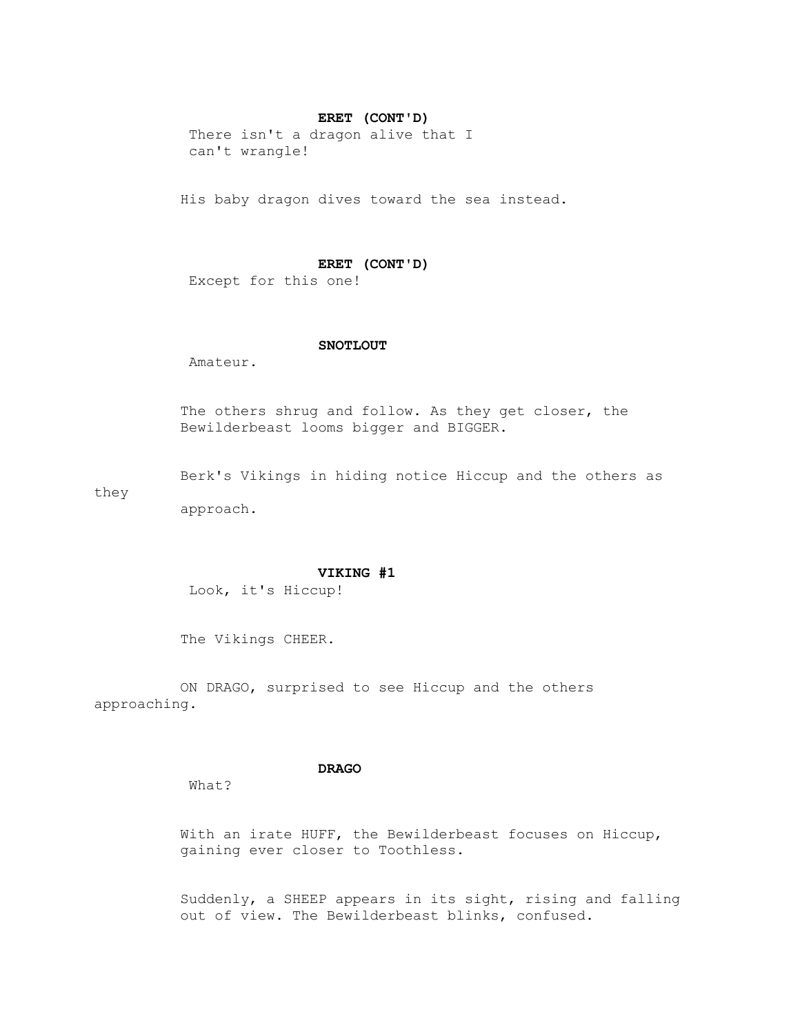## **ERET (CONT'D)**

 There isn't a dragon alive that I can't wrangle!

His baby dragon dives toward the sea instead.

## **ERET (CONT'D)**

Except for this one!

# **SNOTLOUT**

Amateur.

 The others shrug and follow. As they get closer, the Bewilderbeast looms bigger and BIGGER.

 Berk's Vikings in hiding notice Hiccup and the others as they

approach.

### **VIKING #1**

Look, it's Hiccup!

The Vikings CHEER.

 ON DRAGO, surprised to see Hiccup and the others approaching.

# **DRAGO**

What?

With an irate HUFF, the Bewilderbeast focuses on Hiccup, gaining ever closer to Toothless.

 Suddenly, a SHEEP appears in its sight, rising and falling out of view. The Bewilderbeast blinks, confused.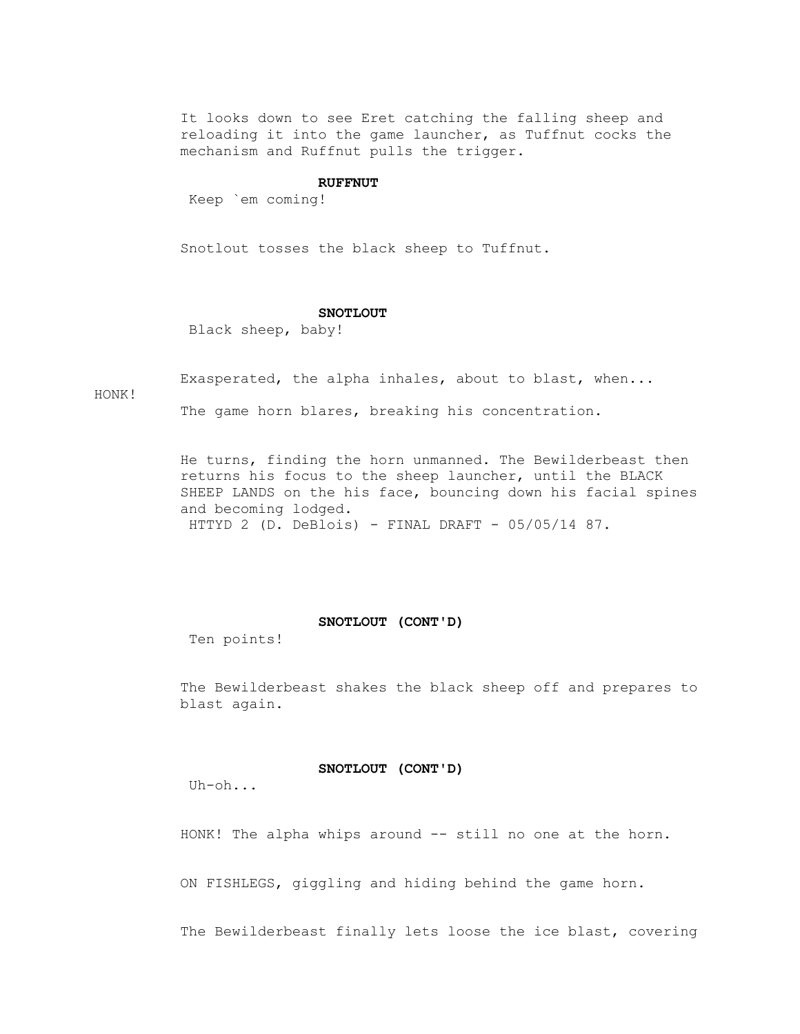It looks down to see Eret catching the falling sheep and reloading it into the game launcher, as Tuffnut cocks the mechanism and Ruffnut pulls the trigger.

#### **RUFFNUT**

Keep `em coming!

Snotlout tosses the black sheep to Tuffnut.

#### **SNOTLOUT**

Black sheep, baby!

Exasperated, the alpha inhales, about to blast, when...

HONK!

The game horn blares, breaking his concentration.

 He turns, finding the horn unmanned. The Bewilderbeast then returns his focus to the sheep launcher, until the BLACK SHEEP LANDS on the his face, bouncing down his facial spines and becoming lodged. HTTYD 2 (D. DeBlois) - FINAL DRAFT - 05/05/14 87.

### **SNOTLOUT (CONT'D)**

Ten points!

 The Bewilderbeast shakes the black sheep off and prepares to blast again.

## **SNOTLOUT (CONT'D)**

Uh-oh...

HONK! The alpha whips around -- still no one at the horn.

ON FISHLEGS, giggling and hiding behind the game horn.

The Bewilderbeast finally lets loose the ice blast, covering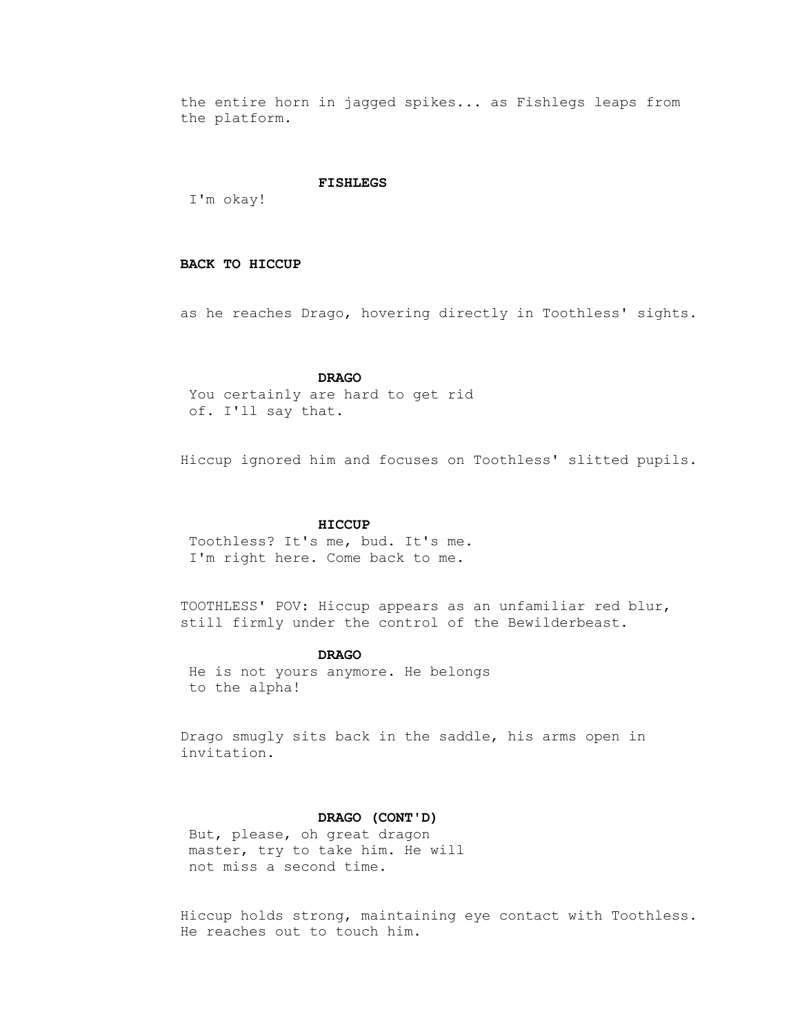the entire horn in jagged spikes... as Fishlegs leaps from the platform.

### **FISHLEGS**

I'm okay!

# **BACK TO HICCUP**

as he reaches Drago, hovering directly in Toothless' sights.

# **DRAGO**

 You certainly are hard to get rid of. I'll say that.

Hiccup ignored him and focuses on Toothless' slitted pupils.

## **HICCUP**

 Toothless? It's me, bud. It's me. I'm right here. Come back to me.

 TOOTHLESS' POV: Hiccup appears as an unfamiliar red blur, still firmly under the control of the Bewilderbeast.

## **DRAGO**

 He is not yours anymore. He belongs to the alpha!

 Drago smugly sits back in the saddle, his arms open in invitation.

# **DRAGO (CONT'D)**

 But, please, oh great dragon master, try to take him. He will not miss a second time.

 Hiccup holds strong, maintaining eye contact with Toothless. He reaches out to touch him.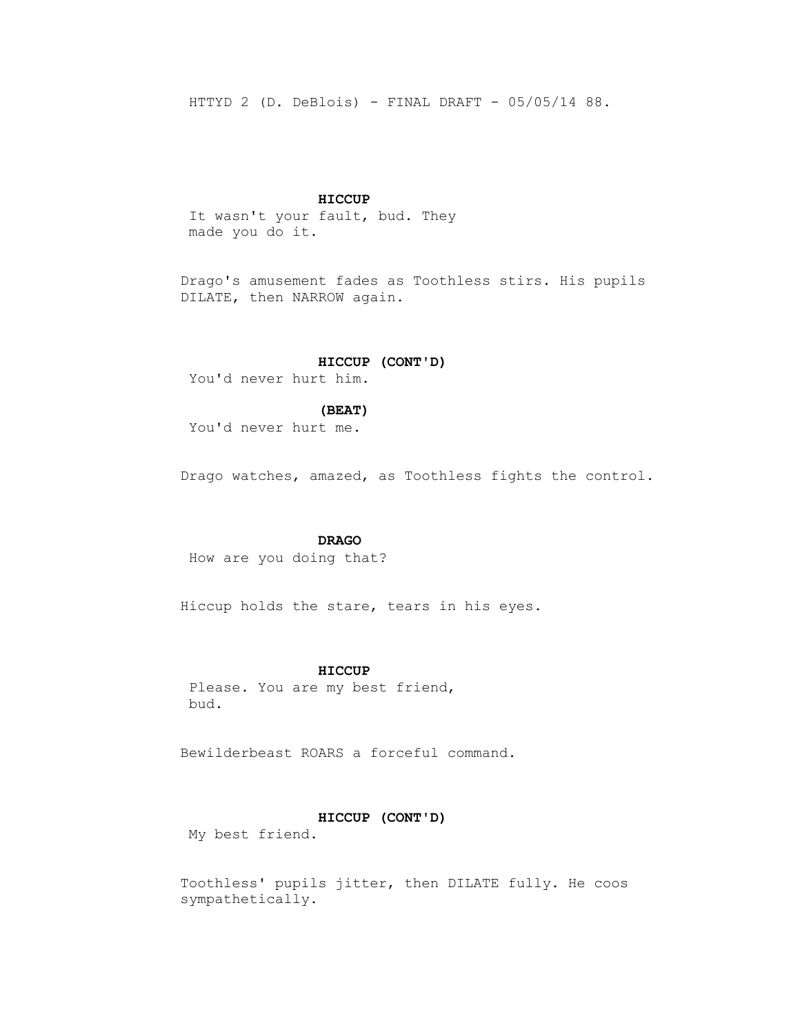HTTYD 2 (D. DeBlois) - FINAL DRAFT - 05/05/14 88.

### **HICCUP**

 It wasn't your fault, bud. They made you do it.

 Drago's amusement fades as Toothless stirs. His pupils DILATE, then NARROW again.

## **HICCUP (CONT'D)**

You'd never hurt him.

 **(BEAT)** You'd never hurt me.

Drago watches, amazed, as Toothless fights the control.

### **DRAGO**

How are you doing that?

Hiccup holds the stare, tears in his eyes.

### **HICCUP**

 Please. You are my best friend, bud.

Bewilderbeast ROARS a forceful command.

# **HICCUP (CONT'D)**

My best friend.

 Toothless' pupils jitter, then DILATE fully. He coos sympathetically.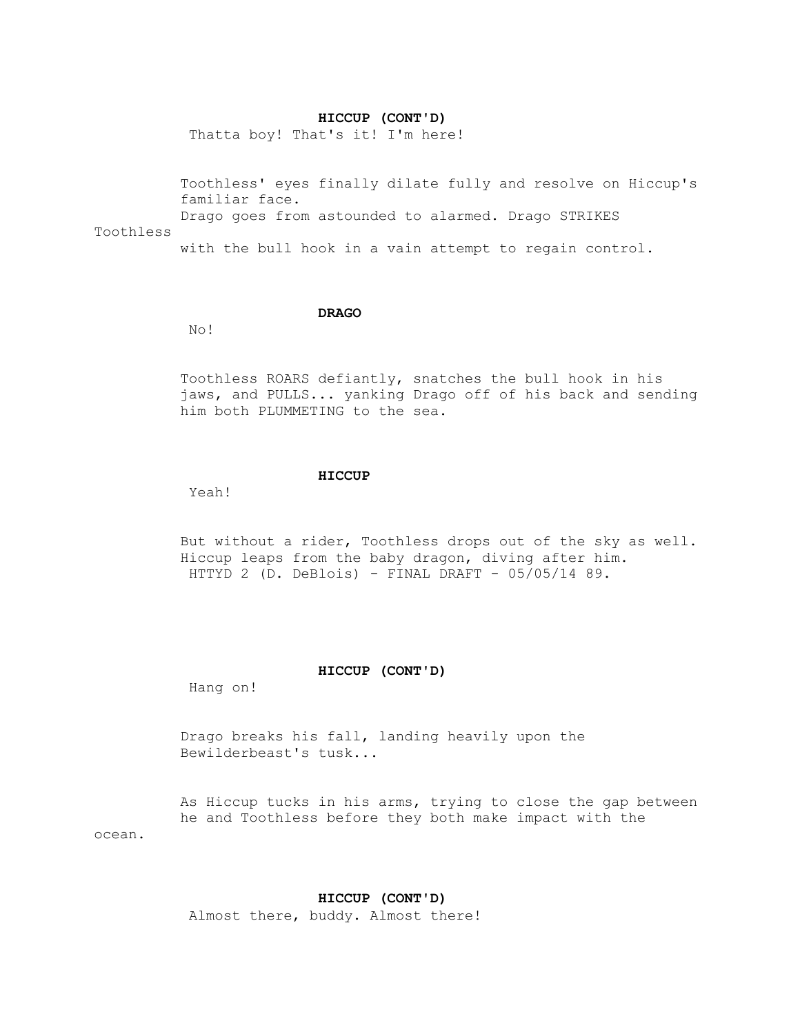## **HICCUP (CONT'D)**

Thatta boy! That's it! I'm here!

 Toothless' eyes finally dilate fully and resolve on Hiccup's familiar face. Drago goes from astounded to alarmed. Drago STRIKES Toothless

with the bull hook in a vain attempt to regain control.

### **DRAGO**

No!

 Toothless ROARS defiantly, snatches the bull hook in his jaws, and PULLS... yanking Drago off of his back and sending him both PLUMMETING to the sea.

# **HICCUP**

Yeah!

 But without a rider, Toothless drops out of the sky as well. Hiccup leaps from the baby dragon, diving after him. HTTYD 2 (D. DeBlois) - FINAL DRAFT - 05/05/14 89.

#### **HICCUP (CONT'D)**

Hang on!

 Drago breaks his fall, landing heavily upon the Bewilderbeast's tusk...

 As Hiccup tucks in his arms, trying to close the gap between he and Toothless before they both make impact with the ocean.

# **HICCUP (CONT'D)**

Almost there, buddy. Almost there!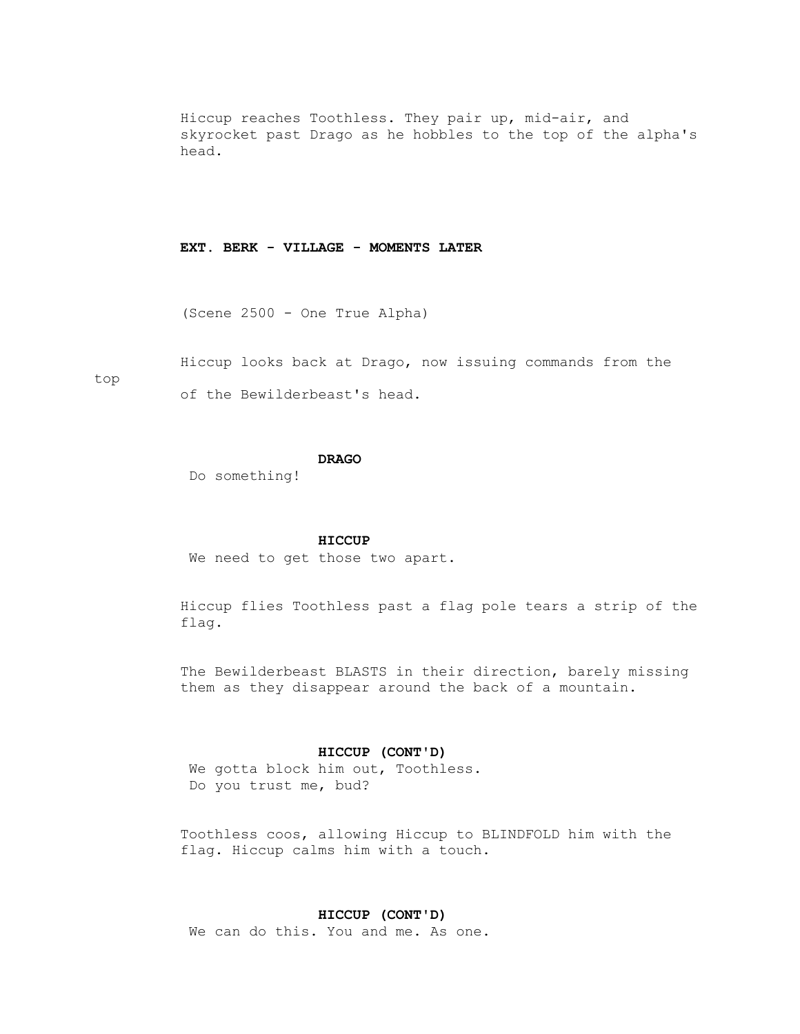Hiccup reaches Toothless. They pair up, mid-air, and skyrocket past Drago as he hobbles to the top of the alpha's head.

### **EXT. BERK - VILLAGE - MOMENTS LATER**

(Scene 2500 - One True Alpha)

Hiccup looks back at Drago, now issuing commands from the

top

of the Bewilderbeast's head.

# **DRAGO**

Do something!

#### **HICCUP**

We need to get those two apart.

 Hiccup flies Toothless past a flag pole tears a strip of the flag.

 The Bewilderbeast BLASTS in their direction, barely missing them as they disappear around the back of a mountain.

# **HICCUP (CONT'D)**

 We gotta block him out, Toothless. Do you trust me, bud?

 Toothless coos, allowing Hiccup to BLINDFOLD him with the flag. Hiccup calms him with a touch.

# **HICCUP (CONT'D)**

We can do this. You and me. As one.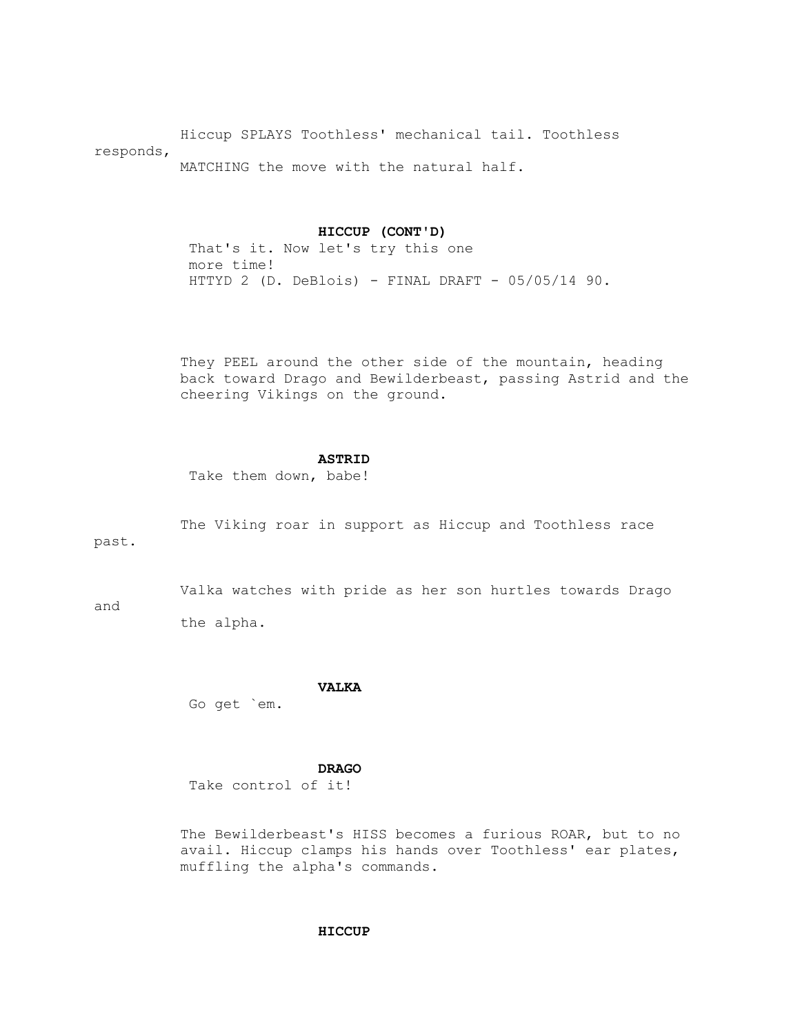Hiccup SPLAYS Toothless' mechanical tail. Toothless responds, MATCHING the move with the natural half.

 **HICCUP (CONT'D)**

 That's it. Now let's try this one more time! HTTYD 2 (D. DeBlois) - FINAL DRAFT - 05/05/14 90.

 They PEEL around the other side of the mountain, heading back toward Drago and Bewilderbeast, passing Astrid and the cheering Vikings on the ground.

## **ASTRID**

Take them down, babe!

 The Viking roar in support as Hiccup and Toothless race past.

 Valka watches with pride as her son hurtles towards Drago and

the alpha.

### **VALKA**

Go get `em.

# **DRAGO**

Take control of it!

 The Bewilderbeast's HISS becomes a furious ROAR, but to no avail. Hiccup clamps his hands over Toothless' ear plates, muffling the alpha's commands.

# **HICCUP**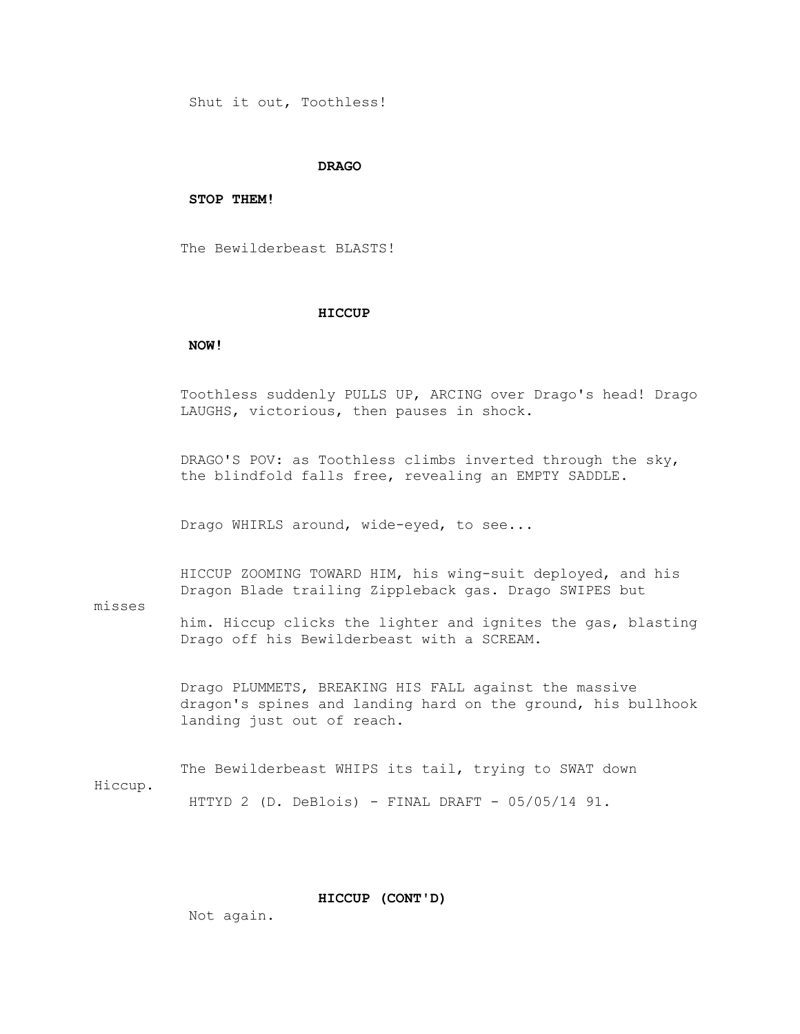Shut it out, Toothless!

## **DRAGO**

### **STOP THEM!**

The Bewilderbeast BLASTS!

### **HICCUP**

# **NOW!**

 Toothless suddenly PULLS UP, ARCING over Drago's head! Drago LAUGHS, victorious, then pauses in shock.

 DRAGO'S POV: as Toothless climbs inverted through the sky, the blindfold falls free, revealing an EMPTY SADDLE.

Drago WHIRLS around, wide-eyed, to see...

 HICCUP ZOOMING TOWARD HIM, his wing-suit deployed, and his Dragon Blade trailing Zippleback gas. Drago SWIPES but

### misses

 him. Hiccup clicks the lighter and ignites the gas, blasting Drago off his Bewilderbeast with a SCREAM.

 Drago PLUMMETS, BREAKING HIS FALL against the massive dragon's spines and landing hard on the ground, his bullhook landing just out of reach.

 The Bewilderbeast WHIPS its tail, trying to SWAT down Hiccup. HTTYD 2 (D. DeBlois) - FINAL DRAFT - 05/05/14 91.

 **HICCUP (CONT'D)**

Not again.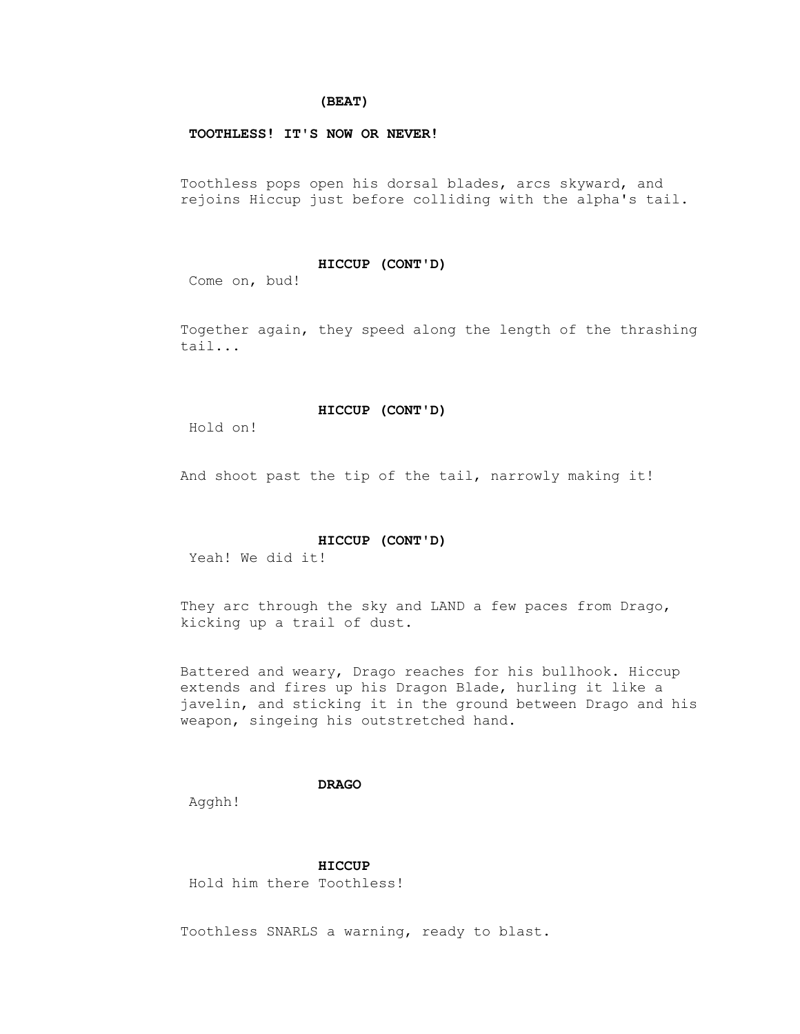## **(BEAT)**

# **TOOTHLESS! IT'S NOW OR NEVER!**

 Toothless pops open his dorsal blades, arcs skyward, and rejoins Hiccup just before colliding with the alpha's tail.

### **HICCUP (CONT'D)**

Come on, bud!

 Together again, they speed along the length of the thrashing tail...

## **HICCUP (CONT'D)**

Hold on!

And shoot past the tip of the tail, narrowly making it!

## **HICCUP (CONT'D)**

Yeah! We did it!

 They arc through the sky and LAND a few paces from Drago, kicking up a trail of dust.

 Battered and weary, Drago reaches for his bullhook. Hiccup extends and fires up his Dragon Blade, hurling it like a javelin, and sticking it in the ground between Drago and his weapon, singeing his outstretched hand.

## **DRAGO**

Agghh!

#### **HICCUP**

Hold him there Toothless!

Toothless SNARLS a warning, ready to blast.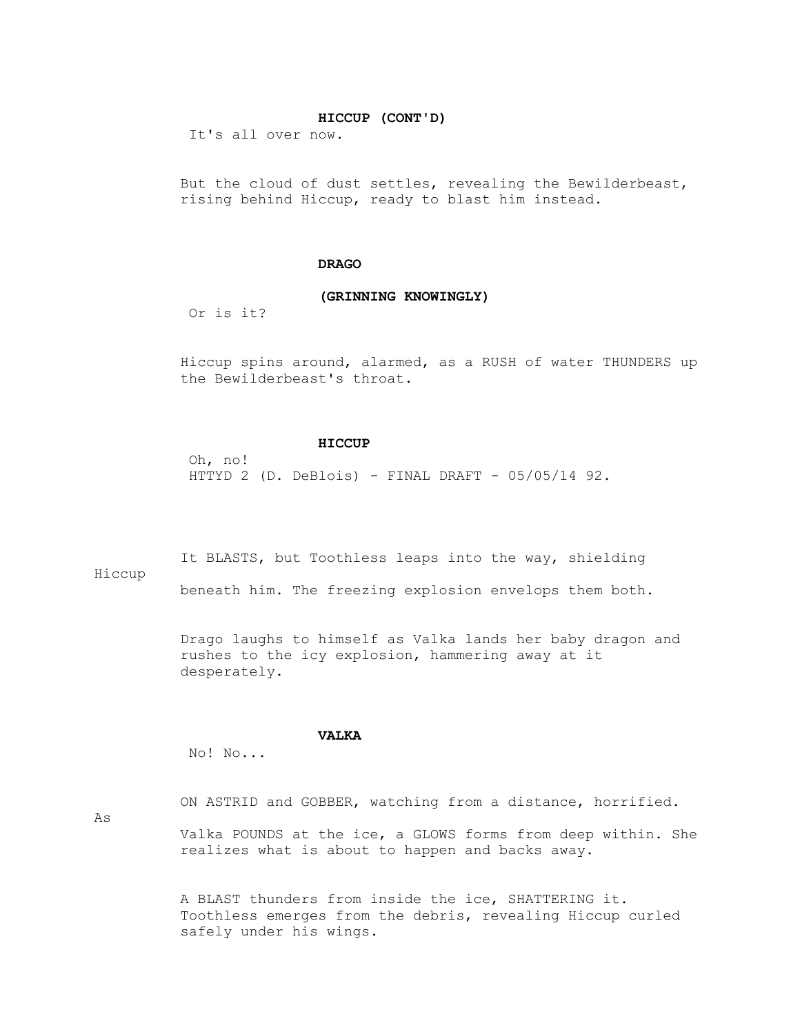### **HICCUP (CONT'D)**

It's all over now.

 But the cloud of dust settles, revealing the Bewilderbeast, rising behind Hiccup, ready to blast him instead.

### **DRAGO**

### **(GRINNING KNOWINGLY)**

Or is it?

 Hiccup spins around, alarmed, as a RUSH of water THUNDERS up the Bewilderbeast's throat.

#### **HICCUP**

 Oh, no! HTTYD 2 (D. DeBlois) - FINAL DRAFT - 05/05/14 92.

 It BLASTS, but Toothless leaps into the way, shielding Hiccup

beneath him. The freezing explosion envelops them both.

 Drago laughs to himself as Valka lands her baby dragon and rushes to the icy explosion, hammering away at it desperately.

# **VALKA**

No! No...

As

ON ASTRID and GOBBER, watching from a distance, horrified.

 Valka POUNDS at the ice, a GLOWS forms from deep within. She realizes what is about to happen and backs away.

 A BLAST thunders from inside the ice, SHATTERING it. Toothless emerges from the debris, revealing Hiccup curled safely under his wings.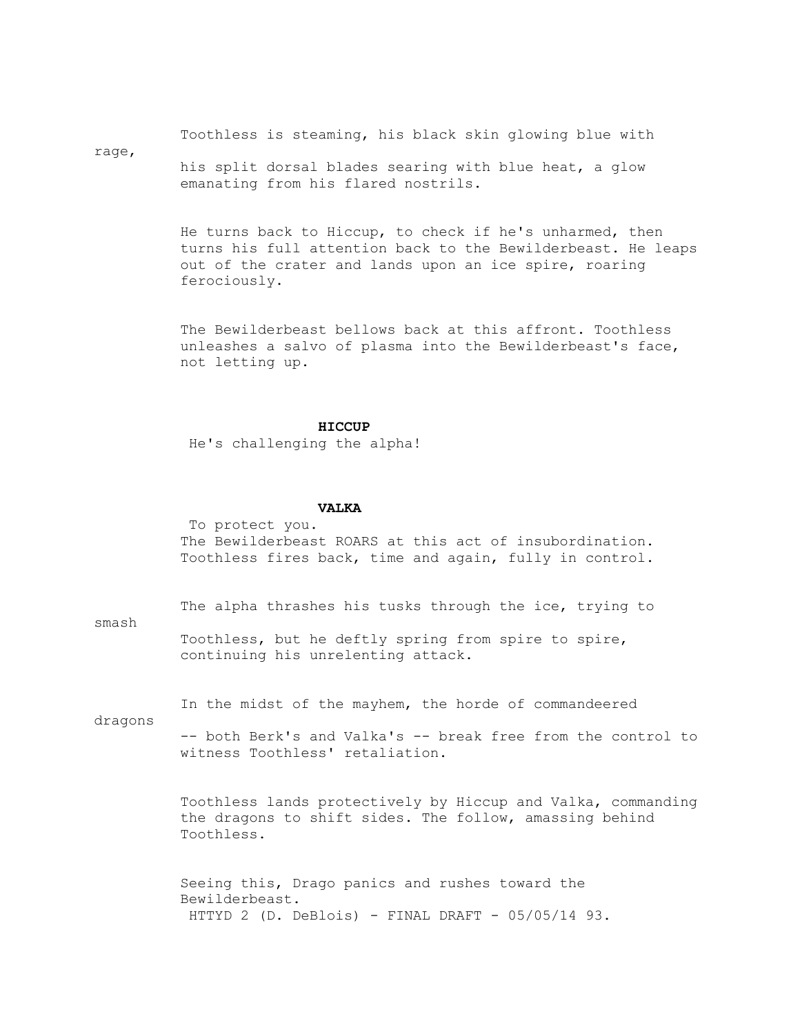Toothless is steaming, his black skin glowing blue with

rage,

 his split dorsal blades searing with blue heat, a glow emanating from his flared nostrils.

 He turns back to Hiccup, to check if he's unharmed, then turns his full attention back to the Bewilderbeast. He leaps out of the crater and lands upon an ice spire, roaring ferociously.

 The Bewilderbeast bellows back at this affront. Toothless unleashes a salvo of plasma into the Bewilderbeast's face, not letting up.

## **HICCUP**

He's challenging the alpha!

### **VALKA**

 To protect you. The Bewilderbeast ROARS at this act of insubordination. Toothless fires back, time and again, fully in control.

smash

The alpha thrashes his tusks through the ice, trying to

 Toothless, but he deftly spring from spire to spire, continuing his unrelenting attack.

In the midst of the mayhem, the horde of commandeered

dragons

 -- both Berk's and Valka's -- break free from the control to witness Toothless' retaliation.

 Toothless lands protectively by Hiccup and Valka, commanding the dragons to shift sides. The follow, amassing behind Toothless.

 Seeing this, Drago panics and rushes toward the Bewilderbeast. HTTYD 2 (D. DeBlois) - FINAL DRAFT - 05/05/14 93.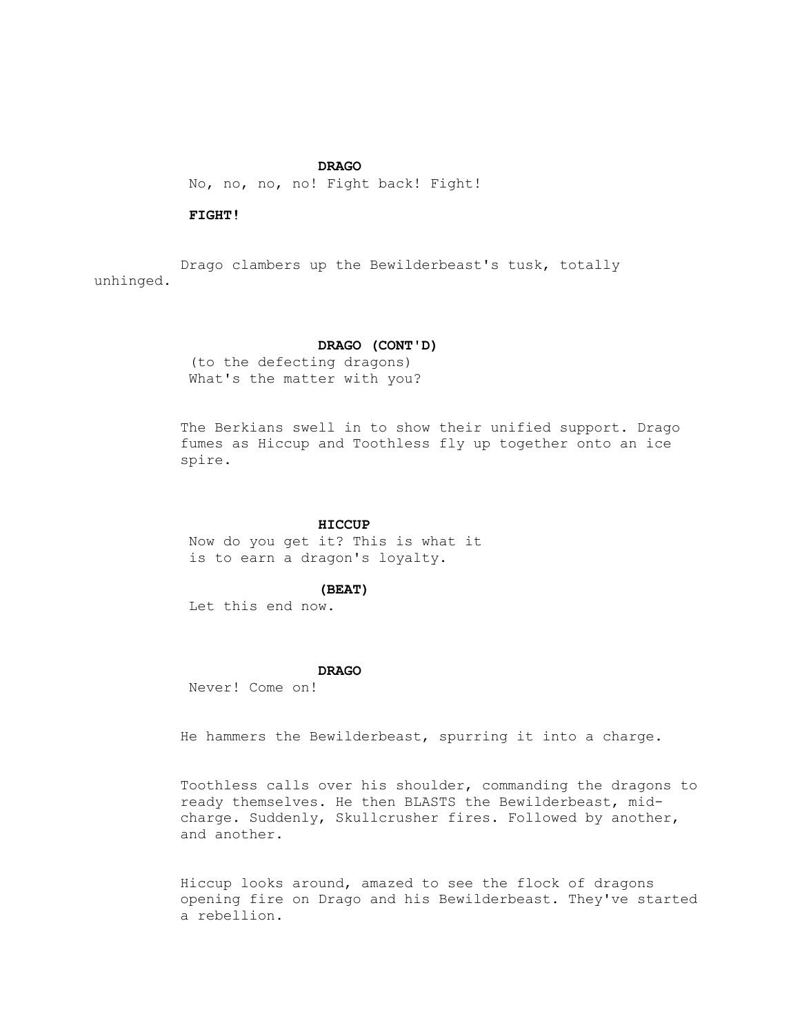### **DRAGO**

No, no, no, no! Fight back! Fight!

# **FIGHT!**

 Drago clambers up the Bewilderbeast's tusk, totally unhinged.

## **DRAGO (CONT'D)**

 (to the defecting dragons) What's the matter with you?

 The Berkians swell in to show their unified support. Drago fumes as Hiccup and Toothless fly up together onto an ice spire.

## **HICCUP**

 Now do you get it? This is what it is to earn a dragon's loyalty.

### **(BEAT)**

Let this end now.

### **DRAGO**

Never! Come on!

He hammers the Bewilderbeast, spurring it into a charge.

 Toothless calls over his shoulder, commanding the dragons to ready themselves. He then BLASTS the Bewilderbeast, mid charge. Suddenly, Skullcrusher fires. Followed by another, and another.

 Hiccup looks around, amazed to see the flock of dragons opening fire on Drago and his Bewilderbeast. They've started a rebellion.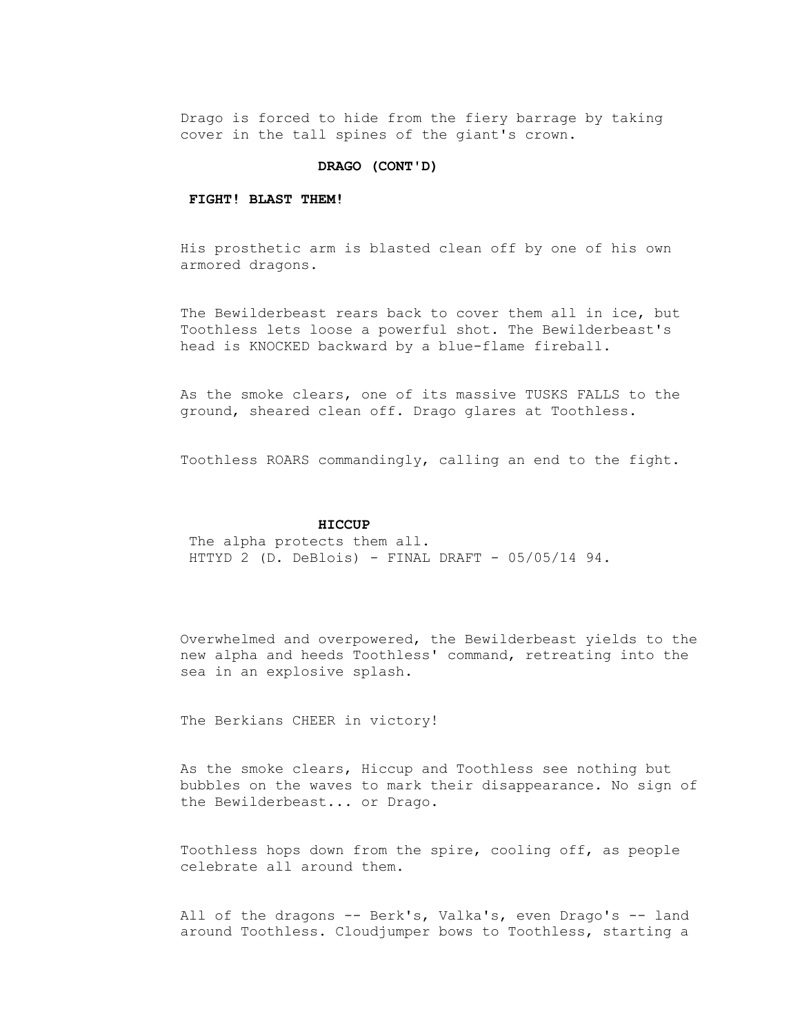Drago is forced to hide from the fiery barrage by taking cover in the tall spines of the giant's crown.

## **DRAGO (CONT'D)**

#### **FIGHT! BLAST THEM!**

 His prosthetic arm is blasted clean off by one of his own armored dragons.

 The Bewilderbeast rears back to cover them all in ice, but Toothless lets loose a powerful shot. The Bewilderbeast's head is KNOCKED backward by a blue-flame fireball.

 As the smoke clears, one of its massive TUSKS FALLS to the ground, sheared clean off. Drago glares at Toothless.

Toothless ROARS commandingly, calling an end to the fight.

# **HICCUP**

 The alpha protects them all. HTTYD 2 (D. DeBlois) - FINAL DRAFT - 05/05/14 94.

 Overwhelmed and overpowered, the Bewilderbeast yields to the new alpha and heeds Toothless' command, retreating into the sea in an explosive splash.

The Berkians CHEER in victory!

 As the smoke clears, Hiccup and Toothless see nothing but bubbles on the waves to mark their disappearance. No sign of the Bewilderbeast... or Drago.

 Toothless hops down from the spire, cooling off, as people celebrate all around them.

 All of the dragons -- Berk's, Valka's, even Drago's -- land around Toothless. Cloudjumper bows to Toothless, starting a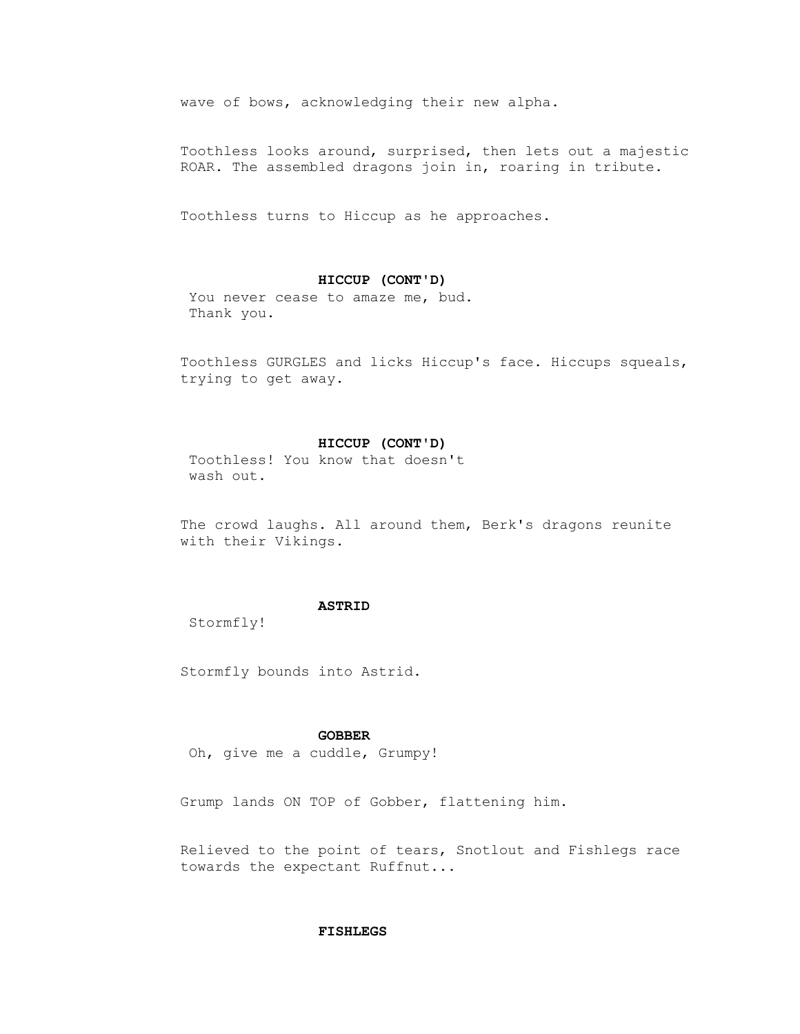wave of bows, acknowledging their new alpha.

 Toothless looks around, surprised, then lets out a majestic ROAR. The assembled dragons join in, roaring in tribute.

Toothless turns to Hiccup as he approaches.

## **HICCUP (CONT'D)**

You never cease to amaze me, bud. Thank you.

 Toothless GURGLES and licks Hiccup's face. Hiccups squeals, trying to get away.

## **HICCUP (CONT'D)**

 Toothless! You know that doesn't wash out.

 The crowd laughs. All around them, Berk's dragons reunite with their Vikings.

#### **ASTRID**

Stormfly!

Stormfly bounds into Astrid.

#### **GOBBER**

Oh, give me a cuddle, Grumpy!

Grump lands ON TOP of Gobber, flattening him.

 Relieved to the point of tears, Snotlout and Fishlegs race towards the expectant Ruffnut...

## **FISHLEGS**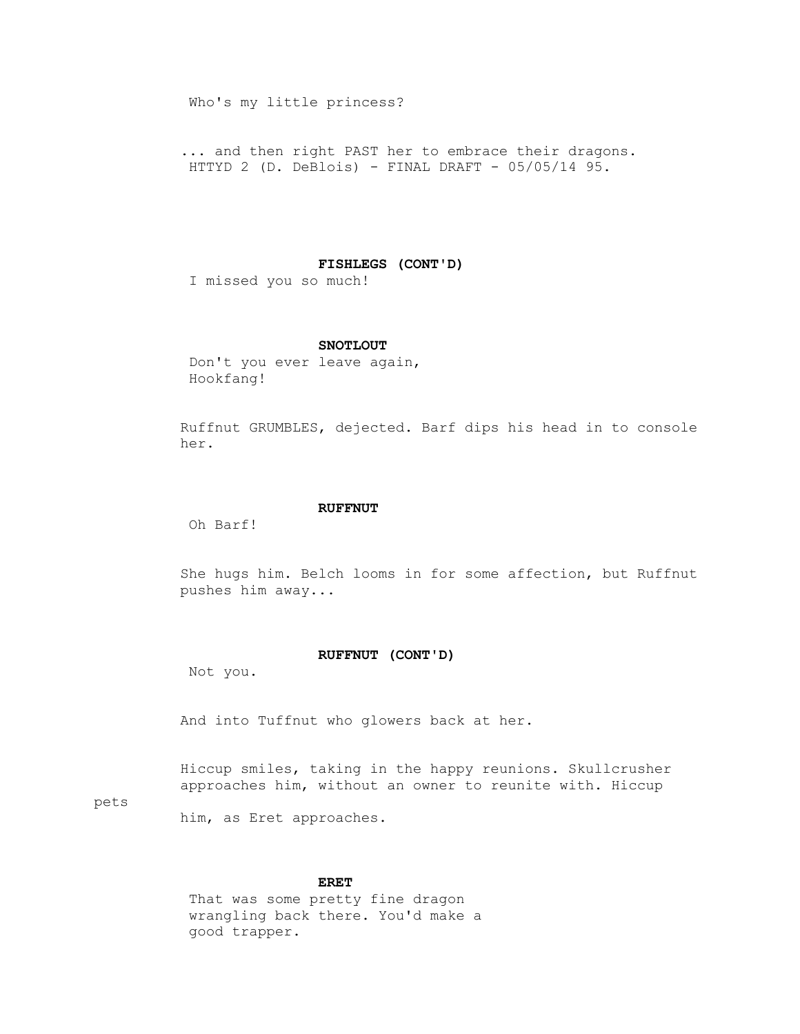Who's my little princess?

 ... and then right PAST her to embrace their dragons. HTTYD 2 (D. DeBlois) - FINAL DRAFT - 05/05/14 95.

#### **FISHLEGS (CONT'D)**

I missed you so much!

## **SNOTLOUT**

 Don't you ever leave again, Hookfang!

 Ruffnut GRUMBLES, dejected. Barf dips his head in to console her.

#### **RUFFNUT**

Oh Barf!

 She hugs him. Belch looms in for some affection, but Ruffnut pushes him away...

## **RUFFNUT (CONT'D)**

Not you.

And into Tuffnut who glowers back at her.

 Hiccup smiles, taking in the happy reunions. Skullcrusher approaches him, without an owner to reunite with. Hiccup

## pets

him, as Eret approaches.

#### **ERET**

 That was some pretty fine dragon wrangling back there. You'd make a good trapper.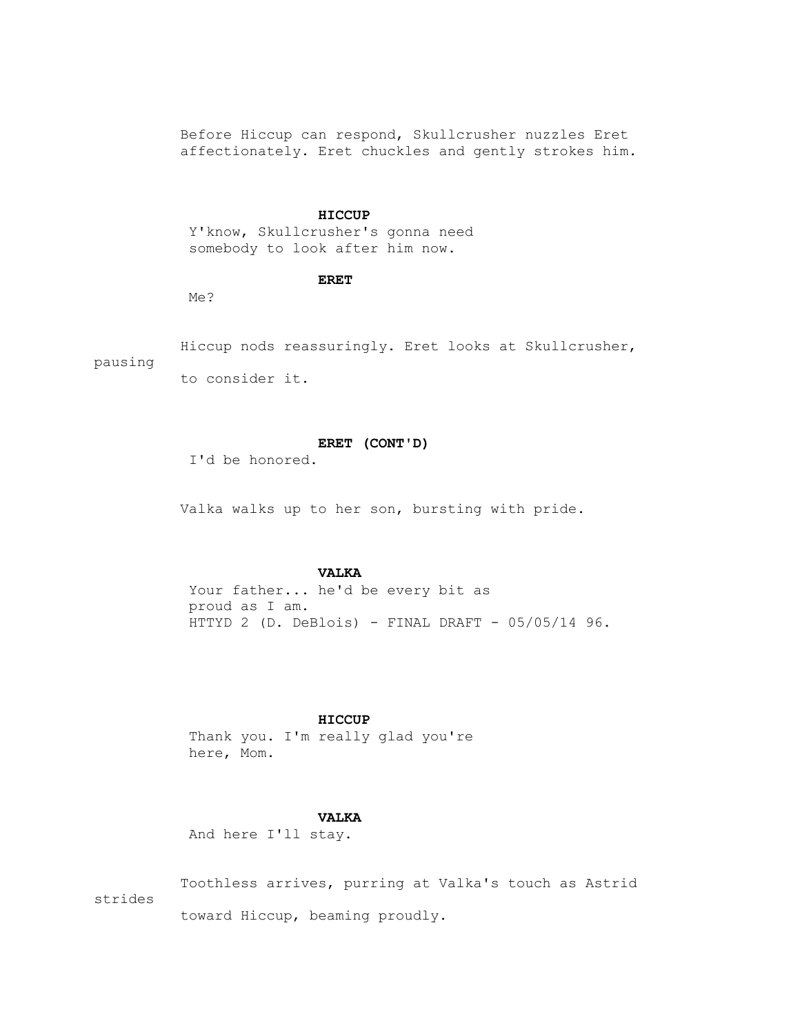Before Hiccup can respond, Skullcrusher nuzzles Eret affectionately. Eret chuckles and gently strokes him.

#### **HICCUP**

 Y'know, Skullcrusher's gonna need somebody to look after him now.

# **ERET**

Me?

 Hiccup nods reassuringly. Eret looks at Skullcrusher, pausing to consider it.

## **ERET (CONT'D)**

I'd be honored.

Valka walks up to her son, bursting with pride.

#### **VALKA**

 Your father... he'd be every bit as proud as I am. HTTYD 2 (D. DeBlois) - FINAL DRAFT - 05/05/14 96.

## **HICCUP**

 Thank you. I'm really glad you're here, Mom.

## **VALKA**

And here I'll stay.

 Toothless arrives, purring at Valka's touch as Astrid strides toward Hiccup, beaming proudly.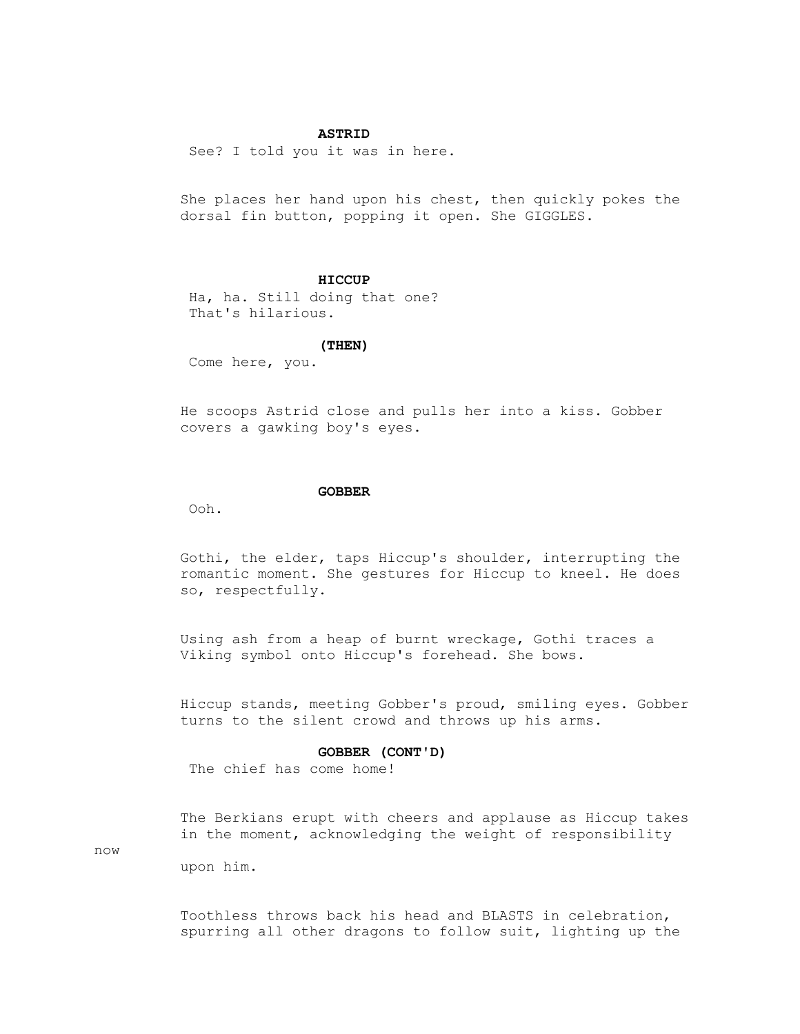#### **ASTRID**

See? I told you it was in here.

 She places her hand upon his chest, then quickly pokes the dorsal fin button, popping it open. She GIGGLES.

#### **HICCUP**

 Ha, ha. Still doing that one? That's hilarious.

## **(THEN)**

Come here, you.

 He scoops Astrid close and pulls her into a kiss. Gobber covers a gawking boy's eyes.

#### **GOBBER**

Ooh.

 Gothi, the elder, taps Hiccup's shoulder, interrupting the romantic moment. She gestures for Hiccup to kneel. He does so, respectfully.

 Using ash from a heap of burnt wreckage, Gothi traces a Viking symbol onto Hiccup's forehead. She bows.

 Hiccup stands, meeting Gobber's proud, smiling eyes. Gobber turns to the silent crowd and throws up his arms.

## **GOBBER (CONT'D)**

The chief has come home!

 The Berkians erupt with cheers and applause as Hiccup takes in the moment, acknowledging the weight of responsibility

now

upon him.

 Toothless throws back his head and BLASTS in celebration, spurring all other dragons to follow suit, lighting up the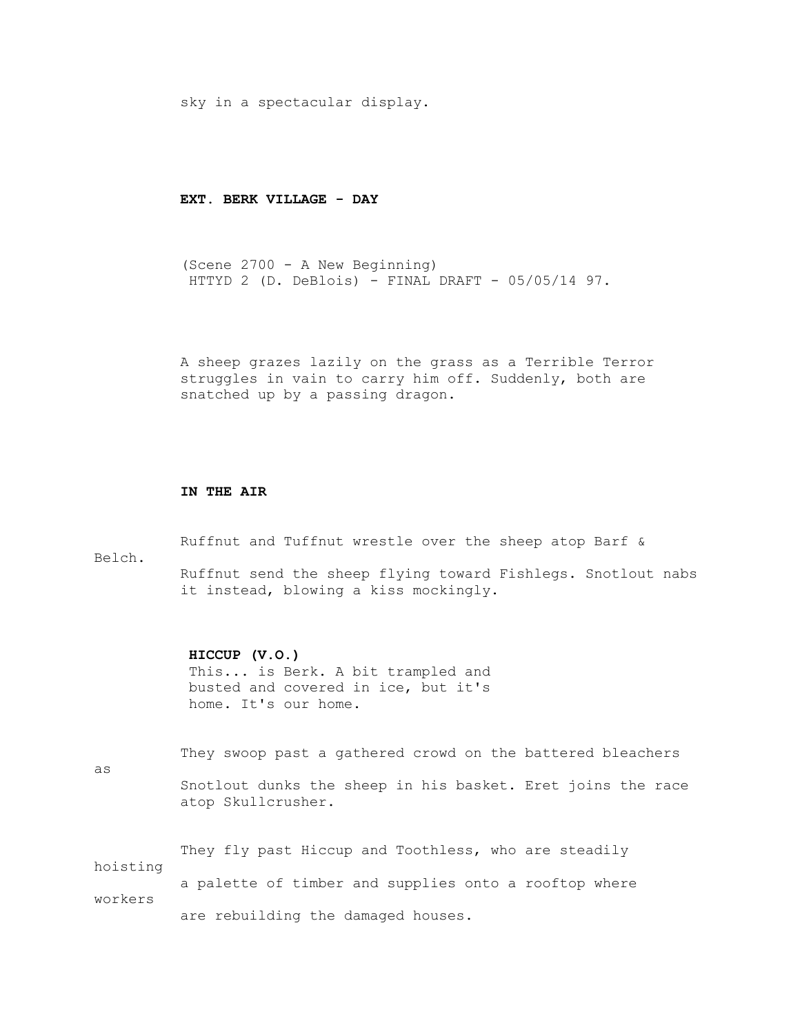sky in a spectacular display.

 **EXT. BERK VILLAGE - DAY**

 (Scene 2700 - A New Beginning) HTTYD 2 (D. DeBlois) - FINAL DRAFT - 05/05/14 97.

 A sheep grazes lazily on the grass as a Terrible Terror struggles in vain to carry him off. Suddenly, both are snatched up by a passing dragon.

## **IN THE AIR**

 Ruffnut and Tuffnut wrestle over the sheep atop Barf & Belch. Ruffnut send the sheep flying toward Fishlegs. Snotlout nabs it instead, blowing a kiss mockingly.

 **HICCUP (V.O.)**

 This... is Berk. A bit trampled and busted and covered in ice, but it's home. It's our home.

 They swoop past a gathered crowd on the battered bleachers as Snotlout dunks the sheep in his basket. Eret joins the race atop Skullcrusher.

They fly past Hiccup and Toothless, who are steadily hoisting a palette of timber and supplies onto a rooftop where workers are rebuilding the damaged houses.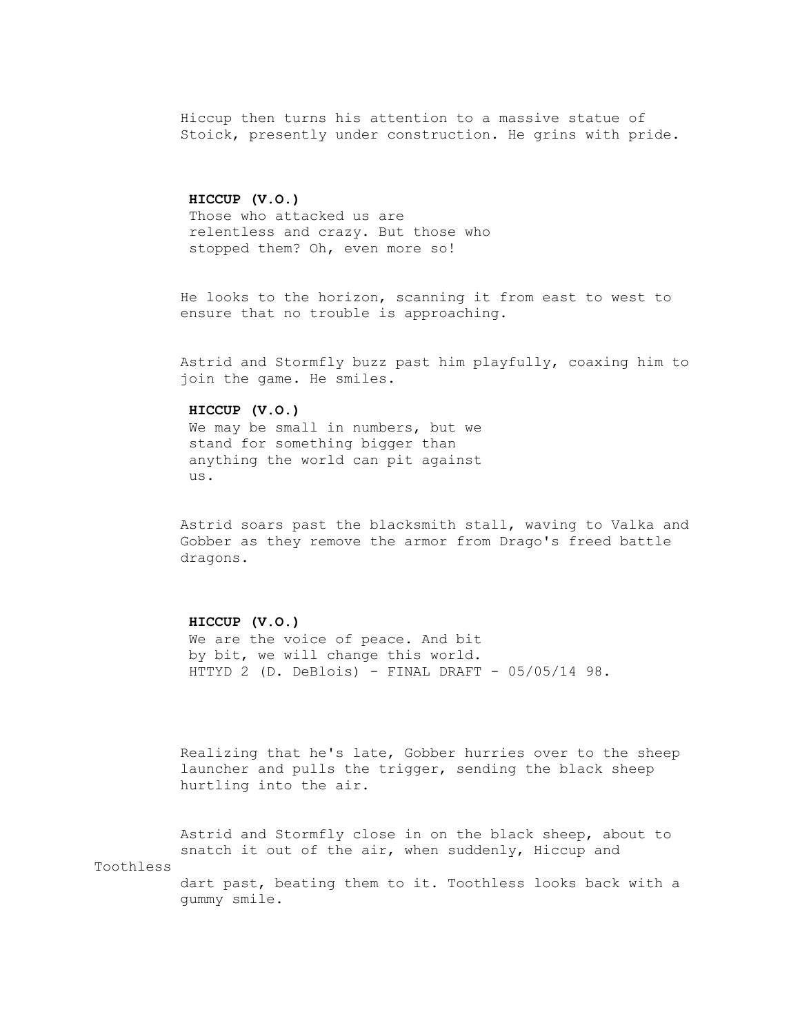Hiccup then turns his attention to a massive statue of Stoick, presently under construction. He grins with pride.

## **HICCUP (V.O.)**

 Those who attacked us are relentless and crazy. But those who stopped them? Oh, even more so!

 He looks to the horizon, scanning it from east to west to ensure that no trouble is approaching.

 Astrid and Stormfly buzz past him playfully, coaxing him to join the game. He smiles.

 **HICCUP (V.O.)** We may be small in numbers, but we stand for something bigger than anything the world can pit against us.

 Astrid soars past the blacksmith stall, waving to Valka and Gobber as they remove the armor from Drago's freed battle dragons.

# **HICCUP (V.O.)** We are the voice of peace. And bit by bit, we will change this world. HTTYD 2 (D. DeBlois) - FINAL DRAFT -  $05/05/14$  98.

 Realizing that he's late, Gobber hurries over to the sheep launcher and pulls the trigger, sending the black sheep hurtling into the air.

 Astrid and Stormfly close in on the black sheep, about to snatch it out of the air, when suddenly, Hiccup and Toothless dart past, beating them to it. Toothless looks back with a gummy smile.